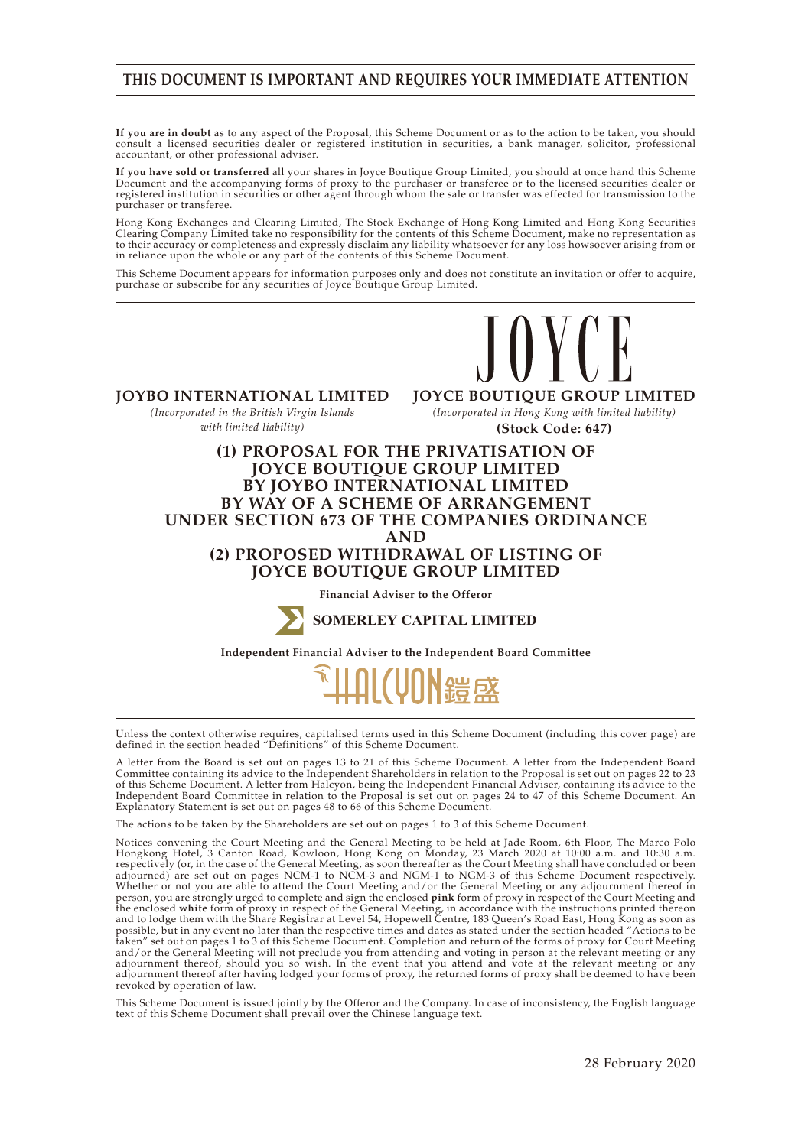# **THIS DOCUMENT IS IMPORTANT AND REQUIRES YOUR IMMEDIATE ATTENTION**

**If you are in doubt** as to any aspect of the Proposal, this Scheme Document or as to the action to be taken, you should consult a licensed securities dealer or registered institution in securities, a bank manager, solicitor, professional accountant, or other professional adviser.

**If you have sold or transferred** all your shares in Joyce Boutique Group Limited, you should at once hand this Scheme Document and the accompanying forms of proxy to the purchaser or transferee or to the licensed securities dealer or registered institution in securities or other agent through whom the sale or transfer was effected for transmission to the purchaser or transferee.

Hong Kong Exchanges and Clearing Limited, The Stock Exchange of Hong Kong Limited and Hong Kong Securities Clearing Company Limited take no responsibility for the contents of this Scheme Document, make no representation as to their accuracy or completeness and expressly disclaim any liability whatsoever for any loss howsoever arising from or in reliance upon the whole or any part of the contents of this Scheme Document.

This Scheme Document appears for information purposes only and does not constitute an invitation or offer to acquire, purchase or subscribe for any securities of Joyce Boutique Group Limited.



**JOYBO INTERNATIONAL LIMITED** *(Incorporated in the British Virgin Islands with limited liability)*

**JOYCE BOUTIQUE GROUP LIMITED** *(Incorporated in Hong Kong with limited liability)*

**(Stock Code: 647)**

# **(1) PROPOSAL FOR THE PRIVATISATION OF JOYCE BOUTIQUE GROUP LIMITED BY JOYBO INTERNATIONAL LIMITED BY WAY OF A SCHEME OF ARRANGEMENT UNDER SECTION 673 OF THE COMPANIES ORDINANCE AND (2) PROPOSED WITHDRAWAL OF LISTING OF JOYCE BOUTIQUE GROUP LIMITED**

**Financial Adviser to the Offeror**



**SOMERLEY CAPITAL LIMITED**

**Independent Financial Adviser to the Independent Board Committee**



Unless the context otherwise requires, capitalised terms used in this Scheme Document (including this cover page) are defined in the section headed "Definitions" of this Scheme Document.

A letter from the Board is set out on pages 13 to 21 of this Scheme Document. A letter from the Independent Board Committee containing its advice to the Independent Shareholders in relation to the Proposal is set out on pages 22 to 23 of this Scheme Document. A letter from Halcyon, being the Independent Financial Adviser, containing its advice to the Independent Board Committee in relation to the Proposal is set out on pages 24 to 47 of this Scheme Document. An Explanatory Statement is set out on pages 48 to 66 of this Scheme Document.

The actions to be taken by the Shareholders are set out on pages 1 to 3 of this Scheme Document.

Notices convening the Court Meeting and the General Meeting to be held at Jade Room, 6th Floor, The Marco Polo Hongkong Hotel, 3 Canton Road, Kowloon, Hong Kong on Monday, 23 March 2020 at 10:00 a.m. and 10:30 a.m. respectively (or, in the case of the General Meeting, as soon thereafter as the Court Meeting shall have concluded or been adjourned) are set out on pages NCM-1 to NCM-3 and NGM-1 to NGM-3 of this Scheme Document respectively. Whether or not you are able to attend the Court Meeting and/or the General Meeting or any adjournment thereof in person, you are strongly urged to complete and sign the enclosed **pink** form of proxy in respect of the Court Meeting and the enclosed **white** form of proxy in respect of the General Meeting, in accordance with the instructions printed thereon and to lodge them with the Share Registrar at Level 54, Hopewell Centre, 183 Queen's Road East, Hong Kong as soon as possible, but in any event no later than the respective times and dates as stated under the section headed "Actions to be taken" set out on pages 1 to 3 of this Scheme Document. Completion and return of the forms of proxy for Court Meeting and/or the General Meeting will not preclude you from attending and voting in person at the relevant meeting or any adjournment thereof, should you so wish. In the event that you attend and vote at the relevant meeting or any adjournment thereof after having lodged your forms of proxy, the returned forms of proxy shall be deemed to have been revoked by operation of law.

This Scheme Document is issued jointly by the Offeror and the Company. In case of inconsistency, the English language text of this Scheme Document shall prevail over the Chinese language text.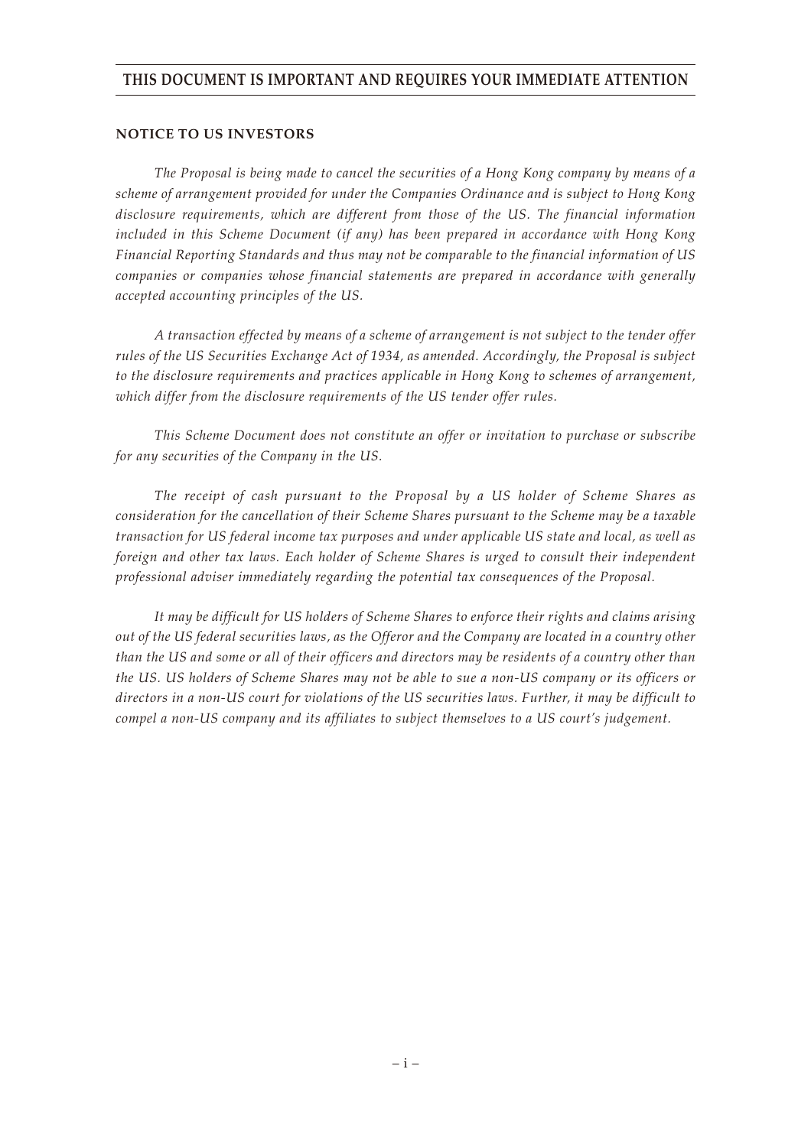# **THIS DOCUMENT IS IMPORTANT AND REQUIRES YOUR IMMEDIATE ATTENTION**

#### **NOTICE TO US INVESTORS**

*The Proposal is being made to cancel the securities of a Hong Kong company by means of a scheme of arrangement provided for under the Companies Ordinance and is subject to Hong Kong disclosure requirements, which are different from those of the US. The financial information included in this Scheme Document (if any) has been prepared in accordance with Hong Kong Financial Reporting Standards and thus may not be comparable to the financial information of US companies or companies whose financial statements are prepared in accordance with generally accepted accounting principles of the US.*

*A transaction effected by means of a scheme of arrangement is not subject to the tender offer rules of the US Securities Exchange Act of 1934, as amended. Accordingly, the Proposal is subject to the disclosure requirements and practices applicable in Hong Kong to schemes of arrangement, which differ from the disclosure requirements of the US tender offer rules.*

*This Scheme Document does not constitute an offer or invitation to purchase or subscribe for any securities of the Company in the US.*

*The receipt of cash pursuant to the Proposal by a US holder of Scheme Shares as consideration for the cancellation of their Scheme Shares pursuant to the Scheme may be a taxable transaction for US federal income tax purposes and under applicable US state and local, as well as foreign and other tax laws. Each holder of Scheme Shares is urged to consult their independent professional adviser immediately regarding the potential tax consequences of the Proposal.*

*It may be difficult for US holders of Scheme Shares to enforce their rights and claims arising out of the US federal securities laws, as the Offeror and the Company are located in a country other than the US and some or all of their officers and directors may be residents of a country other than the US. US holders of Scheme Shares may not be able to sue a non-US company or its officers or directors in a non-US court for violations of the US securities laws. Further, it may be difficult to compel a non-US company and its affiliates to subject themselves to a US court's judgement.*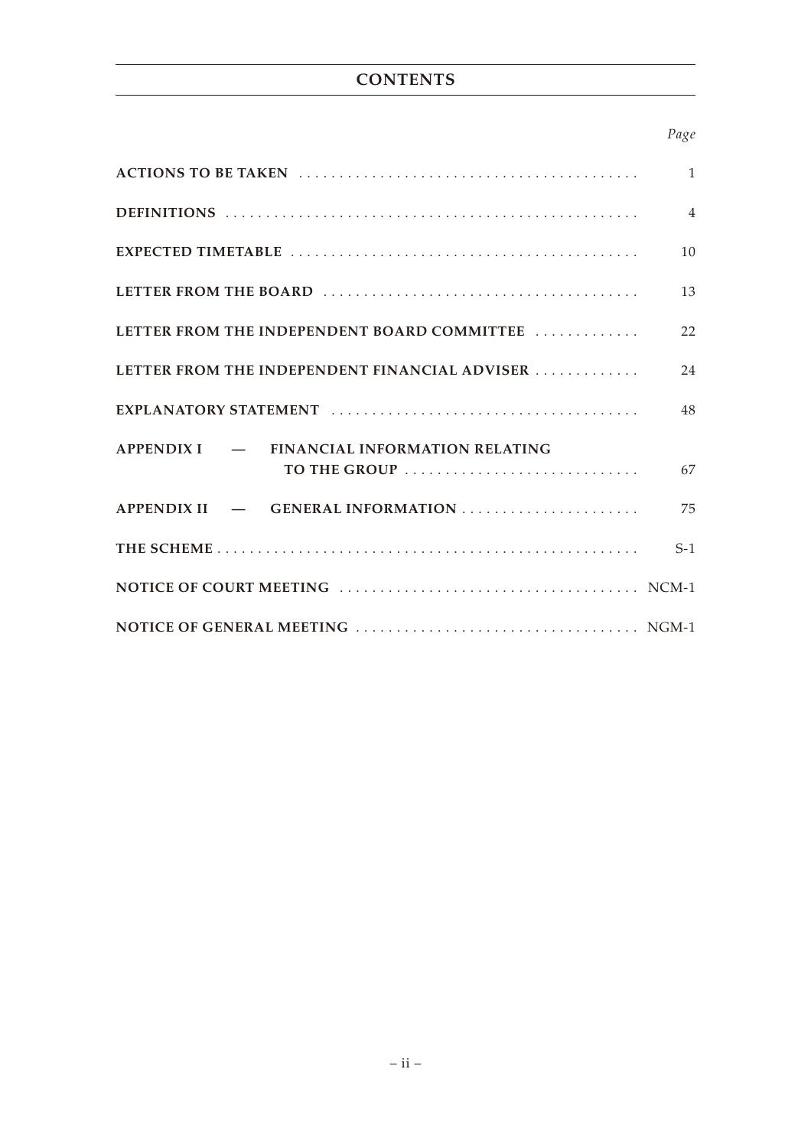# **CONTENTS**

# *Page*

|                                               | $\overline{1}$ |
|-----------------------------------------------|----------------|
|                                               | $\overline{4}$ |
|                                               | 10             |
|                                               | 13             |
| LETTER FROM THE INDEPENDENT BOARD COMMITTEE   | 22             |
| LETTER FROM THE INDEPENDENT FINANCIAL ADVISER | 24             |
|                                               | 48             |
| APPENDIX I - FINANCIAL INFORMATION RELATING   |                |
| TO THE GROUP                                  | 67             |
| APPENDIX II — GENERAL INFORMATION             | 75             |
|                                               | $S-1$          |
|                                               |                |
|                                               |                |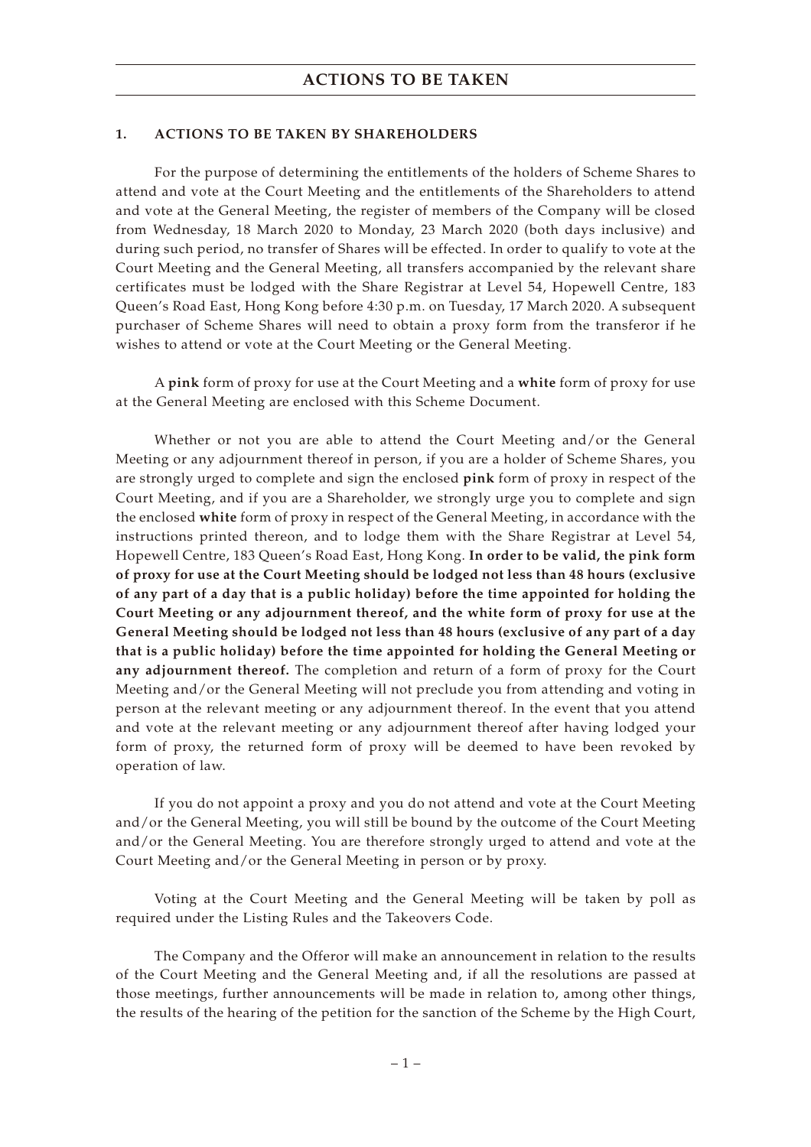#### **1. ACTIONS TO BE TAKEN BY SHAREHOLDERS**

For the purpose of determining the entitlements of the holders of Scheme Shares to attend and vote at the Court Meeting and the entitlements of the Shareholders to attend and vote at the General Meeting, the register of members of the Company will be closed from Wednesday, 18 March 2020 to Monday, 23 March 2020 (both days inclusive) and during such period, no transfer of Shares will be effected. In order to qualify to vote at the Court Meeting and the General Meeting, all transfers accompanied by the relevant share certificates must be lodged with the Share Registrar at Level 54, Hopewell Centre, 183 Queen's Road East, Hong Kong before 4:30 p.m. on Tuesday, 17 March 2020. A subsequent purchaser of Scheme Shares will need to obtain a proxy form from the transferor if he wishes to attend or vote at the Court Meeting or the General Meeting.

A **pink** form of proxy for use at the Court Meeting and a **white** form of proxy for use at the General Meeting are enclosed with this Scheme Document.

Whether or not you are able to attend the Court Meeting and/or the General Meeting or any adjournment thereof in person, if you are a holder of Scheme Shares, you are strongly urged to complete and sign the enclosed **pink** form of proxy in respect of the Court Meeting, and if you are a Shareholder, we strongly urge you to complete and sign the enclosed **white** form of proxy in respect of the General Meeting, in accordance with the instructions printed thereon, and to lodge them with the Share Registrar at Level 54, Hopewell Centre, 183 Queen's Road East, Hong Kong. **In order to be valid, the pink form of proxy for use at the Court Meeting should be lodged not less than 48 hours (exclusive of any part of a day that is a public holiday) before the time appointed for holding the Court Meeting or any adjournment thereof, and the white form of proxy for use at the General Meeting should be lodged not less than 48 hours (exclusive of any part of a day that is a public holiday) before the time appointed for holding the General Meeting or any adjournment thereof.** The completion and return of a form of proxy for the Court Meeting and/or the General Meeting will not preclude you from attending and voting in person at the relevant meeting or any adjournment thereof. In the event that you attend and vote at the relevant meeting or any adjournment thereof after having lodged your form of proxy, the returned form of proxy will be deemed to have been revoked by operation of law.

If you do not appoint a proxy and you do not attend and vote at the Court Meeting and/or the General Meeting, you will still be bound by the outcome of the Court Meeting and/or the General Meeting. You are therefore strongly urged to attend and vote at the Court Meeting and/or the General Meeting in person or by proxy.

Voting at the Court Meeting and the General Meeting will be taken by poll as required under the Listing Rules and the Takeovers Code.

The Company and the Offeror will make an announcement in relation to the results of the Court Meeting and the General Meeting and, if all the resolutions are passed at those meetings, further announcements will be made in relation to, among other things, the results of the hearing of the petition for the sanction of the Scheme by the High Court,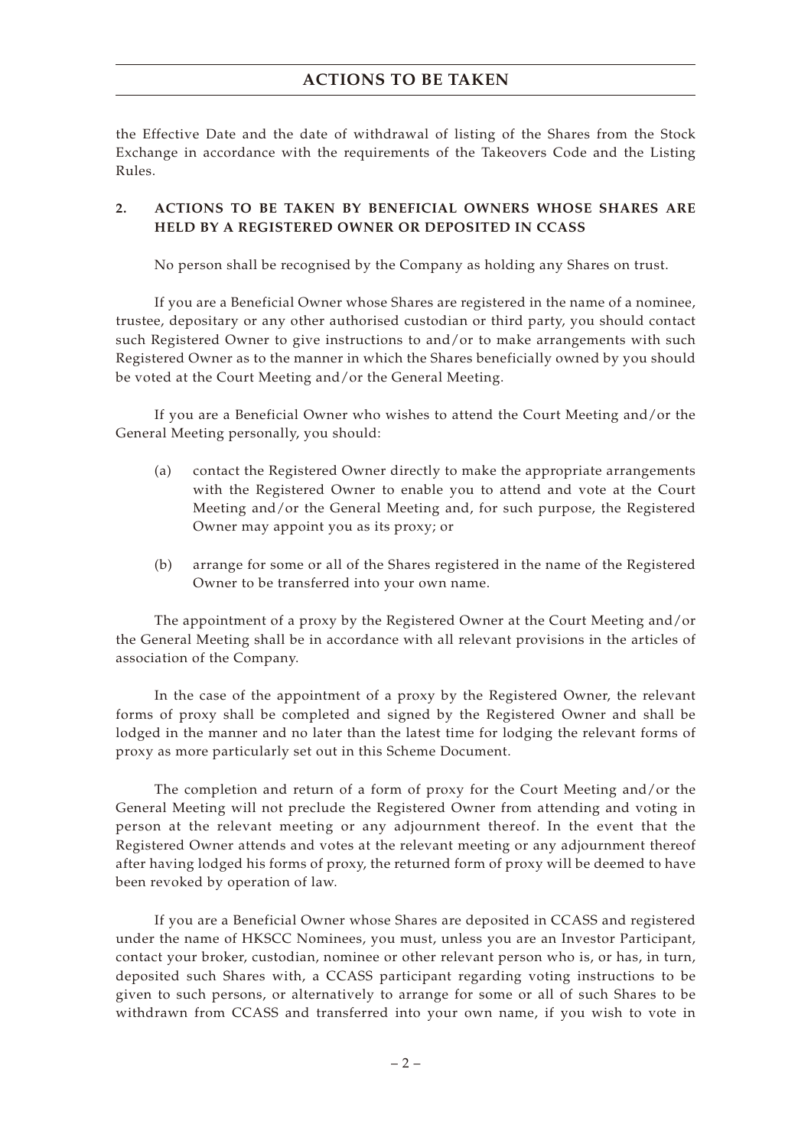# **ACTIONS TO BE TAKEN**

the Effective Date and the date of withdrawal of listing of the Shares from the Stock Exchange in accordance with the requirements of the Takeovers Code and the Listing Rules.

# **2. ACTIONS TO BE TAKEN BY BENEFICIAL OWNERS WHOSE SHARES ARE HELD BY A REGISTERED OWNER OR DEPOSITED IN CCASS**

No person shall be recognised by the Company as holding any Shares on trust.

If you are a Beneficial Owner whose Shares are registered in the name of a nominee, trustee, depositary or any other authorised custodian or third party, you should contact such Registered Owner to give instructions to and/or to make arrangements with such Registered Owner as to the manner in which the Shares beneficially owned by you should be voted at the Court Meeting and/or the General Meeting.

If you are a Beneficial Owner who wishes to attend the Court Meeting and/or the General Meeting personally, you should:

- (a) contact the Registered Owner directly to make the appropriate arrangements with the Registered Owner to enable you to attend and vote at the Court Meeting and/or the General Meeting and, for such purpose, the Registered Owner may appoint you as its proxy; or
- (b) arrange for some or all of the Shares registered in the name of the Registered Owner to be transferred into your own name.

The appointment of a proxy by the Registered Owner at the Court Meeting and/or the General Meeting shall be in accordance with all relevant provisions in the articles of association of the Company.

In the case of the appointment of a proxy by the Registered Owner, the relevant forms of proxy shall be completed and signed by the Registered Owner and shall be lodged in the manner and no later than the latest time for lodging the relevant forms of proxy as more particularly set out in this Scheme Document.

The completion and return of a form of proxy for the Court Meeting and/or the General Meeting will not preclude the Registered Owner from attending and voting in person at the relevant meeting or any adjournment thereof. In the event that the Registered Owner attends and votes at the relevant meeting or any adjournment thereof after having lodged his forms of proxy, the returned form of proxy will be deemed to have been revoked by operation of law.

If you are a Beneficial Owner whose Shares are deposited in CCASS and registered under the name of HKSCC Nominees, you must, unless you are an Investor Participant, contact your broker, custodian, nominee or other relevant person who is, or has, in turn, deposited such Shares with, a CCASS participant regarding voting instructions to be given to such persons, or alternatively to arrange for some or all of such Shares to be withdrawn from CCASS and transferred into your own name, if you wish to vote in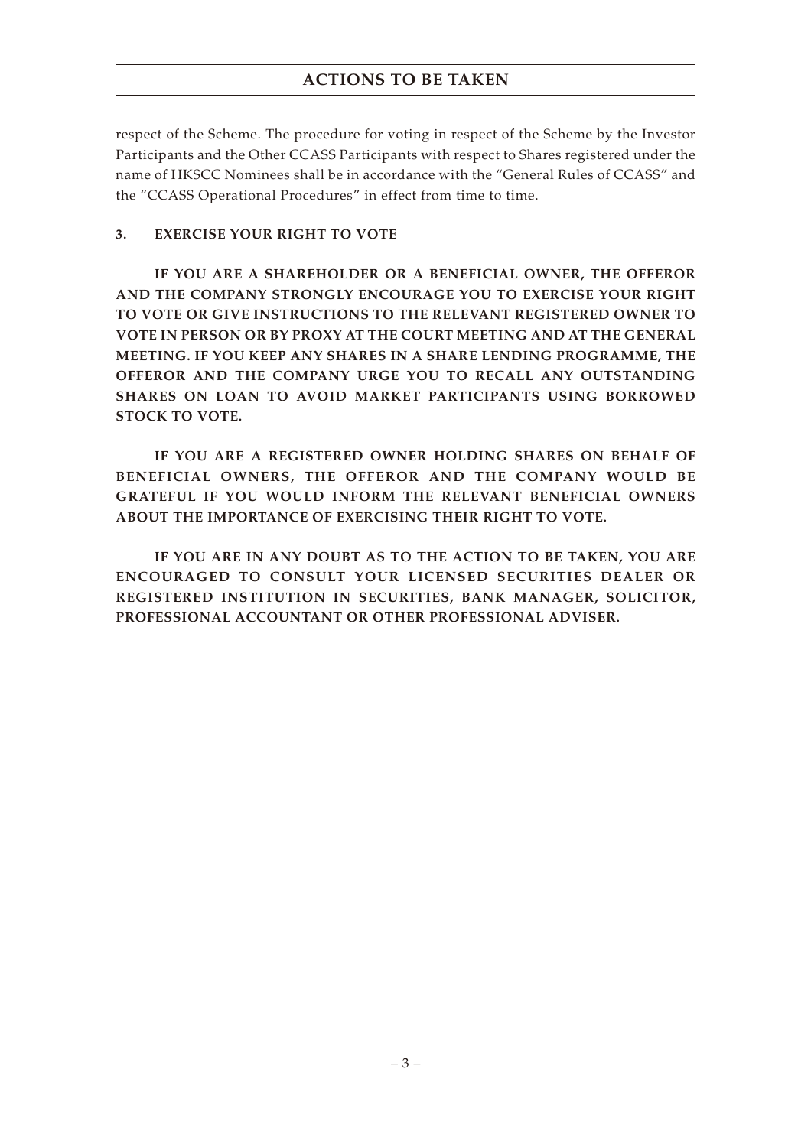# **ACTIONS TO BE TAKEN**

respect of the Scheme. The procedure for voting in respect of the Scheme by the Investor Participants and the Other CCASS Participants with respect to Shares registered under the name of HKSCC Nominees shall be in accordance with the "General Rules of CCASS" and the "CCASS Operational Procedures" in effect from time to time.

# **3. EXERCISE YOUR RIGHT TO VOTE**

**IF YOU ARE A SHAREHOLDER OR A BENEFICIAL OWNER, THE OFFEROR AND THE COMPANY STRONGLY ENCOURAGE YOU TO EXERCISE YOUR RIGHT TO VOTE OR GIVE INSTRUCTIONS TO THE RELEVANT REGISTERED OWNER TO VOTE IN PERSON OR BY PROXY AT THE COURT MEETING AND AT THE GENERAL MEETING. IF YOU KEEP ANY SHARES IN A SHARE LENDING PROGRAMME, THE OFFEROR AND THE COMPANY URGE YOU TO RECALL ANY OUTSTANDING SHARES ON LOAN TO AVOID MARKET PARTICIPANTS USING BORROWED STOCK TO VOTE.**

**IF YOU ARE A REGISTERED OWNER HOLDING SHARES ON BEHALF OF BENEFICIAL OWNERS, THE OFFEROR AND THE COMPANY WOULD BE GRATEFUL IF YOU WOULD INFORM THE RELEVANT BENEFICIAL OWNERS ABOUT THE IMPORTANCE OF EXERCISING THEIR RIGHT TO VOTE.**

**IF YOU ARE IN ANY DOUBT AS TO THE ACTION TO BE TAKEN, YOU ARE ENCOURAGED TO CONSULT YOUR LICENSED SECURITIES DEALER OR REGISTERED INSTITUTION IN SECURITIES, BANK MANAGER, SOLICITOR, PROFESSIONAL ACCOUNTANT OR OTHER PROFESSIONAL ADVISER.**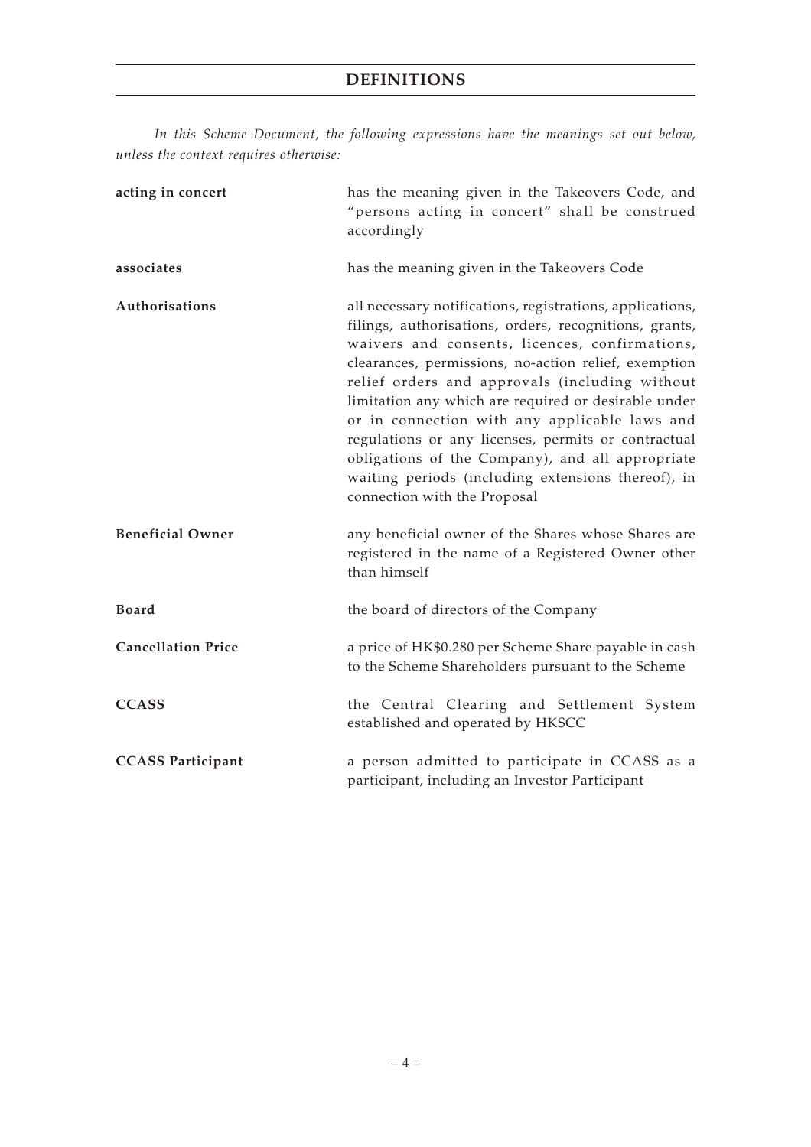*In this Scheme Document, the following expressions have the meanings set out below, unless the context requires otherwise:*

| acting in concert         | has the meaning given in the Takeovers Code, and<br>"persons acting in concert" shall be construed<br>accordingly                                                                                                                                                                                                                                                                                                                                                                                                                                                                         |  |  |
|---------------------------|-------------------------------------------------------------------------------------------------------------------------------------------------------------------------------------------------------------------------------------------------------------------------------------------------------------------------------------------------------------------------------------------------------------------------------------------------------------------------------------------------------------------------------------------------------------------------------------------|--|--|
| associates                | has the meaning given in the Takeovers Code                                                                                                                                                                                                                                                                                                                                                                                                                                                                                                                                               |  |  |
| Authorisations            | all necessary notifications, registrations, applications,<br>filings, authorisations, orders, recognitions, grants,<br>waivers and consents, licences, confirmations,<br>clearances, permissions, no-action relief, exemption<br>relief orders and approvals (including without<br>limitation any which are required or desirable under<br>or in connection with any applicable laws and<br>regulations or any licenses, permits or contractual<br>obligations of the Company), and all appropriate<br>waiting periods (including extensions thereof), in<br>connection with the Proposal |  |  |
| <b>Beneficial Owner</b>   | any beneficial owner of the Shares whose Shares are<br>registered in the name of a Registered Owner other<br>than himself                                                                                                                                                                                                                                                                                                                                                                                                                                                                 |  |  |
| <b>Board</b>              | the board of directors of the Company                                                                                                                                                                                                                                                                                                                                                                                                                                                                                                                                                     |  |  |
| <b>Cancellation Price</b> | a price of HK\$0.280 per Scheme Share payable in cash<br>to the Scheme Shareholders pursuant to the Scheme                                                                                                                                                                                                                                                                                                                                                                                                                                                                                |  |  |
| <b>CCASS</b>              | the Central Clearing and Settlement System<br>established and operated by HKSCC                                                                                                                                                                                                                                                                                                                                                                                                                                                                                                           |  |  |
| <b>CCASS Participant</b>  | a person admitted to participate in CCASS as a<br>participant, including an Investor Participant                                                                                                                                                                                                                                                                                                                                                                                                                                                                                          |  |  |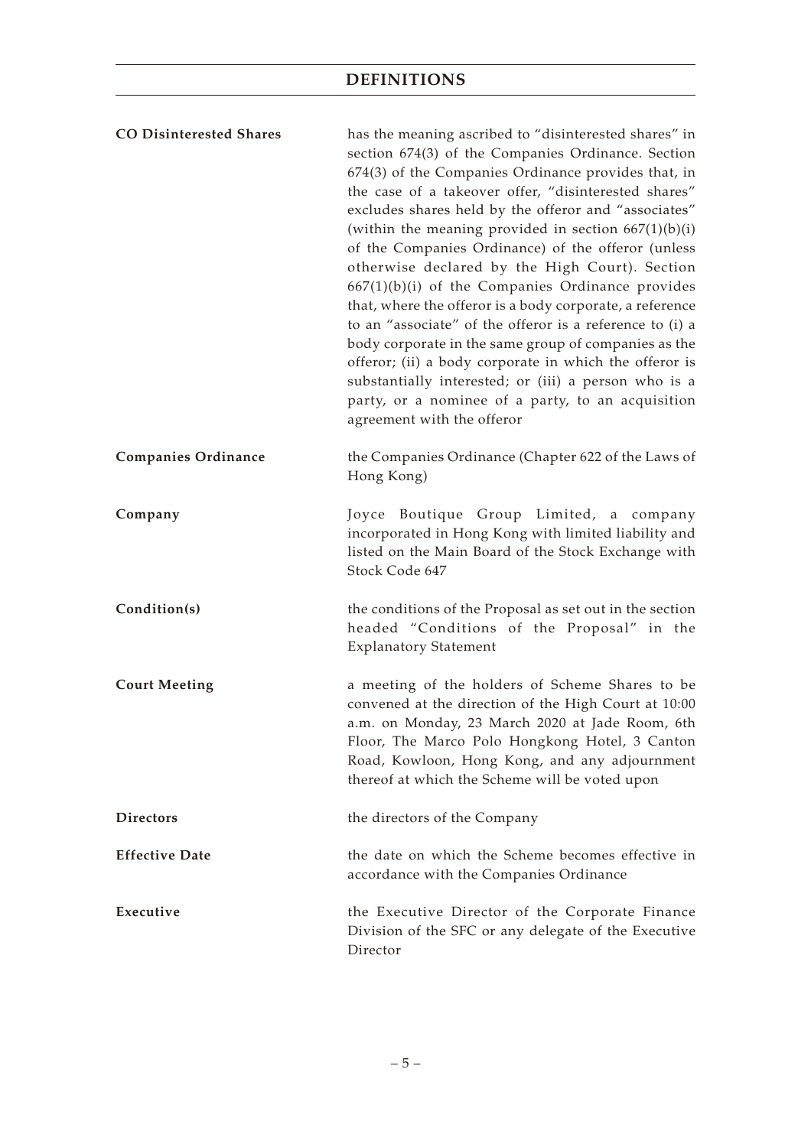| <b>CO Disinterested Shares</b> | has the meaning ascribed to "disinterested shares" in<br>section 674(3) of the Companies Ordinance. Section<br>674(3) of the Companies Ordinance provides that, in<br>the case of a takeover offer, "disinterested shares"<br>excludes shares held by the offeror and "associates"<br>(within the meaning provided in section $667(1)(b)(i)$<br>of the Companies Ordinance) of the offeror (unless<br>otherwise declared by the High Court). Section<br>$667(1)(b)(i)$ of the Companies Ordinance provides<br>that, where the offeror is a body corporate, a reference<br>to an "associate" of the offeror is a reference to (i) a<br>body corporate in the same group of companies as the<br>offeror; (ii) a body corporate in which the offeror is<br>substantially interested; or (iii) a person who is a<br>party, or a nominee of a party, to an acquisition<br>agreement with the offeror |
|--------------------------------|-------------------------------------------------------------------------------------------------------------------------------------------------------------------------------------------------------------------------------------------------------------------------------------------------------------------------------------------------------------------------------------------------------------------------------------------------------------------------------------------------------------------------------------------------------------------------------------------------------------------------------------------------------------------------------------------------------------------------------------------------------------------------------------------------------------------------------------------------------------------------------------------------|
| <b>Companies Ordinance</b>     | the Companies Ordinance (Chapter 622 of the Laws of<br>Hong Kong)                                                                                                                                                                                                                                                                                                                                                                                                                                                                                                                                                                                                                                                                                                                                                                                                                               |
| Company                        | Joyce Boutique Group Limited, a company<br>incorporated in Hong Kong with limited liability and<br>listed on the Main Board of the Stock Exchange with<br>Stock Code 647                                                                                                                                                                                                                                                                                                                                                                                                                                                                                                                                                                                                                                                                                                                        |
| Condition(s)                   | the conditions of the Proposal as set out in the section<br>headed "Conditions of the Proposal" in the<br><b>Explanatory Statement</b>                                                                                                                                                                                                                                                                                                                                                                                                                                                                                                                                                                                                                                                                                                                                                          |
| <b>Court Meeting</b>           | a meeting of the holders of Scheme Shares to be<br>convened at the direction of the High Court at 10:00<br>a.m. on Monday, 23 March 2020 at Jade Room, 6th<br>Floor, The Marco Polo Hongkong Hotel, 3 Canton<br>Road, Kowloon, Hong Kong, and any adjournment<br>thereof at which the Scheme will be voted upon                                                                                                                                                                                                                                                                                                                                                                                                                                                                                                                                                                                 |
| <b>Directors</b>               | the directors of the Company                                                                                                                                                                                                                                                                                                                                                                                                                                                                                                                                                                                                                                                                                                                                                                                                                                                                    |
| <b>Effective Date</b>          | the date on which the Scheme becomes effective in<br>accordance with the Companies Ordinance                                                                                                                                                                                                                                                                                                                                                                                                                                                                                                                                                                                                                                                                                                                                                                                                    |
| Executive                      | the Executive Director of the Corporate Finance<br>Division of the SFC or any delegate of the Executive<br>Director                                                                                                                                                                                                                                                                                                                                                                                                                                                                                                                                                                                                                                                                                                                                                                             |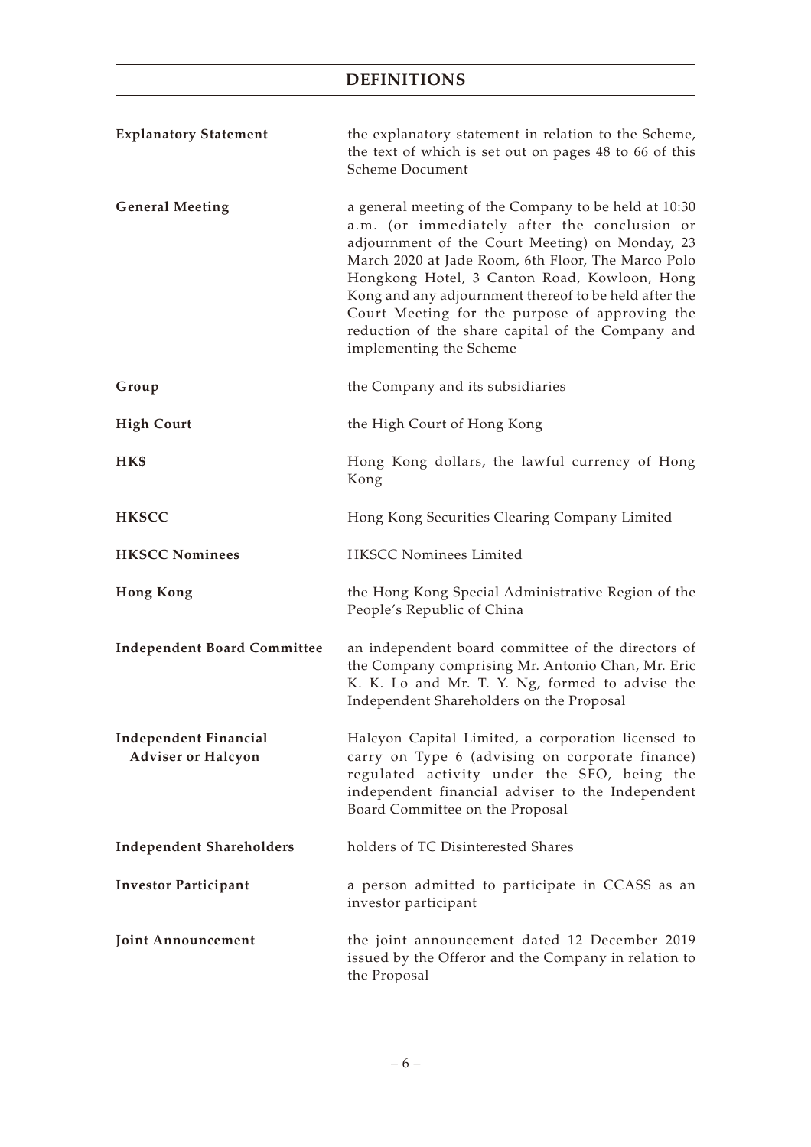| <b>Explanatory Statement</b>                              | the explanatory statement in relation to the Scheme,<br>the text of which is set out on pages 48 to 66 of this<br>Scheme Document                                                                                                                                                                                                                                                                                                                        |
|-----------------------------------------------------------|----------------------------------------------------------------------------------------------------------------------------------------------------------------------------------------------------------------------------------------------------------------------------------------------------------------------------------------------------------------------------------------------------------------------------------------------------------|
| <b>General Meeting</b>                                    | a general meeting of the Company to be held at 10:30<br>a.m. (or immediately after the conclusion or<br>adjournment of the Court Meeting) on Monday, 23<br>March 2020 at Jade Room, 6th Floor, The Marco Polo<br>Hongkong Hotel, 3 Canton Road, Kowloon, Hong<br>Kong and any adjournment thereof to be held after the<br>Court Meeting for the purpose of approving the<br>reduction of the share capital of the Company and<br>implementing the Scheme |
| Group                                                     | the Company and its subsidiaries                                                                                                                                                                                                                                                                                                                                                                                                                         |
| <b>High Court</b>                                         | the High Court of Hong Kong                                                                                                                                                                                                                                                                                                                                                                                                                              |
| HK\$                                                      | Hong Kong dollars, the lawful currency of Hong<br>Kong                                                                                                                                                                                                                                                                                                                                                                                                   |
| <b>HKSCC</b>                                              | Hong Kong Securities Clearing Company Limited                                                                                                                                                                                                                                                                                                                                                                                                            |
| <b>HKSCC Nominees</b>                                     | <b>HKSCC Nominees Limited</b>                                                                                                                                                                                                                                                                                                                                                                                                                            |
| <b>Hong Kong</b>                                          | the Hong Kong Special Administrative Region of the<br>People's Republic of China                                                                                                                                                                                                                                                                                                                                                                         |
| <b>Independent Board Committee</b>                        | an independent board committee of the directors of<br>the Company comprising Mr. Antonio Chan, Mr. Eric<br>K. K. Lo and Mr. T. Y. Ng, formed to advise the<br>Independent Shareholders on the Proposal                                                                                                                                                                                                                                                   |
| <b>Independent Financial</b><br><b>Adviser or Halcyon</b> | Halcyon Capital Limited, a corporation licensed to<br>carry on Type 6 (advising on corporate finance)<br>regulated activity under the SFO, being the<br>independent financial adviser to the Independent<br>Board Committee on the Proposal                                                                                                                                                                                                              |
| <b>Independent Shareholders</b>                           | holders of TC Disinterested Shares                                                                                                                                                                                                                                                                                                                                                                                                                       |
| <b>Investor Participant</b>                               | a person admitted to participate in CCASS as an<br>investor participant                                                                                                                                                                                                                                                                                                                                                                                  |
| Joint Announcement                                        | the joint announcement dated 12 December 2019<br>issued by the Offeror and the Company in relation to<br>the Proposal                                                                                                                                                                                                                                                                                                                                    |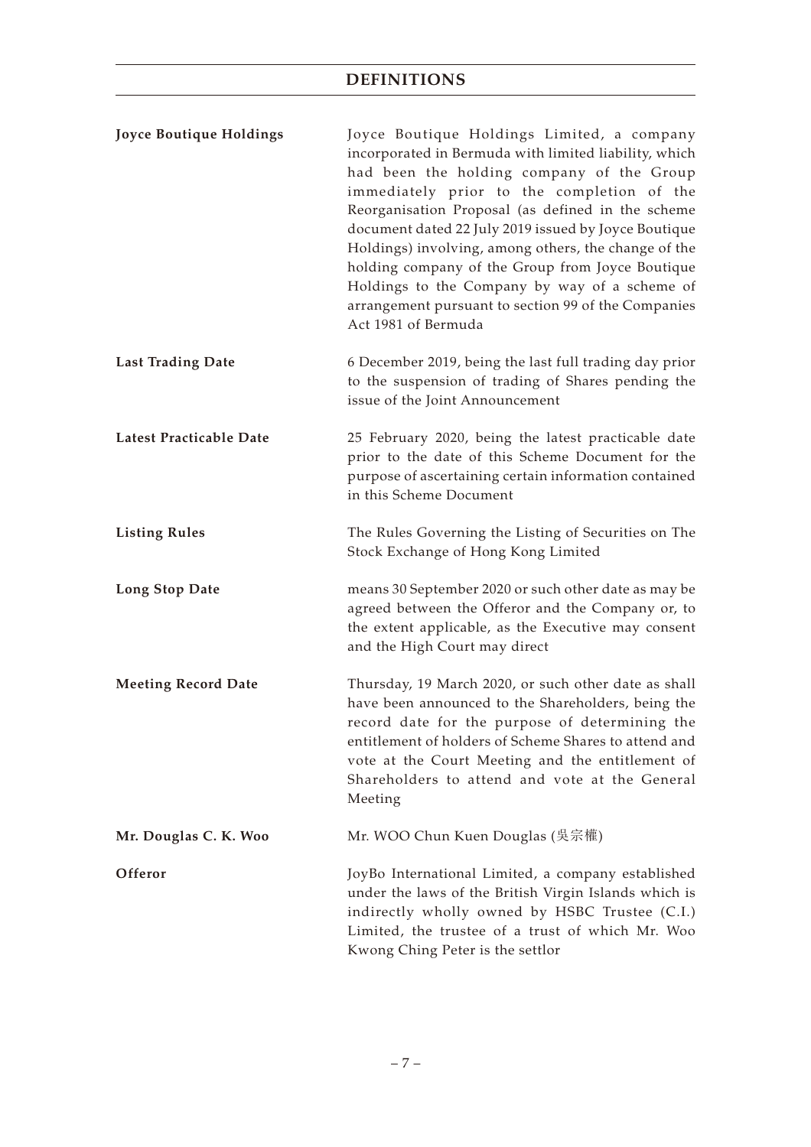| Joyce Boutique Holdings    | Joyce Boutique Holdings Limited, a company<br>incorporated in Bermuda with limited liability, which<br>had been the holding company of the Group<br>immediately prior to the completion of the<br>Reorganisation Proposal (as defined in the scheme<br>document dated 22 July 2019 issued by Joyce Boutique<br>Holdings) involving, among others, the change of the<br>holding company of the Group from Joyce Boutique<br>Holdings to the Company by way of a scheme of<br>arrangement pursuant to section 99 of the Companies<br>Act 1981 of Bermuda |
|----------------------------|--------------------------------------------------------------------------------------------------------------------------------------------------------------------------------------------------------------------------------------------------------------------------------------------------------------------------------------------------------------------------------------------------------------------------------------------------------------------------------------------------------------------------------------------------------|
| <b>Last Trading Date</b>   | 6 December 2019, being the last full trading day prior<br>to the suspension of trading of Shares pending the<br>issue of the Joint Announcement                                                                                                                                                                                                                                                                                                                                                                                                        |
| Latest Practicable Date    | 25 February 2020, being the latest practicable date<br>prior to the date of this Scheme Document for the<br>purpose of ascertaining certain information contained<br>in this Scheme Document                                                                                                                                                                                                                                                                                                                                                           |
| <b>Listing Rules</b>       | The Rules Governing the Listing of Securities on The<br>Stock Exchange of Hong Kong Limited                                                                                                                                                                                                                                                                                                                                                                                                                                                            |
| <b>Long Stop Date</b>      | means 30 September 2020 or such other date as may be<br>agreed between the Offeror and the Company or, to<br>the extent applicable, as the Executive may consent<br>and the High Court may direct                                                                                                                                                                                                                                                                                                                                                      |
| <b>Meeting Record Date</b> | Thursday, 19 March 2020, or such other date as shall<br>have been announced to the Shareholders, being the<br>record date for the purpose of determining the<br>entitlement of holders of Scheme Shares to attend and<br>vote at the Court Meeting and the entitlement of<br>Shareholders to attend and vote at the General<br>Meeting                                                                                                                                                                                                                 |
| Mr. Douglas C. K. Woo      | Mr. WOO Chun Kuen Douglas (吳宗權)                                                                                                                                                                                                                                                                                                                                                                                                                                                                                                                        |
| Offeror                    | JoyBo International Limited, a company established<br>under the laws of the British Virgin Islands which is<br>indirectly wholly owned by HSBC Trustee (C.I.)<br>Limited, the trustee of a trust of which Mr. Woo<br>Kwong Ching Peter is the settlor                                                                                                                                                                                                                                                                                                  |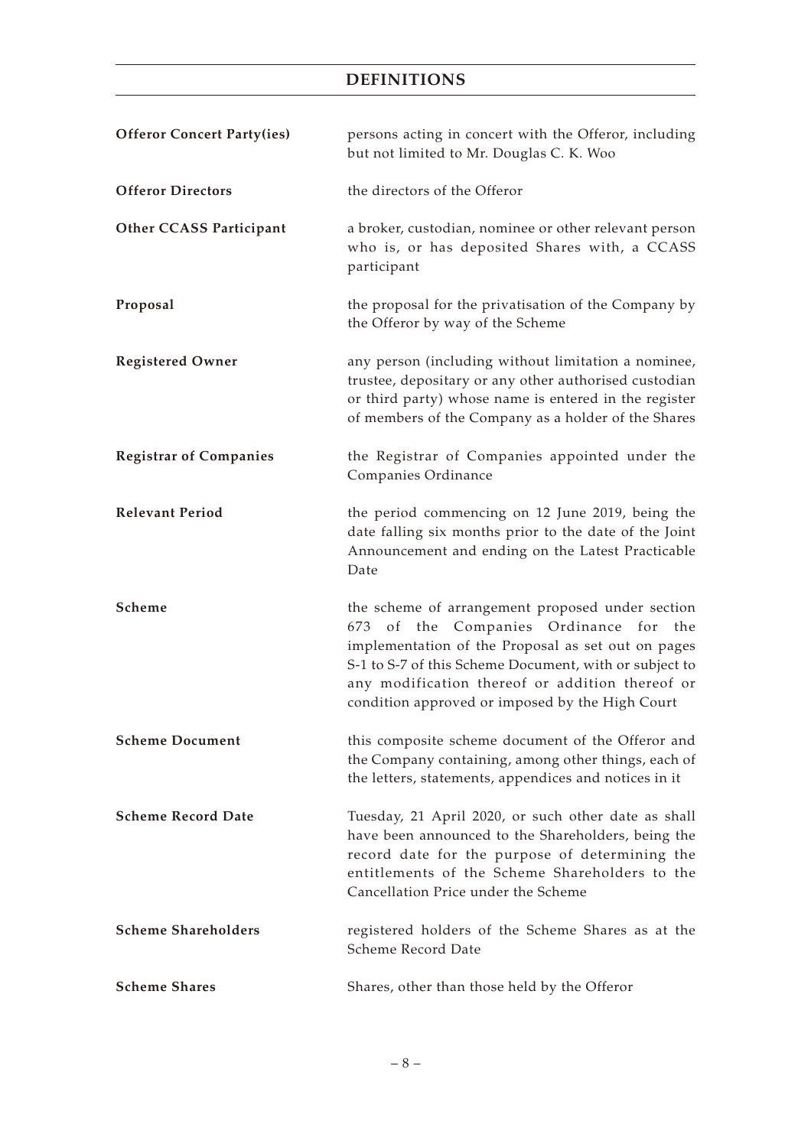| <b>Offeror Concert Party(ies)</b> | persons acting in concert with the Offeror, including<br>but not limited to Mr. Douglas C. K. Woo                                                                                                                                                                                                                |
|-----------------------------------|------------------------------------------------------------------------------------------------------------------------------------------------------------------------------------------------------------------------------------------------------------------------------------------------------------------|
| <b>Offeror Directors</b>          | the directors of the Offeror                                                                                                                                                                                                                                                                                     |
| <b>Other CCASS Participant</b>    | a broker, custodian, nominee or other relevant person<br>who is, or has deposited Shares with, a CCASS<br>participant                                                                                                                                                                                            |
| Proposal                          | the proposal for the privatisation of the Company by<br>the Offeror by way of the Scheme                                                                                                                                                                                                                         |
| <b>Registered Owner</b>           | any person (including without limitation a nominee,<br>trustee, depositary or any other authorised custodian<br>or third party) whose name is entered in the register<br>of members of the Company as a holder of the Shares                                                                                     |
| <b>Registrar of Companies</b>     | the Registrar of Companies appointed under the<br>Companies Ordinance                                                                                                                                                                                                                                            |
| <b>Relevant Period</b>            | the period commencing on 12 June 2019, being the<br>date falling six months prior to the date of the Joint<br>Announcement and ending on the Latest Practicable<br>Date                                                                                                                                          |
| Scheme                            | the scheme of arrangement proposed under section<br>673 of the Companies Ordinance for the<br>implementation of the Proposal as set out on pages<br>S-1 to S-7 of this Scheme Document, with or subject to<br>any modification thereof or addition thereof or<br>condition approved or imposed by the High Court |
| <b>Scheme Document</b>            | this composite scheme document of the Offeror and<br>the Company containing, among other things, each of<br>the letters, statements, appendices and notices in it                                                                                                                                                |
| <b>Scheme Record Date</b>         | Tuesday, 21 April 2020, or such other date as shall<br>have been announced to the Shareholders, being the<br>record date for the purpose of determining the<br>entitlements of the Scheme Shareholders to the<br>Cancellation Price under the Scheme                                                             |
| <b>Scheme Shareholders</b>        | registered holders of the Scheme Shares as at the<br>Scheme Record Date                                                                                                                                                                                                                                          |
| <b>Scheme Shares</b>              | Shares, other than those held by the Offeror                                                                                                                                                                                                                                                                     |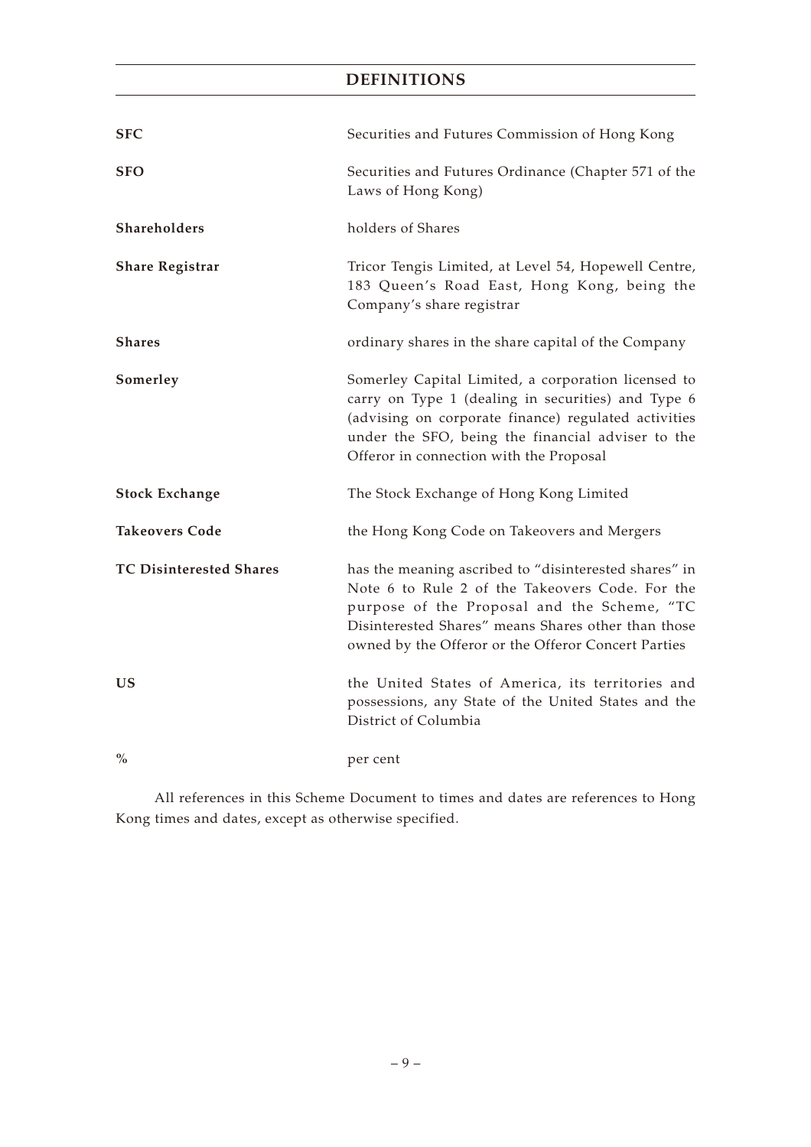| <b>SFC</b>                     | Securities and Futures Commission of Hong Kong                                                                                                                                                                                                                        |
|--------------------------------|-----------------------------------------------------------------------------------------------------------------------------------------------------------------------------------------------------------------------------------------------------------------------|
| <b>SFO</b>                     | Securities and Futures Ordinance (Chapter 571 of the<br>Laws of Hong Kong)                                                                                                                                                                                            |
| Shareholders                   | holders of Shares                                                                                                                                                                                                                                                     |
| <b>Share Registrar</b>         | Tricor Tengis Limited, at Level 54, Hopewell Centre,<br>183 Queen's Road East, Hong Kong, being the<br>Company's share registrar                                                                                                                                      |
| <b>Shares</b>                  | ordinary shares in the share capital of the Company                                                                                                                                                                                                                   |
| Somerley                       | Somerley Capital Limited, a corporation licensed to<br>carry on Type 1 (dealing in securities) and Type 6<br>(advising on corporate finance) regulated activities<br>under the SFO, being the financial adviser to the<br>Offeror in connection with the Proposal     |
| <b>Stock Exchange</b>          | The Stock Exchange of Hong Kong Limited                                                                                                                                                                                                                               |
| <b>Takeovers Code</b>          | the Hong Kong Code on Takeovers and Mergers                                                                                                                                                                                                                           |
| <b>TC Disinterested Shares</b> | has the meaning ascribed to "disinterested shares" in<br>Note 6 to Rule 2 of the Takeovers Code. For the<br>purpose of the Proposal and the Scheme, "TC<br>Disinterested Shares" means Shares other than those<br>owned by the Offeror or the Offeror Concert Parties |
| US                             | the United States of America, its territories and<br>possessions, any State of the United States and the<br>District of Columbia                                                                                                                                      |
| $\%$                           | per cent                                                                                                                                                                                                                                                              |

All references in this Scheme Document to times and dates are references to Hong Kong times and dates, except as otherwise specified.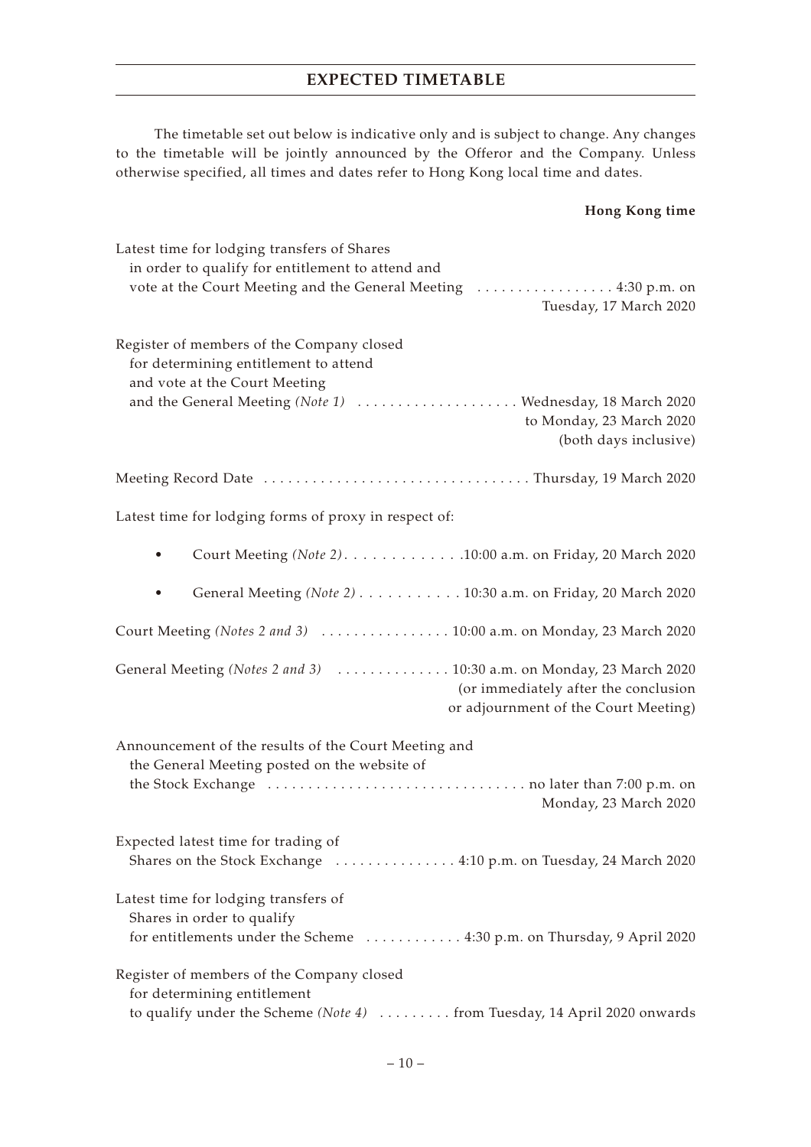# **EXPECTED TIMETABLE**

The timetable set out below is indicative only and is subject to change. Any changes to the timetable will be jointly announced by the Offeror and the Company. Unless otherwise specified, all times and dates refer to Hong Kong local time and dates.

# **Hong Kong time**

| Latest time for lodging transfers of Shares<br>in order to qualify for entitlement to attend and                                                      |
|-------------------------------------------------------------------------------------------------------------------------------------------------------|
| vote at the Court Meeting and the General Meeting  4:30 p.m. on<br>Tuesday, 17 March 2020                                                             |
| Register of members of the Company closed<br>for determining entitlement to attend<br>and vote at the Court Meeting                                   |
| and the General Meeting (Note 1)  Wednesday, 18 March 2020<br>to Monday, 23 March 2020<br>(both days inclusive)                                       |
|                                                                                                                                                       |
| Latest time for lodging forms of proxy in respect of:                                                                                                 |
| Court Meeting (Note 2). 10:00 a.m. on Friday, 20 March 2020                                                                                           |
| General Meeting (Note 2) 10:30 a.m. on Friday, 20 March 2020                                                                                          |
| Court Meeting (Notes 2 and 3)  10:00 a.m. on Monday, 23 March 2020                                                                                    |
| General Meeting (Notes 2 and 3)  10:30 a.m. on Monday, 23 March 2020<br>(or immediately after the conclusion<br>or adjournment of the Court Meeting)  |
| Announcement of the results of the Court Meeting and<br>the General Meeting posted on the website of                                                  |
| Monday, 23 March 2020                                                                                                                                 |
| Expected latest time for trading of<br>Shares on the Stock Exchange  4:10 p.m. on Tuesday, 24 March 2020                                              |
| Latest time for lodging transfers of<br>Shares in order to qualify<br>for entitlements under the Scheme  4:30 p.m. on Thursday, 9 April 2020          |
| Register of members of the Company closed<br>for determining entitlement<br>to qualify under the Scheme (Note 4)  from Tuesday, 14 April 2020 onwards |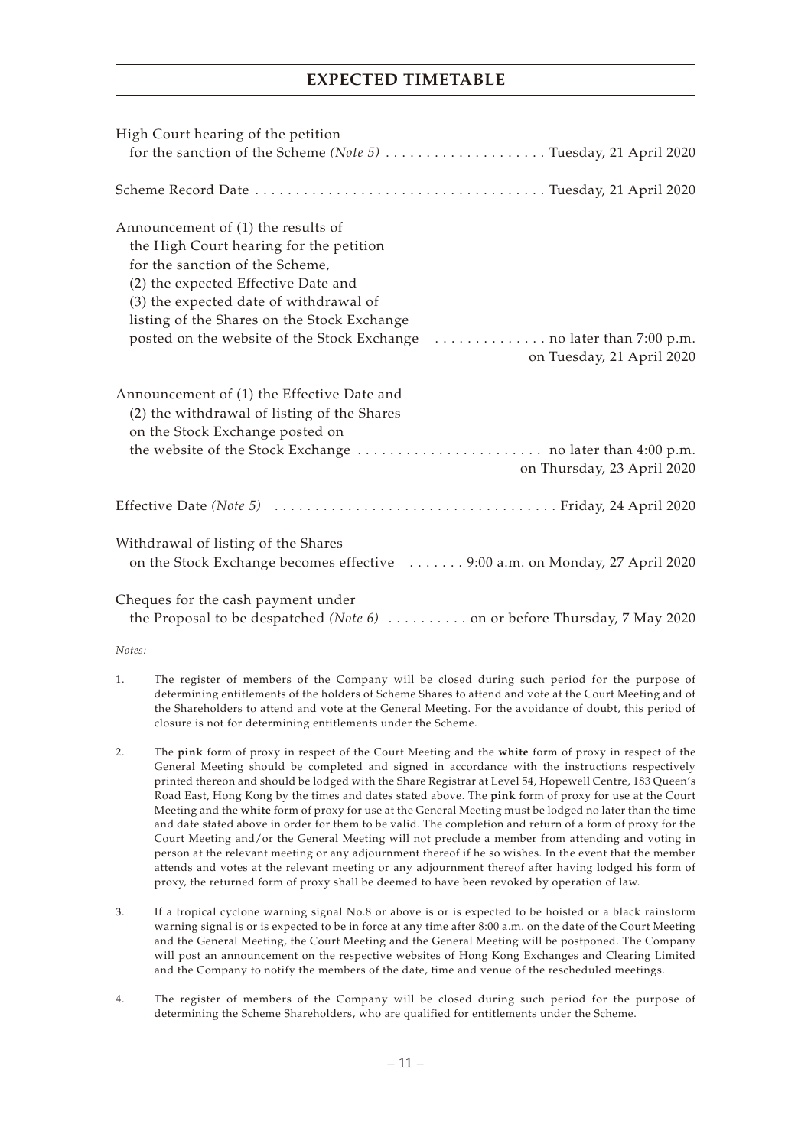# **EXPECTED TIMETABLE**

| High Court hearing of the petition<br>for the sanction of the Scheme (Note 5) Tuesday, 21 April 2020                                                                                                                                                                          |
|-------------------------------------------------------------------------------------------------------------------------------------------------------------------------------------------------------------------------------------------------------------------------------|
|                                                                                                                                                                                                                                                                               |
| Announcement of (1) the results of<br>the High Court hearing for the petition<br>for the sanction of the Scheme,<br>(2) the expected Effective Date and<br>(3) the expected date of withdrawal of<br>listing of the Shares on the Stock Exchange<br>on Tuesday, 21 April 2020 |
| Announcement of (1) the Effective Date and<br>(2) the withdrawal of listing of the Shares<br>on the Stock Exchange posted on<br>on Thursday, 23 April 2020                                                                                                                    |
|                                                                                                                                                                                                                                                                               |
| Withdrawal of listing of the Shares<br>on the Stock Exchange becomes effective  9:00 a.m. on Monday, 27 April 2020                                                                                                                                                            |
| Cheques for the cash payment under<br>the Proposal to be despatched (Note 6)  on or before Thursday, 7 May 2020                                                                                                                                                               |

#### *Notes:*

- 1. The register of members of the Company will be closed during such period for the purpose of determining entitlements of the holders of Scheme Shares to attend and vote at the Court Meeting and of the Shareholders to attend and vote at the General Meeting. For the avoidance of doubt, this period of closure is not for determining entitlements under the Scheme.
- 2. The **pink** form of proxy in respect of the Court Meeting and the **white** form of proxy in respect of the General Meeting should be completed and signed in accordance with the instructions respectively printed thereon and should be lodged with the Share Registrar at Level 54, Hopewell Centre, 183 Queen's Road East, Hong Kong by the times and dates stated above. The **pink** form of proxy for use at the Court Meeting and the **white** form of proxy for use at the General Meeting must be lodged no later than the time and date stated above in order for them to be valid. The completion and return of a form of proxy for the Court Meeting and/or the General Meeting will not preclude a member from attending and voting in person at the relevant meeting or any adjournment thereof if he so wishes. In the event that the member attends and votes at the relevant meeting or any adjournment thereof after having lodged his form of proxy, the returned form of proxy shall be deemed to have been revoked by operation of law.
- 3. If a tropical cyclone warning signal No.8 or above is or is expected to be hoisted or a black rainstorm warning signal is or is expected to be in force at any time after 8:00 a.m. on the date of the Court Meeting and the General Meeting, the Court Meeting and the General Meeting will be postponed. The Company will post an announcement on the respective websites of Hong Kong Exchanges and Clearing Limited and the Company to notify the members of the date, time and venue of the rescheduled meetings.
- 4. The register of members of the Company will be closed during such period for the purpose of determining the Scheme Shareholders, who are qualified for entitlements under the Scheme.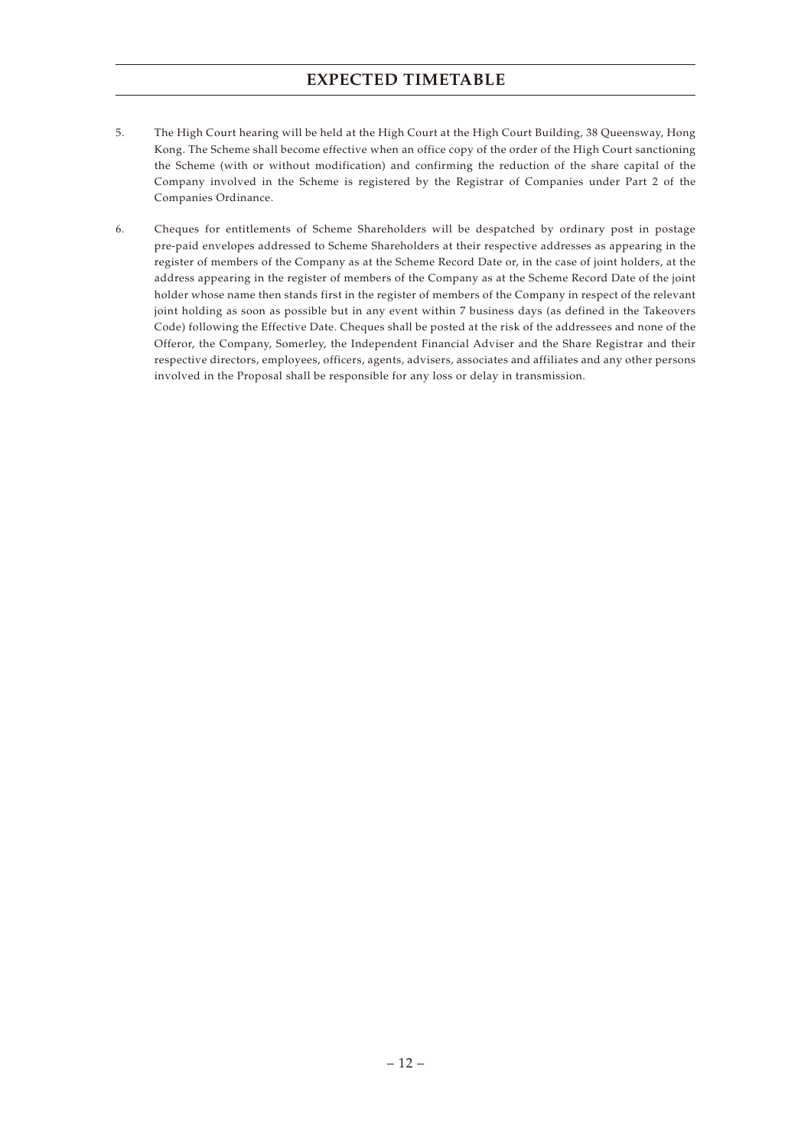# **EXPECTED TIMETABLE**

- 5. The High Court hearing will be held at the High Court at the High Court Building, 38 Queensway, Hong Kong. The Scheme shall become effective when an office copy of the order of the High Court sanctioning the Scheme (with or without modification) and confirming the reduction of the share capital of the Company involved in the Scheme is registered by the Registrar of Companies under Part 2 of the Companies Ordinance.
- 6. Cheques for entitlements of Scheme Shareholders will be despatched by ordinary post in postage pre-paid envelopes addressed to Scheme Shareholders at their respective addresses as appearing in the register of members of the Company as at the Scheme Record Date or, in the case of joint holders, at the address appearing in the register of members of the Company as at the Scheme Record Date of the joint holder whose name then stands first in the register of members of the Company in respect of the relevant joint holding as soon as possible but in any event within 7 business days (as defined in the Takeovers Code) following the Effective Date. Cheques shall be posted at the risk of the addressees and none of the Offeror, the Company, Somerley, the Independent Financial Adviser and the Share Registrar and their respective directors, employees, officers, agents, advisers, associates and affiliates and any other persons involved in the Proposal shall be responsible for any loss or delay in transmission.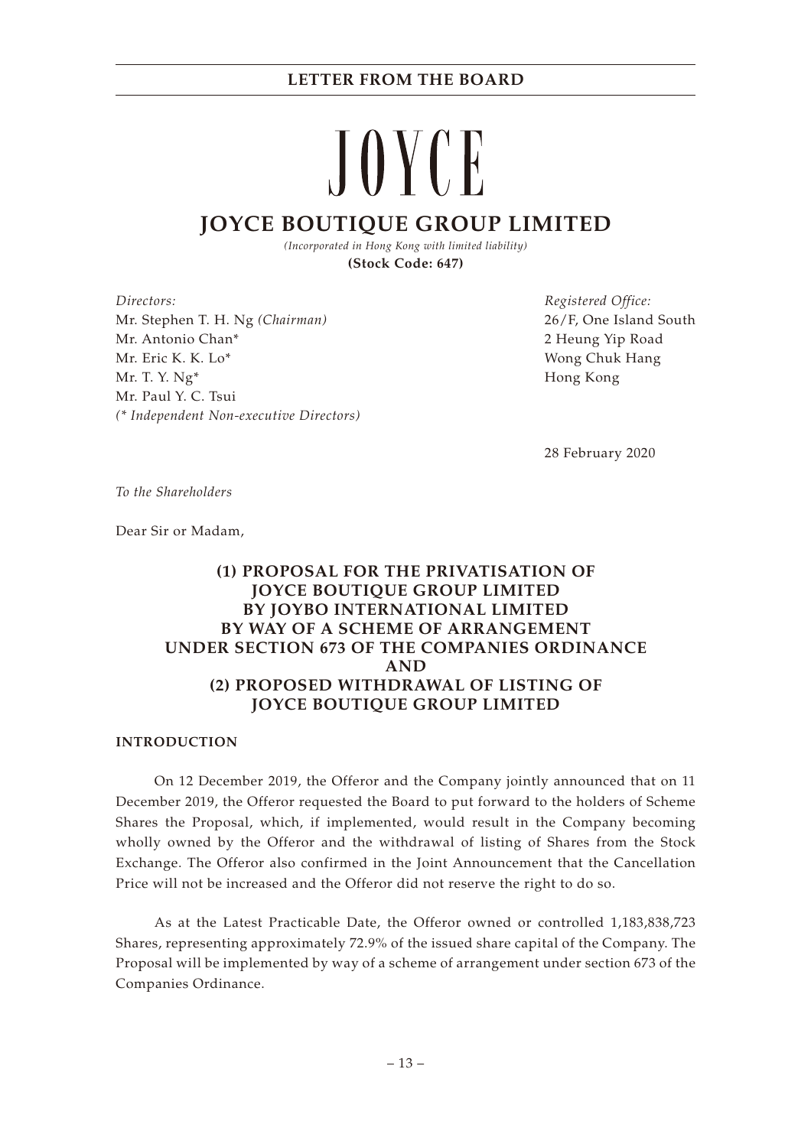# JOYCE **JOYCE BOUTIQUE GROUP LIMITED**

*(Incorporated in Hong Kong with limited liability)* **(Stock Code: 647)**

*Directors:* Mr. Stephen T. H. Ng *(Chairman)* Mr. Antonio Chan\* Mr. Eric K. K. Lo\* Mr. T. Y. Ng\* Mr. Paul Y. C. Tsui *(\* Independent Non-executive Directors)* *Registered Office:* 26/F, One Island South 2 Heung Yip Road Wong Chuk Hang Hong Kong

28 February 2020

*To the Shareholders*

Dear Sir or Madam,

# **(1) PROPOSAL FOR THE PRIVATISATION OF JOYCE BOUTIQUE GROUP LIMITED BY JOYBO INTERNATIONAL LIMITED BY WAY OF A SCHEME OF ARRANGEMENT UNDER SECTION 673 OF THE COMPANIES ORDINANCE AND (2) PROPOSED WITHDRAWAL OF LISTING OF JOYCE BOUTIQUE GROUP LIMITED**

#### **INTRODUCTION**

On 12 December 2019, the Offeror and the Company jointly announced that on 11 December 2019, the Offeror requested the Board to put forward to the holders of Scheme Shares the Proposal, which, if implemented, would result in the Company becoming wholly owned by the Offeror and the withdrawal of listing of Shares from the Stock Exchange. The Offeror also confirmed in the Joint Announcement that the Cancellation Price will not be increased and the Offeror did not reserve the right to do so.

As at the Latest Practicable Date, the Offeror owned or controlled 1,183,838,723 Shares, representing approximately 72.9% of the issued share capital of the Company. The Proposal will be implemented by way of a scheme of arrangement under section 673 of the Companies Ordinance.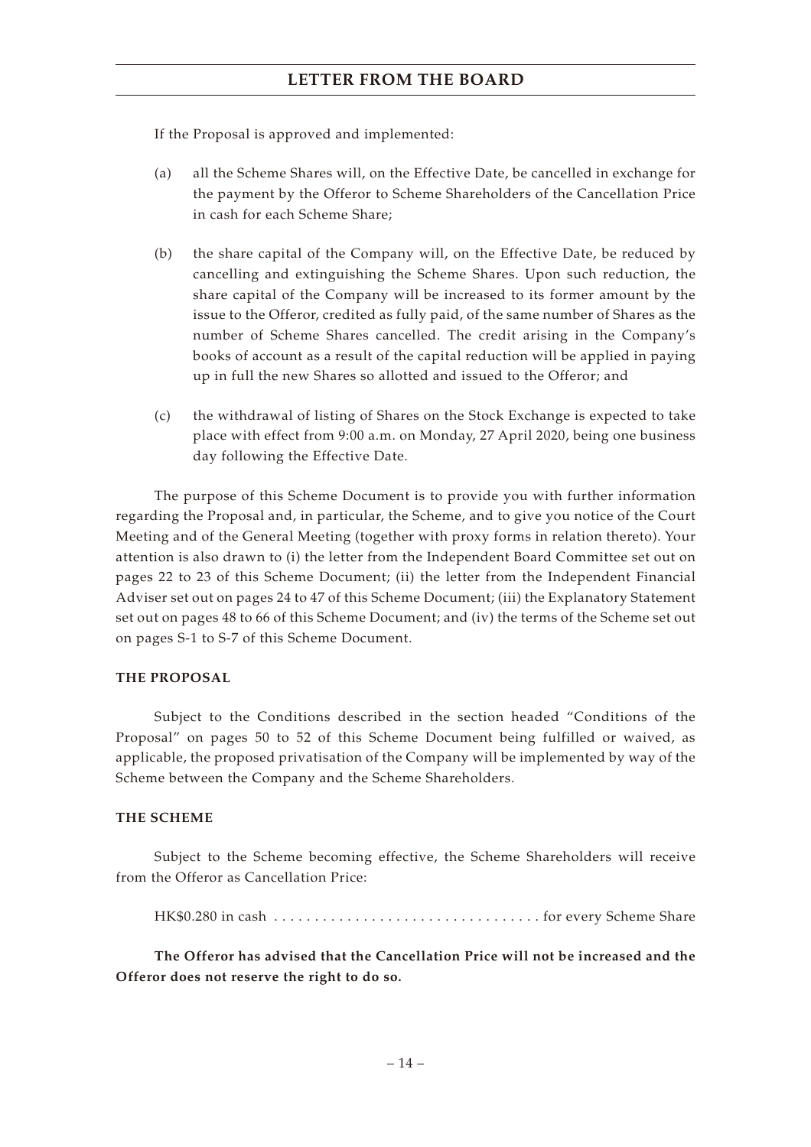If the Proposal is approved and implemented:

- (a) all the Scheme Shares will, on the Effective Date, be cancelled in exchange for the payment by the Offeror to Scheme Shareholders of the Cancellation Price in cash for each Scheme Share;
- (b) the share capital of the Company will, on the Effective Date, be reduced by cancelling and extinguishing the Scheme Shares. Upon such reduction, the share capital of the Company will be increased to its former amount by the issue to the Offeror, credited as fully paid, of the same number of Shares as the number of Scheme Shares cancelled. The credit arising in the Company's books of account as a result of the capital reduction will be applied in paying up in full the new Shares so allotted and issued to the Offeror; and
- (c) the withdrawal of listing of Shares on the Stock Exchange is expected to take place with effect from 9:00 a.m. on Monday, 27 April 2020, being one business day following the Effective Date.

The purpose of this Scheme Document is to provide you with further information regarding the Proposal and, in particular, the Scheme, and to give you notice of the Court Meeting and of the General Meeting (together with proxy forms in relation thereto). Your attention is also drawn to (i) the letter from the Independent Board Committee set out on pages 22 to 23 of this Scheme Document; (ii) the letter from the Independent Financial Adviser set out on pages 24 to 47 of this Scheme Document; (iii) the Explanatory Statement set out on pages 48 to 66 of this Scheme Document; and (iv) the terms of the Scheme set out on pages S-1 to S-7 of this Scheme Document.

#### **THE PROPOSAL**

Subject to the Conditions described in the section headed "Conditions of the Proposal" on pages 50 to 52 of this Scheme Document being fulfilled or waived, as applicable, the proposed privatisation of the Company will be implemented by way of the Scheme between the Company and the Scheme Shareholders.

#### **THE SCHEME**

Subject to the Scheme becoming effective, the Scheme Shareholders will receive from the Offeror as Cancellation Price:

HK\$0.280 in cash  $\dots\dots\dots\dots\dots\dots\dots\dots\dots\dots\dots\dots$  for every Scheme Share

**The Offeror has advised that the Cancellation Price will not be increased and the Offeror does not reserve the right to do so.**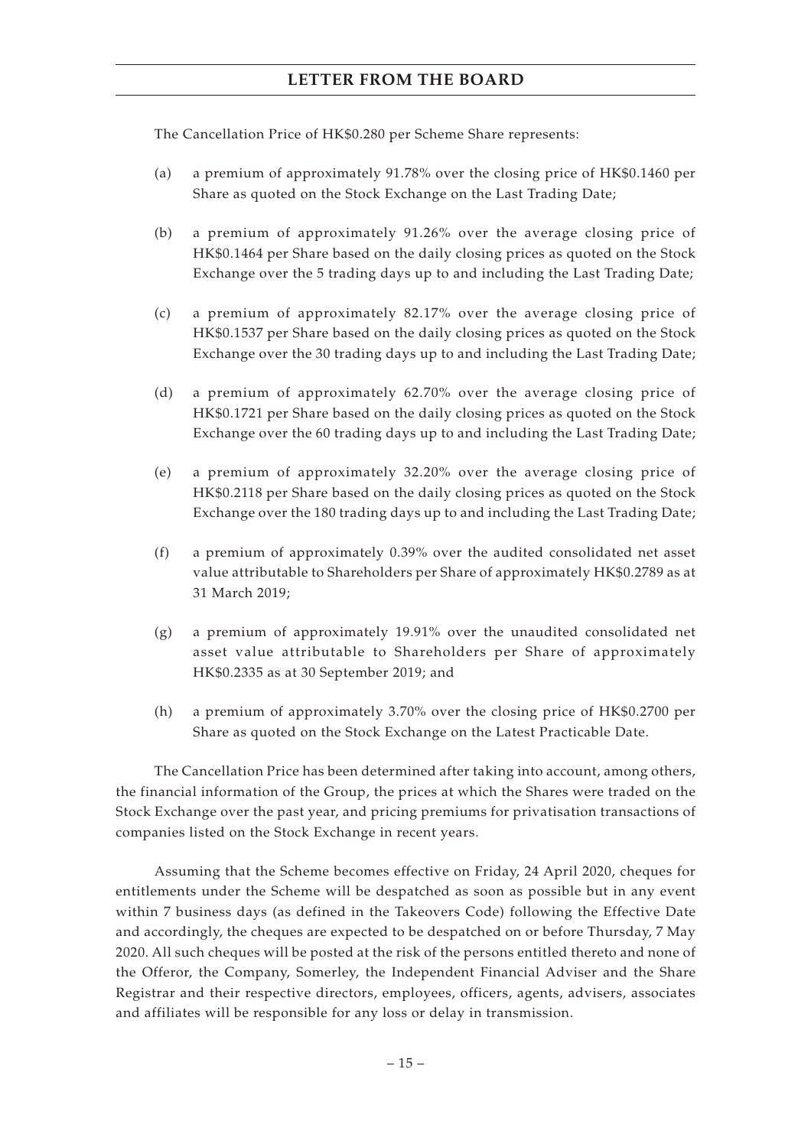The Cancellation Price of HK\$0.280 per Scheme Share represents:

- (a) a premium of approximately 91.78% over the closing price of HK\$0.1460 per Share as quoted on the Stock Exchange on the Last Trading Date;
- (b) a premium of approximately 91.26% over the average closing price of HK\$0.1464 per Share based on the daily closing prices as quoted on the Stock Exchange over the 5 trading days up to and including the Last Trading Date;
- (c) a premium of approximately 82.17% over the average closing price of HK\$0.1537 per Share based on the daily closing prices as quoted on the Stock Exchange over the 30 trading days up to and including the Last Trading Date;
- (d) a premium of approximately 62.70% over the average closing price of HK\$0.1721 per Share based on the daily closing prices as quoted on the Stock Exchange over the 60 trading days up to and including the Last Trading Date;
- (e) a premium of approximately 32.20% over the average closing price of HK\$0.2118 per Share based on the daily closing prices as quoted on the Stock Exchange over the 180 trading days up to and including the Last Trading Date;
- (f) a premium of approximately 0.39% over the audited consolidated net asset value attributable to Shareholders per Share of approximately HK\$0.2789 as at 31 March 2019;
- (g) a premium of approximately 19.91% over the unaudited consolidated net asset value attributable to Shareholders per Share of approximately HK\$0.2335 as at 30 September 2019; and
- (h) a premium of approximately 3.70% over the closing price of HK\$0.2700 per Share as quoted on the Stock Exchange on the Latest Practicable Date.

The Cancellation Price has been determined after taking into account, among others, the financial information of the Group, the prices at which the Shares were traded on the Stock Exchange over the past year, and pricing premiums for privatisation transactions of companies listed on the Stock Exchange in recent years.

Assuming that the Scheme becomes effective on Friday, 24 April 2020, cheques for entitlements under the Scheme will be despatched as soon as possible but in any event within 7 business days (as defined in the Takeovers Code) following the Effective Date and accordingly, the cheques are expected to be despatched on or before Thursday, 7 May 2020. All such cheques will be posted at the risk of the persons entitled thereto and none of the Offeror, the Company, Somerley, the Independent Financial Adviser and the Share Registrar and their respective directors, employees, officers, agents, advisers, associates and affiliates will be responsible for any loss or delay in transmission.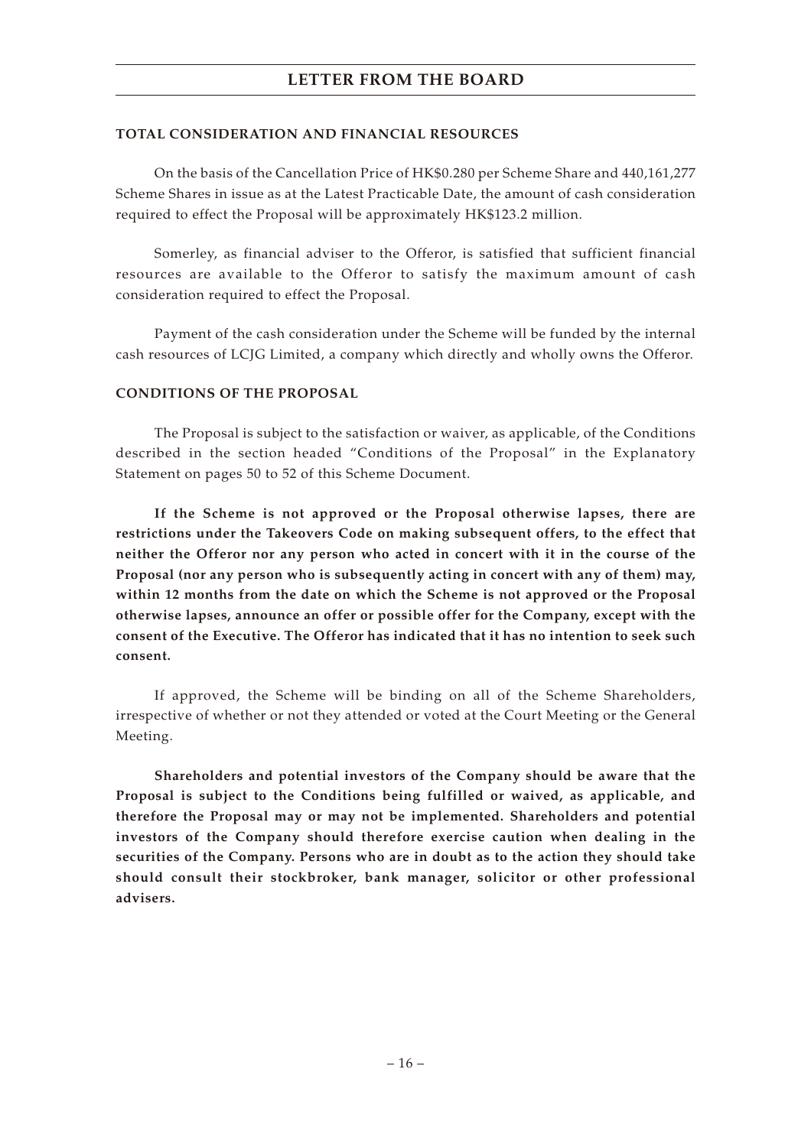#### **TOTAL CONSIDERATION AND FINANCIAL RESOURCES**

On the basis of the Cancellation Price of HK\$0.280 per Scheme Share and 440,161,277 Scheme Shares in issue as at the Latest Practicable Date, the amount of cash consideration required to effect the Proposal will be approximately HK\$123.2 million.

Somerley, as financial adviser to the Offeror, is satisfied that sufficient financial resources are available to the Offeror to satisfy the maximum amount of cash consideration required to effect the Proposal.

Payment of the cash consideration under the Scheme will be funded by the internal cash resources of LCJG Limited, a company which directly and wholly owns the Offeror.

#### **CONDITIONS OF THE PROPOSAL**

The Proposal is subject to the satisfaction or waiver, as applicable, of the Conditions described in the section headed "Conditions of the Proposal" in the Explanatory Statement on pages 50 to 52 of this Scheme Document.

**If the Scheme is not approved or the Proposal otherwise lapses, there are restrictions under the Takeovers Code on making subsequent offers, to the effect that neither the Offeror nor any person who acted in concert with it in the course of the Proposal (nor any person who is subsequently acting in concert with any of them) may, within 12 months from the date on which the Scheme is not approved or the Proposal otherwise lapses, announce an offer or possible offer for the Company, except with the consent of the Executive. The Offeror has indicated that it has no intention to seek such consent.**

If approved, the Scheme will be binding on all of the Scheme Shareholders, irrespective of whether or not they attended or voted at the Court Meeting or the General Meeting.

**Shareholders and potential investors of the Company should be aware that the Proposal is subject to the Conditions being fulfilled or waived, as applicable, and therefore the Proposal may or may not be implemented. Shareholders and potential investors of the Company should therefore exercise caution when dealing in the securities of the Company. Persons who are in doubt as to the action they should take should consult their stockbroker, bank manager, solicitor or other professional advisers.**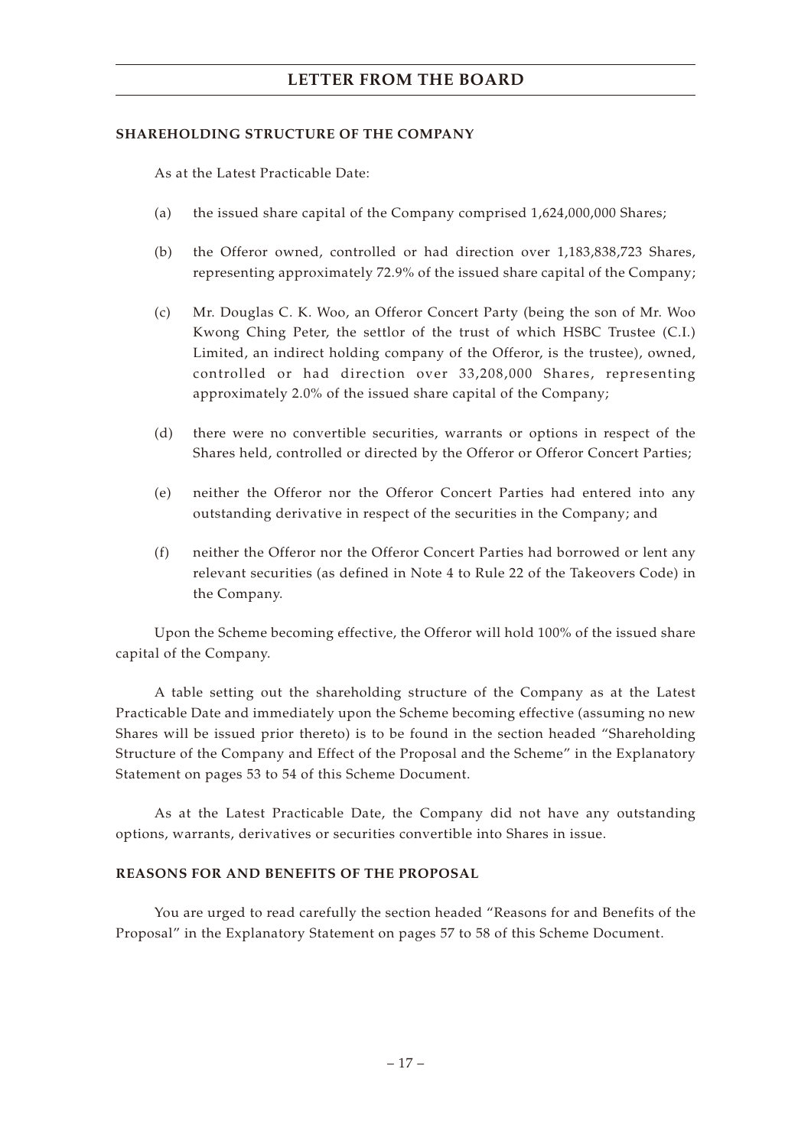#### **SHAREHOLDING STRUCTURE OF THE COMPANY**

As at the Latest Practicable Date:

- (a) the issued share capital of the Company comprised 1,624,000,000 Shares;
- (b) the Offeror owned, controlled or had direction over 1,183,838,723 Shares, representing approximately 72.9% of the issued share capital of the Company;
- (c) Mr. Douglas C. K. Woo, an Offeror Concert Party (being the son of Mr. Woo Kwong Ching Peter, the settlor of the trust of which HSBC Trustee (C.I.) Limited, an indirect holding company of the Offeror, is the trustee), owned, controlled or had direction over 33,208,000 Shares, representing approximately 2.0% of the issued share capital of the Company;
- (d) there were no convertible securities, warrants or options in respect of the Shares held, controlled or directed by the Offeror or Offeror Concert Parties;
- (e) neither the Offeror nor the Offeror Concert Parties had entered into any outstanding derivative in respect of the securities in the Company; and
- (f) neither the Offeror nor the Offeror Concert Parties had borrowed or lent any relevant securities (as defined in Note 4 to Rule 22 of the Takeovers Code) in the Company.

Upon the Scheme becoming effective, the Offeror will hold 100% of the issued share capital of the Company.

A table setting out the shareholding structure of the Company as at the Latest Practicable Date and immediately upon the Scheme becoming effective (assuming no new Shares will be issued prior thereto) is to be found in the section headed "Shareholding Structure of the Company and Effect of the Proposal and the Scheme" in the Explanatory Statement on pages 53 to 54 of this Scheme Document.

As at the Latest Practicable Date, the Company did not have any outstanding options, warrants, derivatives or securities convertible into Shares in issue.

#### **REASONS FOR AND BENEFITS OF THE PROPOSAL**

You are urged to read carefully the section headed "Reasons for and Benefits of the Proposal" in the Explanatory Statement on pages 57 to 58 of this Scheme Document.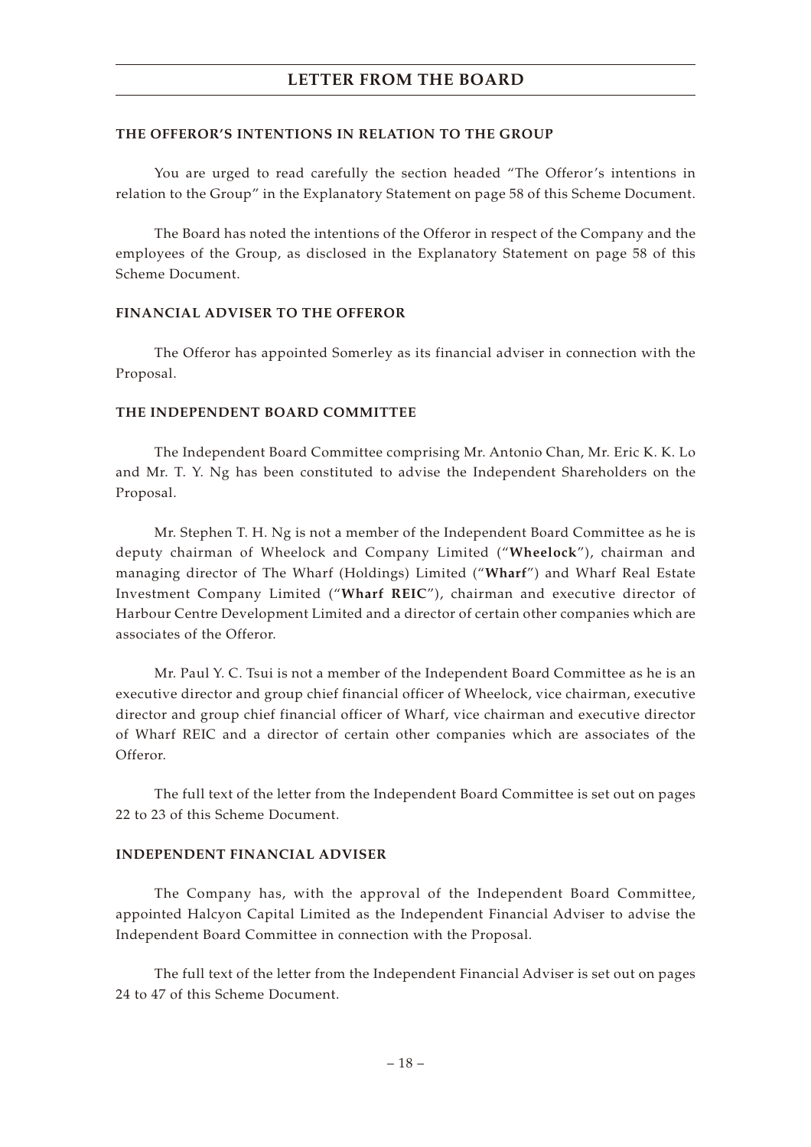#### **THE OFFEROR'S INTENTIONS IN RELATION TO THE GROUP**

You are urged to read carefully the section headed "The Offeror's intentions in relation to the Group" in the Explanatory Statement on page 58 of this Scheme Document.

The Board has noted the intentions of the Offeror in respect of the Company and the employees of the Group, as disclosed in the Explanatory Statement on page 58 of this Scheme Document.

#### **FINANCIAL ADVISER TO THE OFFEROR**

The Offeror has appointed Somerley as its financial adviser in connection with the Proposal.

#### **THE INDEPENDENT BOARD COMMITTEE**

The Independent Board Committee comprising Mr. Antonio Chan, Mr. Eric K. K. Lo and Mr. T. Y. Ng has been constituted to advise the Independent Shareholders on the Proposal.

Mr. Stephen T. H. Ng is not a member of the Independent Board Committee as he is deputy chairman of Wheelock and Company Limited ("**Wheelock**"), chairman and managing director of The Wharf (Holdings) Limited ("**Wharf**") and Wharf Real Estate Investment Company Limited ("**Wharf REIC**"), chairman and executive director of Harbour Centre Development Limited and a director of certain other companies which are associates of the Offeror.

Mr. Paul Y. C. Tsui is not a member of the Independent Board Committee as he is an executive director and group chief financial officer of Wheelock, vice chairman, executive director and group chief financial officer of Wharf, vice chairman and executive director of Wharf REIC and a director of certain other companies which are associates of the Offeror.

The full text of the letter from the Independent Board Committee is set out on pages 22 to 23 of this Scheme Document.

# **INDEPENDENT FINANCIAL ADVISER**

The Company has, with the approval of the Independent Board Committee, appointed Halcyon Capital Limited as the Independent Financial Adviser to advise the Independent Board Committee in connection with the Proposal.

The full text of the letter from the Independent Financial Adviser is set out on pages 24 to 47 of this Scheme Document.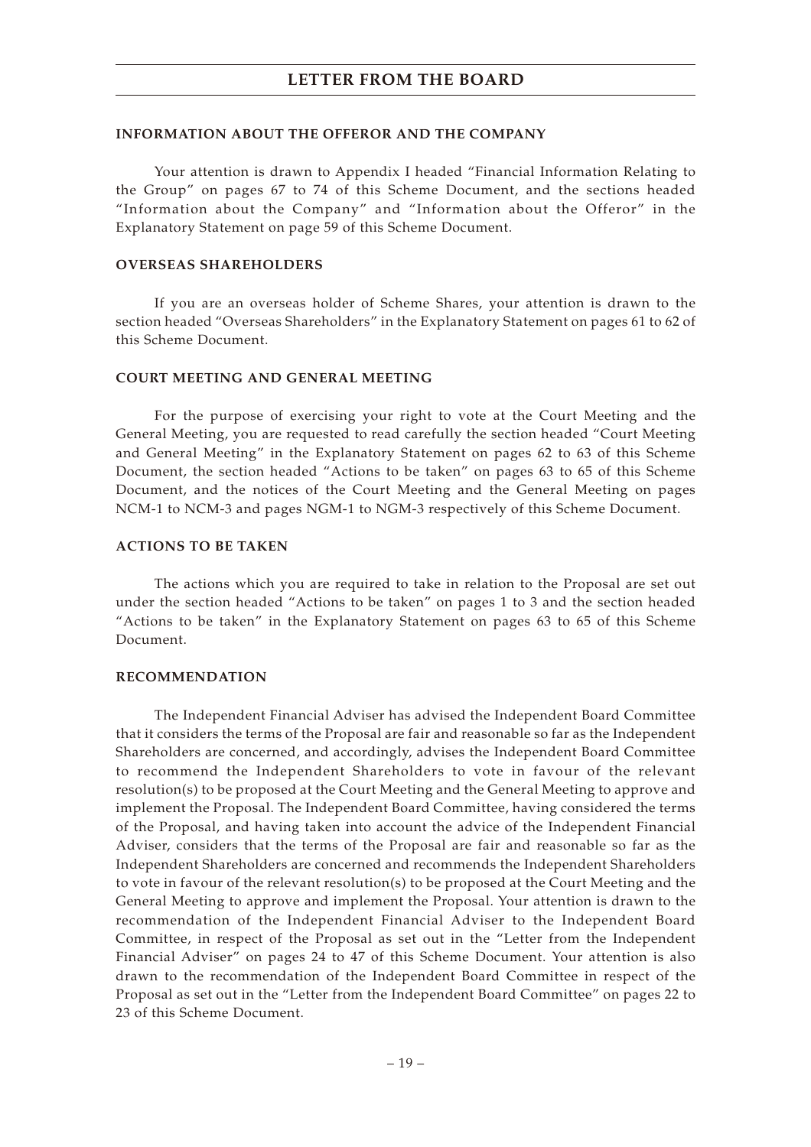#### **INFORMATION ABOUT THE OFFEROR AND THE COMPANY**

Your attention is drawn to Appendix I headed "Financial Information Relating to the Group" on pages 67 to 74 of this Scheme Document, and the sections headed "Information about the Company" and "Information about the Offeror" in the Explanatory Statement on page 59 of this Scheme Document.

#### **OVERSEAS SHAREHOLDERS**

If you are an overseas holder of Scheme Shares, your attention is drawn to the section headed "Overseas Shareholders" in the Explanatory Statement on pages 61 to 62 of this Scheme Document.

#### **COURT MEETING AND GENERAL MEETING**

For the purpose of exercising your right to vote at the Court Meeting and the General Meeting, you are requested to read carefully the section headed "Court Meeting and General Meeting" in the Explanatory Statement on pages 62 to 63 of this Scheme Document, the section headed "Actions to be taken" on pages 63 to 65 of this Scheme Document, and the notices of the Court Meeting and the General Meeting on pages NCM-1 to NCM-3 and pages NGM-1 to NGM-3 respectively of this Scheme Document.

#### **ACTIONS TO BE TAKEN**

The actions which you are required to take in relation to the Proposal are set out under the section headed "Actions to be taken" on pages 1 to 3 and the section headed "Actions to be taken" in the Explanatory Statement on pages 63 to 65 of this Scheme Document.

#### **RECOMMENDATION**

The Independent Financial Adviser has advised the Independent Board Committee that it considers the terms of the Proposal are fair and reasonable so far as the Independent Shareholders are concerned, and accordingly, advises the Independent Board Committee to recommend the Independent Shareholders to vote in favour of the relevant resolution(s) to be proposed at the Court Meeting and the General Meeting to approve and implement the Proposal. The Independent Board Committee, having considered the terms of the Proposal, and having taken into account the advice of the Independent Financial Adviser, considers that the terms of the Proposal are fair and reasonable so far as the Independent Shareholders are concerned and recommends the Independent Shareholders to vote in favour of the relevant resolution(s) to be proposed at the Court Meeting and the General Meeting to approve and implement the Proposal. Your attention is drawn to the recommendation of the Independent Financial Adviser to the Independent Board Committee, in respect of the Proposal as set out in the "Letter from the Independent Financial Adviser" on pages 24 to 47 of this Scheme Document. Your attention is also drawn to the recommendation of the Independent Board Committee in respect of the Proposal as set out in the "Letter from the Independent Board Committee" on pages 22 to 23 of this Scheme Document.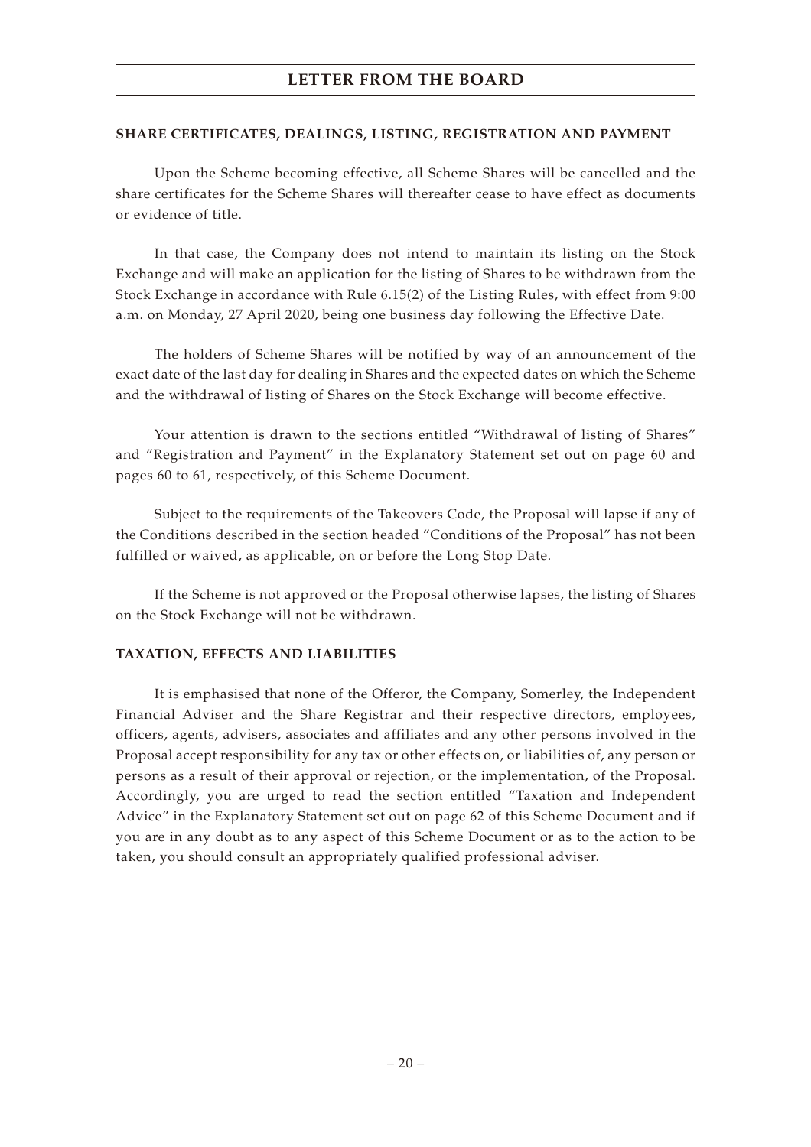#### **SHARE CERTIFICATES, DEALINGS, LISTING, REGISTRATION AND PAYMENT**

Upon the Scheme becoming effective, all Scheme Shares will be cancelled and the share certificates for the Scheme Shares will thereafter cease to have effect as documents or evidence of title.

In that case, the Company does not intend to maintain its listing on the Stock Exchange and will make an application for the listing of Shares to be withdrawn from the Stock Exchange in accordance with Rule 6.15(2) of the Listing Rules, with effect from 9:00 a.m. on Monday, 27 April 2020, being one business day following the Effective Date.

The holders of Scheme Shares will be notified by way of an announcement of the exact date of the last day for dealing in Shares and the expected dates on which the Scheme and the withdrawal of listing of Shares on the Stock Exchange will become effective.

Your attention is drawn to the sections entitled "Withdrawal of listing of Shares" and "Registration and Payment" in the Explanatory Statement set out on page 60 and pages 60 to 61, respectively, of this Scheme Document.

Subject to the requirements of the Takeovers Code, the Proposal will lapse if any of the Conditions described in the section headed "Conditions of the Proposal" has not been fulfilled or waived, as applicable, on or before the Long Stop Date.

If the Scheme is not approved or the Proposal otherwise lapses, the listing of Shares on the Stock Exchange will not be withdrawn.

#### **TAXATION, EFFECTS AND LIABILITIES**

It is emphasised that none of the Offeror, the Company, Somerley, the Independent Financial Adviser and the Share Registrar and their respective directors, employees, officers, agents, advisers, associates and affiliates and any other persons involved in the Proposal accept responsibility for any tax or other effects on, or liabilities of, any person or persons as a result of their approval or rejection, or the implementation, of the Proposal. Accordingly, you are urged to read the section entitled "Taxation and Independent Advice" in the Explanatory Statement set out on page 62 of this Scheme Document and if you are in any doubt as to any aspect of this Scheme Document or as to the action to be taken, you should consult an appropriately qualified professional adviser.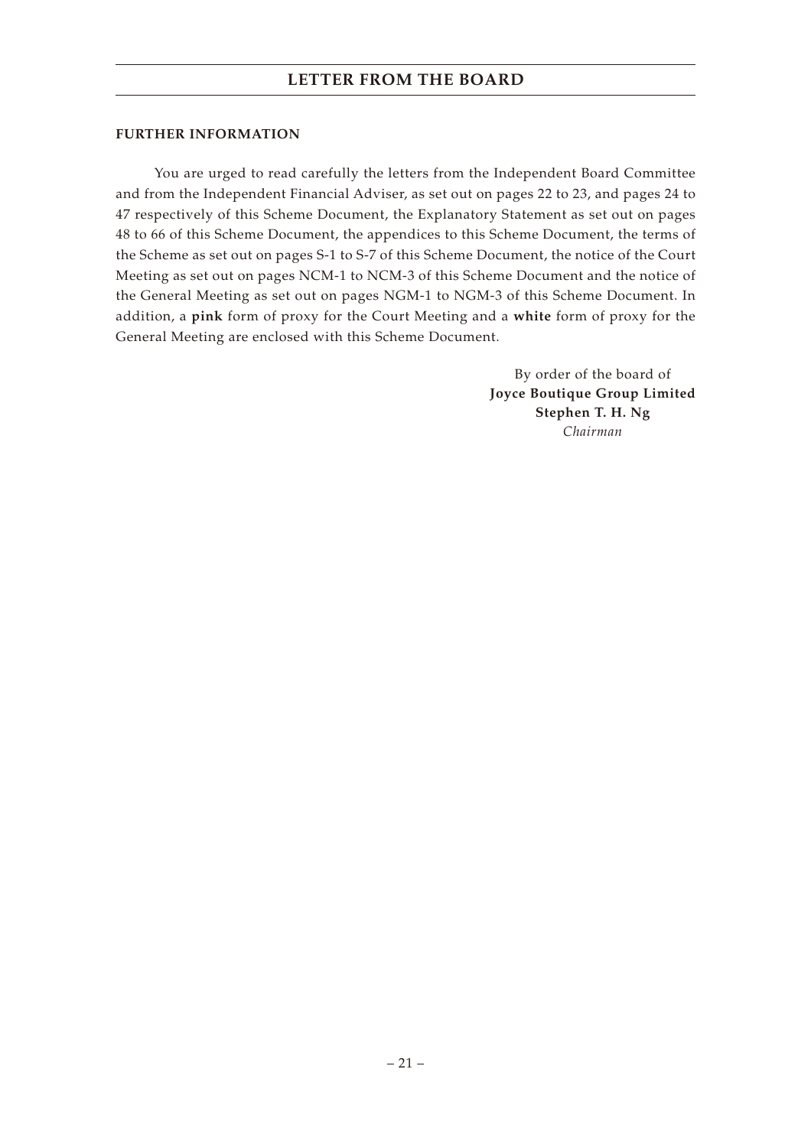#### **FURTHER INFORMATION**

You are urged to read carefully the letters from the Independent Board Committee and from the Independent Financial Adviser, as set out on pages 22 to 23, and pages 24 to 47 respectively of this Scheme Document, the Explanatory Statement as set out on pages 48 to 66 of this Scheme Document, the appendices to this Scheme Document, the terms of the Scheme as set out on pages S-1 to S-7 of this Scheme Document, the notice of the Court Meeting as set out on pages NCM-1 to NCM-3 of this Scheme Document and the notice of the General Meeting as set out on pages NGM-1 to NGM-3 of this Scheme Document. In addition, a **pink** form of proxy for the Court Meeting and a **white** form of proxy for the General Meeting are enclosed with this Scheme Document.

> By order of the board of **Joyce Boutique Group Limited Stephen T. H. Ng** *Chairman*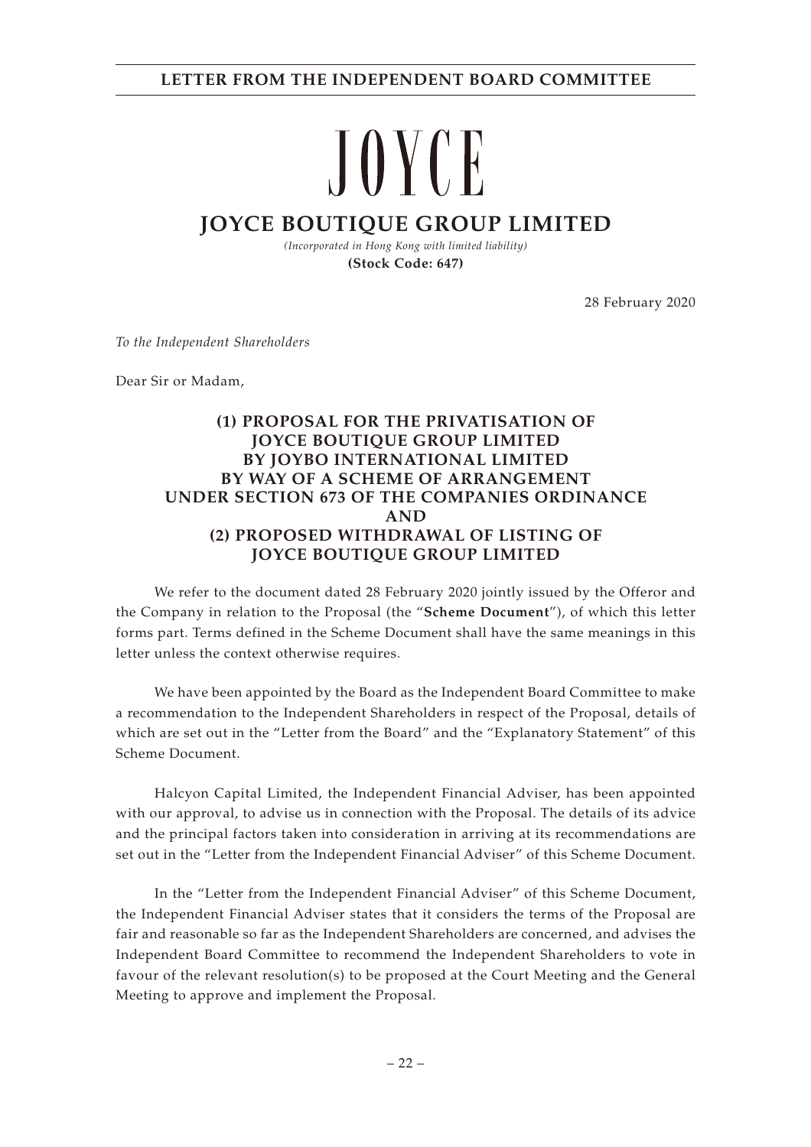# **LETTER FROM THE INDEPENDENT BOARD COMMITTEE**

# JOYCE

# **JOYCE BOUTIQUE GROUP LIMITED**

*(Incorporated in Hong Kong with limited liability)* **(Stock Code: 647)**

28 February 2020

*To the Independent Shareholders*

Dear Sir or Madam,

# **(1) PROPOSAL FOR THE PRIVATISATION OF JOYCE BOUTIQUE GROUP LIMITED BY JOYBO INTERNATIONAL LIMITED BY WAY OF A SCHEME OF ARRANGEMENT UNDER SECTION 673 OF THE COMPANIES ORDINANCE AND (2) PROPOSED WITHDRAWAL OF LISTING OF JOYCE BOUTIQUE GROUP LIMITED**

We refer to the document dated 28 February 2020 jointly issued by the Offeror and the Company in relation to the Proposal (the "**Scheme Document**"), of which this letter forms part. Terms defined in the Scheme Document shall have the same meanings in this letter unless the context otherwise requires.

We have been appointed by the Board as the Independent Board Committee to make a recommendation to the Independent Shareholders in respect of the Proposal, details of which are set out in the "Letter from the Board" and the "Explanatory Statement" of this Scheme Document.

Halcyon Capital Limited, the Independent Financial Adviser, has been appointed with our approval, to advise us in connection with the Proposal. The details of its advice and the principal factors taken into consideration in arriving at its recommendations are set out in the "Letter from the Independent Financial Adviser" of this Scheme Document.

In the "Letter from the Independent Financial Adviser" of this Scheme Document, the Independent Financial Adviser states that it considers the terms of the Proposal are fair and reasonable so far as the Independent Shareholders are concerned, and advises the Independent Board Committee to recommend the Independent Shareholders to vote in favour of the relevant resolution(s) to be proposed at the Court Meeting and the General Meeting to approve and implement the Proposal.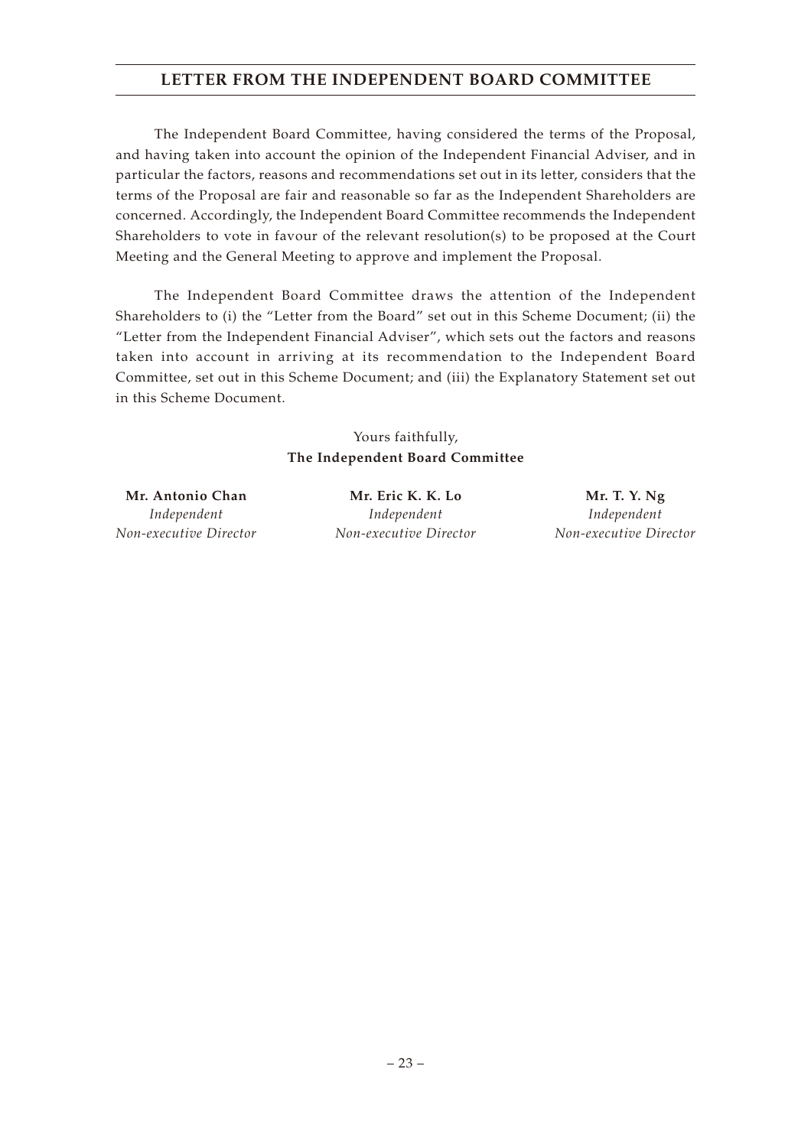# **LETTER FROM THE INDEPENDENT BOARD COMMITTEE**

The Independent Board Committee, having considered the terms of the Proposal, and having taken into account the opinion of the Independent Financial Adviser, and in particular the factors, reasons and recommendations set out in its letter, considers that the terms of the Proposal are fair and reasonable so far as the Independent Shareholders are concerned. Accordingly, the Independent Board Committee recommends the Independent Shareholders to vote in favour of the relevant resolution(s) to be proposed at the Court Meeting and the General Meeting to approve and implement the Proposal.

The Independent Board Committee draws the attention of the Independent Shareholders to (i) the "Letter from the Board" set out in this Scheme Document; (ii) the "Letter from the Independent Financial Adviser", which sets out the factors and reasons taken into account in arriving at its recommendation to the Independent Board Committee, set out in this Scheme Document; and (iii) the Explanatory Statement set out in this Scheme Document.

# Yours faithfully, **The Independent Board Committee**

*Independent Non-executive Director*

**Mr. Antonio Chan Mr. Eric K. K. Lo Mr. T. Y. Ng** *Independent Non-executive Director*

*Independent Non-executive Director*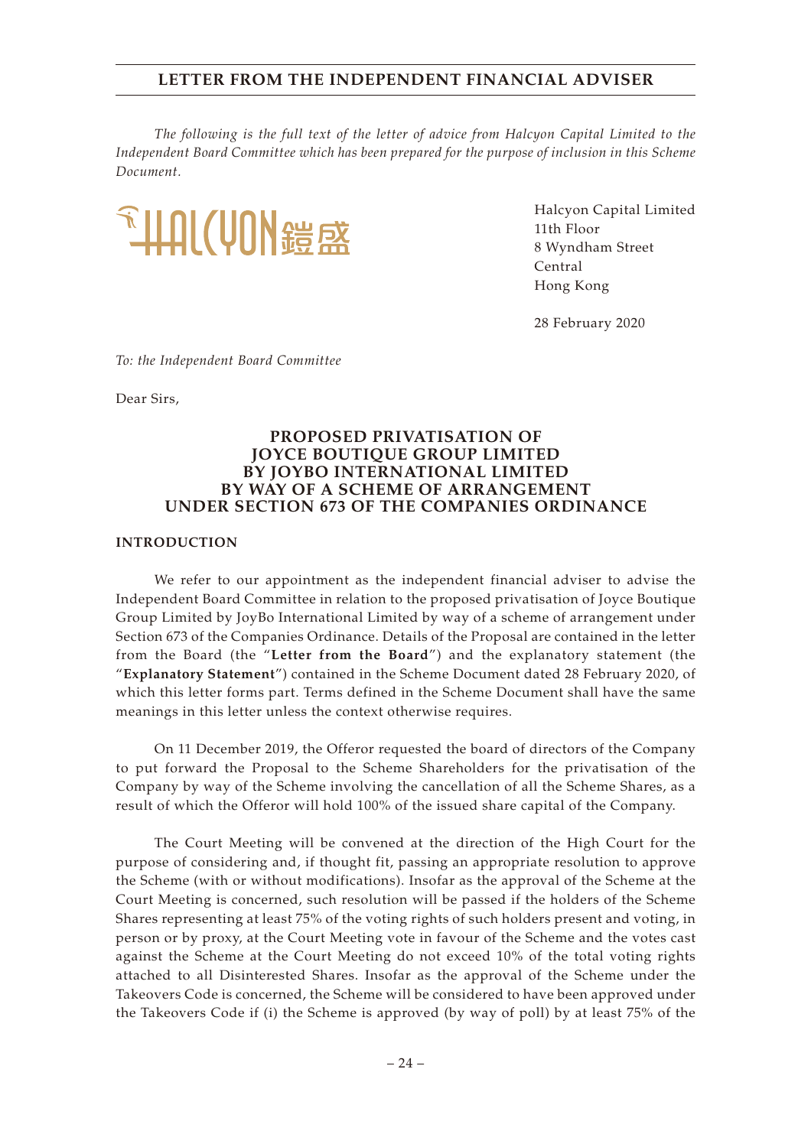*The following is the full text of the letter of advice from Halcyon Capital Limited to the Independent Board Committee which has been prepared for the purpose of inclusion in this Scheme Document.*



Halcyon Capital Limited 11th Floor 8 Wyndham Street Central Hong Kong

28 February 2020

*To: the Independent Board Committee*

Dear Sirs,

# **PROPOSED PRIVATISATION OF JOYCE BOUTIQUE GROUP LIMITED BY JOYBO INTERNATIONAL LIMITED BY WAY OF A SCHEME OF ARRANGEMENT UNDER SECTION 673 OF THE COMPANIES ORDINANCE**

#### **INTRODUCTION**

We refer to our appointment as the independent financial adviser to advise the Independent Board Committee in relation to the proposed privatisation of Joyce Boutique Group Limited by JoyBo International Limited by way of a scheme of arrangement under Section 673 of the Companies Ordinance. Details of the Proposal are contained in the letter from the Board (the "**Letter from the Board**") and the explanatory statement (the "**Explanatory Statement**") contained in the Scheme Document dated 28 February 2020, of which this letter forms part. Terms defined in the Scheme Document shall have the same meanings in this letter unless the context otherwise requires.

On 11 December 2019, the Offeror requested the board of directors of the Company to put forward the Proposal to the Scheme Shareholders for the privatisation of the Company by way of the Scheme involving the cancellation of all the Scheme Shares, as a result of which the Offeror will hold 100% of the issued share capital of the Company.

The Court Meeting will be convened at the direction of the High Court for the purpose of considering and, if thought fit, passing an appropriate resolution to approve the Scheme (with or without modifications). Insofar as the approval of the Scheme at the Court Meeting is concerned, such resolution will be passed if the holders of the Scheme Shares representing at least 75% of the voting rights of such holders present and voting, in person or by proxy, at the Court Meeting vote in favour of the Scheme and the votes cast against the Scheme at the Court Meeting do not exceed 10% of the total voting rights attached to all Disinterested Shares. Insofar as the approval of the Scheme under the Takeovers Code is concerned, the Scheme will be considered to have been approved under the Takeovers Code if (i) the Scheme is approved (by way of poll) by at least 75% of the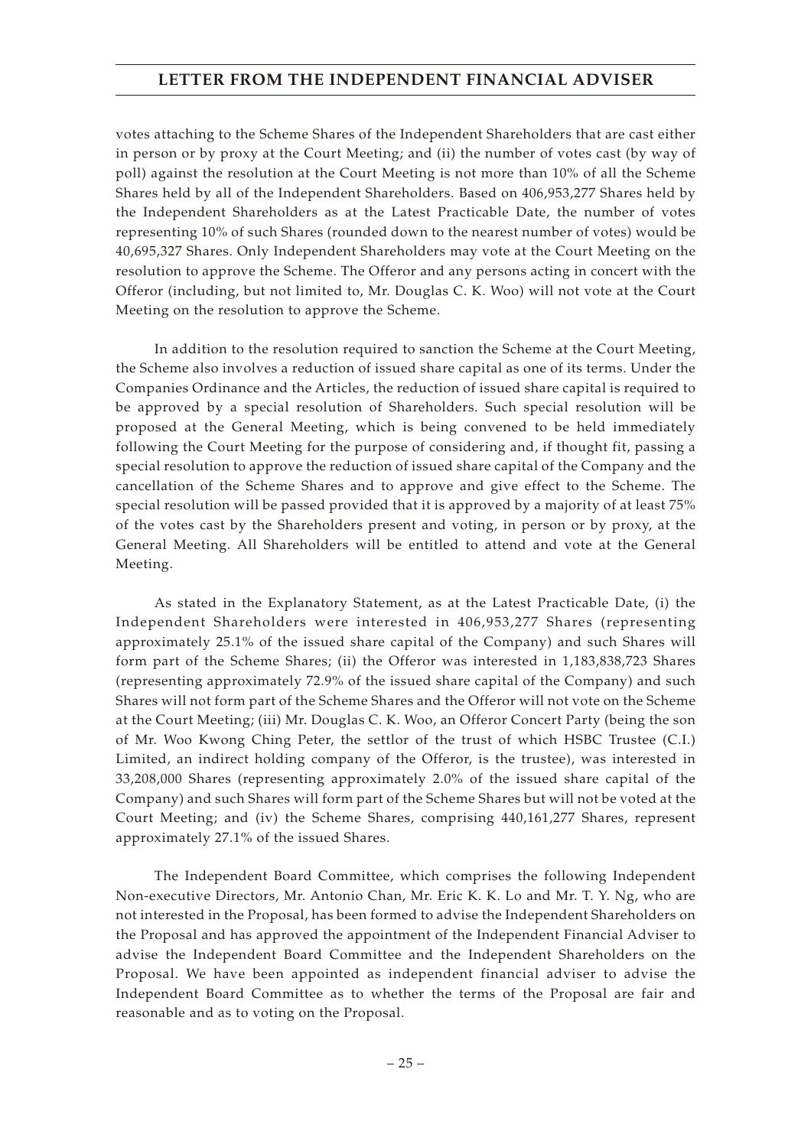votes attaching to the Scheme Shares of the Independent Shareholders that are cast either in person or by proxy at the Court Meeting; and (ii) the number of votes cast (by way of poll) against the resolution at the Court Meeting is not more than 10% of all the Scheme Shares held by all of the Independent Shareholders. Based on 406,953,277 Shares held by the Independent Shareholders as at the Latest Practicable Date, the number of votes representing 10% of such Shares (rounded down to the nearest number of votes) would be 40,695,327 Shares. Only Independent Shareholders may vote at the Court Meeting on the resolution to approve the Scheme. The Offeror and any persons acting in concert with the Offeror (including, but not limited to, Mr. Douglas C. K. Woo) will not vote at the Court Meeting on the resolution to approve the Scheme.

In addition to the resolution required to sanction the Scheme at the Court Meeting, the Scheme also involves a reduction of issued share capital as one of its terms. Under the Companies Ordinance and the Articles, the reduction of issued share capital is required to be approved by a special resolution of Shareholders. Such special resolution will be proposed at the General Meeting, which is being convened to be held immediately following the Court Meeting for the purpose of considering and, if thought fit, passing a special resolution to approve the reduction of issued share capital of the Company and the cancellation of the Scheme Shares and to approve and give effect to the Scheme. The special resolution will be passed provided that it is approved by a majority of at least 75% of the votes cast by the Shareholders present and voting, in person or by proxy, at the General Meeting. All Shareholders will be entitled to attend and vote at the General Meeting.

As stated in the Explanatory Statement, as at the Latest Practicable Date, (i) the Independent Shareholders were interested in 406,953,277 Shares (representing approximately 25.1% of the issued share capital of the Company) and such Shares will form part of the Scheme Shares; (ii) the Offeror was interested in 1,183,838,723 Shares (representing approximately 72.9% of the issued share capital of the Company) and such Shares will not form part of the Scheme Shares and the Offeror will not vote on the Scheme at the Court Meeting; (iii) Mr. Douglas C. K. Woo, an Offeror Concert Party (being the son of Mr. Woo Kwong Ching Peter, the settlor of the trust of which HSBC Trustee (C.I.) Limited, an indirect holding company of the Offeror, is the trustee), was interested in 33,208,000 Shares (representing approximately 2.0% of the issued share capital of the Company) and such Shares will form part of the Scheme Shares but will not be voted at the Court Meeting; and (iv) the Scheme Shares, comprising 440,161,277 Shares, represent approximately 27.1% of the issued Shares.

The Independent Board Committee, which comprises the following Independent Non-executive Directors, Mr. Antonio Chan, Mr. Eric K. K. Lo and Mr. T. Y. Ng, who are not interested in the Proposal, has been formed to advise the Independent Shareholders on the Proposal and has approved the appointment of the Independent Financial Adviser to advise the Independent Board Committee and the Independent Shareholders on the Proposal. We have been appointed as independent financial adviser to advise the Independent Board Committee as to whether the terms of the Proposal are fair and reasonable and as to voting on the Proposal.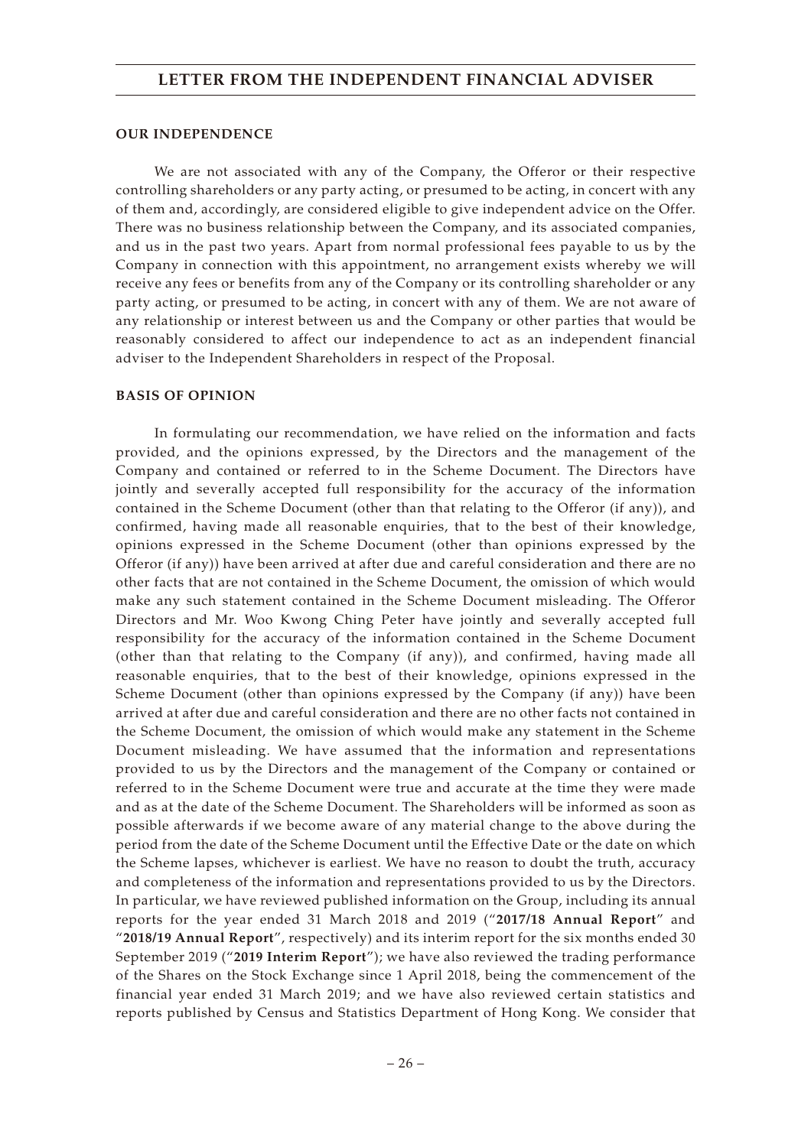#### **OUR INDEPENDENCE**

We are not associated with any of the Company, the Offeror or their respective controlling shareholders or any party acting, or presumed to be acting, in concert with any of them and, accordingly, are considered eligible to give independent advice on the Offer. There was no business relationship between the Company, and its associated companies, and us in the past two years. Apart from normal professional fees payable to us by the Company in connection with this appointment, no arrangement exists whereby we will receive any fees or benefits from any of the Company or its controlling shareholder or any party acting, or presumed to be acting, in concert with any of them. We are not aware of any relationship or interest between us and the Company or other parties that would be reasonably considered to affect our independence to act as an independent financial adviser to the Independent Shareholders in respect of the Proposal.

#### **BASIS OF OPINION**

In formulating our recommendation, we have relied on the information and facts provided, and the opinions expressed, by the Directors and the management of the Company and contained or referred to in the Scheme Document. The Directors have jointly and severally accepted full responsibility for the accuracy of the information contained in the Scheme Document (other than that relating to the Offeror (if any)), and confirmed, having made all reasonable enquiries, that to the best of their knowledge, opinions expressed in the Scheme Document (other than opinions expressed by the Offeror (if any)) have been arrived at after due and careful consideration and there are no other facts that are not contained in the Scheme Document, the omission of which would make any such statement contained in the Scheme Document misleading. The Offeror Directors and Mr. Woo Kwong Ching Peter have jointly and severally accepted full responsibility for the accuracy of the information contained in the Scheme Document (other than that relating to the Company (if any)), and confirmed, having made all reasonable enquiries, that to the best of their knowledge, opinions expressed in the Scheme Document (other than opinions expressed by the Company (if any)) have been arrived at after due and careful consideration and there are no other facts not contained in the Scheme Document, the omission of which would make any statement in the Scheme Document misleading. We have assumed that the information and representations provided to us by the Directors and the management of the Company or contained or referred to in the Scheme Document were true and accurate at the time they were made and as at the date of the Scheme Document. The Shareholders will be informed as soon as possible afterwards if we become aware of any material change to the above during the period from the date of the Scheme Document until the Effective Date or the date on which the Scheme lapses, whichever is earliest. We have no reason to doubt the truth, accuracy and completeness of the information and representations provided to us by the Directors. In particular, we have reviewed published information on the Group, including its annual reports for the year ended 31 March 2018 and 2019 ("**2017/18 Annual Report**" and "**2018/19 Annual Report**", respectively) and its interim report for the six months ended 30 September 2019 ("**2019 Interim Report**"); we have also reviewed the trading performance of the Shares on the Stock Exchange since 1 April 2018, being the commencement of the financial year ended 31 March 2019; and we have also reviewed certain statistics and reports published by Census and Statistics Department of Hong Kong. We consider that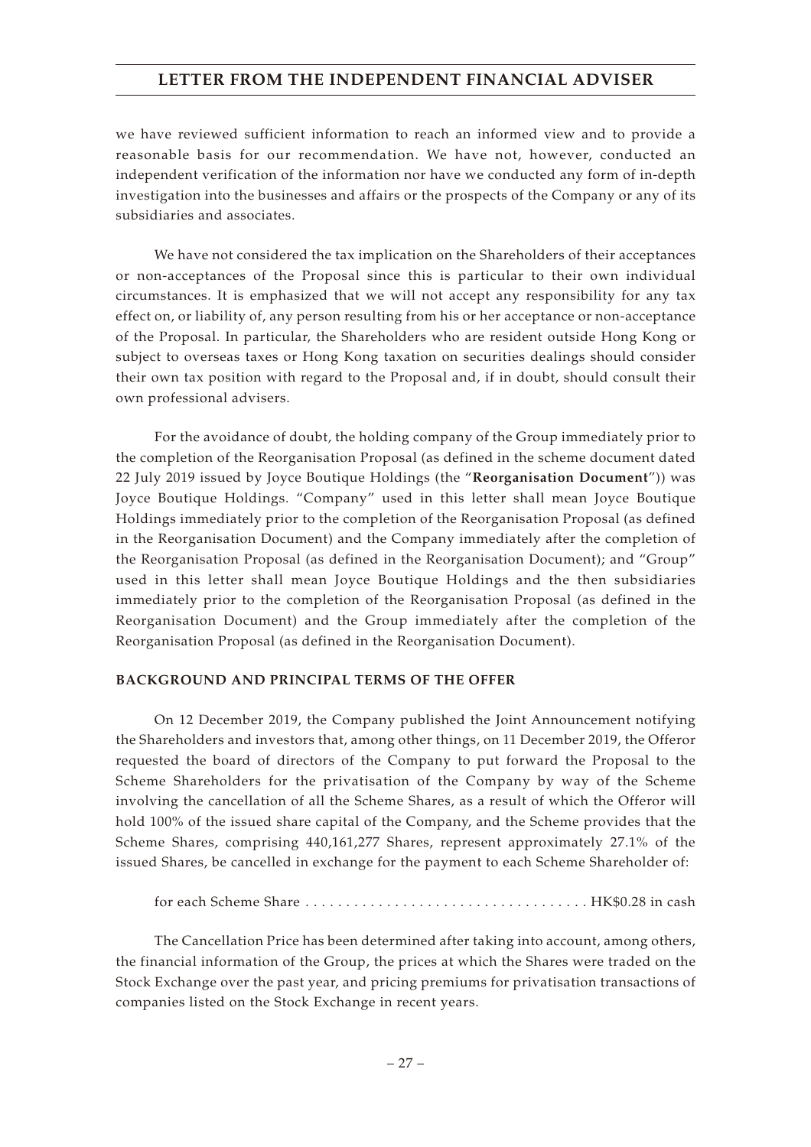we have reviewed sufficient information to reach an informed view and to provide a reasonable basis for our recommendation. We have not, however, conducted an independent verification of the information nor have we conducted any form of in-depth investigation into the businesses and affairs or the prospects of the Company or any of its subsidiaries and associates.

We have not considered the tax implication on the Shareholders of their acceptances or non-acceptances of the Proposal since this is particular to their own individual circumstances. It is emphasized that we will not accept any responsibility for any tax effect on, or liability of, any person resulting from his or her acceptance or non-acceptance of the Proposal. In particular, the Shareholders who are resident outside Hong Kong or subject to overseas taxes or Hong Kong taxation on securities dealings should consider their own tax position with regard to the Proposal and, if in doubt, should consult their own professional advisers.

For the avoidance of doubt, the holding company of the Group immediately prior to the completion of the Reorganisation Proposal (as defined in the scheme document dated 22 July 2019 issued by Joyce Boutique Holdings (the "**Reorganisation Document**")) was Joyce Boutique Holdings. "Company" used in this letter shall mean Joyce Boutique Holdings immediately prior to the completion of the Reorganisation Proposal (as defined in the Reorganisation Document) and the Company immediately after the completion of the Reorganisation Proposal (as defined in the Reorganisation Document); and "Group" used in this letter shall mean Joyce Boutique Holdings and the then subsidiaries immediately prior to the completion of the Reorganisation Proposal (as defined in the Reorganisation Document) and the Group immediately after the completion of the Reorganisation Proposal (as defined in the Reorganisation Document).

#### **BACKGROUND AND PRINCIPAL TERMS OF THE OFFER**

On 12 December 2019, the Company published the Joint Announcement notifying the Shareholders and investors that, among other things, on 11 December 2019, the Offeror requested the board of directors of the Company to put forward the Proposal to the Scheme Shareholders for the privatisation of the Company by way of the Scheme involving the cancellation of all the Scheme Shares, as a result of which the Offeror will hold 100% of the issued share capital of the Company, and the Scheme provides that the Scheme Shares, comprising 440,161,277 Shares, represent approximately 27.1% of the issued Shares, be cancelled in exchange for the payment to each Scheme Shareholder of:

for each Scheme Share ................................... HK\$0.28 in cash

The Cancellation Price has been determined after taking into account, among others, the financial information of the Group, the prices at which the Shares were traded on the Stock Exchange over the past year, and pricing premiums for privatisation transactions of companies listed on the Stock Exchange in recent years.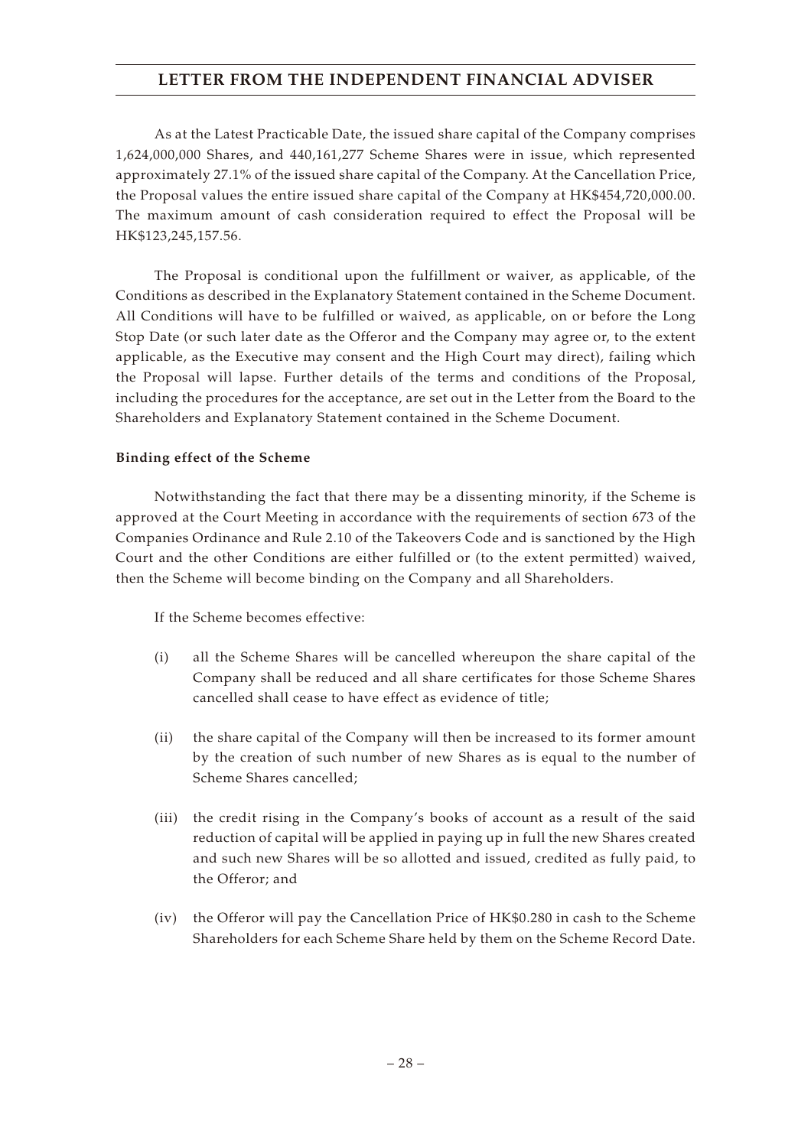As at the Latest Practicable Date, the issued share capital of the Company comprises 1,624,000,000 Shares, and 440,161,277 Scheme Shares were in issue, which represented approximately 27.1% of the issued share capital of the Company. At the Cancellation Price, the Proposal values the entire issued share capital of the Company at HK\$454,720,000.00. The maximum amount of cash consideration required to effect the Proposal will be HK\$123,245,157.56.

The Proposal is conditional upon the fulfillment or waiver, as applicable, of the Conditions as described in the Explanatory Statement contained in the Scheme Document. All Conditions will have to be fulfilled or waived, as applicable, on or before the Long Stop Date (or such later date as the Offeror and the Company may agree or, to the extent applicable, as the Executive may consent and the High Court may direct), failing which the Proposal will lapse. Further details of the terms and conditions of the Proposal, including the procedures for the acceptance, are set out in the Letter from the Board to the Shareholders and Explanatory Statement contained in the Scheme Document.

#### **Binding effect of the Scheme**

Notwithstanding the fact that there may be a dissenting minority, if the Scheme is approved at the Court Meeting in accordance with the requirements of section 673 of the Companies Ordinance and Rule 2.10 of the Takeovers Code and is sanctioned by the High Court and the other Conditions are either fulfilled or (to the extent permitted) waived, then the Scheme will become binding on the Company and all Shareholders.

If the Scheme becomes effective:

- (i) all the Scheme Shares will be cancelled whereupon the share capital of the Company shall be reduced and all share certificates for those Scheme Shares cancelled shall cease to have effect as evidence of title;
- (ii) the share capital of the Company will then be increased to its former amount by the creation of such number of new Shares as is equal to the number of Scheme Shares cancelled;
- (iii) the credit rising in the Company's books of account as a result of the said reduction of capital will be applied in paying up in full the new Shares created and such new Shares will be so allotted and issued, credited as fully paid, to the Offeror; and
- (iv) the Offeror will pay the Cancellation Price of HK\$0.280 in cash to the Scheme Shareholders for each Scheme Share held by them on the Scheme Record Date.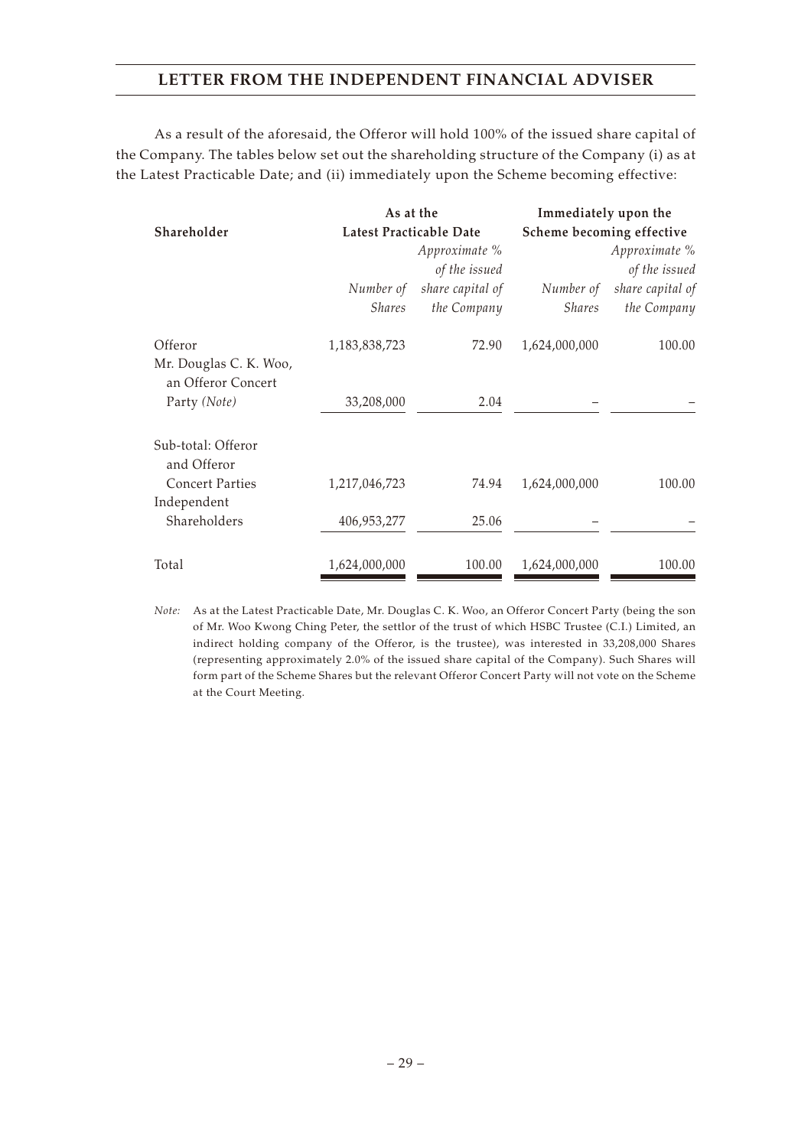As a result of the aforesaid, the Offeror will hold 100% of the issued share capital of the Company. The tables below set out the shareholding structure of the Company (i) as at the Latest Practicable Date; and (ii) immediately upon the Scheme becoming effective:

|                                              | As at the               |                  | Immediately upon the      |                  |
|----------------------------------------------|-------------------------|------------------|---------------------------|------------------|
| Shareholder                                  | Latest Practicable Date |                  | Scheme becoming effective |                  |
|                                              |                         | Approximate %    | Approximate %             |                  |
|                                              |                         | of the issued    |                           | of the issued    |
|                                              | Number of               | share capital of | Number of                 | share capital of |
|                                              | <i>Shares</i>           | the Company      | <i>Shares</i>             | the Company      |
| Offeror                                      | 1,183,838,723           | 72.90            | 1,624,000,000             | 100.00           |
| Mr. Douglas C. K. Woo,<br>an Offeror Concert |                         |                  |                           |                  |
| Party (Note)                                 | 33,208,000              | 2.04             |                           |                  |
| Sub-total: Offeror<br>and Offeror            |                         |                  |                           |                  |
| <b>Concert Parties</b>                       | 1,217,046,723           | 74.94            | 1,624,000,000             | 100.00           |
| Independent                                  |                         |                  |                           |                  |
| Shareholders                                 | 406,953,277             | 25.06            |                           |                  |
| Total                                        | 1,624,000,000           | 100.00           | 1,624,000,000             | 100.00           |

*Note:* As at the Latest Practicable Date, Mr. Douglas C. K. Woo, an Offeror Concert Party (being the son of Mr. Woo Kwong Ching Peter, the settlor of the trust of which HSBC Trustee (C.I.) Limited, an indirect holding company of the Offeror, is the trustee), was interested in 33,208,000 Shares (representing approximately 2.0% of the issued share capital of the Company). Such Shares will form part of the Scheme Shares but the relevant Offeror Concert Party will not vote on the Scheme at the Court Meeting.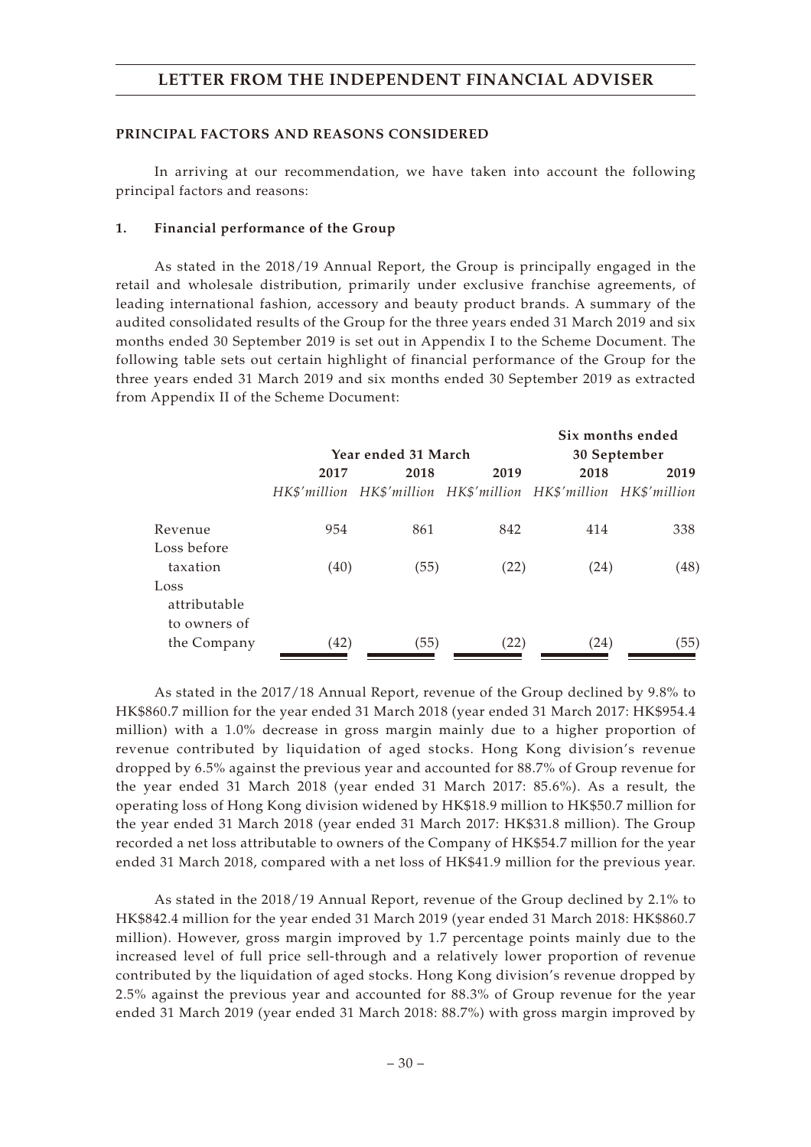#### **PRINCIPAL FACTORS AND REASONS CONSIDERED**

In arriving at our recommendation, we have taken into account the following principal factors and reasons:

#### **1. Financial performance of the Group**

As stated in the 2018/19 Annual Report, the Group is principally engaged in the retail and wholesale distribution, primarily under exclusive franchise agreements, of leading international fashion, accessory and beauty product brands. A summary of the audited consolidated results of the Group for the three years ended 31 March 2019 and six months ended 30 September 2019 is set out in Appendix I to the Scheme Document. The following table sets out certain highlight of financial performance of the Group for the three years ended 31 March 2019 and six months ended 30 September 2019 as extracted from Appendix II of the Scheme Document:

|                                      |      |                     |                                                                  |      | Six months ended |
|--------------------------------------|------|---------------------|------------------------------------------------------------------|------|------------------|
|                                      |      | Year ended 31 March |                                                                  |      | 30 September     |
|                                      | 2017 | 2018                | 2019                                                             | 2018 | 2019             |
|                                      |      |                     | HK\$'million HK\$'million HK\$'million HK\$'million HK\$'million |      |                  |
| Revenue                              | 954  | 861                 | 842                                                              | 414  | 338              |
| Loss before                          |      |                     |                                                                  |      |                  |
| taxation                             | (40) | (55)                | (22)                                                             | (24) | (48)             |
| Loss<br>attributable<br>to owners of |      |                     |                                                                  |      |                  |
| the Company                          | (42) | (55)                | (22)                                                             | (24) | (55)             |

As stated in the 2017/18 Annual Report, revenue of the Group declined by 9.8% to HK\$860.7 million for the year ended 31 March 2018 (year ended 31 March 2017: HK\$954.4 million) with a 1.0% decrease in gross margin mainly due to a higher proportion of revenue contributed by liquidation of aged stocks. Hong Kong division's revenue dropped by 6.5% against the previous year and accounted for 88.7% of Group revenue for the year ended 31 March 2018 (year ended 31 March 2017: 85.6%). As a result, the operating loss of Hong Kong division widened by HK\$18.9 million to HK\$50.7 million for the year ended 31 March 2018 (year ended 31 March 2017: HK\$31.8 million). The Group recorded a net loss attributable to owners of the Company of HK\$54.7 million for the year ended 31 March 2018, compared with a net loss of HK\$41.9 million for the previous year.

As stated in the 2018/19 Annual Report, revenue of the Group declined by 2.1% to HK\$842.4 million for the year ended 31 March 2019 (year ended 31 March 2018: HK\$860.7 million). However, gross margin improved by 1.7 percentage points mainly due to the increased level of full price sell-through and a relatively lower proportion of revenue contributed by the liquidation of aged stocks. Hong Kong division's revenue dropped by 2.5% against the previous year and accounted for 88.3% of Group revenue for the year ended 31 March 2019 (year ended 31 March 2018: 88.7%) with gross margin improved by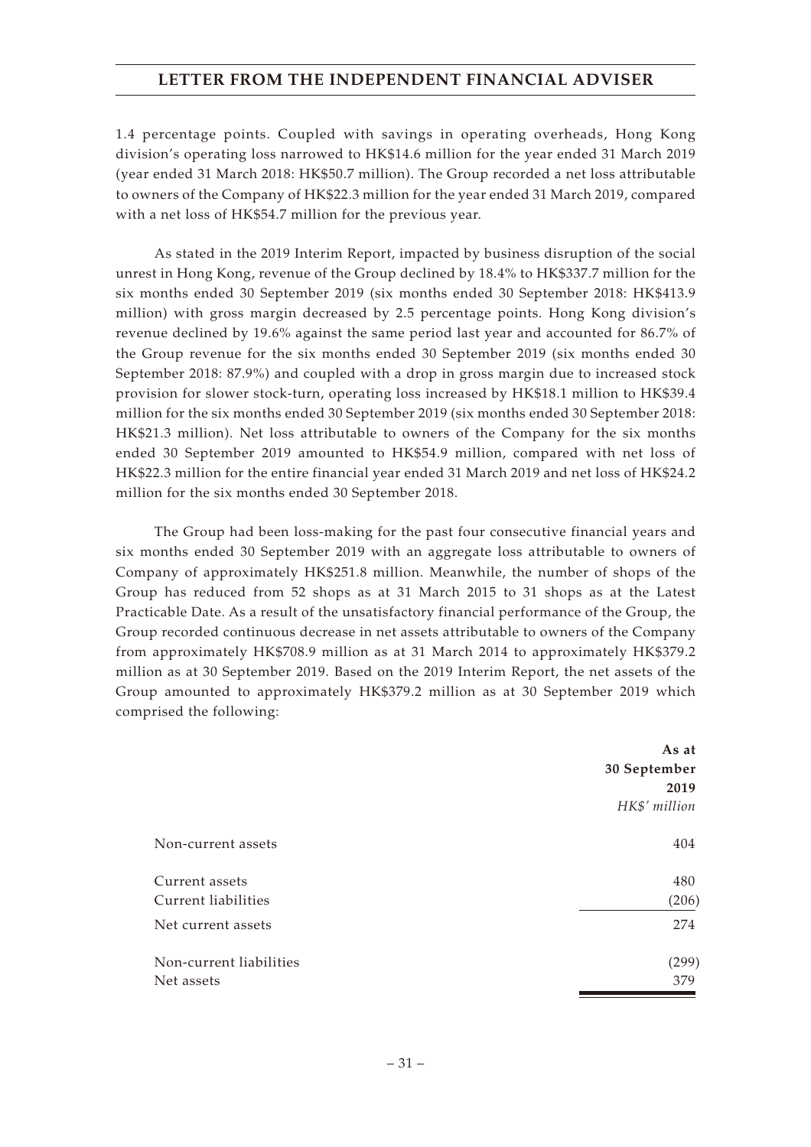1.4 percentage points. Coupled with savings in operating overheads, Hong Kong division's operating loss narrowed to HK\$14.6 million for the year ended 31 March 2019 (year ended 31 March 2018: HK\$50.7 million). The Group recorded a net loss attributable to owners of the Company of HK\$22.3 million for the year ended 31 March 2019, compared with a net loss of HK\$54.7 million for the previous year.

As stated in the 2019 Interim Report, impacted by business disruption of the social unrest in Hong Kong, revenue of the Group declined by 18.4% to HK\$337.7 million for the six months ended 30 September 2019 (six months ended 30 September 2018: HK\$413.9 million) with gross margin decreased by 2.5 percentage points. Hong Kong division's revenue declined by 19.6% against the same period last year and accounted for 86.7% of the Group revenue for the six months ended 30 September 2019 (six months ended 30 September 2018: 87.9%) and coupled with a drop in gross margin due to increased stock provision for slower stock-turn, operating loss increased by HK\$18.1 million to HK\$39.4 million for the six months ended 30 September 2019 (six months ended 30 September 2018: HK\$21.3 million). Net loss attributable to owners of the Company for the six months ended 30 September 2019 amounted to HK\$54.9 million, compared with net loss of HK\$22.3 million for the entire financial year ended 31 March 2019 and net loss of HK\$24.2 million for the six months ended 30 September 2018.

The Group had been loss-making for the past four consecutive financial years and six months ended 30 September 2019 with an aggregate loss attributable to owners of Company of approximately HK\$251.8 million. Meanwhile, the number of shops of the Group has reduced from 52 shops as at 31 March 2015 to 31 shops as at the Latest Practicable Date. As a result of the unsatisfactory financial performance of the Group, the Group recorded continuous decrease in net assets attributable to owners of the Company from approximately HK\$708.9 million as at 31 March 2014 to approximately HK\$379.2 million as at 30 September 2019. Based on the 2019 Interim Report, the net assets of the Group amounted to approximately HK\$379.2 million as at 30 September 2019 which comprised the following:

|                         | As at         |
|-------------------------|---------------|
|                         | 30 September  |
|                         | 2019          |
|                         | HK\$' million |
| Non-current assets      | 404           |
| Current assets          | 480           |
| Current liabilities     | (206)         |
| Net current assets      | 274           |
| Non-current liabilities | (299)         |
| Net assets              | 379           |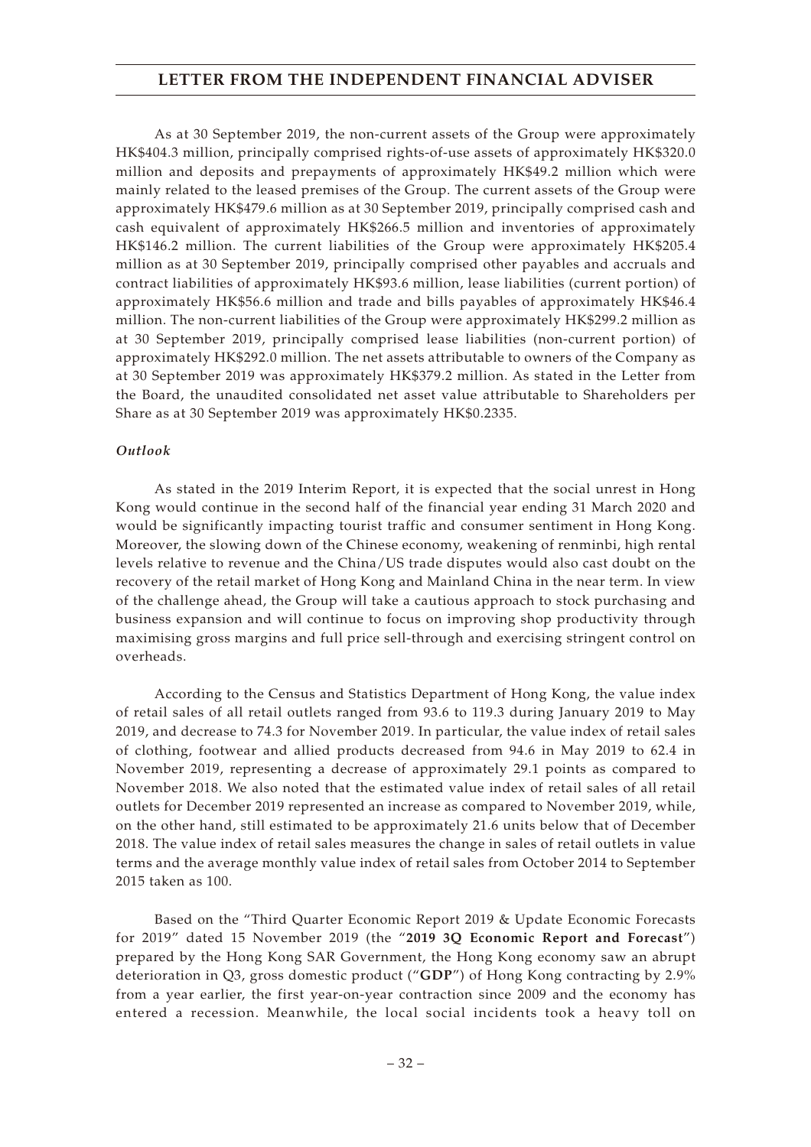As at 30 September 2019, the non-current assets of the Group were approximately HK\$404.3 million, principally comprised rights-of-use assets of approximately HK\$320.0 million and deposits and prepayments of approximately HK\$49.2 million which were mainly related to the leased premises of the Group. The current assets of the Group were approximately HK\$479.6 million as at 30 September 2019, principally comprised cash and cash equivalent of approximately HK\$266.5 million and inventories of approximately HK\$146.2 million. The current liabilities of the Group were approximately HK\$205.4 million as at 30 September 2019, principally comprised other payables and accruals and contract liabilities of approximately HK\$93.6 million, lease liabilities (current portion) of approximately HK\$56.6 million and trade and bills payables of approximately HK\$46.4 million. The non-current liabilities of the Group were approximately HK\$299.2 million as at 30 September 2019, principally comprised lease liabilities (non-current portion) of approximately HK\$292.0 million. The net assets attributable to owners of the Company as at 30 September 2019 was approximately HK\$379.2 million. As stated in the Letter from the Board, the unaudited consolidated net asset value attributable to Shareholders per Share as at 30 September 2019 was approximately HK\$0.2335.

#### *Outlook*

As stated in the 2019 Interim Report, it is expected that the social unrest in Hong Kong would continue in the second half of the financial year ending 31 March 2020 and would be significantly impacting tourist traffic and consumer sentiment in Hong Kong. Moreover, the slowing down of the Chinese economy, weakening of renminbi, high rental levels relative to revenue and the China/US trade disputes would also cast doubt on the recovery of the retail market of Hong Kong and Mainland China in the near term. In view of the challenge ahead, the Group will take a cautious approach to stock purchasing and business expansion and will continue to focus on improving shop productivity through maximising gross margins and full price sell-through and exercising stringent control on overheads.

According to the Census and Statistics Department of Hong Kong, the value index of retail sales of all retail outlets ranged from 93.6 to 119.3 during January 2019 to May 2019, and decrease to 74.3 for November 2019. In particular, the value index of retail sales of clothing, footwear and allied products decreased from 94.6 in May 2019 to 62.4 in November 2019, representing a decrease of approximately 29.1 points as compared to November 2018. We also noted that the estimated value index of retail sales of all retail outlets for December 2019 represented an increase as compared to November 2019, while, on the other hand, still estimated to be approximately 21.6 units below that of December 2018. The value index of retail sales measures the change in sales of retail outlets in value terms and the average monthly value index of retail sales from October 2014 to September 2015 taken as 100.

Based on the "Third Quarter Economic Report 2019 & Update Economic Forecasts for 2019" dated 15 November 2019 (the "**2019 3Q Economic Report and Forecast**") prepared by the Hong Kong SAR Government, the Hong Kong economy saw an abrupt deterioration in Q3, gross domestic product ("**GDP**") of Hong Kong contracting by 2.9% from a year earlier, the first year-on-year contraction since 2009 and the economy has entered a recession. Meanwhile, the local social incidents took a heavy toll on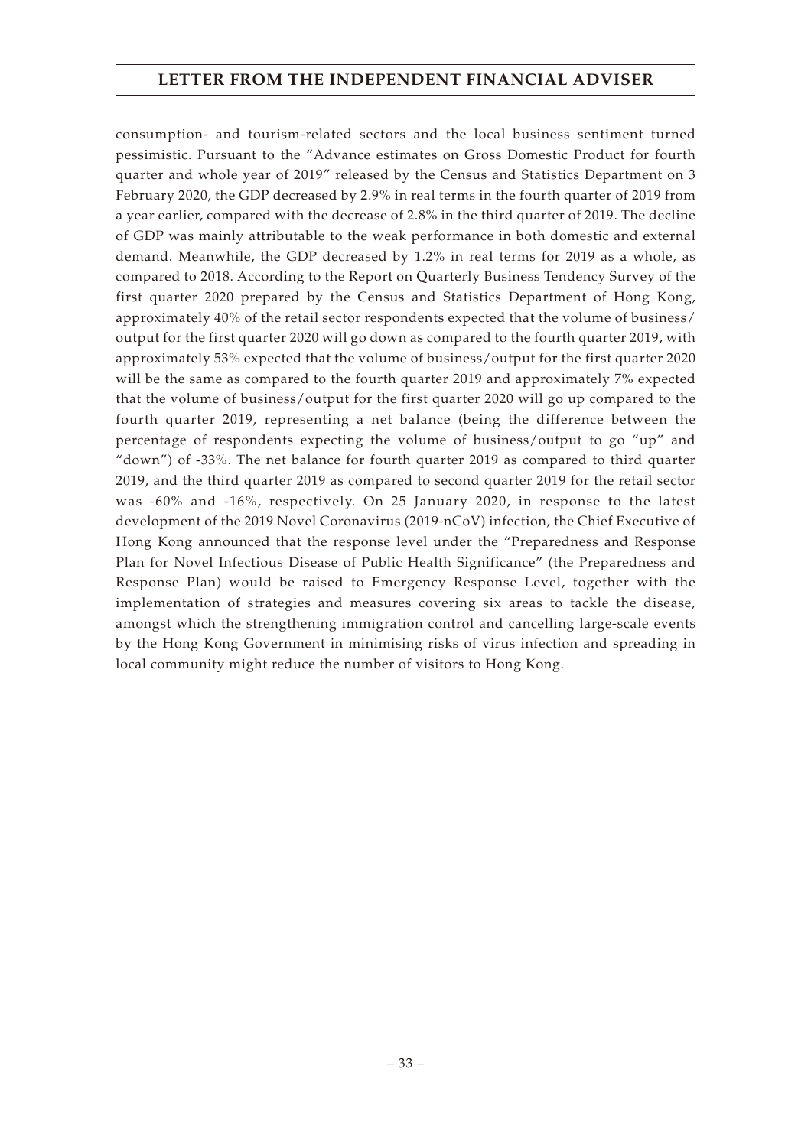consumption- and tourism-related sectors and the local business sentiment turned pessimistic. Pursuant to the "Advance estimates on Gross Domestic Product for fourth quarter and whole year of 2019" released by the Census and Statistics Department on 3 February 2020, the GDP decreased by 2.9% in real terms in the fourth quarter of 2019 from a year earlier, compared with the decrease of 2.8% in the third quarter of 2019. The decline of GDP was mainly attributable to the weak performance in both domestic and external demand. Meanwhile, the GDP decreased by 1.2% in real terms for 2019 as a whole, as compared to 2018. According to the Report on Quarterly Business Tendency Survey of the first quarter 2020 prepared by the Census and Statistics Department of Hong Kong, approximately 40% of the retail sector respondents expected that the volume of business/ output for the first quarter 2020 will go down as compared to the fourth quarter 2019, with approximately 53% expected that the volume of business/output for the first quarter 2020 will be the same as compared to the fourth quarter 2019 and approximately 7% expected that the volume of business/output for the first quarter 2020 will go up compared to the fourth quarter 2019, representing a net balance (being the difference between the percentage of respondents expecting the volume of business/output to go "up" and "down") of -33%. The net balance for fourth quarter 2019 as compared to third quarter 2019, and the third quarter 2019 as compared to second quarter 2019 for the retail sector was -60% and -16%, respectively. On 25 January 2020, in response to the latest development of the 2019 Novel Coronavirus (2019-nCoV) infection, the Chief Executive of Hong Kong announced that the response level under the "Preparedness and Response Plan for Novel Infectious Disease of Public Health Significance" (the Preparedness and Response Plan) would be raised to Emergency Response Level, together with the implementation of strategies and measures covering six areas to tackle the disease, amongst which the strengthening immigration control and cancelling large-scale events by the Hong Kong Government in minimising risks of virus infection and spreading in local community might reduce the number of visitors to Hong Kong.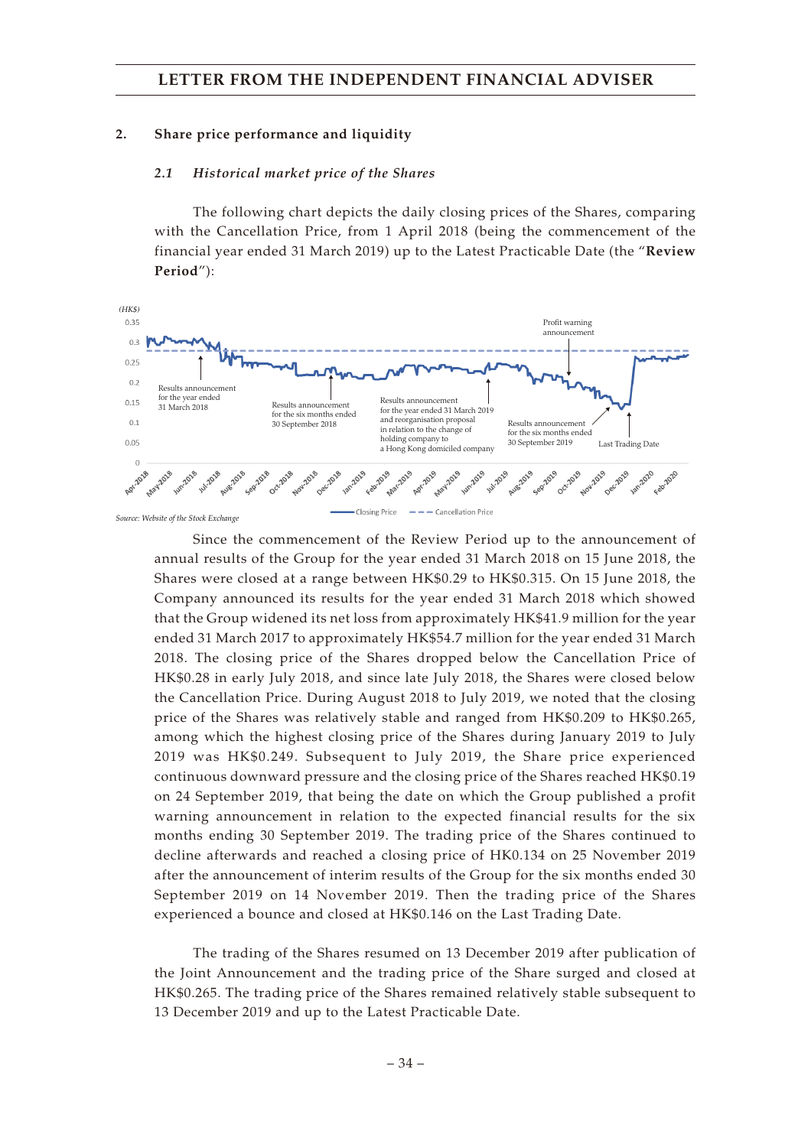#### **2. Share price performance and liquidity**

#### *2.1 Historical market price of the Shares*

The following chart depicts the daily closing prices of the Shares, comparing with the Cancellation Price, from 1 April 2018 (being the commencement of the financial year ended 31 March 2019) up to the Latest Practicable Date (the "**Review Period**"):



*Source: Website of the Stock Exchange*

Since the commencement of the Review Period up to the announcement of annual results of the Group for the year ended 31 March 2018 on 15 June 2018, the Shares were closed at a range between HK\$0.29 to HK\$0.315. On 15 June 2018, the Company announced its results for the year ended 31 March 2018 which showed that the Group widened its net loss from approximately HK\$41.9 million for the year ended 31 March 2017 to approximately HK\$54.7 million for the year ended 31 March 2018. The closing price of the Shares dropped below the Cancellation Price of HK\$0.28 in early July 2018, and since late July 2018, the Shares were closed below the Cancellation Price. During August 2018 to July 2019, we noted that the closing price of the Shares was relatively stable and ranged from HK\$0.209 to HK\$0.265, among which the highest closing price of the Shares during January 2019 to July 2019 was HK\$0.249. Subsequent to July 2019, the Share price experienced continuous downward pressure and the closing price of the Shares reached HK\$0.19 on 24 September 2019, that being the date on which the Group published a profit warning announcement in relation to the expected financial results for the six months ending 30 September 2019. The trading price of the Shares continued to decline afterwards and reached a closing price of HK0.134 on 25 November 2019 after the announcement of interim results of the Group for the six months ended 30 September 2019 on 14 November 2019. Then the trading price of the Shares experienced a bounce and closed at HK\$0.146 on the Last Trading Date.

The trading of the Shares resumed on 13 December 2019 after publication of the Joint Announcement and the trading price of the Share surged and closed at HK\$0.265. The trading price of the Shares remained relatively stable subsequent to 13 December 2019 and up to the Latest Practicable Date.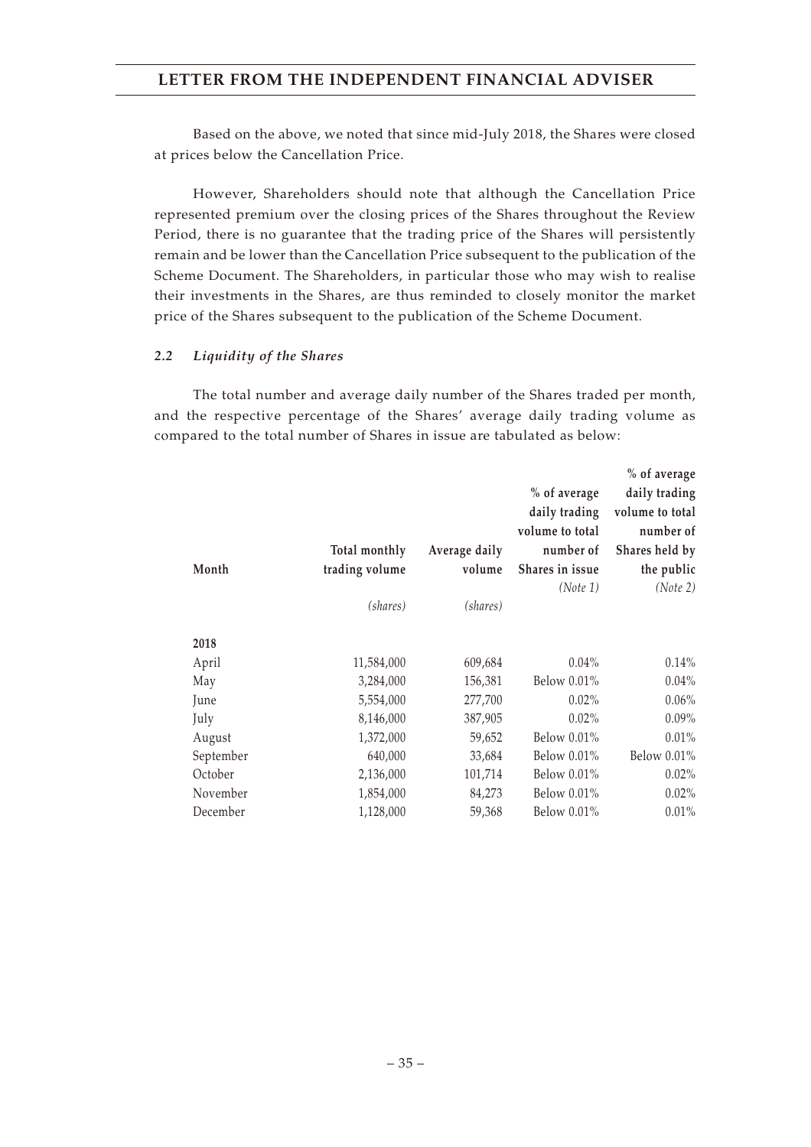Based on the above, we noted that since mid-July 2018, the Shares were closed at prices below the Cancellation Price.

However, Shareholders should note that although the Cancellation Price represented premium over the closing prices of the Shares throughout the Review Period, there is no guarantee that the trading price of the Shares will persistently remain and be lower than the Cancellation Price subsequent to the publication of the Scheme Document. The Shareholders, in particular those who may wish to realise their investments in the Shares, are thus reminded to closely monitor the market price of the Shares subsequent to the publication of the Scheme Document.

### *2.2 Liquidity of the Shares*

The total number and average daily number of the Shares traded per month, and the respective percentage of the Shares' average daily trading volume as compared to the total number of Shares in issue are tabulated as below:

|           |                |               |                 | % of average    |
|-----------|----------------|---------------|-----------------|-----------------|
|           |                |               | % of average    | daily trading   |
|           |                |               | daily trading   | volume to total |
|           |                |               | volume to total | number of       |
|           | Total monthly  | Average daily | number of       | Shares held by  |
| Month     | trading volume | volume        | Shares in issue | the public      |
|           |                |               | (Note 1)        | (Note 2)        |
|           | (shares)       | (shares)      |                 |                 |
| 2018      |                |               |                 |                 |
| April     | 11,584,000     | 609,684       | $0.04\%$        | 0.14%           |
| May       | 3,284,000      | 156,381       | Below 0.01%     | $0.04\%$        |
| June      | 5,554,000      | 277,700       | $0.02\%$        | 0.06%           |
| July      | 8,146,000      | 387,905       | $0.02\%$        | 0.09%           |
| August    | 1,372,000      | 59,652        | Below 0.01%     | 0.01%           |
| September | 640,000        | 33,684        | Below 0.01%     | Below 0.01%     |
| October   | 2,136,000      | 101,714       | Below 0.01%     | $0.02\%$        |
| November  | 1,854,000      | 84,273        | Below 0.01%     | 0.02%           |
| December  | 1,128,000      | 59,368        | Below 0.01%     | 0.01%           |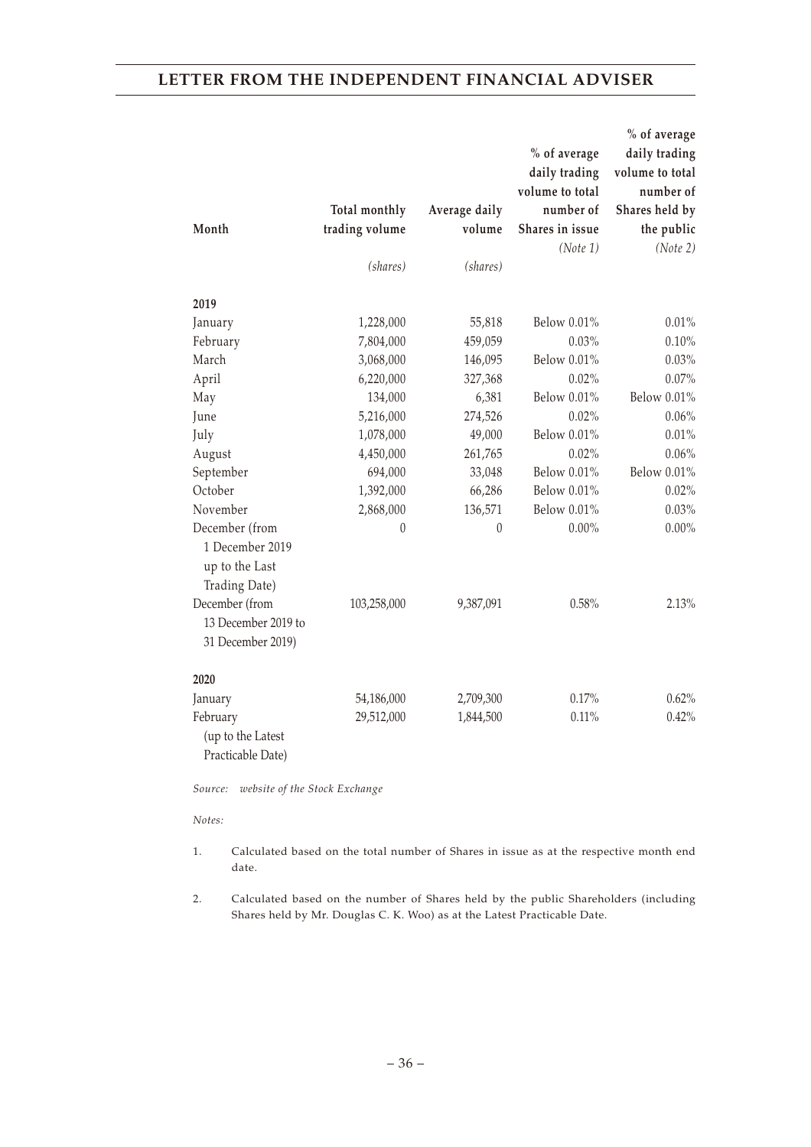|                     |                |               |                 | % of average    |
|---------------------|----------------|---------------|-----------------|-----------------|
|                     |                |               | % of average    | daily trading   |
|                     |                |               | daily trading   | volume to total |
|                     |                |               | volume to total | number of       |
|                     | Total monthly  | Average daily | number of       | Shares held by  |
| Month               | trading volume | volume        | Shares in issue | the public      |
|                     |                |               | (Note 1)        | (Note 2)        |
|                     | (shares)       | (shares)      |                 |                 |
| 2019                |                |               |                 |                 |
| January             | 1,228,000      | 55,818        | Below 0.01%     | 0.01%           |
| February            | 7,804,000      | 459,059       | 0.03%           | 0.10%           |
| March               | 3,068,000      | 146,095       | Below 0.01%     | 0.03%           |
| April               | 6,220,000      | 327,368       | 0.02%           | 0.07%           |
| May                 | 134,000        | 6,381         | Below 0.01%     | Below 0.01%     |
| June                | 5,216,000      | 274,526       | 0.02%           | 0.06%           |
| July                | 1,078,000      | 49,000        | Below 0.01%     | $0.01\%$        |
| August              | 4,450,000      | 261,765       | 0.02%           | 0.06%           |
| September           | 694,000        | 33,048        | Below 0.01%     | Below 0.01%     |
| October             | 1,392,000      | 66,286        | Below 0.01%     | 0.02%           |
| November            | 2,868,000      | 136,571       | Below 0.01%     | 0.03%           |
| December (from      | $\theta$       | $\theta$      | $0.00\%$        | $0.00\%$        |
| 1 December 2019     |                |               |                 |                 |
| up to the Last      |                |               |                 |                 |
| Trading Date)       |                |               |                 |                 |
| December (from      | 103,258,000    | 9,387,091     | 0.58%           | 2.13%           |
| 13 December 2019 to |                |               |                 |                 |
| 31 December 2019)   |                |               |                 |                 |
| 2020                |                |               |                 |                 |
| January             | 54,186,000     | 2,709,300     | 0.17%           | 0.62%           |
| February            | 29,512,000     | 1,844,500     | 0.11%           | 0.42%           |
| (up to the Latest   |                |               |                 |                 |
| Practicable Date)   |                |               |                 |                 |

*Source: website of the Stock Exchange*

#### *Notes:*

- 1. Calculated based on the total number of Shares in issue as at the respective month end date.
- 2. Calculated based on the number of Shares held by the public Shareholders (including Shares held by Mr. Douglas C. K. Woo) as at the Latest Practicable Date.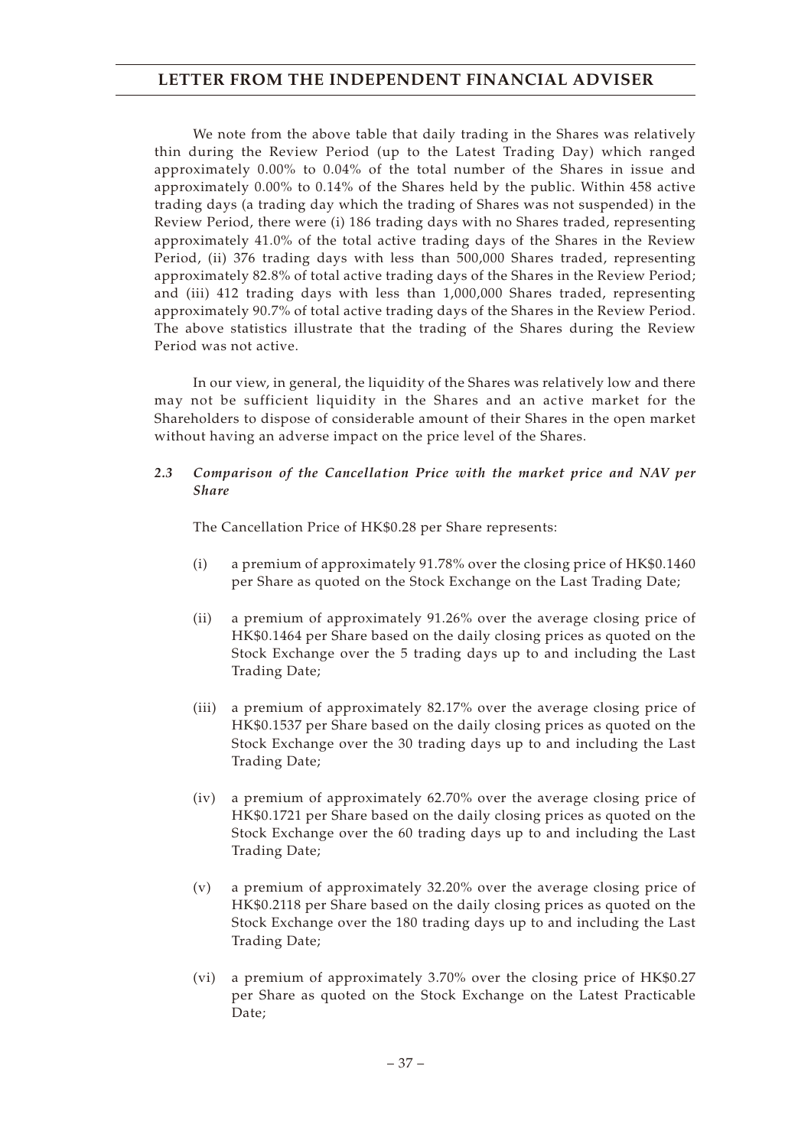We note from the above table that daily trading in the Shares was relatively thin during the Review Period (up to the Latest Trading Day) which ranged approximately 0.00% to 0.04% of the total number of the Shares in issue and approximately 0.00% to 0.14% of the Shares held by the public. Within 458 active trading days (a trading day which the trading of Shares was not suspended) in the Review Period, there were (i) 186 trading days with no Shares traded, representing approximately 41.0% of the total active trading days of the Shares in the Review Period, (ii) 376 trading days with less than 500,000 Shares traded, representing approximately 82.8% of total active trading days of the Shares in the Review Period; and (iii) 412 trading days with less than 1,000,000 Shares traded, representing approximately 90.7% of total active trading days of the Shares in the Review Period. The above statistics illustrate that the trading of the Shares during the Review Period was not active.

In our view, in general, the liquidity of the Shares was relatively low and there may not be sufficient liquidity in the Shares and an active market for the Shareholders to dispose of considerable amount of their Shares in the open market without having an adverse impact on the price level of the Shares.

### *2.3 Comparison of the Cancellation Price with the market price and NAV per Share*

The Cancellation Price of HK\$0.28 per Share represents:

- (i) a premium of approximately 91.78% over the closing price of HK\$0.1460 per Share as quoted on the Stock Exchange on the Last Trading Date;
- (ii) a premium of approximately 91.26% over the average closing price of HK\$0.1464 per Share based on the daily closing prices as quoted on the Stock Exchange over the 5 trading days up to and including the Last Trading Date;
- (iii) a premium of approximately 82.17% over the average closing price of HK\$0.1537 per Share based on the daily closing prices as quoted on the Stock Exchange over the 30 trading days up to and including the Last Trading Date;
- (iv) a premium of approximately 62.70% over the average closing price of HK\$0.1721 per Share based on the daily closing prices as quoted on the Stock Exchange over the 60 trading days up to and including the Last Trading Date;
- (v) a premium of approximately 32.20% over the average closing price of HK\$0.2118 per Share based on the daily closing prices as quoted on the Stock Exchange over the 180 trading days up to and including the Last Trading Date;
- (vi) a premium of approximately 3.70% over the closing price of HK\$0.27 per Share as quoted on the Stock Exchange on the Latest Practicable Date;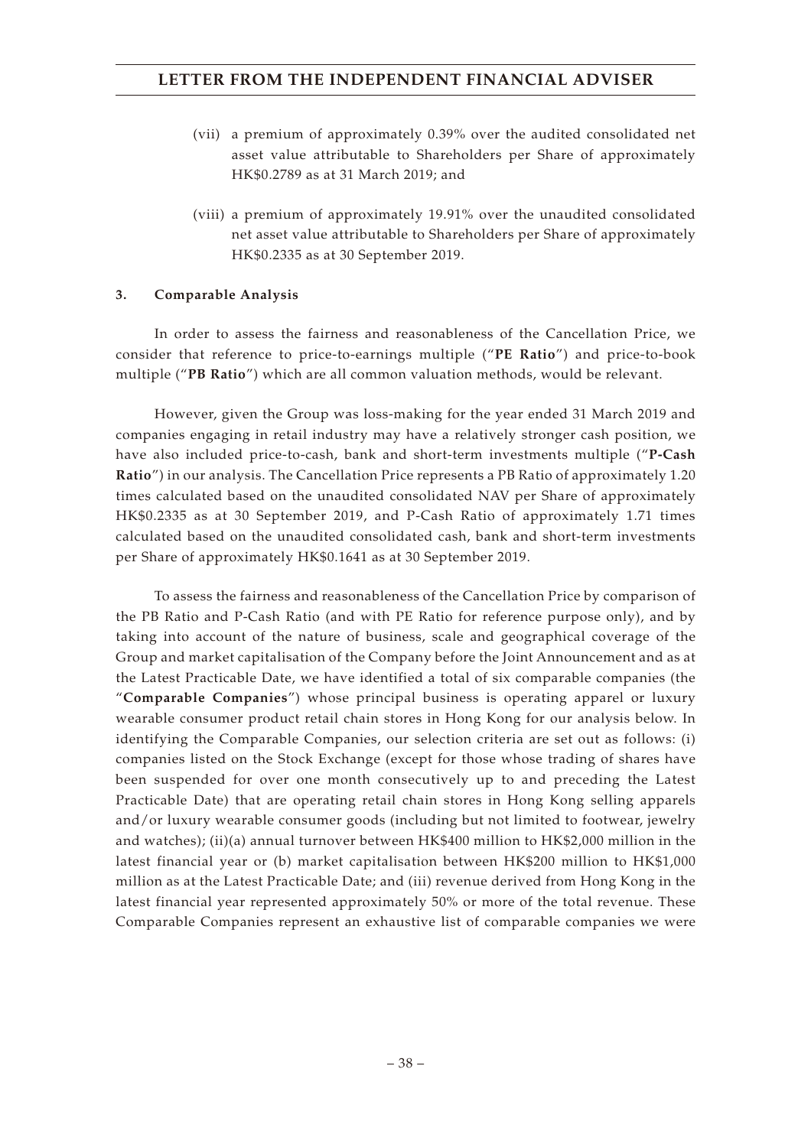- (vii) a premium of approximately 0.39% over the audited consolidated net asset value attributable to Shareholders per Share of approximately HK\$0.2789 as at 31 March 2019; and
- (viii) a premium of approximately 19.91% over the unaudited consolidated net asset value attributable to Shareholders per Share of approximately HK\$0.2335 as at 30 September 2019.

## **3. Comparable Analysis**

In order to assess the fairness and reasonableness of the Cancellation Price, we consider that reference to price-to-earnings multiple ("**PE Ratio**") and price-to-book multiple ("**PB Ratio**") which are all common valuation methods, would be relevant.

However, given the Group was loss-making for the year ended 31 March 2019 and companies engaging in retail industry may have a relatively stronger cash position, we have also included price-to-cash, bank and short-term investments multiple ("**P-Cash Ratio**") in our analysis. The Cancellation Price represents a PB Ratio of approximately 1.20 times calculated based on the unaudited consolidated NAV per Share of approximately HK\$0.2335 as at 30 September 2019, and P-Cash Ratio of approximately 1.71 times calculated based on the unaudited consolidated cash, bank and short-term investments per Share of approximately HK\$0.1641 as at 30 September 2019.

To assess the fairness and reasonableness of the Cancellation Price by comparison of the PB Ratio and P-Cash Ratio (and with PE Ratio for reference purpose only), and by taking into account of the nature of business, scale and geographical coverage of the Group and market capitalisation of the Company before the Joint Announcement and as at the Latest Practicable Date, we have identified a total of six comparable companies (the "**Comparable Companies**") whose principal business is operating apparel or luxury wearable consumer product retail chain stores in Hong Kong for our analysis below. In identifying the Comparable Companies, our selection criteria are set out as follows: (i) companies listed on the Stock Exchange (except for those whose trading of shares have been suspended for over one month consecutively up to and preceding the Latest Practicable Date) that are operating retail chain stores in Hong Kong selling apparels and/or luxury wearable consumer goods (including but not limited to footwear, jewelry and watches); (ii)(a) annual turnover between HK\$400 million to HK\$2,000 million in the latest financial year or (b) market capitalisation between HK\$200 million to HK\$1,000 million as at the Latest Practicable Date; and (iii) revenue derived from Hong Kong in the latest financial year represented approximately 50% or more of the total revenue. These Comparable Companies represent an exhaustive list of comparable companies we were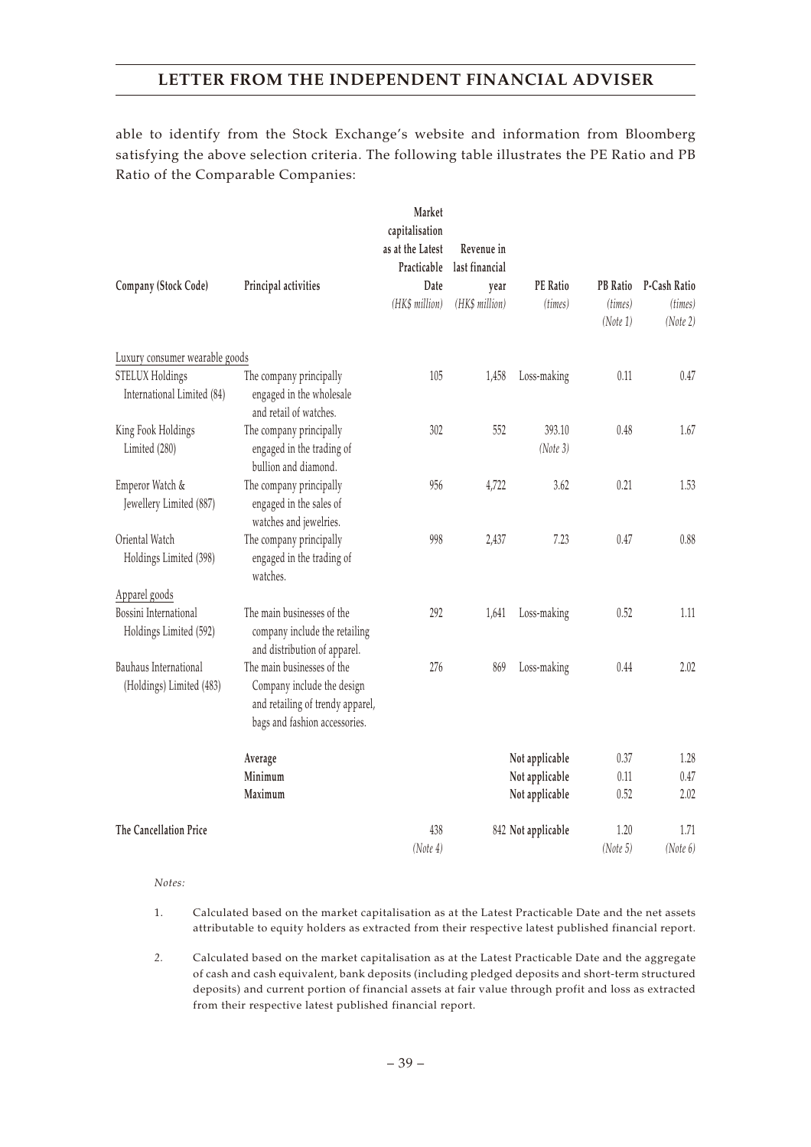able to identify from the Stock Exchange's website and information from Bloomberg satisfying the above selection criteria. The following table illustrates the PE Ratio and PB Ratio of the Comparable Companies:

|                                                 |                                                                                             | Market<br>capitalisation<br>as at the Latest<br>Practicable | Revenue in<br>last financial |                    |                     |                     |
|-------------------------------------------------|---------------------------------------------------------------------------------------------|-------------------------------------------------------------|------------------------------|--------------------|---------------------|---------------------|
| Company (Stock Code)                            | Principal activities                                                                        | Date                                                        | year                         | <b>PE</b> Ratio    | <b>PB</b> Ratio     | P-Cash Ratio        |
|                                                 |                                                                                             | (HK\$ million)                                              | (HK\$ million)               | (times)            | (times)<br>(Note 1) | (times)<br>(Note 2) |
| Luxury consumer wearable goods                  |                                                                                             |                                                             |                              |                    |                     |                     |
| STELUX Holdings                                 | The company principally                                                                     | 105                                                         | 1,458                        | Loss-making        | 0.11                | 0.47                |
| International Limited (84)                      | engaged in the wholesale<br>and retail of watches.                                          |                                                             |                              |                    |                     |                     |
| King Fook Holdings                              | The company principally                                                                     | 302                                                         | 552                          | 393.10             | 0.48                | 1.67                |
| Limited (280)                                   | engaged in the trading of                                                                   |                                                             |                              | (Note 3)           |                     |                     |
|                                                 | bullion and diamond.                                                                        |                                                             |                              |                    |                     |                     |
| Emperor Watch &                                 | The company principally                                                                     | 956                                                         | 4,722                        | 3.62               | 0.21                | 1.53                |
| Jewellery Limited (887)                         | engaged in the sales of<br>watches and jewelries.                                           |                                                             |                              |                    |                     |                     |
| Oriental Watch                                  | The company principally                                                                     | 998                                                         | 2,437                        | 7.23               | 0.47                | 0.88                |
| Holdings Limited (398)                          | engaged in the trading of<br>watches.                                                       |                                                             |                              |                    |                     |                     |
| Apparel goods                                   |                                                                                             |                                                             |                              |                    |                     |                     |
| Bossini International<br>Holdings Limited (592) | The main businesses of the<br>company include the retailing<br>and distribution of apparel. | 292                                                         | 1,641                        | Loss-making        | 0.52                | 1.11                |
| Bauhaus International                           | The main businesses of the                                                                  | 276                                                         | 869                          | Loss-making        | 0.44                | 2.02                |
| (Holdings) Limited (483)                        | Company include the design<br>and retailing of trendy apparel,                              |                                                             |                              |                    |                     |                     |
|                                                 | bags and fashion accessories.                                                               |                                                             |                              |                    |                     |                     |
|                                                 | Average                                                                                     |                                                             |                              | Not applicable     | 0.37                | 1.28                |
|                                                 | Minimum                                                                                     |                                                             |                              | Not applicable     | 0.11                | 0.47                |
|                                                 | Maximum                                                                                     |                                                             |                              | Not applicable     | 0.52                | 2.02                |
| The Cancellation Price                          |                                                                                             | 438                                                         |                              | 842 Not applicable | 1.20                | 1.71                |
|                                                 |                                                                                             | (Note 4)                                                    |                              |                    | (Note 5)            | (Note 6)            |

*Notes:*

- 1. Calculated based on the market capitalisation as at the Latest Practicable Date and the net assets attributable to equity holders as extracted from their respective latest published financial report.
- *2.* Calculated based on the market capitalisation as at the Latest Practicable Date and the aggregate of cash and cash equivalent, bank deposits (including pledged deposits and short-term structured deposits) and current portion of financial assets at fair value through profit and loss as extracted from their respective latest published financial report.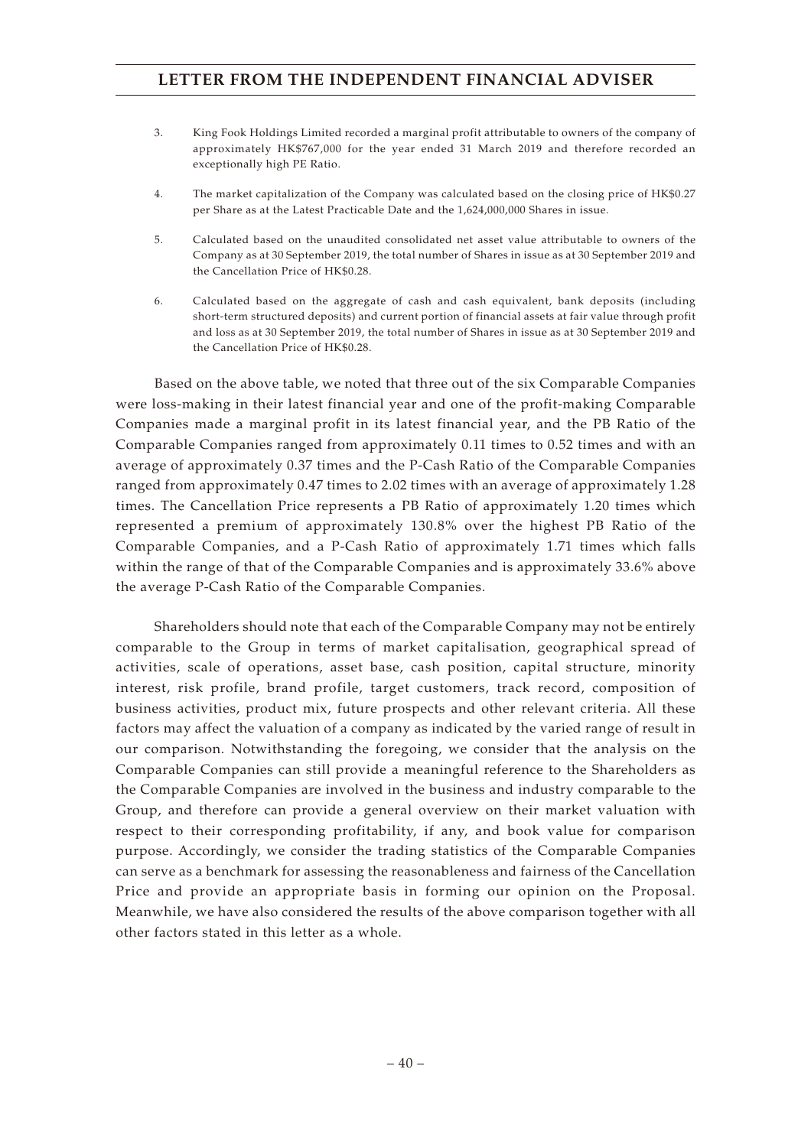- 3. King Fook Holdings Limited recorded a marginal profit attributable to owners of the company of approximately HK\$767,000 for the year ended 31 March 2019 and therefore recorded an exceptionally high PE Ratio.
- 4. The market capitalization of the Company was calculated based on the closing price of HK\$0.27 per Share as at the Latest Practicable Date and the 1,624,000,000 Shares in issue.
- 5. Calculated based on the unaudited consolidated net asset value attributable to owners of the Company as at 30 September 2019, the total number of Shares in issue as at 30 September 2019 and the Cancellation Price of HK\$0.28.
- 6. Calculated based on the aggregate of cash and cash equivalent, bank deposits (including short-term structured deposits) and current portion of financial assets at fair value through profit and loss as at 30 September 2019, the total number of Shares in issue as at 30 September 2019 and the Cancellation Price of HK\$0.28.

Based on the above table, we noted that three out of the six Comparable Companies were loss-making in their latest financial year and one of the profit-making Comparable Companies made a marginal profit in its latest financial year, and the PB Ratio of the Comparable Companies ranged from approximately 0.11 times to 0.52 times and with an average of approximately 0.37 times and the P-Cash Ratio of the Comparable Companies ranged from approximately 0.47 times to 2.02 times with an average of approximately 1.28 times. The Cancellation Price represents a PB Ratio of approximately 1.20 times which represented a premium of approximately 130.8% over the highest PB Ratio of the Comparable Companies, and a P-Cash Ratio of approximately 1.71 times which falls within the range of that of the Comparable Companies and is approximately 33.6% above the average P-Cash Ratio of the Comparable Companies.

Shareholders should note that each of the Comparable Company may not be entirely comparable to the Group in terms of market capitalisation, geographical spread of activities, scale of operations, asset base, cash position, capital structure, minority interest, risk profile, brand profile, target customers, track record, composition of business activities, product mix, future prospects and other relevant criteria. All these factors may affect the valuation of a company as indicated by the varied range of result in our comparison. Notwithstanding the foregoing, we consider that the analysis on the Comparable Companies can still provide a meaningful reference to the Shareholders as the Comparable Companies are involved in the business and industry comparable to the Group, and therefore can provide a general overview on their market valuation with respect to their corresponding profitability, if any, and book value for comparison purpose. Accordingly, we consider the trading statistics of the Comparable Companies can serve as a benchmark for assessing the reasonableness and fairness of the Cancellation Price and provide an appropriate basis in forming our opinion on the Proposal. Meanwhile, we have also considered the results of the above comparison together with all other factors stated in this letter as a whole.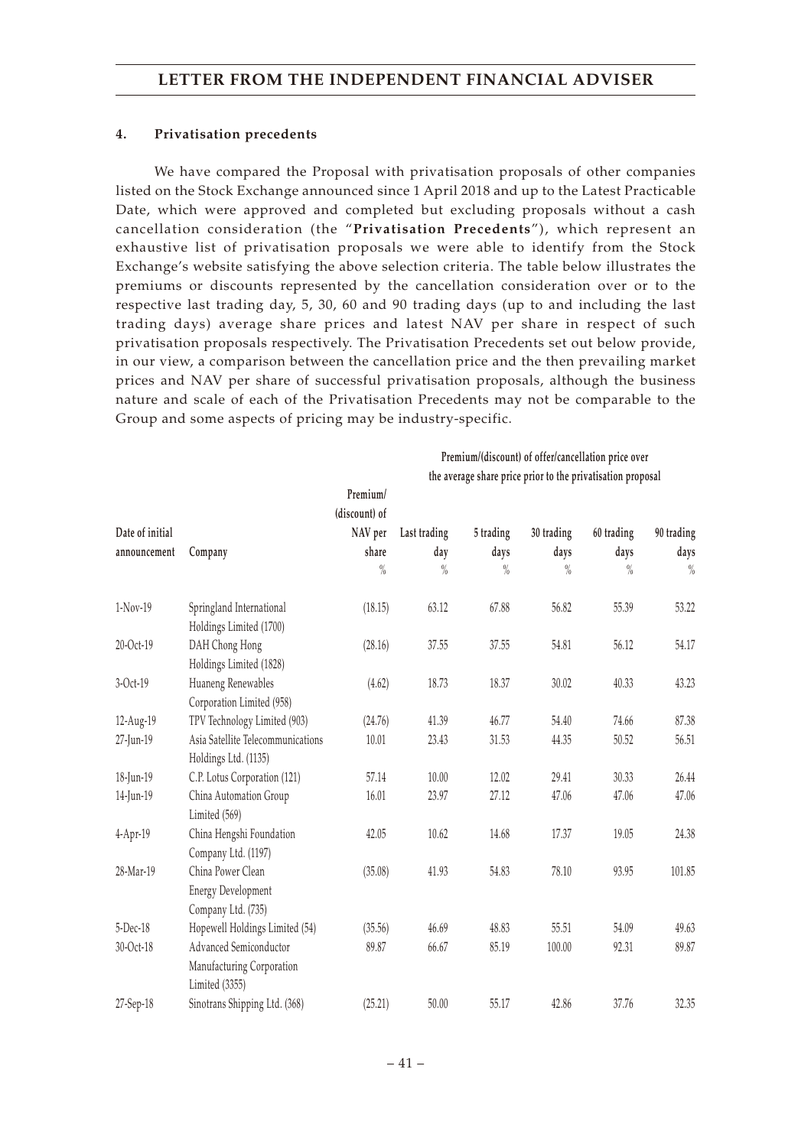## **4. Privatisation precedents**

We have compared the Proposal with privatisation proposals of other companies listed on the Stock Exchange announced since 1 April 2018 and up to the Latest Practicable Date, which were approved and completed but excluding proposals without a cash cancellation consideration (the "**Privatisation Precedents**"), which represent an exhaustive list of privatisation proposals we were able to identify from the Stock Exchange's website satisfying the above selection criteria. The table below illustrates the premiums or discounts represented by the cancellation consideration over or to the respective last trading day, 5, 30, 60 and 90 trading days (up to and including the last trading days) average share prices and latest NAV per share in respect of such privatisation proposals respectively. The Privatisation Precedents set out below provide, in our view, a comparison between the cancellation price and the then prevailing market prices and NAV per share of successful privatisation proposals, although the business nature and scale of each of the Privatisation Precedents may not be comparable to the Group and some aspects of pricing may be industry-specific.

|                 |                                   |               | Premium/(discount) of offer/cancellation price over         |               |               |               |               |
|-----------------|-----------------------------------|---------------|-------------------------------------------------------------|---------------|---------------|---------------|---------------|
|                 |                                   |               | the average share price prior to the privatisation proposal |               |               |               |               |
|                 |                                   | Premium/      |                                                             |               |               |               |               |
|                 |                                   | (discount) of |                                                             |               |               |               |               |
| Date of initial |                                   | NAV per       | Last trading                                                | 5 trading     | 30 trading    | 60 trading    | 90 trading    |
| announcement    | Company                           | share         | day                                                         | days          | days          | days          | days          |
|                 |                                   | $\%$          | $\frac{0}{0}$                                               | $\frac{0}{0}$ | $\frac{0}{0}$ | $\frac{0}{0}$ | $\frac{0}{0}$ |
| 1-Nov-19        | Springland International          | (18.15)       | 63.12                                                       | 67.88         | 56.82         | 55.39         | 53.22         |
|                 | Holdings Limited (1700)           |               |                                                             |               |               |               |               |
| 20-Oct-19       | DAH Chong Hong                    | (28.16)       | 37.55                                                       | 37.55         | 54.81         | 56.12         | 54.17         |
|                 | Holdings Limited (1828)           |               |                                                             |               |               |               |               |
| 3-Oct-19        | Huaneng Renewables                | (4.62)        | 18.73                                                       | 18.37         | 30.02         | 40.33         | 43.23         |
|                 | Corporation Limited (958)         |               |                                                             |               |               |               |               |
| 12-Aug-19       | TPV Technology Limited (903)      | (24.76)       | 41.39                                                       | 46.77         | 54.40         | 74.66         | 87.38         |
| 27-Jun-19       | Asia Satellite Telecommunications | 10.01         | 23.43                                                       | 31.53         | 44.35         | 50.52         | 56.51         |
|                 | Holdings Ltd. (1135)              |               |                                                             |               |               |               |               |
| 18-Jun-19       | C.P. Lotus Corporation (121)      | 57.14         | 10.00                                                       | 12.02         | 29.41         | 30.33         | 26.44         |
| 14-Jun-19       | China Automation Group            | 16.01         | 23.97                                                       | 27.12         | 47.06         | 47.06         | 47.06         |
|                 | Limited (569)                     |               |                                                             |               |               |               |               |
| 4-Apr-19        | China Hengshi Foundation          | 42.05         | 10.62                                                       | 14.68         | 17.37         | 19.05         | 24.38         |
|                 | Company Ltd. (1197)               |               |                                                             |               |               |               |               |
| 28-Mar-19       | China Power Clean                 | (35.08)       | 41.93                                                       | 54.83         | 78.10         | 93.95         | 101.85        |
|                 | <b>Energy Development</b>         |               |                                                             |               |               |               |               |
|                 | Company Ltd. (735)                |               |                                                             |               |               |               |               |
| 5-Dec-18        | Hopewell Holdings Limited (54)    | (35.56)       | 46.69                                                       | 48.83         | 55.51         | 54.09         | 49.63         |
| 30-Oct-18       | Advanced Semiconductor            | 89.87         | 66.67                                                       | 85.19         | 100.00        | 92.31         | 89.87         |
|                 | Manufacturing Corporation         |               |                                                             |               |               |               |               |
|                 | Limited (3355)                    |               |                                                             |               |               |               |               |
| 27-Sep-18       | Sinotrans Shipping Ltd. (368)     | (25.21)       | 50.00                                                       | 55.17         | 42.86         | 37.76         | 32.35         |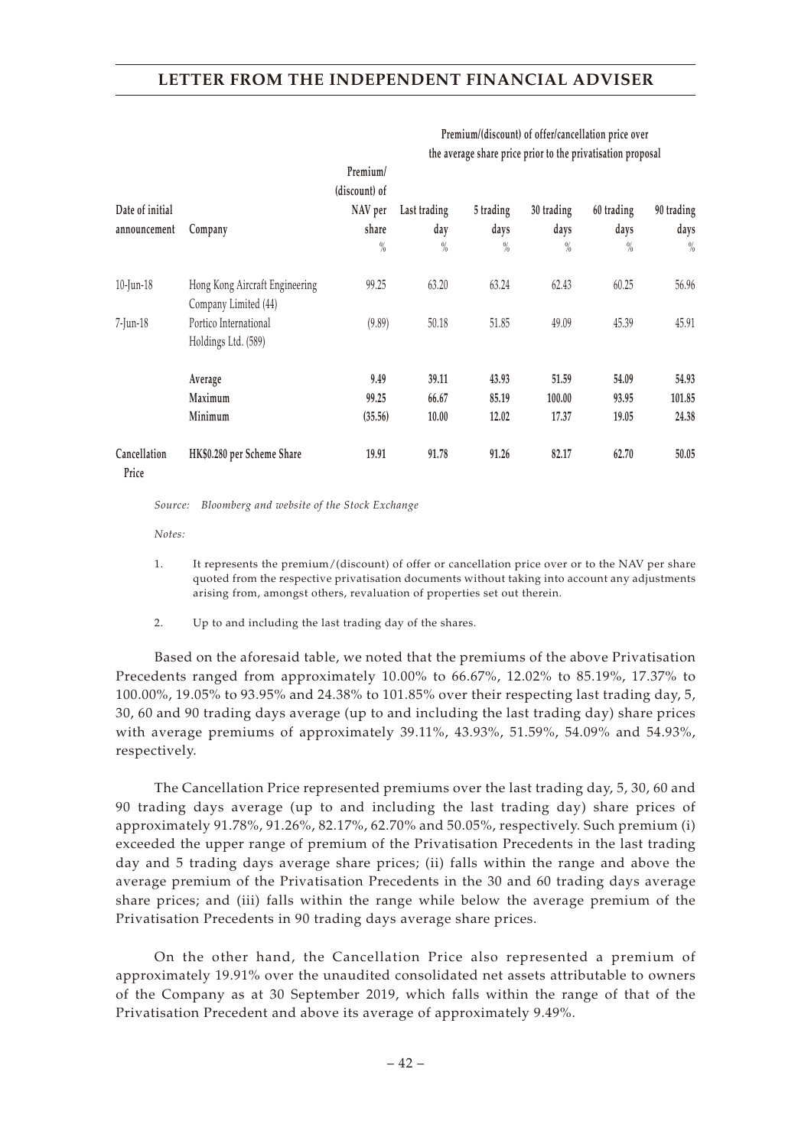|                       |                                | Premium/<br>(discount) of |              |           |            |            |            |
|-----------------------|--------------------------------|---------------------------|--------------|-----------|------------|------------|------------|
| Date of initial       |                                | NAV per                   | Last trading | 5 trading | 30 trading | 60 trading | 90 trading |
| announcement          | Company                        | share                     | day          | days      | days       | days       | days       |
|                       |                                | $\frac{0}{0}$             | $\%$         | $\%$      | $\%$       | $\%$       | $\%$       |
| $10$ -Jun-18          | Hong Kong Aircraft Engineering | 99.25                     | 63.20        | 63.24     | 62.43      | 60.25      | 56.96      |
|                       | Company Limited (44)           |                           |              |           |            |            |            |
| $7$ -Jun-18           | Portico International          | (9.89)                    | 50.18        | 51.85     | 49.09      | 45.39      | 45.91      |
|                       | Holdings Ltd. (589)            |                           |              |           |            |            |            |
|                       | Average                        | 9.49                      | 39.11        | 43.93     | 51.59      | 54.09      | 54.93      |
|                       | Maximum                        | 99.25                     | 66.67        | 85.19     | 100.00     | 93.95      | 101.85     |
|                       | Minimum                        | (35.56)                   | 10.00        | 12.02     | 17.37      | 19.05      | 24.38      |
| Cancellation<br>Price | HK\$0.280 per Scheme Share     | 19.91                     | 91.78        | 91.26     | 82.17      | 62.70      | 50.05      |

**Premium/(discount) of offer/cancellation price over the average share price prior to the privatisation proposal**

*Source: Bloomberg and website of the Stock Exchange*

*Notes:*

- 1. It represents the premium/(discount) of offer or cancellation price over or to the NAV per share quoted from the respective privatisation documents without taking into account any adjustments arising from, amongst others, revaluation of properties set out therein.
- 2. Up to and including the last trading day of the shares.

Based on the aforesaid table, we noted that the premiums of the above Privatisation Precedents ranged from approximately 10.00% to 66.67%, 12.02% to 85.19%, 17.37% to 100.00%, 19.05% to 93.95% and 24.38% to 101.85% over their respecting last trading day, 5, 30, 60 and 90 trading days average (up to and including the last trading day) share prices with average premiums of approximately 39.11%, 43.93%, 51.59%, 54.09% and 54.93%, respectively.

The Cancellation Price represented premiums over the last trading day, 5, 30, 60 and 90 trading days average (up to and including the last trading day) share prices of approximately 91.78%, 91.26%, 82.17%, 62.70% and 50.05%, respectively. Such premium (i) exceeded the upper range of premium of the Privatisation Precedents in the last trading day and 5 trading days average share prices; (ii) falls within the range and above the average premium of the Privatisation Precedents in the 30 and 60 trading days average share prices; and (iii) falls within the range while below the average premium of the Privatisation Precedents in 90 trading days average share prices.

On the other hand, the Cancellation Price also represented a premium of approximately 19.91% over the unaudited consolidated net assets attributable to owners of the Company as at 30 September 2019, which falls within the range of that of the Privatisation Precedent and above its average of approximately 9.49%.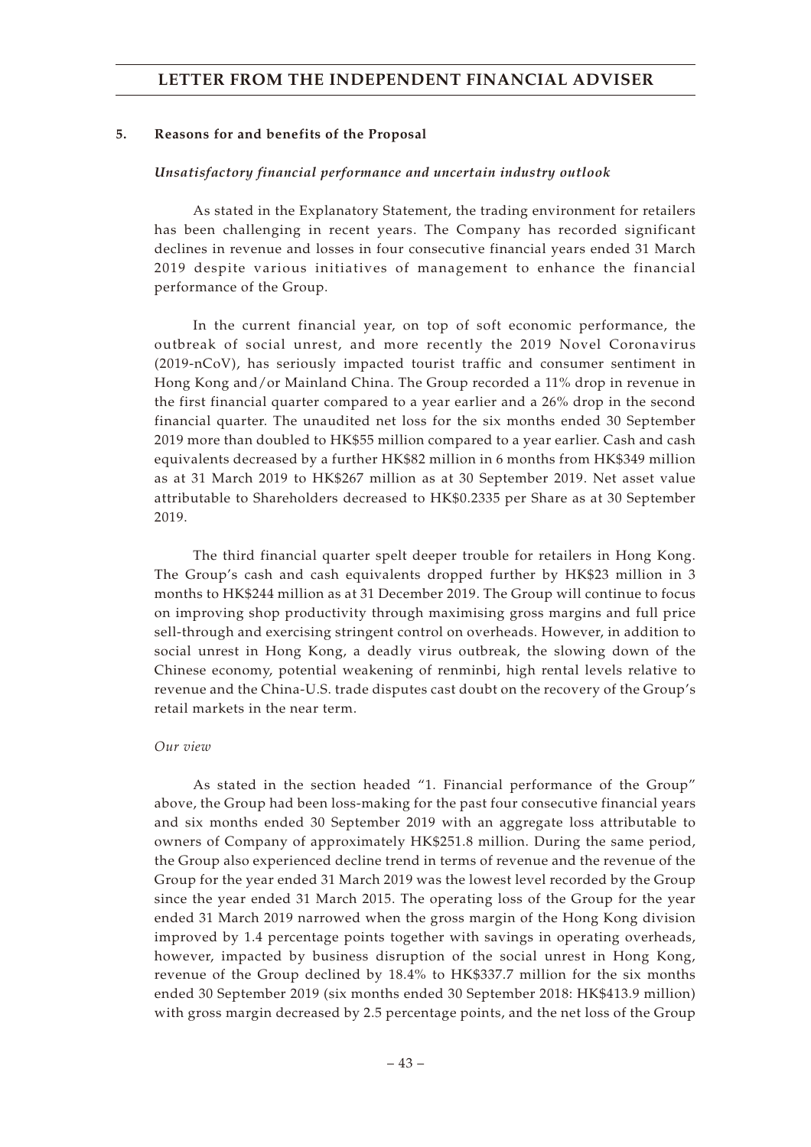#### **5. Reasons for and benefits of the Proposal**

#### *Unsatisfactory financial performance and uncertain industry outlook*

As stated in the Explanatory Statement, the trading environment for retailers has been challenging in recent years. The Company has recorded significant declines in revenue and losses in four consecutive financial years ended 31 March 2019 despite various initiatives of management to enhance the financial performance of the Group.

In the current financial year, on top of soft economic performance, the outbreak of social unrest, and more recently the 2019 Novel Coronavirus (2019-nCoV), has seriously impacted tourist traffic and consumer sentiment in Hong Kong and/or Mainland China. The Group recorded a 11% drop in revenue in the first financial quarter compared to a year earlier and a 26% drop in the second financial quarter. The unaudited net loss for the six months ended 30 September 2019 more than doubled to HK\$55 million compared to a year earlier. Cash and cash equivalents decreased by a further HK\$82 million in 6 months from HK\$349 million as at 31 March 2019 to HK\$267 million as at 30 September 2019. Net asset value attributable to Shareholders decreased to HK\$0.2335 per Share as at 30 September 2019.

The third financial quarter spelt deeper trouble for retailers in Hong Kong. The Group's cash and cash equivalents dropped further by HK\$23 million in 3 months to HK\$244 million as at 31 December 2019. The Group will continue to focus on improving shop productivity through maximising gross margins and full price sell-through and exercising stringent control on overheads. However, in addition to social unrest in Hong Kong, a deadly virus outbreak, the slowing down of the Chinese economy, potential weakening of renminbi, high rental levels relative to revenue and the China-U.S. trade disputes cast doubt on the recovery of the Group's retail markets in the near term.

#### *Our view*

As stated in the section headed "1. Financial performance of the Group" above, the Group had been loss-making for the past four consecutive financial years and six months ended 30 September 2019 with an aggregate loss attributable to owners of Company of approximately HK\$251.8 million. During the same period, the Group also experienced decline trend in terms of revenue and the revenue of the Group for the year ended 31 March 2019 was the lowest level recorded by the Group since the year ended 31 March 2015. The operating loss of the Group for the year ended 31 March 2019 narrowed when the gross margin of the Hong Kong division improved by 1.4 percentage points together with savings in operating overheads, however, impacted by business disruption of the social unrest in Hong Kong, revenue of the Group declined by 18.4% to HK\$337.7 million for the six months ended 30 September 2019 (six months ended 30 September 2018: HK\$413.9 million) with gross margin decreased by 2.5 percentage points, and the net loss of the Group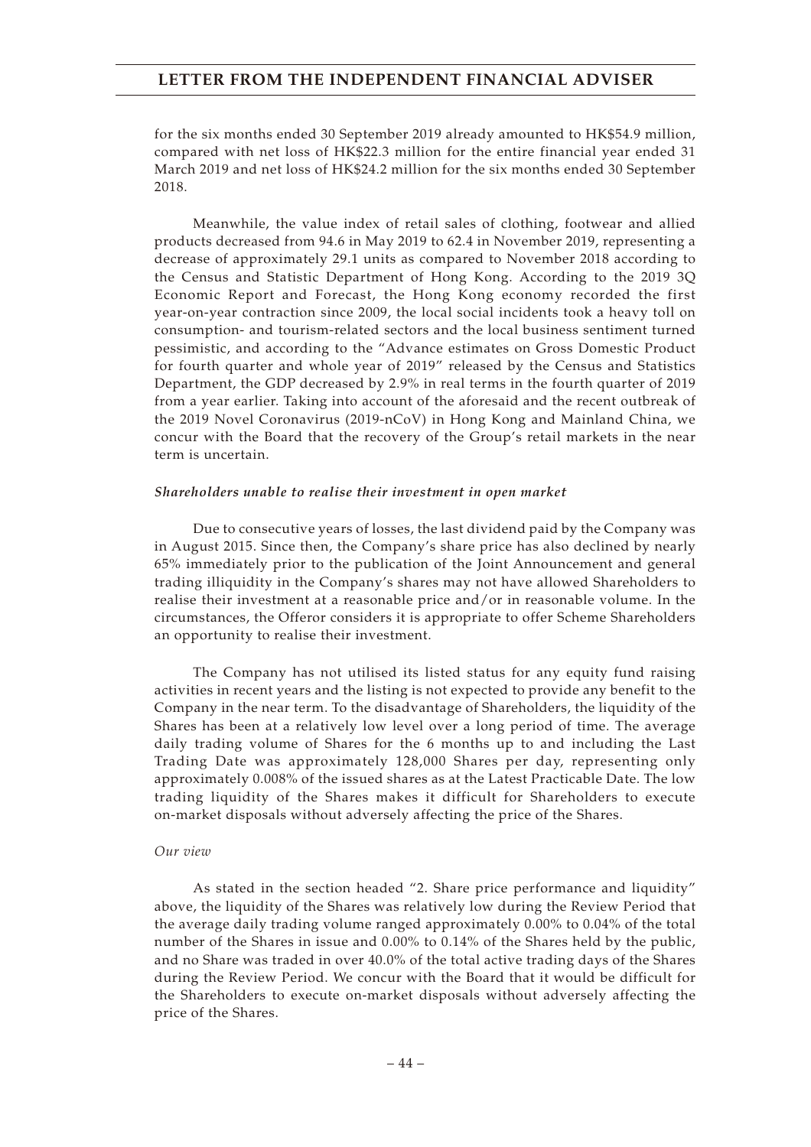for the six months ended 30 September 2019 already amounted to HK\$54.9 million, compared with net loss of HK\$22.3 million for the entire financial year ended 31 March 2019 and net loss of HK\$24.2 million for the six months ended 30 September 2018.

Meanwhile, the value index of retail sales of clothing, footwear and allied products decreased from 94.6 in May 2019 to 62.4 in November 2019, representing a decrease of approximately 29.1 units as compared to November 2018 according to the Census and Statistic Department of Hong Kong. According to the 2019 3Q Economic Report and Forecast, the Hong Kong economy recorded the first year-on-year contraction since 2009, the local social incidents took a heavy toll on consumption- and tourism-related sectors and the local business sentiment turned pessimistic, and according to the "Advance estimates on Gross Domestic Product for fourth quarter and whole year of 2019" released by the Census and Statistics Department, the GDP decreased by 2.9% in real terms in the fourth quarter of 2019 from a year earlier. Taking into account of the aforesaid and the recent outbreak of the 2019 Novel Coronavirus (2019-nCoV) in Hong Kong and Mainland China, we concur with the Board that the recovery of the Group's retail markets in the near term is uncertain.

#### *Shareholders unable to realise their investment in open market*

Due to consecutive years of losses, the last dividend paid by the Company was in August 2015. Since then, the Company's share price has also declined by nearly 65% immediately prior to the publication of the Joint Announcement and general trading illiquidity in the Company's shares may not have allowed Shareholders to realise their investment at a reasonable price and/or in reasonable volume. In the circumstances, the Offeror considers it is appropriate to offer Scheme Shareholders an opportunity to realise their investment.

The Company has not utilised its listed status for any equity fund raising activities in recent years and the listing is not expected to provide any benefit to the Company in the near term. To the disadvantage of Shareholders, the liquidity of the Shares has been at a relatively low level over a long period of time. The average daily trading volume of Shares for the 6 months up to and including the Last Trading Date was approximately 128,000 Shares per day, representing only approximately 0.008% of the issued shares as at the Latest Practicable Date. The low trading liquidity of the Shares makes it difficult for Shareholders to execute on-market disposals without adversely affecting the price of the Shares.

#### *Our view*

As stated in the section headed "2. Share price performance and liquidity" above, the liquidity of the Shares was relatively low during the Review Period that the average daily trading volume ranged approximately 0.00% to 0.04% of the total number of the Shares in issue and 0.00% to 0.14% of the Shares held by the public, and no Share was traded in over 40.0% of the total active trading days of the Shares during the Review Period. We concur with the Board that it would be difficult for the Shareholders to execute on-market disposals without adversely affecting the price of the Shares.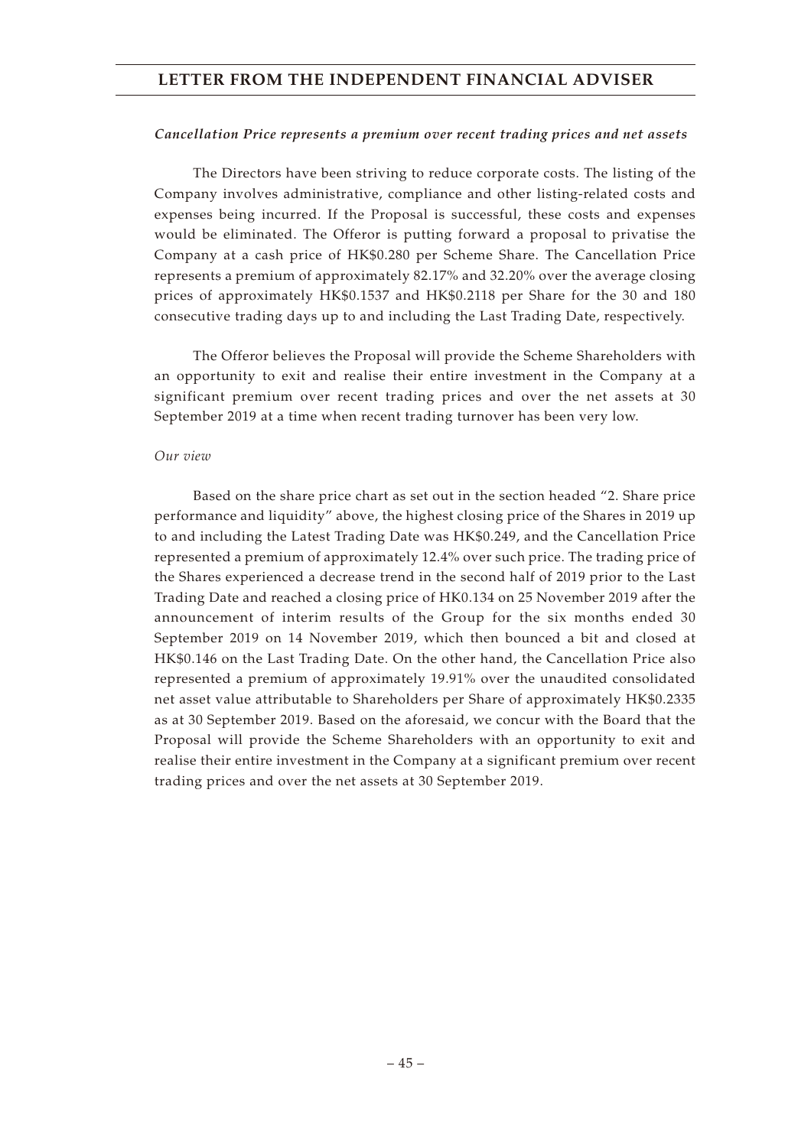#### *Cancellation Price represents a premium over recent trading prices and net assets*

The Directors have been striving to reduce corporate costs. The listing of the Company involves administrative, compliance and other listing-related costs and expenses being incurred. If the Proposal is successful, these costs and expenses would be eliminated. The Offeror is putting forward a proposal to privatise the Company at a cash price of HK\$0.280 per Scheme Share. The Cancellation Price represents a premium of approximately 82.17% and 32.20% over the average closing prices of approximately HK\$0.1537 and HK\$0.2118 per Share for the 30 and 180 consecutive trading days up to and including the Last Trading Date, respectively.

The Offeror believes the Proposal will provide the Scheme Shareholders with an opportunity to exit and realise their entire investment in the Company at a significant premium over recent trading prices and over the net assets at 30 September 2019 at a time when recent trading turnover has been very low.

#### *Our view*

Based on the share price chart as set out in the section headed "2. Share price performance and liquidity" above, the highest closing price of the Shares in 2019 up to and including the Latest Trading Date was HK\$0.249, and the Cancellation Price represented a premium of approximately 12.4% over such price. The trading price of the Shares experienced a decrease trend in the second half of 2019 prior to the Last Trading Date and reached a closing price of HK0.134 on 25 November 2019 after the announcement of interim results of the Group for the six months ended 30 September 2019 on 14 November 2019, which then bounced a bit and closed at HK\$0.146 on the Last Trading Date. On the other hand, the Cancellation Price also represented a premium of approximately 19.91% over the unaudited consolidated net asset value attributable to Shareholders per Share of approximately HK\$0.2335 as at 30 September 2019. Based on the aforesaid, we concur with the Board that the Proposal will provide the Scheme Shareholders with an opportunity to exit and realise their entire investment in the Company at a significant premium over recent trading prices and over the net assets at 30 September 2019.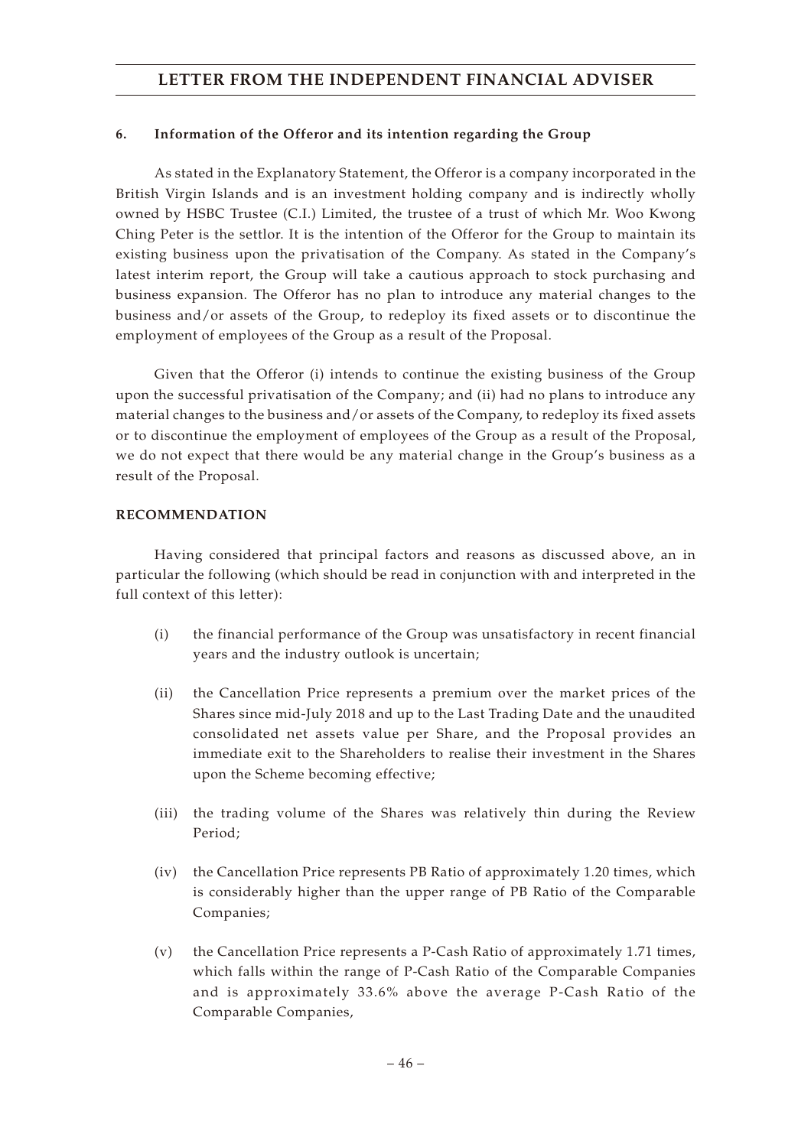## **6. Information of the Offeror and its intention regarding the Group**

As stated in the Explanatory Statement, the Offeror is a company incorporated in the British Virgin Islands and is an investment holding company and is indirectly wholly owned by HSBC Trustee (C.I.) Limited, the trustee of a trust of which Mr. Woo Kwong Ching Peter is the settlor. It is the intention of the Offeror for the Group to maintain its existing business upon the privatisation of the Company. As stated in the Company's latest interim report, the Group will take a cautious approach to stock purchasing and business expansion. The Offeror has no plan to introduce any material changes to the business and/or assets of the Group, to redeploy its fixed assets or to discontinue the employment of employees of the Group as a result of the Proposal.

Given that the Offeror (i) intends to continue the existing business of the Group upon the successful privatisation of the Company; and (ii) had no plans to introduce any material changes to the business and/or assets of the Company, to redeploy its fixed assets or to discontinue the employment of employees of the Group as a result of the Proposal, we do not expect that there would be any material change in the Group's business as a result of the Proposal.

### **RECOMMENDATION**

Having considered that principal factors and reasons as discussed above, an in particular the following (which should be read in conjunction with and interpreted in the full context of this letter):

- (i) the financial performance of the Group was unsatisfactory in recent financial years and the industry outlook is uncertain;
- (ii) the Cancellation Price represents a premium over the market prices of the Shares since mid-July 2018 and up to the Last Trading Date and the unaudited consolidated net assets value per Share, and the Proposal provides an immediate exit to the Shareholders to realise their investment in the Shares upon the Scheme becoming effective;
- (iii) the trading volume of the Shares was relatively thin during the Review Period;
- (iv) the Cancellation Price represents PB Ratio of approximately 1.20 times, which is considerably higher than the upper range of PB Ratio of the Comparable Companies;
- (v) the Cancellation Price represents a P-Cash Ratio of approximately 1.71 times, which falls within the range of P-Cash Ratio of the Comparable Companies and is approximately 33.6% above the average P-Cash Ratio of the Comparable Companies,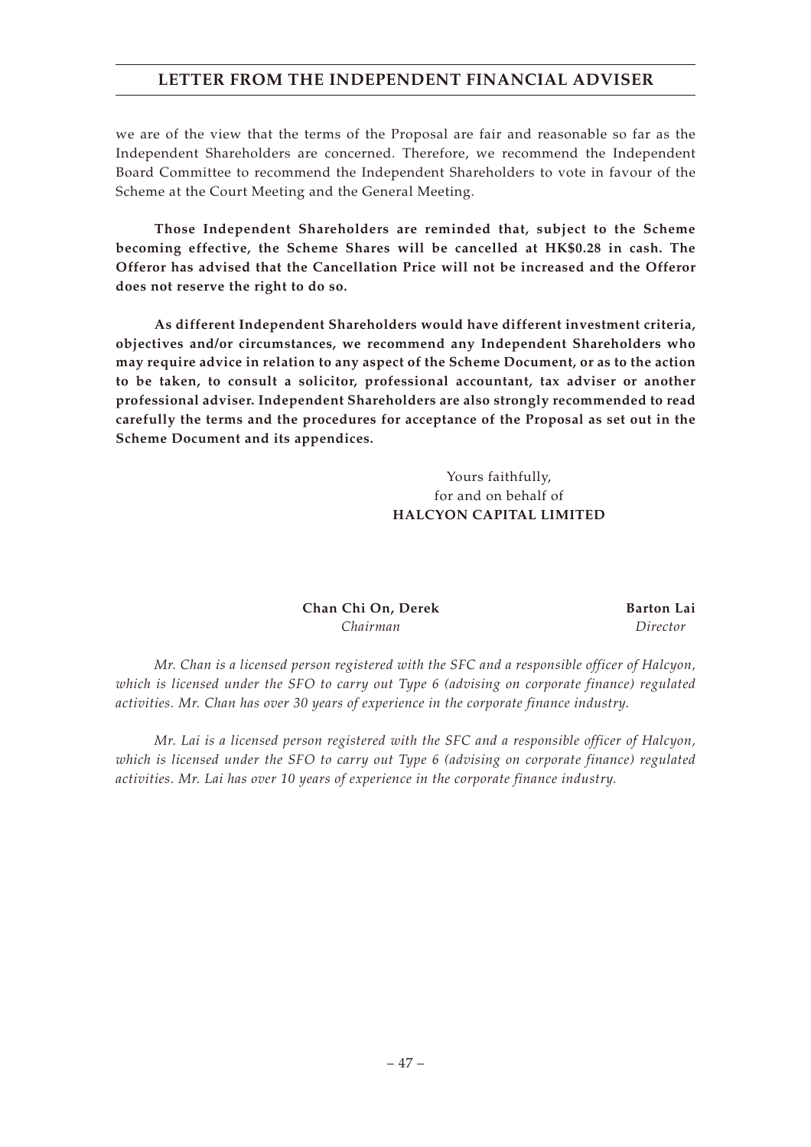we are of the view that the terms of the Proposal are fair and reasonable so far as the Independent Shareholders are concerned. Therefore, we recommend the Independent Board Committee to recommend the Independent Shareholders to vote in favour of the Scheme at the Court Meeting and the General Meeting.

**Those Independent Shareholders are reminded that, subject to the Scheme becoming effective, the Scheme Shares will be cancelled at HK\$0.28 in cash. The Offeror has advised that the Cancellation Price will not be increased and the Offeror does not reserve the right to do so.**

**As different Independent Shareholders would have different investment criteria, objectives and/or circumstances, we recommend any Independent Shareholders who may require advice in relation to any aspect of the Scheme Document, or as to the action to be taken, to consult a solicitor, professional accountant, tax adviser or another professional adviser. Independent Shareholders are also strongly recommended to read carefully the terms and the procedures for acceptance of the Proposal as set out in the Scheme Document and its appendices.**

> Yours faithfully, for and on behalf of **HALCYON CAPITAL LIMITED**

**Chan Chi On, Derek Barton Lai** *Chairman Director*

*Mr. Chan is a licensed person registered with the SFC and a responsible officer of Halcyon, which is licensed under the SFO to carry out Type 6 (advising on corporate finance) regulated activities. Mr. Chan has over 30 years of experience in the corporate finance industry.*

*Mr. Lai is a licensed person registered with the SFC and a responsible officer of Halcyon, which is licensed under the SFO to carry out Type 6 (advising on corporate finance) regulated activities. Mr. Lai has over 10 years of experience in the corporate finance industry.*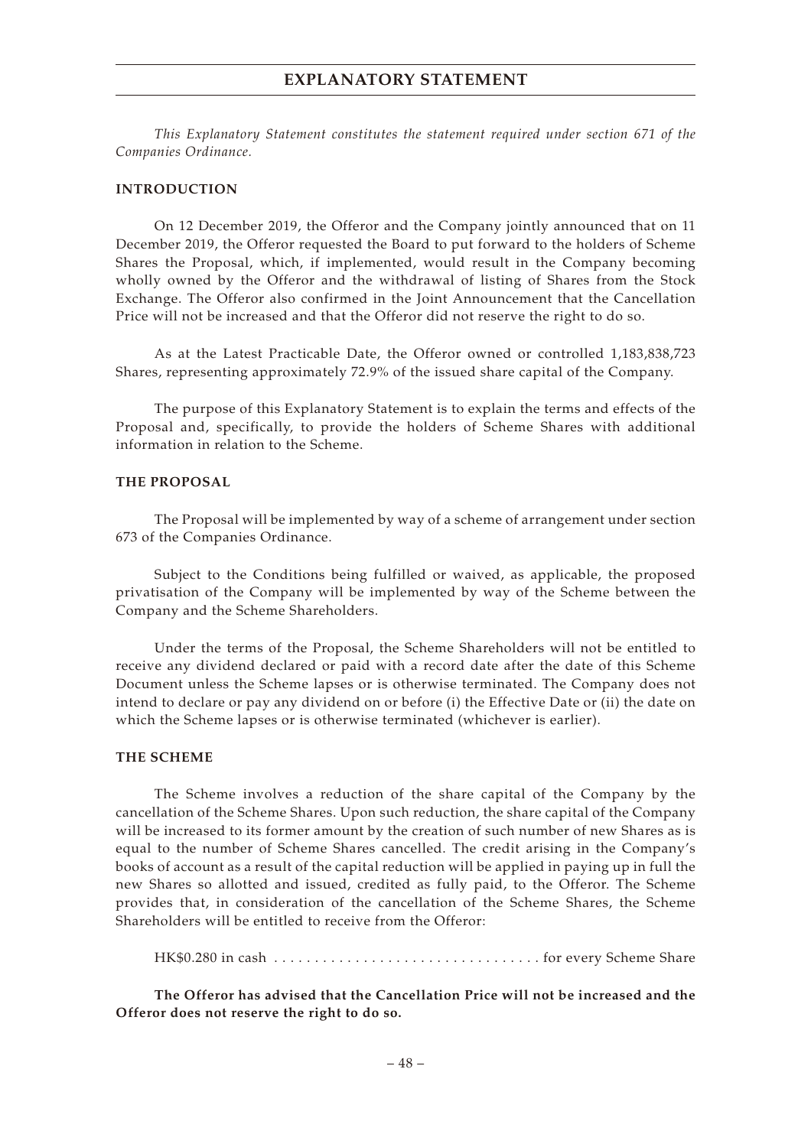*This Explanatory Statement constitutes the statement required under section 671 of the Companies Ordinance.*

#### **INTRODUCTION**

On 12 December 2019, the Offeror and the Company jointly announced that on 11 December 2019, the Offeror requested the Board to put forward to the holders of Scheme Shares the Proposal, which, if implemented, would result in the Company becoming wholly owned by the Offeror and the withdrawal of listing of Shares from the Stock Exchange. The Offeror also confirmed in the Joint Announcement that the Cancellation Price will not be increased and that the Offeror did not reserve the right to do so.

As at the Latest Practicable Date, the Offeror owned or controlled 1,183,838,723 Shares, representing approximately 72.9% of the issued share capital of the Company.

The purpose of this Explanatory Statement is to explain the terms and effects of the Proposal and, specifically, to provide the holders of Scheme Shares with additional information in relation to the Scheme.

#### **THE PROPOSAL**

The Proposal will be implemented by way of a scheme of arrangement under section 673 of the Companies Ordinance.

Subject to the Conditions being fulfilled or waived, as applicable, the proposed privatisation of the Company will be implemented by way of the Scheme between the Company and the Scheme Shareholders.

Under the terms of the Proposal, the Scheme Shareholders will not be entitled to receive any dividend declared or paid with a record date after the date of this Scheme Document unless the Scheme lapses or is otherwise terminated. The Company does not intend to declare or pay any dividend on or before (i) the Effective Date or (ii) the date on which the Scheme lapses or is otherwise terminated (whichever is earlier).

#### **THE SCHEME**

The Scheme involves a reduction of the share capital of the Company by the cancellation of the Scheme Shares. Upon such reduction, the share capital of the Company will be increased to its former amount by the creation of such number of new Shares as is equal to the number of Scheme Shares cancelled. The credit arising in the Company's books of account as a result of the capital reduction will be applied in paying up in full the new Shares so allotted and issued, credited as fully paid, to the Offeror. The Scheme provides that, in consideration of the cancellation of the Scheme Shares, the Scheme Shareholders will be entitled to receive from the Offeror:

HK\$0.280 in cash  $\dots\dots\dots\dots\dots\dots\dots\dots\dots\dots\dots\dots$  for every Scheme Share

**The Offeror has advised that the Cancellation Price will not be increased and the Offeror does not reserve the right to do so.**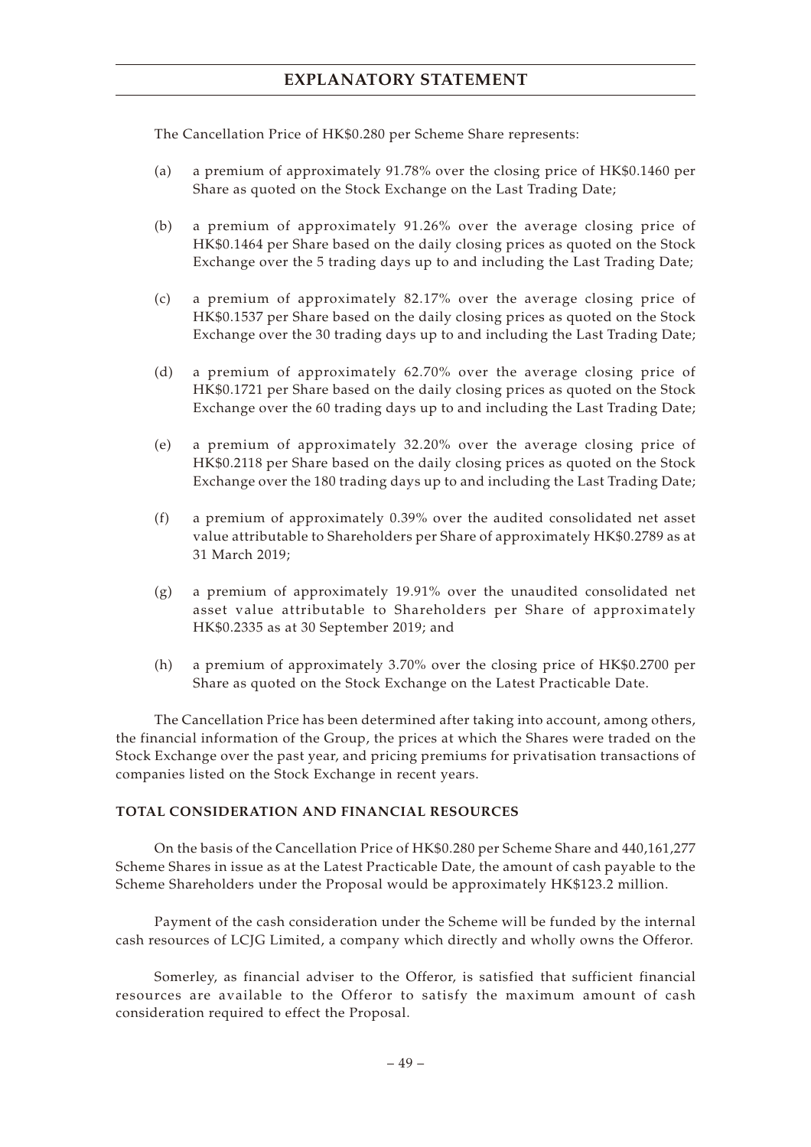The Cancellation Price of HK\$0.280 per Scheme Share represents:

- (a) a premium of approximately 91.78% over the closing price of HK\$0.1460 per Share as quoted on the Stock Exchange on the Last Trading Date;
- (b) a premium of approximately 91.26% over the average closing price of HK\$0.1464 per Share based on the daily closing prices as quoted on the Stock Exchange over the 5 trading days up to and including the Last Trading Date;
- (c) a premium of approximately 82.17% over the average closing price of HK\$0.1537 per Share based on the daily closing prices as quoted on the Stock Exchange over the 30 trading days up to and including the Last Trading Date;
- (d) a premium of approximately 62.70% over the average closing price of HK\$0.1721 per Share based on the daily closing prices as quoted on the Stock Exchange over the 60 trading days up to and including the Last Trading Date;
- (e) a premium of approximately 32.20% over the average closing price of HK\$0.2118 per Share based on the daily closing prices as quoted on the Stock Exchange over the 180 trading days up to and including the Last Trading Date;
- (f) a premium of approximately 0.39% over the audited consolidated net asset value attributable to Shareholders per Share of approximately HK\$0.2789 as at 31 March 2019;
- (g) a premium of approximately 19.91% over the unaudited consolidated net asset value attributable to Shareholders per Share of approximately HK\$0.2335 as at 30 September 2019; and
- (h) a premium of approximately 3.70% over the closing price of HK\$0.2700 per Share as quoted on the Stock Exchange on the Latest Practicable Date.

The Cancellation Price has been determined after taking into account, among others, the financial information of the Group, the prices at which the Shares were traded on the Stock Exchange over the past year, and pricing premiums for privatisation transactions of companies listed on the Stock Exchange in recent years.

### **TOTAL CONSIDERATION AND FINANCIAL RESOURCES**

On the basis of the Cancellation Price of HK\$0.280 per Scheme Share and 440,161,277 Scheme Shares in issue as at the Latest Practicable Date, the amount of cash payable to the Scheme Shareholders under the Proposal would be approximately HK\$123.2 million.

Payment of the cash consideration under the Scheme will be funded by the internal cash resources of LCJG Limited, a company which directly and wholly owns the Offeror.

Somerley, as financial adviser to the Offeror, is satisfied that sufficient financial resources are available to the Offeror to satisfy the maximum amount of cash consideration required to effect the Proposal.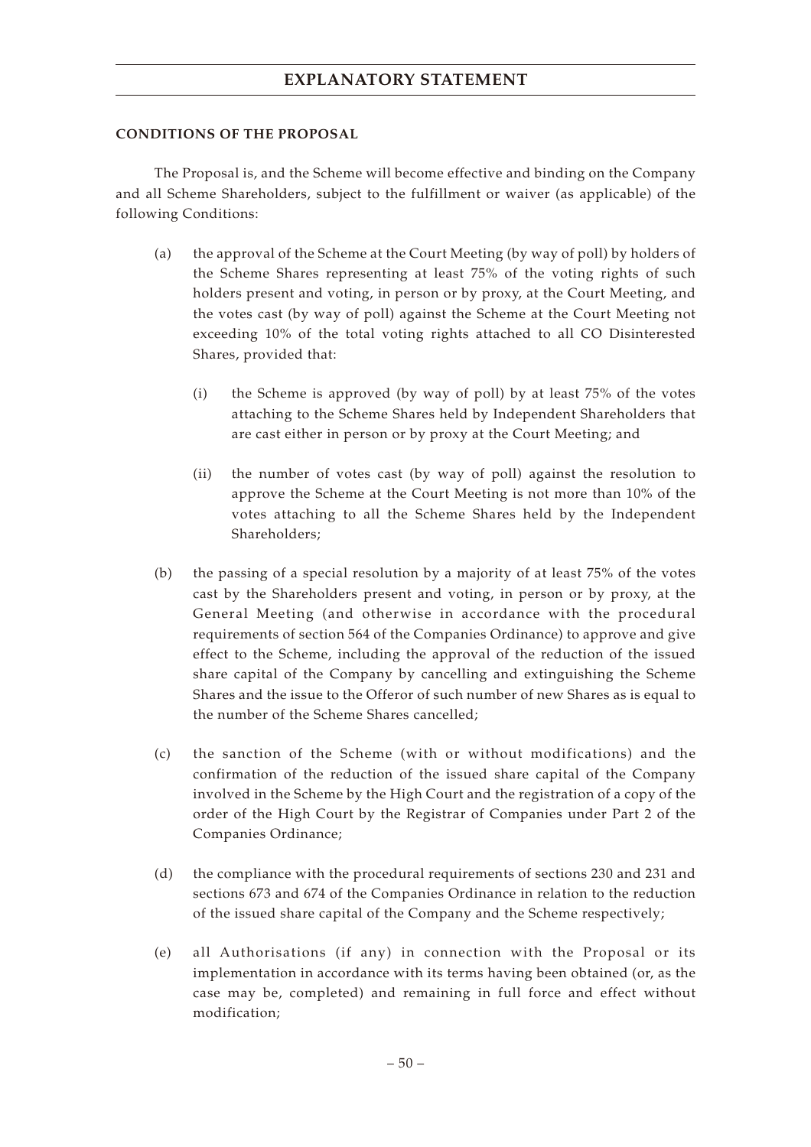### **CONDITIONS OF THE PROPOSAL**

The Proposal is, and the Scheme will become effective and binding on the Company and all Scheme Shareholders, subject to the fulfillment or waiver (as applicable) of the following Conditions:

- (a) the approval of the Scheme at the Court Meeting (by way of poll) by holders of the Scheme Shares representing at least 75% of the voting rights of such holders present and voting, in person or by proxy, at the Court Meeting, and the votes cast (by way of poll) against the Scheme at the Court Meeting not exceeding 10% of the total voting rights attached to all CO Disinterested Shares, provided that:
	- (i) the Scheme is approved (by way of poll) by at least 75% of the votes attaching to the Scheme Shares held by Independent Shareholders that are cast either in person or by proxy at the Court Meeting; and
	- (ii) the number of votes cast (by way of poll) against the resolution to approve the Scheme at the Court Meeting is not more than 10% of the votes attaching to all the Scheme Shares held by the Independent Shareholders;
- (b) the passing of a special resolution by a majority of at least 75% of the votes cast by the Shareholders present and voting, in person or by proxy, at the General Meeting (and otherwise in accordance with the procedural requirements of section 564 of the Companies Ordinance) to approve and give effect to the Scheme, including the approval of the reduction of the issued share capital of the Company by cancelling and extinguishing the Scheme Shares and the issue to the Offeror of such number of new Shares as is equal to the number of the Scheme Shares cancelled;
- (c) the sanction of the Scheme (with or without modifications) and the confirmation of the reduction of the issued share capital of the Company involved in the Scheme by the High Court and the registration of a copy of the order of the High Court by the Registrar of Companies under Part 2 of the Companies Ordinance;
- (d) the compliance with the procedural requirements of sections 230 and 231 and sections 673 and 674 of the Companies Ordinance in relation to the reduction of the issued share capital of the Company and the Scheme respectively;
- (e) all Authorisations (if any) in connection with the Proposal or its implementation in accordance with its terms having been obtained (or, as the case may be, completed) and remaining in full force and effect without modification;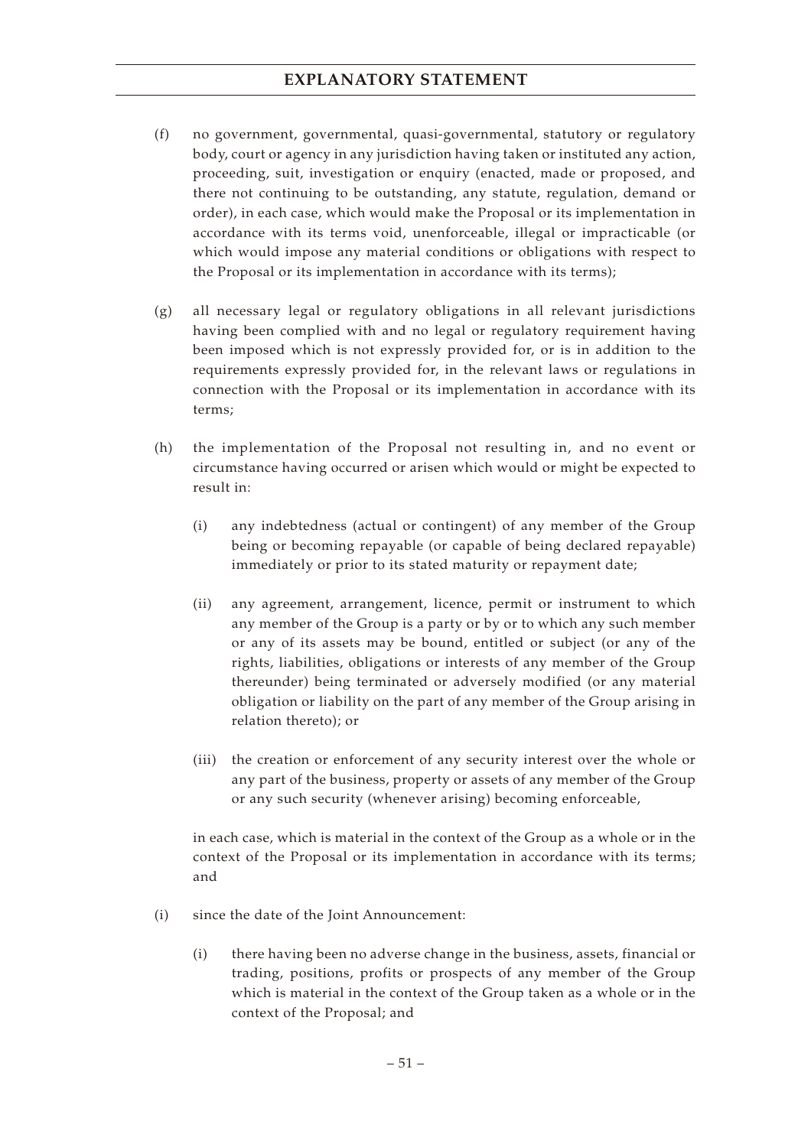- (f) no government, governmental, quasi-governmental, statutory or regulatory body, court or agency in any jurisdiction having taken or instituted any action, proceeding, suit, investigation or enquiry (enacted, made or proposed, and there not continuing to be outstanding, any statute, regulation, demand or order), in each case, which would make the Proposal or its implementation in accordance with its terms void, unenforceable, illegal or impracticable (or which would impose any material conditions or obligations with respect to the Proposal or its implementation in accordance with its terms);
- (g) all necessary legal or regulatory obligations in all relevant jurisdictions having been complied with and no legal or regulatory requirement having been imposed which is not expressly provided for, or is in addition to the requirements expressly provided for, in the relevant laws or regulations in connection with the Proposal or its implementation in accordance with its terms;
- (h) the implementation of the Proposal not resulting in, and no event or circumstance having occurred or arisen which would or might be expected to result in:
	- (i) any indebtedness (actual or contingent) of any member of the Group being or becoming repayable (or capable of being declared repayable) immediately or prior to its stated maturity or repayment date;
	- (ii) any agreement, arrangement, licence, permit or instrument to which any member of the Group is a party or by or to which any such member or any of its assets may be bound, entitled or subject (or any of the rights, liabilities, obligations or interests of any member of the Group thereunder) being terminated or adversely modified (or any material obligation or liability on the part of any member of the Group arising in relation thereto); or
	- (iii) the creation or enforcement of any security interest over the whole or any part of the business, property or assets of any member of the Group or any such security (whenever arising) becoming enforceable,

in each case, which is material in the context of the Group as a whole or in the context of the Proposal or its implementation in accordance with its terms; and

- (i) since the date of the Joint Announcement:
	- (i) there having been no adverse change in the business, assets, financial or trading, positions, profits or prospects of any member of the Group which is material in the context of the Group taken as a whole or in the context of the Proposal; and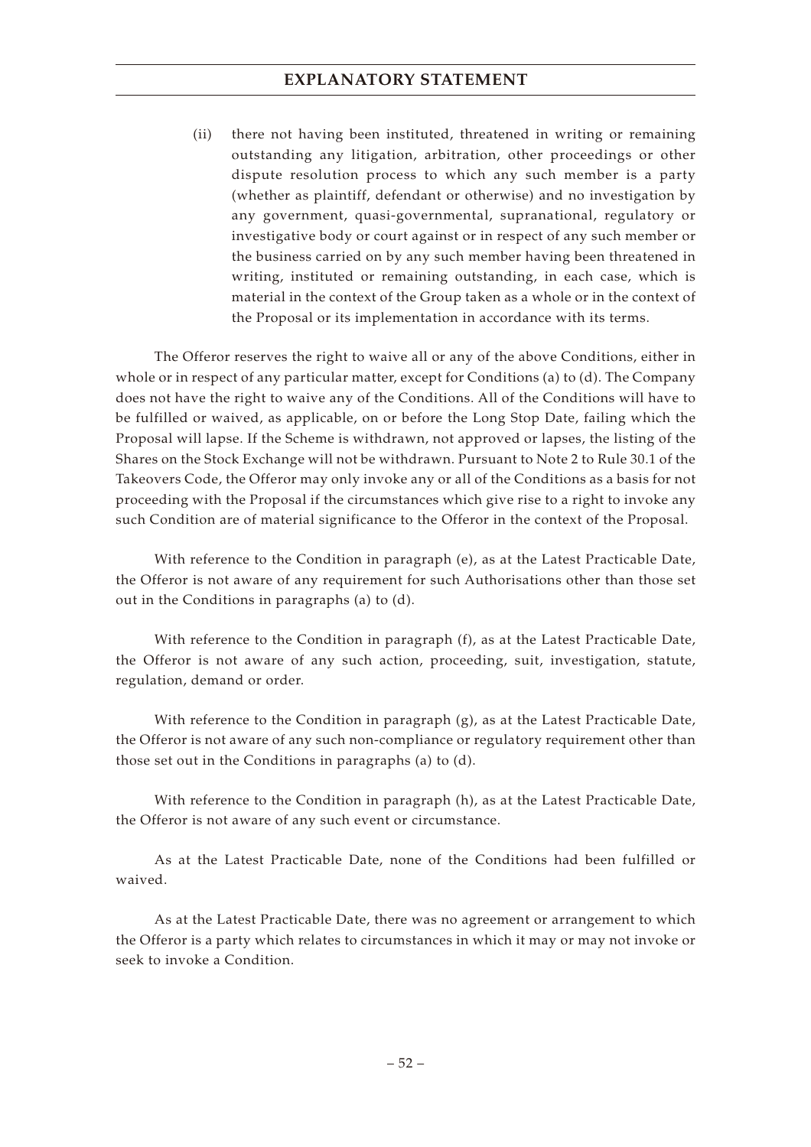(ii) there not having been instituted, threatened in writing or remaining outstanding any litigation, arbitration, other proceedings or other dispute resolution process to which any such member is a party (whether as plaintiff, defendant or otherwise) and no investigation by any government, quasi-governmental, supranational, regulatory or investigative body or court against or in respect of any such member or the business carried on by any such member having been threatened in writing, instituted or remaining outstanding, in each case, which is material in the context of the Group taken as a whole or in the context of the Proposal or its implementation in accordance with its terms.

The Offeror reserves the right to waive all or any of the above Conditions, either in whole or in respect of any particular matter, except for Conditions (a) to (d). The Company does not have the right to waive any of the Conditions. All of the Conditions will have to be fulfilled or waived, as applicable, on or before the Long Stop Date, failing which the Proposal will lapse. If the Scheme is withdrawn, not approved or lapses, the listing of the Shares on the Stock Exchange will not be withdrawn. Pursuant to Note 2 to Rule 30.1 of the Takeovers Code, the Offeror may only invoke any or all of the Conditions as a basis for not proceeding with the Proposal if the circumstances which give rise to a right to invoke any such Condition are of material significance to the Offeror in the context of the Proposal.

With reference to the Condition in paragraph (e), as at the Latest Practicable Date, the Offeror is not aware of any requirement for such Authorisations other than those set out in the Conditions in paragraphs (a) to (d).

With reference to the Condition in paragraph (f), as at the Latest Practicable Date, the Offeror is not aware of any such action, proceeding, suit, investigation, statute, regulation, demand or order.

With reference to the Condition in paragraph (g), as at the Latest Practicable Date, the Offeror is not aware of any such non-compliance or regulatory requirement other than those set out in the Conditions in paragraphs (a) to (d).

With reference to the Condition in paragraph (h), as at the Latest Practicable Date, the Offeror is not aware of any such event or circumstance.

As at the Latest Practicable Date, none of the Conditions had been fulfilled or waived.

As at the Latest Practicable Date, there was no agreement or arrangement to which the Offeror is a party which relates to circumstances in which it may or may not invoke or seek to invoke a Condition.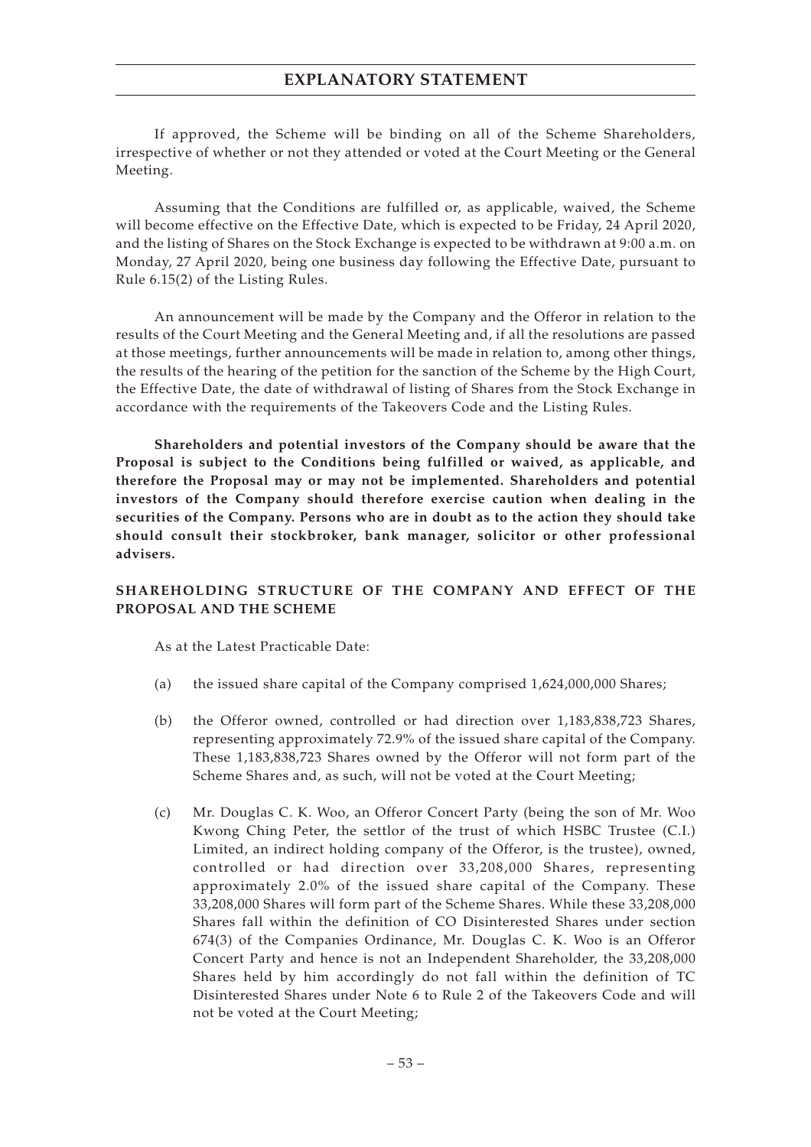If approved, the Scheme will be binding on all of the Scheme Shareholders, irrespective of whether or not they attended or voted at the Court Meeting or the General Meeting.

Assuming that the Conditions are fulfilled or, as applicable, waived, the Scheme will become effective on the Effective Date, which is expected to be Friday, 24 April 2020, and the listing of Shares on the Stock Exchange is expected to be withdrawn at 9:00 a.m. on Monday, 27 April 2020, being one business day following the Effective Date, pursuant to Rule 6.15(2) of the Listing Rules.

An announcement will be made by the Company and the Offeror in relation to the results of the Court Meeting and the General Meeting and, if all the resolutions are passed at those meetings, further announcements will be made in relation to, among other things, the results of the hearing of the petition for the sanction of the Scheme by the High Court, the Effective Date, the date of withdrawal of listing of Shares from the Stock Exchange in accordance with the requirements of the Takeovers Code and the Listing Rules.

**Shareholders and potential investors of the Company should be aware that the Proposal is subject to the Conditions being fulfilled or waived, as applicable, and therefore the Proposal may or may not be implemented. Shareholders and potential investors of the Company should therefore exercise caution when dealing in the securities of the Company. Persons who are in doubt as to the action they should take should consult their stockbroker, bank manager, solicitor or other professional advisers.**

## **SHAREHOLDING STRUCTURE OF THE COMPANY AND EFFECT OF THE PROPOSAL AND THE SCHEME**

As at the Latest Practicable Date:

- (a) the issued share capital of the Company comprised 1,624,000,000 Shares;
- (b) the Offeror owned, controlled or had direction over 1,183,838,723 Shares, representing approximately 72.9% of the issued share capital of the Company. These 1,183,838,723 Shares owned by the Offeror will not form part of the Scheme Shares and, as such, will not be voted at the Court Meeting;
- (c) Mr. Douglas C. K. Woo, an Offeror Concert Party (being the son of Mr. Woo Kwong Ching Peter, the settlor of the trust of which HSBC Trustee (C.I.) Limited, an indirect holding company of the Offeror, is the trustee), owned, controlled or had direction over 33,208,000 Shares, representing approximately 2.0% of the issued share capital of the Company. These 33,208,000 Shares will form part of the Scheme Shares. While these 33,208,000 Shares fall within the definition of CO Disinterested Shares under section 674(3) of the Companies Ordinance, Mr. Douglas C. K. Woo is an Offeror Concert Party and hence is not an Independent Shareholder, the 33,208,000 Shares held by him accordingly do not fall within the definition of TC Disinterested Shares under Note 6 to Rule 2 of the Takeovers Code and will not be voted at the Court Meeting;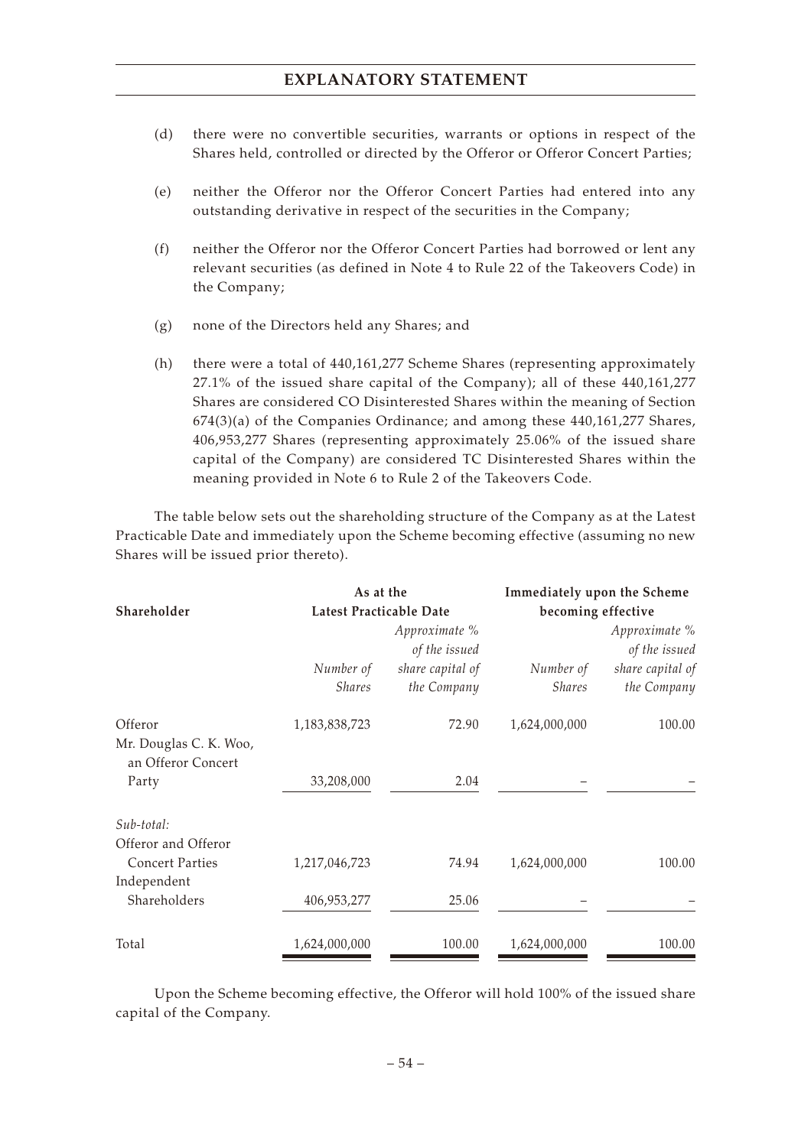- (d) there were no convertible securities, warrants or options in respect of the Shares held, controlled or directed by the Offeror or Offeror Concert Parties;
- (e) neither the Offeror nor the Offeror Concert Parties had entered into any outstanding derivative in respect of the securities in the Company;
- (f) neither the Offeror nor the Offeror Concert Parties had borrowed or lent any relevant securities (as defined in Note 4 to Rule 22 of the Takeovers Code) in the Company;
- (g) none of the Directors held any Shares; and
- (h) there were a total of 440,161,277 Scheme Shares (representing approximately 27.1% of the issued share capital of the Company); all of these 440,161,277 Shares are considered CO Disinterested Shares within the meaning of Section 674(3)(a) of the Companies Ordinance; and among these 440,161,277 Shares, 406,953,277 Shares (representing approximately 25.06% of the issued share capital of the Company) are considered TC Disinterested Shares within the meaning provided in Note 6 to Rule 2 of the Takeovers Code.

The table below sets out the shareholding structure of the Company as at the Latest Practicable Date and immediately upon the Scheme becoming effective (assuming no new Shares will be issued prior thereto).

| Shareholder                                             | As at the<br>Latest Practicable Date |                                 | Immediately upon the Scheme<br>becoming effective |                                 |  |
|---------------------------------------------------------|--------------------------------------|---------------------------------|---------------------------------------------------|---------------------------------|--|
|                                                         | Approximate %<br>of the issued       |                                 | Approximate %<br>of the issued                    |                                 |  |
|                                                         | Number of<br><b>Shares</b>           | share capital of<br>the Company | Number of<br><b>Shares</b>                        | share capital of<br>the Company |  |
| Offeror<br>Mr. Douglas C. K. Woo,<br>an Offeror Concert | 1,183,838,723                        | 72.90                           | 1,624,000,000                                     | 100.00                          |  |
| Party                                                   | 33,208,000                           | 2.04                            |                                                   |                                 |  |
| Sub-total:<br>Offeror and Offeror                       |                                      |                                 |                                                   |                                 |  |
| <b>Concert Parties</b><br>Independent                   | 1,217,046,723                        | 74.94                           | 1,624,000,000                                     | 100.00                          |  |
| Shareholders                                            | 406,953,277                          | 25.06                           |                                                   |                                 |  |
| Total                                                   | 1,624,000,000                        | 100.00                          | 1,624,000,000                                     | 100.00                          |  |

Upon the Scheme becoming effective, the Offeror will hold 100% of the issued share capital of the Company.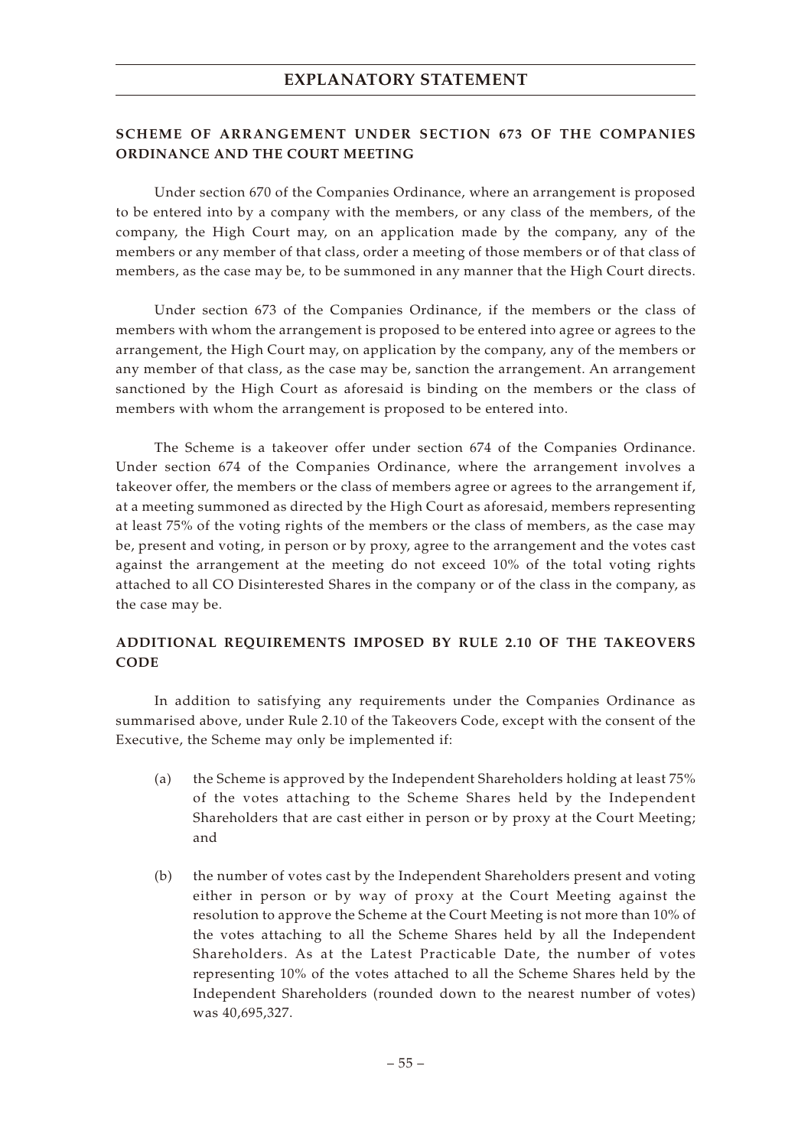## **SCHEME OF ARRANGEMENT UNDER SECTION 673 OF THE COMPANIES ORDINANCE AND THE COURT MEETING**

Under section 670 of the Companies Ordinance, where an arrangement is proposed to be entered into by a company with the members, or any class of the members, of the company, the High Court may, on an application made by the company, any of the members or any member of that class, order a meeting of those members or of that class of members, as the case may be, to be summoned in any manner that the High Court directs.

Under section 673 of the Companies Ordinance, if the members or the class of members with whom the arrangement is proposed to be entered into agree or agrees to the arrangement, the High Court may, on application by the company, any of the members or any member of that class, as the case may be, sanction the arrangement. An arrangement sanctioned by the High Court as aforesaid is binding on the members or the class of members with whom the arrangement is proposed to be entered into.

The Scheme is a takeover offer under section 674 of the Companies Ordinance. Under section 674 of the Companies Ordinance, where the arrangement involves a takeover offer, the members or the class of members agree or agrees to the arrangement if, at a meeting summoned as directed by the High Court as aforesaid, members representing at least 75% of the voting rights of the members or the class of members, as the case may be, present and voting, in person or by proxy, agree to the arrangement and the votes cast against the arrangement at the meeting do not exceed 10% of the total voting rights attached to all CO Disinterested Shares in the company or of the class in the company, as the case may be.

# **ADDITIONAL REQUIREMENTS IMPOSED BY RULE 2.10 OF THE TAKEOVERS CODE**

In addition to satisfying any requirements under the Companies Ordinance as summarised above, under Rule 2.10 of the Takeovers Code, except with the consent of the Executive, the Scheme may only be implemented if:

- (a) the Scheme is approved by the Independent Shareholders holding at least 75% of the votes attaching to the Scheme Shares held by the Independent Shareholders that are cast either in person or by proxy at the Court Meeting; and
- (b) the number of votes cast by the Independent Shareholders present and voting either in person or by way of proxy at the Court Meeting against the resolution to approve the Scheme at the Court Meeting is not more than 10% of the votes attaching to all the Scheme Shares held by all the Independent Shareholders. As at the Latest Practicable Date, the number of votes representing 10% of the votes attached to all the Scheme Shares held by the Independent Shareholders (rounded down to the nearest number of votes) was 40,695,327.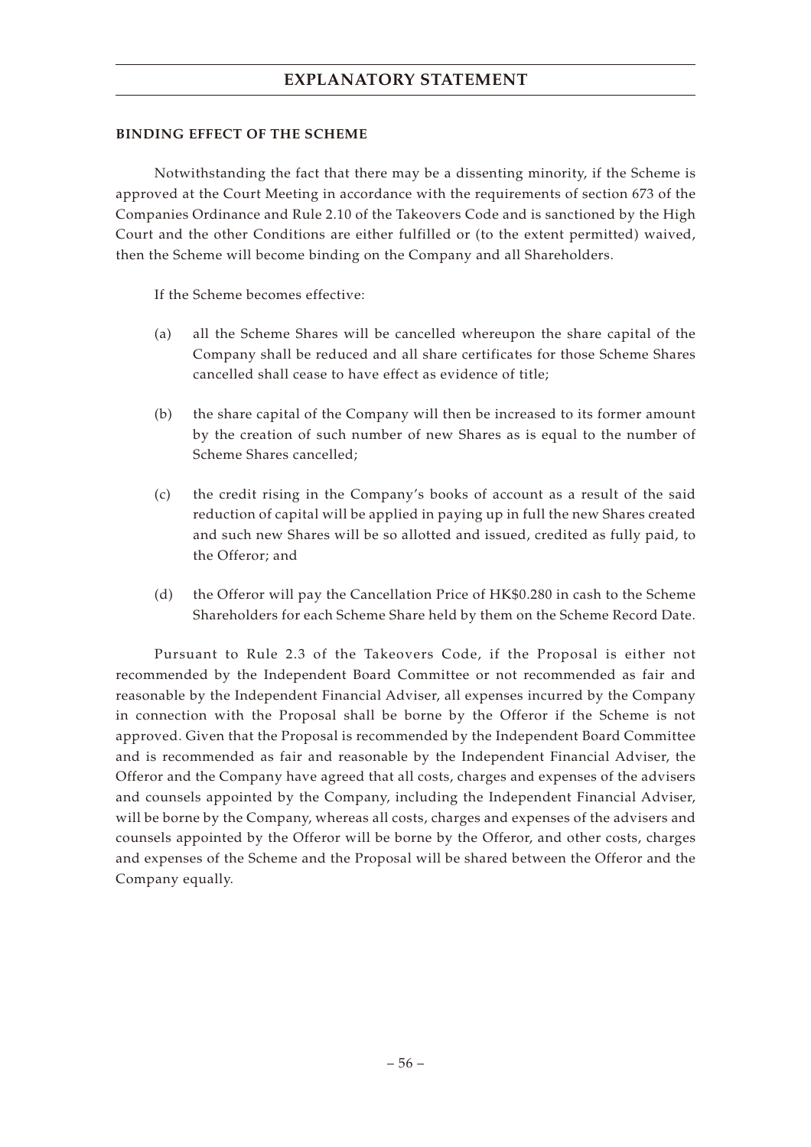### **BINDING EFFECT OF THE SCHEME**

Notwithstanding the fact that there may be a dissenting minority, if the Scheme is approved at the Court Meeting in accordance with the requirements of section 673 of the Companies Ordinance and Rule 2.10 of the Takeovers Code and is sanctioned by the High Court and the other Conditions are either fulfilled or (to the extent permitted) waived, then the Scheme will become binding on the Company and all Shareholders.

If the Scheme becomes effective:

- (a) all the Scheme Shares will be cancelled whereupon the share capital of the Company shall be reduced and all share certificates for those Scheme Shares cancelled shall cease to have effect as evidence of title;
- (b) the share capital of the Company will then be increased to its former amount by the creation of such number of new Shares as is equal to the number of Scheme Shares cancelled;
- (c) the credit rising in the Company's books of account as a result of the said reduction of capital will be applied in paying up in full the new Shares created and such new Shares will be so allotted and issued, credited as fully paid, to the Offeror; and
- (d) the Offeror will pay the Cancellation Price of HK\$0.280 in cash to the Scheme Shareholders for each Scheme Share held by them on the Scheme Record Date.

Pursuant to Rule 2.3 of the Takeovers Code, if the Proposal is either not recommended by the Independent Board Committee or not recommended as fair and reasonable by the Independent Financial Adviser, all expenses incurred by the Company in connection with the Proposal shall be borne by the Offeror if the Scheme is not approved. Given that the Proposal is recommended by the Independent Board Committee and is recommended as fair and reasonable by the Independent Financial Adviser, the Offeror and the Company have agreed that all costs, charges and expenses of the advisers and counsels appointed by the Company, including the Independent Financial Adviser, will be borne by the Company, whereas all costs, charges and expenses of the advisers and counsels appointed by the Offeror will be borne by the Offeror, and other costs, charges and expenses of the Scheme and the Proposal will be shared between the Offeror and the Company equally.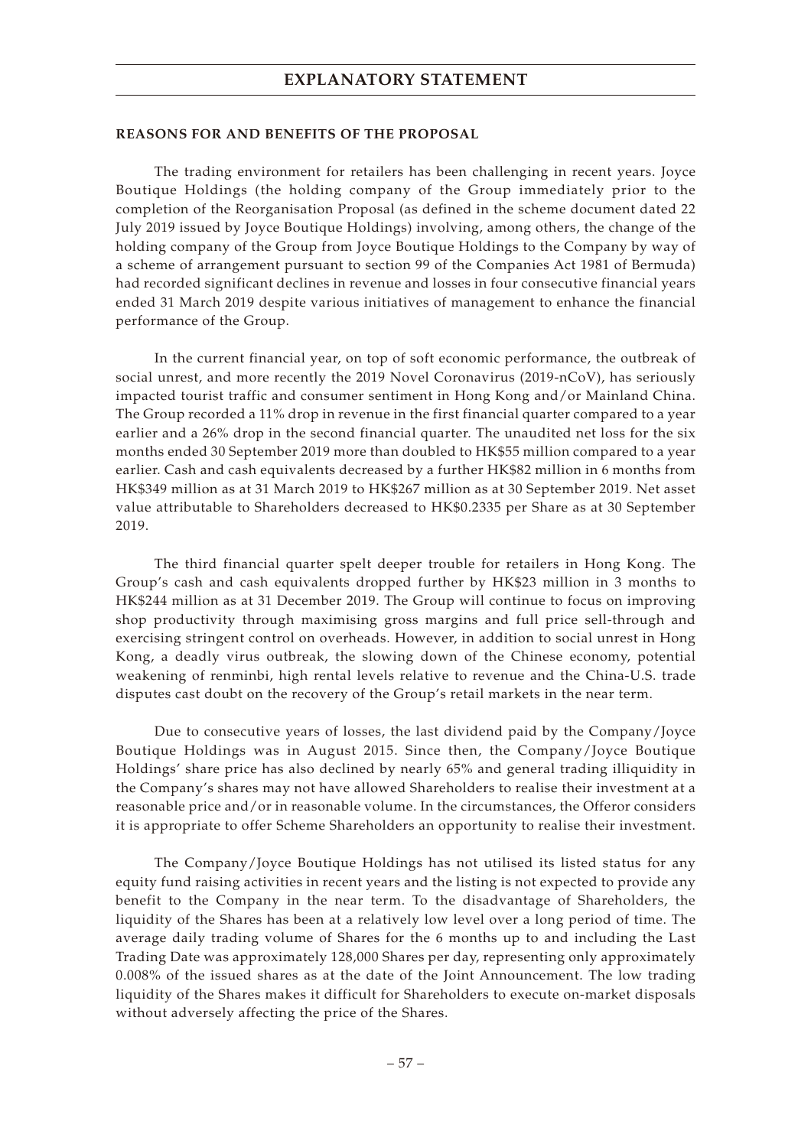#### **REASONS FOR AND BENEFITS OF THE PROPOSAL**

The trading environment for retailers has been challenging in recent years. Joyce Boutique Holdings (the holding company of the Group immediately prior to the completion of the Reorganisation Proposal (as defined in the scheme document dated 22 July 2019 issued by Joyce Boutique Holdings) involving, among others, the change of the holding company of the Group from Joyce Boutique Holdings to the Company by way of a scheme of arrangement pursuant to section 99 of the Companies Act 1981 of Bermuda) had recorded significant declines in revenue and losses in four consecutive financial years ended 31 March 2019 despite various initiatives of management to enhance the financial performance of the Group.

In the current financial year, on top of soft economic performance, the outbreak of social unrest, and more recently the 2019 Novel Coronavirus (2019-nCoV), has seriously impacted tourist traffic and consumer sentiment in Hong Kong and/or Mainland China. The Group recorded a 11% drop in revenue in the first financial quarter compared to a year earlier and a 26% drop in the second financial quarter. The unaudited net loss for the six months ended 30 September 2019 more than doubled to HK\$55 million compared to a year earlier. Cash and cash equivalents decreased by a further HK\$82 million in 6 months from HK\$349 million as at 31 March 2019 to HK\$267 million as at 30 September 2019. Net asset value attributable to Shareholders decreased to HK\$0.2335 per Share as at 30 September 2019.

The third financial quarter spelt deeper trouble for retailers in Hong Kong. The Group's cash and cash equivalents dropped further by HK\$23 million in 3 months to HK\$244 million as at 31 December 2019. The Group will continue to focus on improving shop productivity through maximising gross margins and full price sell-through and exercising stringent control on overheads. However, in addition to social unrest in Hong Kong, a deadly virus outbreak, the slowing down of the Chinese economy, potential weakening of renminbi, high rental levels relative to revenue and the China-U.S. trade disputes cast doubt on the recovery of the Group's retail markets in the near term.

Due to consecutive years of losses, the last dividend paid by the Company/Joyce Boutique Holdings was in August 2015. Since then, the Company/Joyce Boutique Holdings' share price has also declined by nearly 65% and general trading illiquidity in the Company's shares may not have allowed Shareholders to realise their investment at a reasonable price and/or in reasonable volume. In the circumstances, the Offeror considers it is appropriate to offer Scheme Shareholders an opportunity to realise their investment.

The Company/Joyce Boutique Holdings has not utilised its listed status for any equity fund raising activities in recent years and the listing is not expected to provide any benefit to the Company in the near term. To the disadvantage of Shareholders, the liquidity of the Shares has been at a relatively low level over a long period of time. The average daily trading volume of Shares for the 6 months up to and including the Last Trading Date was approximately 128,000 Shares per day, representing only approximately 0.008% of the issued shares as at the date of the Joint Announcement. The low trading liquidity of the Shares makes it difficult for Shareholders to execute on-market disposals without adversely affecting the price of the Shares.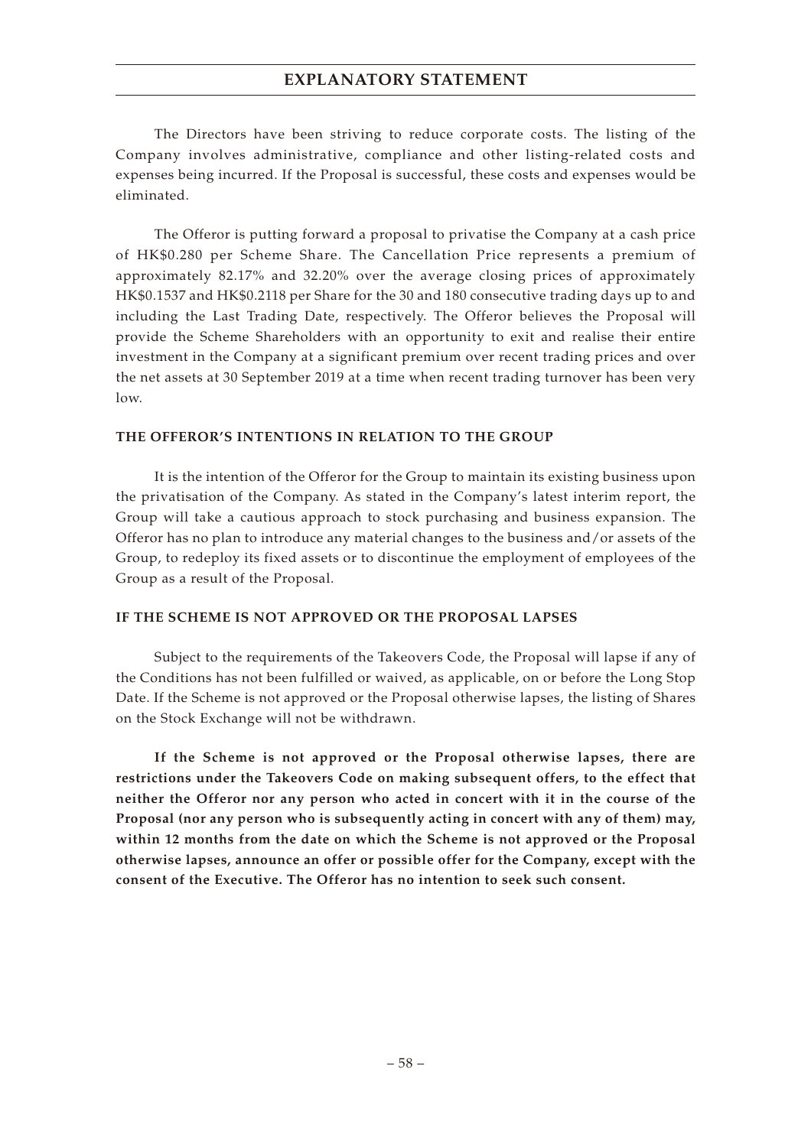The Directors have been striving to reduce corporate costs. The listing of the Company involves administrative, compliance and other listing-related costs and expenses being incurred. If the Proposal is successful, these costs and expenses would be eliminated.

The Offeror is putting forward a proposal to privatise the Company at a cash price of HK\$0.280 per Scheme Share. The Cancellation Price represents a premium of approximately 82.17% and 32.20% over the average closing prices of approximately HK\$0.1537 and HK\$0.2118 per Share for the 30 and 180 consecutive trading days up to and including the Last Trading Date, respectively. The Offeror believes the Proposal will provide the Scheme Shareholders with an opportunity to exit and realise their entire investment in the Company at a significant premium over recent trading prices and over the net assets at 30 September 2019 at a time when recent trading turnover has been very low.

### **THE OFFEROR'S INTENTIONS IN RELATION TO THE GROUP**

It is the intention of the Offeror for the Group to maintain its existing business upon the privatisation of the Company. As stated in the Company's latest interim report, the Group will take a cautious approach to stock purchasing and business expansion. The Offeror has no plan to introduce any material changes to the business and/or assets of the Group, to redeploy its fixed assets or to discontinue the employment of employees of the Group as a result of the Proposal.

#### **IF THE SCHEME IS NOT APPROVED OR THE PROPOSAL LAPSES**

Subject to the requirements of the Takeovers Code, the Proposal will lapse if any of the Conditions has not been fulfilled or waived, as applicable, on or before the Long Stop Date. If the Scheme is not approved or the Proposal otherwise lapses, the listing of Shares on the Stock Exchange will not be withdrawn.

**If the Scheme is not approved or the Proposal otherwise lapses, there are restrictions under the Takeovers Code on making subsequent offers, to the effect that neither the Offeror nor any person who acted in concert with it in the course of the Proposal (nor any person who is subsequently acting in concert with any of them) may, within 12 months from the date on which the Scheme is not approved or the Proposal otherwise lapses, announce an offer or possible offer for the Company, except with the consent of the Executive. The Offeror has no intention to seek such consent.**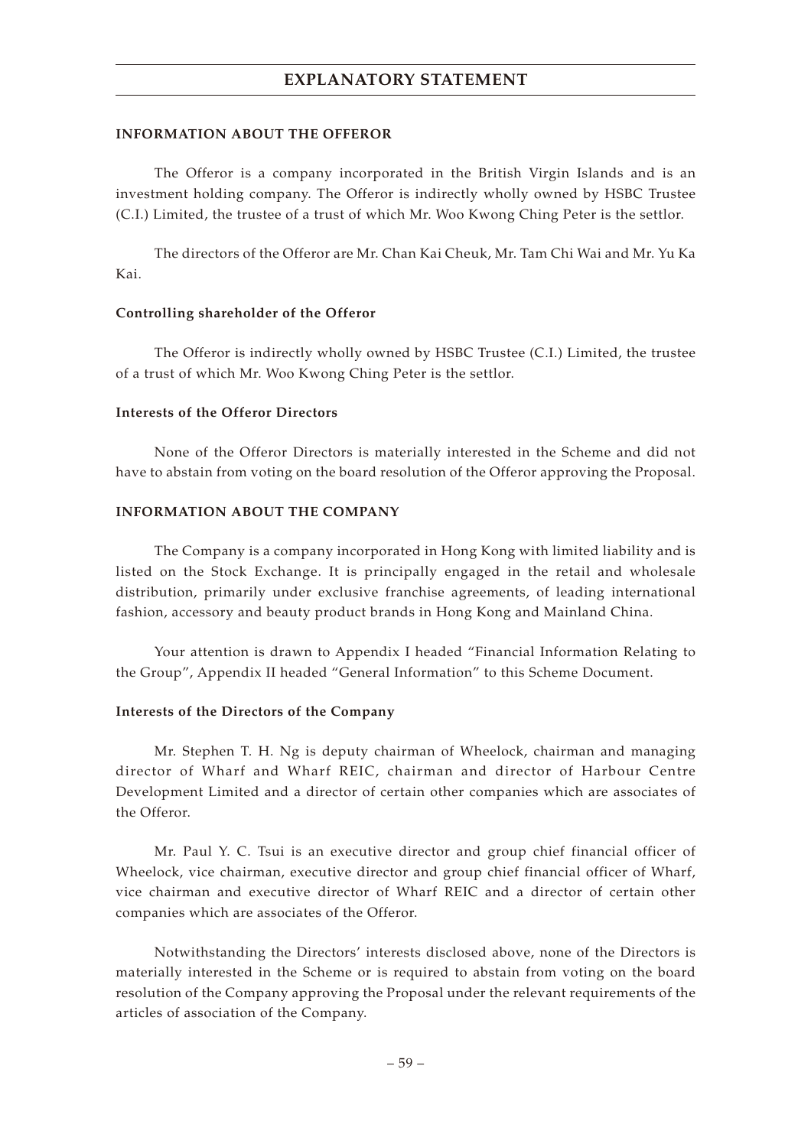#### **INFORMATION ABOUT THE OFFEROR**

The Offeror is a company incorporated in the British Virgin Islands and is an investment holding company. The Offeror is indirectly wholly owned by HSBC Trustee (C.I.) Limited, the trustee of a trust of which Mr. Woo Kwong Ching Peter is the settlor.

The directors of the Offeror are Mr. Chan Kai Cheuk, Mr. Tam Chi Wai and Mr. Yu Ka Kai.

#### **Controlling shareholder of the Offeror**

The Offeror is indirectly wholly owned by HSBC Trustee (C.I.) Limited, the trustee of a trust of which Mr. Woo Kwong Ching Peter is the settlor.

#### **Interests of the Offeror Directors**

None of the Offeror Directors is materially interested in the Scheme and did not have to abstain from voting on the board resolution of the Offeror approving the Proposal.

### **INFORMATION ABOUT THE COMPANY**

The Company is a company incorporated in Hong Kong with limited liability and is listed on the Stock Exchange. It is principally engaged in the retail and wholesale distribution, primarily under exclusive franchise agreements, of leading international fashion, accessory and beauty product brands in Hong Kong and Mainland China.

Your attention is drawn to Appendix I headed "Financial Information Relating to the Group", Appendix II headed "General Information" to this Scheme Document.

#### **Interests of the Directors of the Company**

Mr. Stephen T. H. Ng is deputy chairman of Wheelock, chairman and managing director of Wharf and Wharf REIC, chairman and director of Harbour Centre Development Limited and a director of certain other companies which are associates of the Offeror.

Mr. Paul Y. C. Tsui is an executive director and group chief financial officer of Wheelock, vice chairman, executive director and group chief financial officer of Wharf, vice chairman and executive director of Wharf REIC and a director of certain other companies which are associates of the Offeror.

Notwithstanding the Directors' interests disclosed above, none of the Directors is materially interested in the Scheme or is required to abstain from voting on the board resolution of the Company approving the Proposal under the relevant requirements of the articles of association of the Company.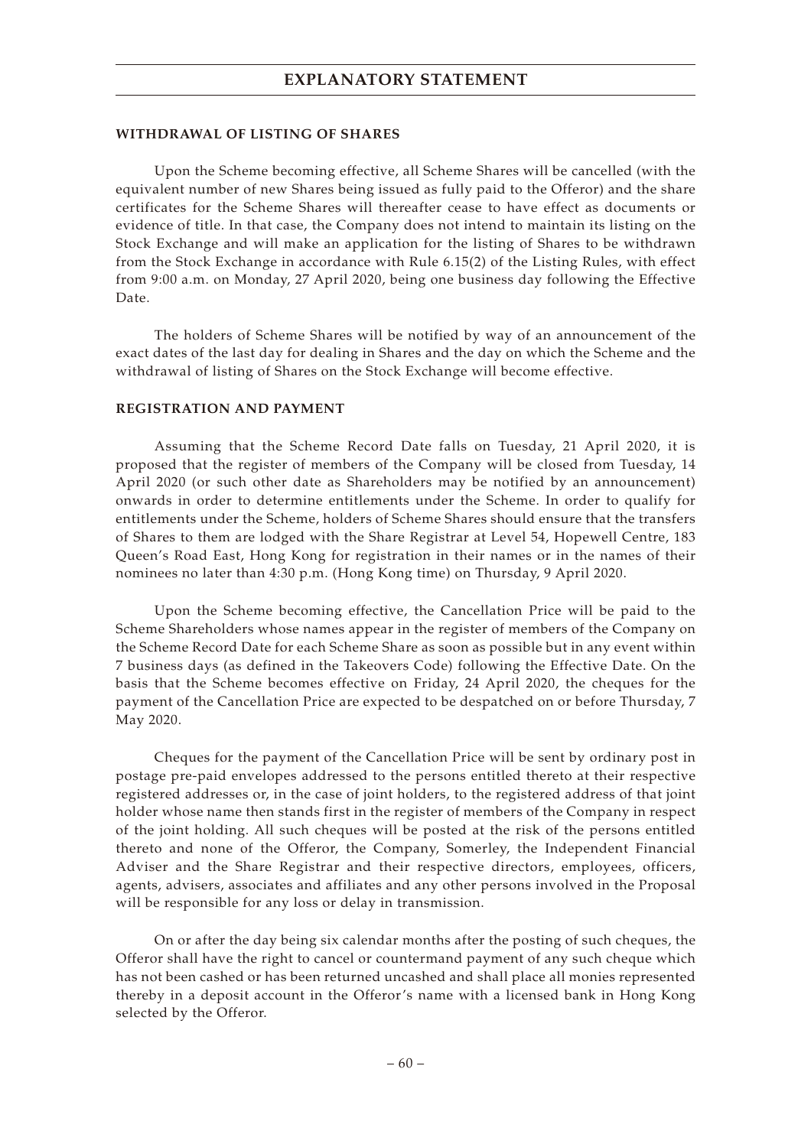#### **WITHDRAWAL OF LISTING OF SHARES**

Upon the Scheme becoming effective, all Scheme Shares will be cancelled (with the equivalent number of new Shares being issued as fully paid to the Offeror) and the share certificates for the Scheme Shares will thereafter cease to have effect as documents or evidence of title. In that case, the Company does not intend to maintain its listing on the Stock Exchange and will make an application for the listing of Shares to be withdrawn from the Stock Exchange in accordance with Rule 6.15(2) of the Listing Rules, with effect from 9:00 a.m. on Monday, 27 April 2020, being one business day following the Effective Date.

The holders of Scheme Shares will be notified by way of an announcement of the exact dates of the last day for dealing in Shares and the day on which the Scheme and the withdrawal of listing of Shares on the Stock Exchange will become effective.

#### **REGISTRATION AND PAYMENT**

Assuming that the Scheme Record Date falls on Tuesday, 21 April 2020, it is proposed that the register of members of the Company will be closed from Tuesday, 14 April 2020 (or such other date as Shareholders may be notified by an announcement) onwards in order to determine entitlements under the Scheme. In order to qualify for entitlements under the Scheme, holders of Scheme Shares should ensure that the transfers of Shares to them are lodged with the Share Registrar at Level 54, Hopewell Centre, 183 Queen's Road East, Hong Kong for registration in their names or in the names of their nominees no later than 4:30 p.m. (Hong Kong time) on Thursday, 9 April 2020.

Upon the Scheme becoming effective, the Cancellation Price will be paid to the Scheme Shareholders whose names appear in the register of members of the Company on the Scheme Record Date for each Scheme Share as soon as possible but in any event within 7 business days (as defined in the Takeovers Code) following the Effective Date. On the basis that the Scheme becomes effective on Friday, 24 April 2020, the cheques for the payment of the Cancellation Price are expected to be despatched on or before Thursday, 7 May 2020.

Cheques for the payment of the Cancellation Price will be sent by ordinary post in postage pre-paid envelopes addressed to the persons entitled thereto at their respective registered addresses or, in the case of joint holders, to the registered address of that joint holder whose name then stands first in the register of members of the Company in respect of the joint holding. All such cheques will be posted at the risk of the persons entitled thereto and none of the Offeror, the Company, Somerley, the Independent Financial Adviser and the Share Registrar and their respective directors, employees, officers, agents, advisers, associates and affiliates and any other persons involved in the Proposal will be responsible for any loss or delay in transmission.

On or after the day being six calendar months after the posting of such cheques, the Offeror shall have the right to cancel or countermand payment of any such cheque which has not been cashed or has been returned uncashed and shall place all monies represented thereby in a deposit account in the Offeror's name with a licensed bank in Hong Kong selected by the Offeror.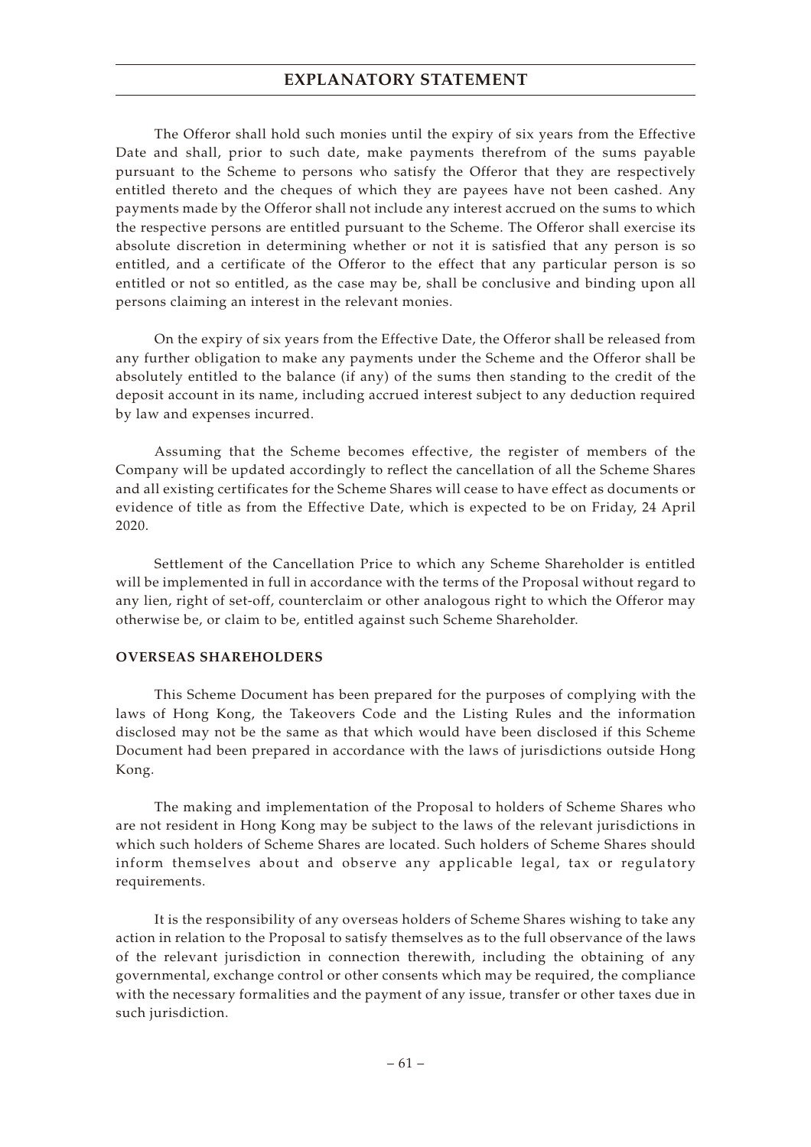The Offeror shall hold such monies until the expiry of six years from the Effective Date and shall, prior to such date, make payments therefrom of the sums payable pursuant to the Scheme to persons who satisfy the Offeror that they are respectively entitled thereto and the cheques of which they are payees have not been cashed. Any payments made by the Offeror shall not include any interest accrued on the sums to which the respective persons are entitled pursuant to the Scheme. The Offeror shall exercise its absolute discretion in determining whether or not it is satisfied that any person is so entitled, and a certificate of the Offeror to the effect that any particular person is so entitled or not so entitled, as the case may be, shall be conclusive and binding upon all persons claiming an interest in the relevant monies.

On the expiry of six years from the Effective Date, the Offeror shall be released from any further obligation to make any payments under the Scheme and the Offeror shall be absolutely entitled to the balance (if any) of the sums then standing to the credit of the deposit account in its name, including accrued interest subject to any deduction required by law and expenses incurred.

Assuming that the Scheme becomes effective, the register of members of the Company will be updated accordingly to reflect the cancellation of all the Scheme Shares and all existing certificates for the Scheme Shares will cease to have effect as documents or evidence of title as from the Effective Date, which is expected to be on Friday, 24 April 2020.

Settlement of the Cancellation Price to which any Scheme Shareholder is entitled will be implemented in full in accordance with the terms of the Proposal without regard to any lien, right of set-off, counterclaim or other analogous right to which the Offeror may otherwise be, or claim to be, entitled against such Scheme Shareholder.

#### **OVERSEAS SHAREHOLDERS**

This Scheme Document has been prepared for the purposes of complying with the laws of Hong Kong, the Takeovers Code and the Listing Rules and the information disclosed may not be the same as that which would have been disclosed if this Scheme Document had been prepared in accordance with the laws of jurisdictions outside Hong Kong.

The making and implementation of the Proposal to holders of Scheme Shares who are not resident in Hong Kong may be subject to the laws of the relevant jurisdictions in which such holders of Scheme Shares are located. Such holders of Scheme Shares should inform themselves about and observe any applicable legal, tax or regulatory requirements.

It is the responsibility of any overseas holders of Scheme Shares wishing to take any action in relation to the Proposal to satisfy themselves as to the full observance of the laws of the relevant jurisdiction in connection therewith, including the obtaining of any governmental, exchange control or other consents which may be required, the compliance with the necessary formalities and the payment of any issue, transfer or other taxes due in such jurisdiction.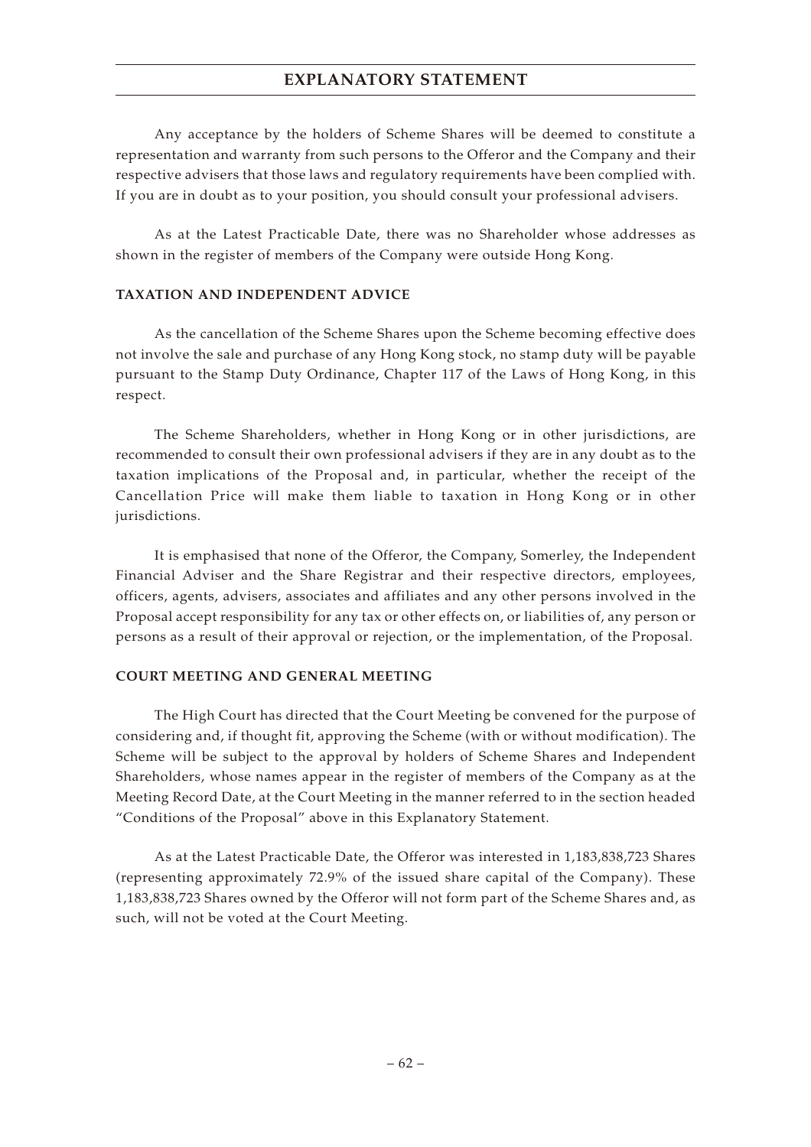Any acceptance by the holders of Scheme Shares will be deemed to constitute a representation and warranty from such persons to the Offeror and the Company and their respective advisers that those laws and regulatory requirements have been complied with. If you are in doubt as to your position, you should consult your professional advisers.

As at the Latest Practicable Date, there was no Shareholder whose addresses as shown in the register of members of the Company were outside Hong Kong.

### **TAXATION AND INDEPENDENT ADVICE**

As the cancellation of the Scheme Shares upon the Scheme becoming effective does not involve the sale and purchase of any Hong Kong stock, no stamp duty will be payable pursuant to the Stamp Duty Ordinance, Chapter 117 of the Laws of Hong Kong, in this respect.

The Scheme Shareholders, whether in Hong Kong or in other jurisdictions, are recommended to consult their own professional advisers if they are in any doubt as to the taxation implications of the Proposal and, in particular, whether the receipt of the Cancellation Price will make them liable to taxation in Hong Kong or in other jurisdictions.

It is emphasised that none of the Offeror, the Company, Somerley, the Independent Financial Adviser and the Share Registrar and their respective directors, employees, officers, agents, advisers, associates and affiliates and any other persons involved in the Proposal accept responsibility for any tax or other effects on, or liabilities of, any person or persons as a result of their approval or rejection, or the implementation, of the Proposal.

### **COURT MEETING AND GENERAL MEETING**

The High Court has directed that the Court Meeting be convened for the purpose of considering and, if thought fit, approving the Scheme (with or without modification). The Scheme will be subject to the approval by holders of Scheme Shares and Independent Shareholders, whose names appear in the register of members of the Company as at the Meeting Record Date, at the Court Meeting in the manner referred to in the section headed "Conditions of the Proposal" above in this Explanatory Statement.

As at the Latest Practicable Date, the Offeror was interested in 1,183,838,723 Shares (representing approximately 72.9% of the issued share capital of the Company). These 1,183,838,723 Shares owned by the Offeror will not form part of the Scheme Shares and, as such, will not be voted at the Court Meeting.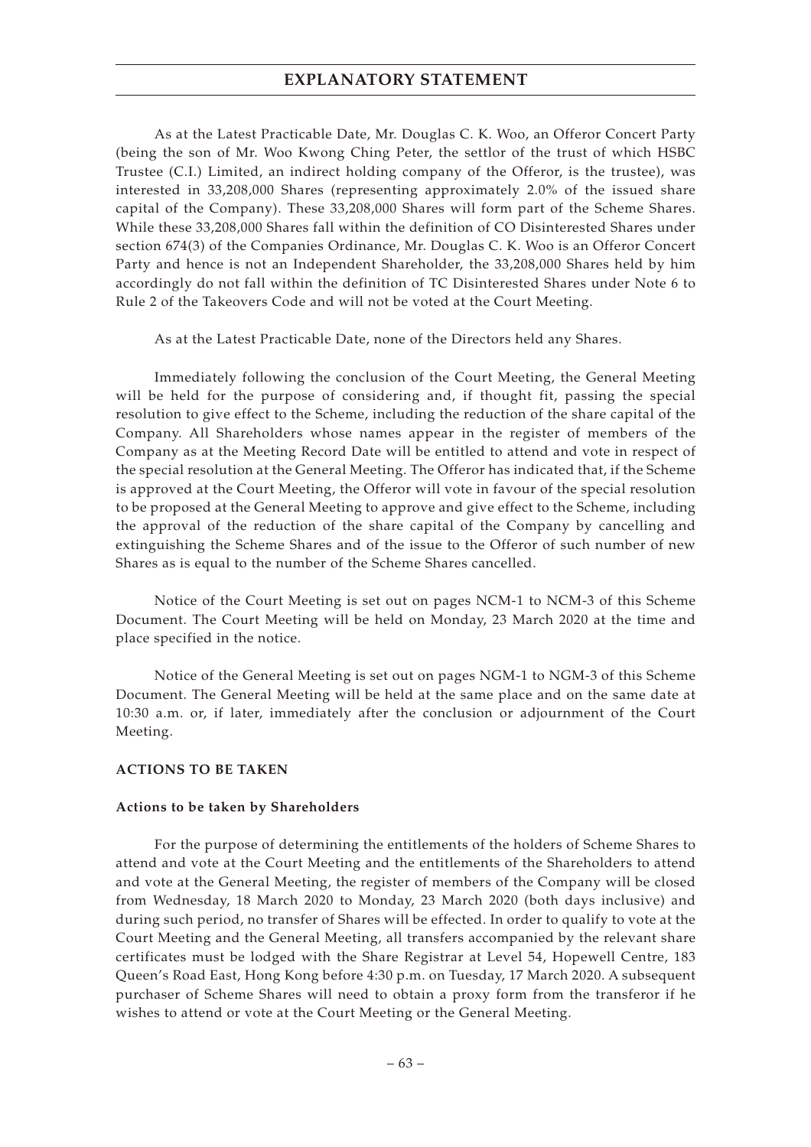As at the Latest Practicable Date, Mr. Douglas C. K. Woo, an Offeror Concert Party (being the son of Mr. Woo Kwong Ching Peter, the settlor of the trust of which HSBC Trustee (C.I.) Limited, an indirect holding company of the Offeror, is the trustee), was interested in 33,208,000 Shares (representing approximately 2.0% of the issued share capital of the Company). These 33,208,000 Shares will form part of the Scheme Shares. While these 33,208,000 Shares fall within the definition of CO Disinterested Shares under section 674(3) of the Companies Ordinance, Mr. Douglas C. K. Woo is an Offeror Concert Party and hence is not an Independent Shareholder, the 33,208,000 Shares held by him accordingly do not fall within the definition of TC Disinterested Shares under Note 6 to Rule 2 of the Takeovers Code and will not be voted at the Court Meeting.

As at the Latest Practicable Date, none of the Directors held any Shares.

Immediately following the conclusion of the Court Meeting, the General Meeting will be held for the purpose of considering and, if thought fit, passing the special resolution to give effect to the Scheme, including the reduction of the share capital of the Company. All Shareholders whose names appear in the register of members of the Company as at the Meeting Record Date will be entitled to attend and vote in respect of the special resolution at the General Meeting. The Offeror has indicated that, if the Scheme is approved at the Court Meeting, the Offeror will vote in favour of the special resolution to be proposed at the General Meeting to approve and give effect to the Scheme, including the approval of the reduction of the share capital of the Company by cancelling and extinguishing the Scheme Shares and of the issue to the Offeror of such number of new Shares as is equal to the number of the Scheme Shares cancelled.

Notice of the Court Meeting is set out on pages NCM-1 to NCM-3 of this Scheme Document. The Court Meeting will be held on Monday, 23 March 2020 at the time and place specified in the notice.

Notice of the General Meeting is set out on pages NGM-1 to NGM-3 of this Scheme Document. The General Meeting will be held at the same place and on the same date at 10:30 a.m. or, if later, immediately after the conclusion or adjournment of the Court Meeting.

### **ACTIONS TO BE TAKEN**

#### **Actions to be taken by Shareholders**

For the purpose of determining the entitlements of the holders of Scheme Shares to attend and vote at the Court Meeting and the entitlements of the Shareholders to attend and vote at the General Meeting, the register of members of the Company will be closed from Wednesday, 18 March 2020 to Monday, 23 March 2020 (both days inclusive) and during such period, no transfer of Shares will be effected. In order to qualify to vote at the Court Meeting and the General Meeting, all transfers accompanied by the relevant share certificates must be lodged with the Share Registrar at Level 54, Hopewell Centre, 183 Queen's Road East, Hong Kong before 4:30 p.m. on Tuesday, 17 March 2020. A subsequent purchaser of Scheme Shares will need to obtain a proxy form from the transferor if he wishes to attend or vote at the Court Meeting or the General Meeting.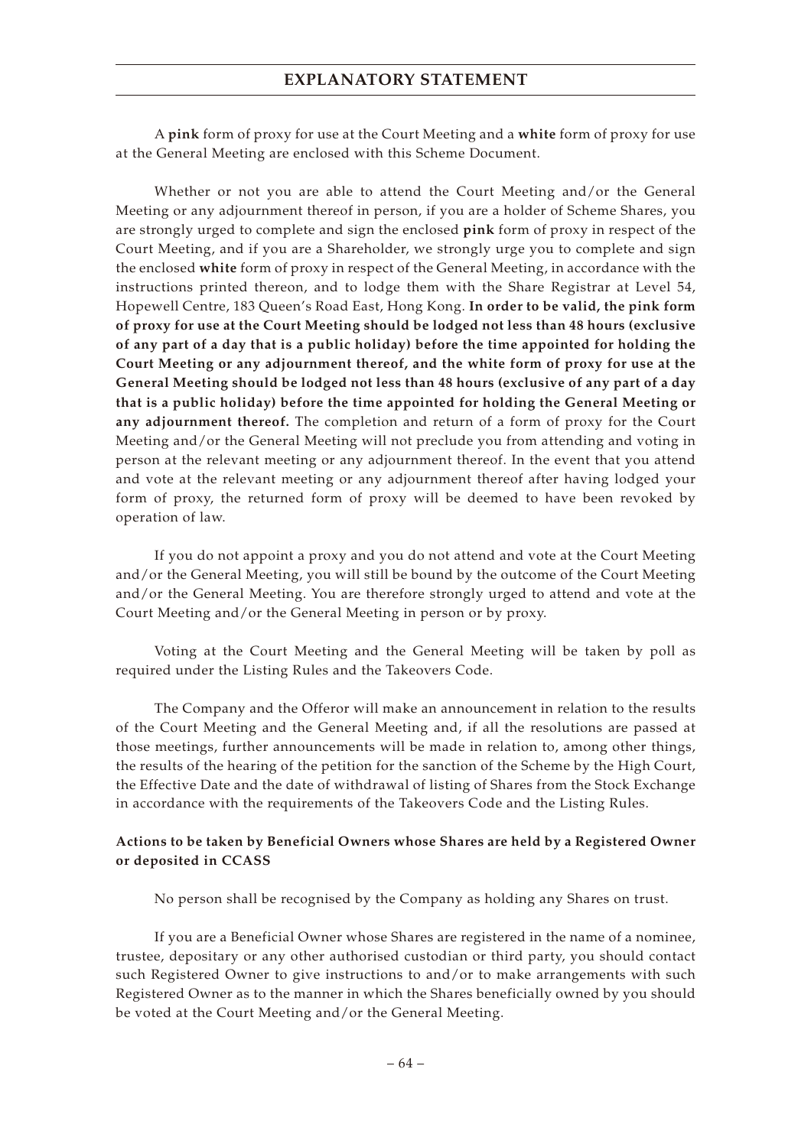A **pink** form of proxy for use at the Court Meeting and a **white** form of proxy for use at the General Meeting are enclosed with this Scheme Document.

Whether or not you are able to attend the Court Meeting and/or the General Meeting or any adjournment thereof in person, if you are a holder of Scheme Shares, you are strongly urged to complete and sign the enclosed **pink** form of proxy in respect of the Court Meeting, and if you are a Shareholder, we strongly urge you to complete and sign the enclosed **white** form of proxy in respect of the General Meeting, in accordance with the instructions printed thereon, and to lodge them with the Share Registrar at Level 54, Hopewell Centre, 183 Queen's Road East, Hong Kong. **In order to be valid, the pink form of proxy for use at the Court Meeting should be lodged not less than 48 hours (exclusive of any part of a day that is a public holiday) before the time appointed for holding the Court Meeting or any adjournment thereof, and the white form of proxy for use at the General Meeting should be lodged not less than 48 hours (exclusive of any part of a day that is a public holiday) before the time appointed for holding the General Meeting or any adjournment thereof.** The completion and return of a form of proxy for the Court Meeting and/or the General Meeting will not preclude you from attending and voting in person at the relevant meeting or any adjournment thereof. In the event that you attend and vote at the relevant meeting or any adjournment thereof after having lodged your form of proxy, the returned form of proxy will be deemed to have been revoked by operation of law.

If you do not appoint a proxy and you do not attend and vote at the Court Meeting and/or the General Meeting, you will still be bound by the outcome of the Court Meeting and/or the General Meeting. You are therefore strongly urged to attend and vote at the Court Meeting and/or the General Meeting in person or by proxy.

Voting at the Court Meeting and the General Meeting will be taken by poll as required under the Listing Rules and the Takeovers Code.

The Company and the Offeror will make an announcement in relation to the results of the Court Meeting and the General Meeting and, if all the resolutions are passed at those meetings, further announcements will be made in relation to, among other things, the results of the hearing of the petition for the sanction of the Scheme by the High Court, the Effective Date and the date of withdrawal of listing of Shares from the Stock Exchange in accordance with the requirements of the Takeovers Code and the Listing Rules.

### **Actions to be taken by Beneficial Owners whose Shares are held by a Registered Owner or deposited in CCASS**

No person shall be recognised by the Company as holding any Shares on trust.

If you are a Beneficial Owner whose Shares are registered in the name of a nominee, trustee, depositary or any other authorised custodian or third party, you should contact such Registered Owner to give instructions to and/or to make arrangements with such Registered Owner as to the manner in which the Shares beneficially owned by you should be voted at the Court Meeting and/or the General Meeting.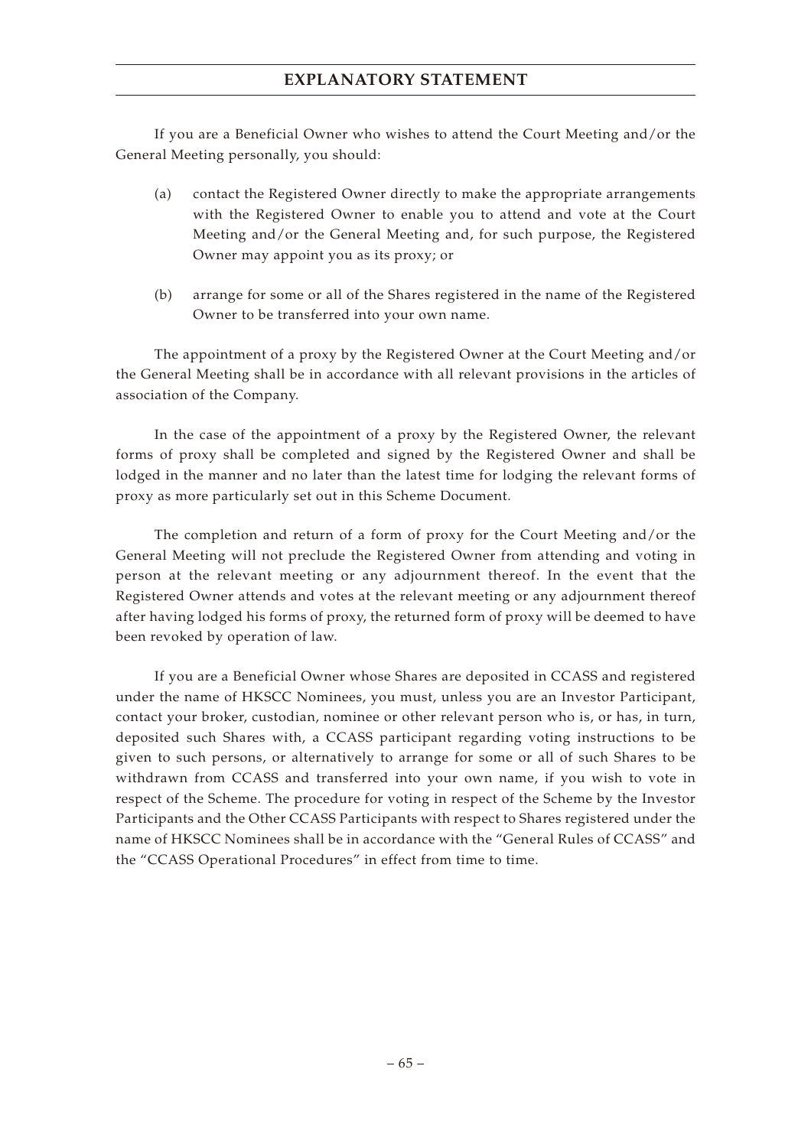If you are a Beneficial Owner who wishes to attend the Court Meeting and/or the General Meeting personally, you should:

- (a) contact the Registered Owner directly to make the appropriate arrangements with the Registered Owner to enable you to attend and vote at the Court Meeting and/or the General Meeting and, for such purpose, the Registered Owner may appoint you as its proxy; or
- (b) arrange for some or all of the Shares registered in the name of the Registered Owner to be transferred into your own name.

The appointment of a proxy by the Registered Owner at the Court Meeting and/or the General Meeting shall be in accordance with all relevant provisions in the articles of association of the Company.

In the case of the appointment of a proxy by the Registered Owner, the relevant forms of proxy shall be completed and signed by the Registered Owner and shall be lodged in the manner and no later than the latest time for lodging the relevant forms of proxy as more particularly set out in this Scheme Document.

The completion and return of a form of proxy for the Court Meeting and/or the General Meeting will not preclude the Registered Owner from attending and voting in person at the relevant meeting or any adjournment thereof. In the event that the Registered Owner attends and votes at the relevant meeting or any adjournment thereof after having lodged his forms of proxy, the returned form of proxy will be deemed to have been revoked by operation of law.

If you are a Beneficial Owner whose Shares are deposited in CCASS and registered under the name of HKSCC Nominees, you must, unless you are an Investor Participant, contact your broker, custodian, nominee or other relevant person who is, or has, in turn, deposited such Shares with, a CCASS participant regarding voting instructions to be given to such persons, or alternatively to arrange for some or all of such Shares to be withdrawn from CCASS and transferred into your own name, if you wish to vote in respect of the Scheme. The procedure for voting in respect of the Scheme by the Investor Participants and the Other CCASS Participants with respect to Shares registered under the name of HKSCC Nominees shall be in accordance with the "General Rules of CCASS" and the "CCASS Operational Procedures" in effect from time to time.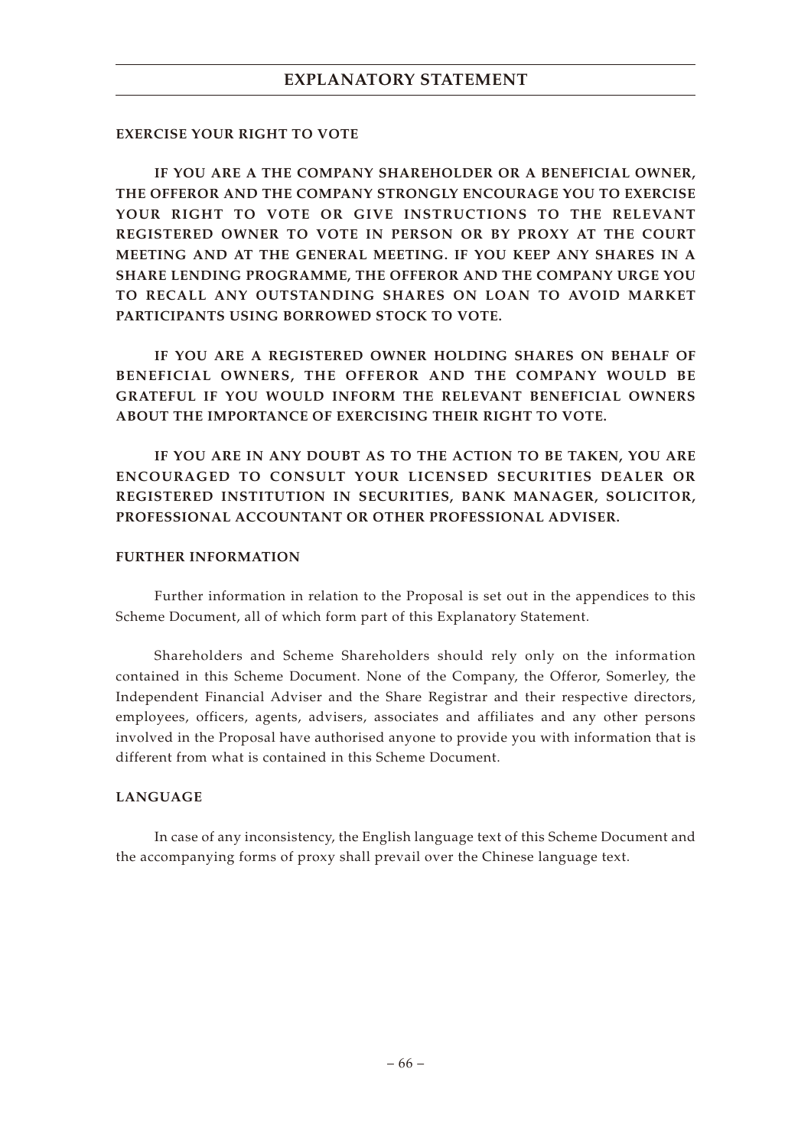### **EXERCISE YOUR RIGHT TO VOTE**

**IF YOU ARE A THE COMPANY SHAREHOLDER OR A BENEFICIAL OWNER, THE OFFEROR AND THE COMPANY STRONGLY ENCOURAGE YOU TO EXERCISE YOUR RIGHT TO VOTE OR GIVE INSTRUCTIONS TO THE RELEVANT REGISTERED OWNER TO VOTE IN PERSON OR BY PROXY AT THE COURT MEETING AND AT THE GENERAL MEETING. IF YOU KEEP ANY SHARES IN A SHARE LENDING PROGRAMME, THE OFFEROR AND THE COMPANY URGE YOU TO RECALL ANY OUTSTANDING SHARES ON LOAN TO AVOID MARKET PARTICIPANTS USING BORROWED STOCK TO VOTE.**

**IF YOU ARE A REGISTERED OWNER HOLDING SHARES ON BEHALF OF BENEFICIAL OWNERS, THE OFFEROR AND THE COMPANY WOULD BE GRATEFUL IF YOU WOULD INFORM THE RELEVANT BENEFICIAL OWNERS ABOUT THE IMPORTANCE OF EXERCISING THEIR RIGHT TO VOTE.**

**IF YOU ARE IN ANY DOUBT AS TO THE ACTION TO BE TAKEN, YOU ARE ENCOURAGED TO CONSULT YOUR LICENSED SECURITIES DEALER OR REGISTERED INSTITUTION IN SECURITIES, BANK MANAGER, SOLICITOR, PROFESSIONAL ACCOUNTANT OR OTHER PROFESSIONAL ADVISER.**

## **FURTHER INFORMATION**

Further information in relation to the Proposal is set out in the appendices to this Scheme Document, all of which form part of this Explanatory Statement.

Shareholders and Scheme Shareholders should rely only on the information contained in this Scheme Document. None of the Company, the Offeror, Somerley, the Independent Financial Adviser and the Share Registrar and their respective directors, employees, officers, agents, advisers, associates and affiliates and any other persons involved in the Proposal have authorised anyone to provide you with information that is different from what is contained in this Scheme Document.

### **LANGUAGE**

In case of any inconsistency, the English language text of this Scheme Document and the accompanying forms of proxy shall prevail over the Chinese language text.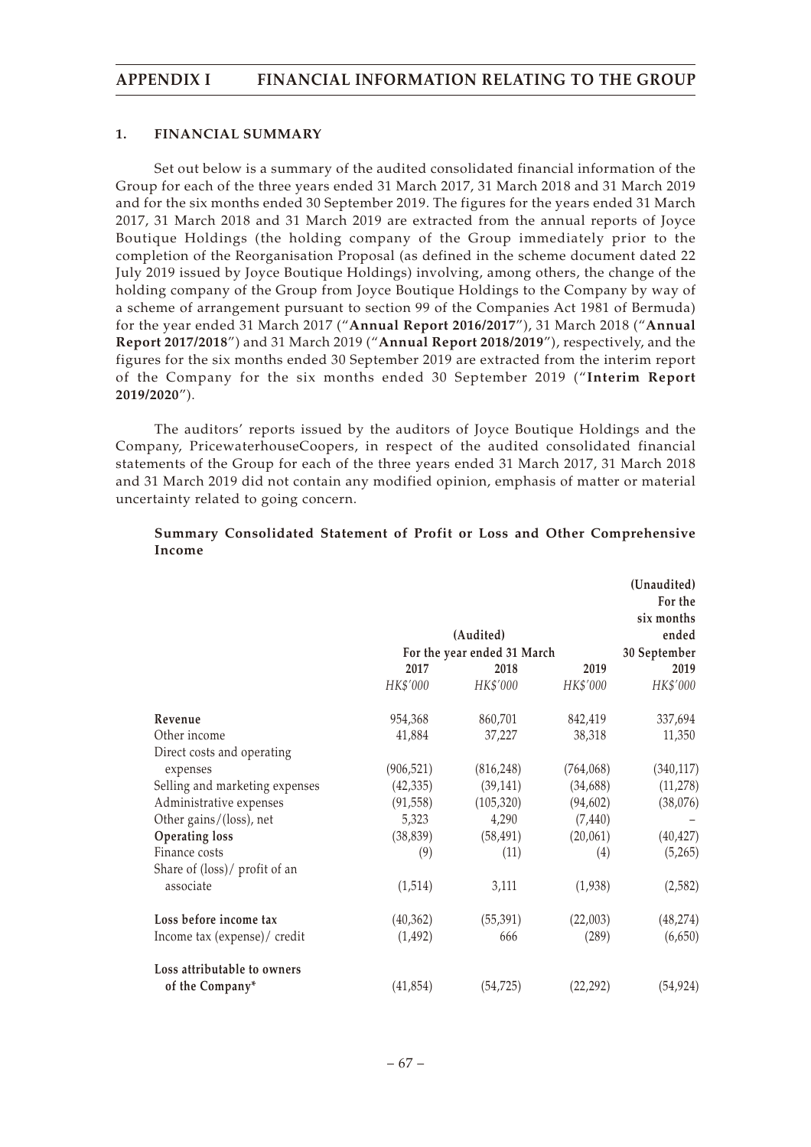### **1. FINANCIAL SUMMARY**

Set out below is a summary of the audited consolidated financial information of the Group for each of the three years ended 31 March 2017, 31 March 2018 and 31 March 2019 and for the six months ended 30 September 2019. The figures for the years ended 31 March 2017, 31 March 2018 and 31 March 2019 are extracted from the annual reports of Joyce Boutique Holdings (the holding company of the Group immediately prior to the completion of the Reorganisation Proposal (as defined in the scheme document dated 22 July 2019 issued by Joyce Boutique Holdings) involving, among others, the change of the holding company of the Group from Joyce Boutique Holdings to the Company by way of a scheme of arrangement pursuant to section 99 of the Companies Act 1981 of Bermuda) for the year ended 31 March 2017 ("**Annual Report 2016/2017**"), 31 March 2018 ("**Annual Report 2017/2018**") and 31 March 2019 ("**Annual Report 2018/2019**"), respectively, and the figures for the six months ended 30 September 2019 are extracted from the interim report of the Company for the six months ended 30 September 2019 ("**Interim Report 2019/2020**").

The auditors' reports issued by the auditors of Joyce Boutique Holdings and the Company, PricewaterhouseCoopers, in respect of the audited consolidated financial statements of the Group for each of the three years ended 31 March 2017, 31 March 2018 and 31 March 2019 did not contain any modified opinion, emphasis of matter or material uncertainty related to going concern.

|                                |            |                             |            | (Unaudited)<br>For the |
|--------------------------------|------------|-----------------------------|------------|------------------------|
|                                |            | (Audited)                   |            | six months<br>ended    |
|                                |            | For the year ended 31 March |            | 30 September           |
|                                | 2017       | 2018                        | 2019       | 2019                   |
|                                | HK\$'000   | HK\$'000                    | HK\$'000   | HK\$'000               |
| Revenue                        | 954,368    | 860,701                     | 842,419    | 337,694                |
| Other income                   | 41,884     | 37,227                      | 38,318     | 11,350                 |
| Direct costs and operating     |            |                             |            |                        |
| expenses                       | (906, 521) | (816, 248)                  | (764, 068) | (340, 117)             |
| Selling and marketing expenses | (42, 335)  | (39, 141)                   | (34, 688)  | (11, 278)              |
| Administrative expenses        | (91, 558)  | (105, 320)                  | (94, 602)  | (38,076)               |
| Other gains/(loss), net        | 5,323      | 4,290                       | (7, 440)   |                        |
| <b>Operating loss</b>          | (38, 839)  | (58, 491)                   | (20,061)   | (40, 427)              |
| Finance costs                  | (9)        | (11)                        | (4)        | (5,265)                |
| Share of (loss)/ profit of an  |            |                             |            |                        |
| associate                      | (1,514)    | 3,111                       | (1,938)    | (2,582)                |
| Loss before income tax         | (40, 362)  | (55, 391)                   | (22,003)   | (48, 274)              |
| Income tax (expense)/ credit   | (1, 492)   | 666                         | (289)      | (6,650)                |
| Loss attributable to owners    |            |                             |            |                        |
| of the Company*                | (41, 854)  | (54, 725)                   | (22, 292)  | (54, 924)              |

### **Summary Consolidated Statement of Profit or Loss and Other Comprehensive Income**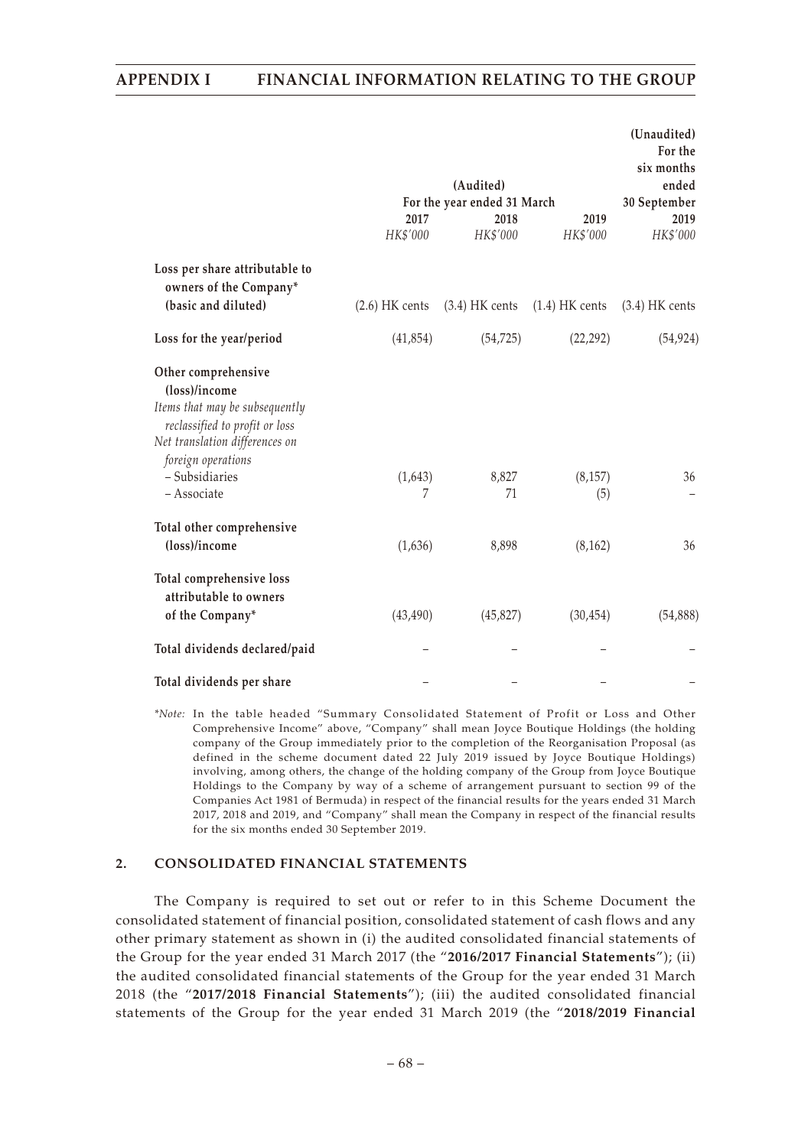### **APPENDIX I FINANCIAL INFORMATION RELATING TO THE GROUP**

|                                                                  |                  |                             |                  | (Unaudited)<br>For the<br>six months |
|------------------------------------------------------------------|------------------|-----------------------------|------------------|--------------------------------------|
|                                                                  |                  | (Audited)                   |                  | ended                                |
|                                                                  |                  | For the year ended 31 March |                  | 30 September                         |
|                                                                  | 2017             | 2018                        | 2019             | 2019                                 |
|                                                                  | HK\$'000         | HK\$'000                    | HK\$'000         | HK\$'000                             |
| Loss per share attributable to<br>owners of the Company*         |                  |                             |                  |                                      |
| (basic and diluted)                                              | $(2.6)$ HK cents | $(3.4)$ HK cents            | $(1.4)$ HK cents | $(3.4)$ HK cents                     |
| Loss for the year/period                                         | (41, 854)        | (54, 725)                   | (22, 292)        | (54, 924)                            |
| Other comprehensive<br>(loss)/income                             |                  |                             |                  |                                      |
| Items that may be subsequently<br>reclassified to profit or loss |                  |                             |                  |                                      |
| Net translation differences on<br>foreign operations             |                  |                             |                  |                                      |
| - Subsidiaries                                                   | (1,643)          | 8,827                       | (8, 157)         | 36                                   |
| - Associate                                                      | 7                | 71                          | (5)              |                                      |
| Total other comprehensive                                        |                  |                             |                  |                                      |
| (loss)/income                                                    | (1,636)          | 8,898                       | (8, 162)         | 36                                   |
| Total comprehensive loss<br>attributable to owners               |                  |                             |                  |                                      |
| of the Company*                                                  | (43, 490)        | (45, 827)                   | (30, 454)        | (54,888)                             |
| Total dividends declared/paid                                    |                  |                             |                  |                                      |
| Total dividends per share                                        |                  |                             |                  |                                      |

*\*Note:* In the table headed "Summary Consolidated Statement of Profit or Loss and Other Comprehensive Income" above, "Company" shall mean Joyce Boutique Holdings (the holding company of the Group immediately prior to the completion of the Reorganisation Proposal (as defined in the scheme document dated 22 July 2019 issued by Joyce Boutique Holdings) involving, among others, the change of the holding company of the Group from Joyce Boutique Holdings to the Company by way of a scheme of arrangement pursuant to section 99 of the Companies Act 1981 of Bermuda) in respect of the financial results for the years ended 31 March 2017, 2018 and 2019, and "Company" shall mean the Company in respect of the financial results for the six months ended 30 September 2019.

#### **2. CONSOLIDATED FINANCIAL STATEMENTS**

The Company is required to set out or refer to in this Scheme Document the consolidated statement of financial position, consolidated statement of cash flows and any other primary statement as shown in (i) the audited consolidated financial statements of the Group for the year ended 31 March 2017 (the "**2016/2017 Financial Statements**"); (ii) the audited consolidated financial statements of the Group for the year ended 31 March 2018 (the "**2017/2018 Financial Statements**"); (iii) the audited consolidated financial statements of the Group for the year ended 31 March 2019 (the "**2018/2019 Financial**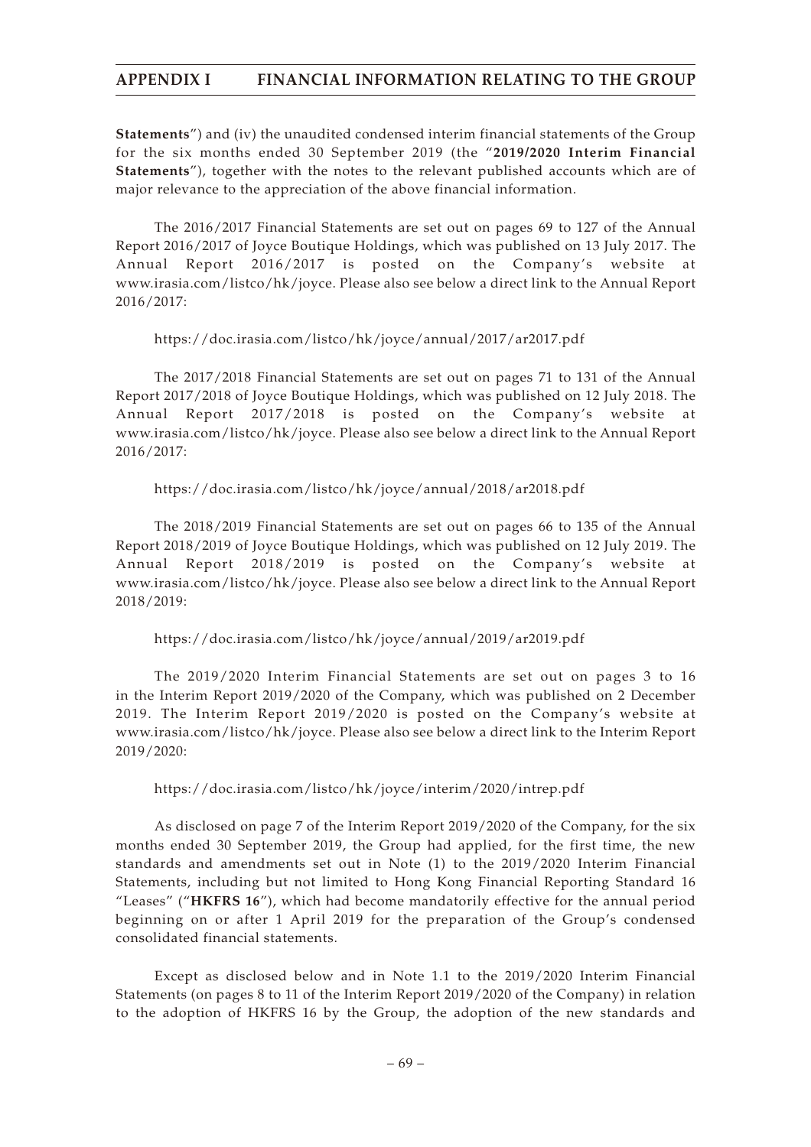# **APPENDIX I FINANCIAL INFORMATION RELATING TO THE GROUP**

**Statements**") and (iv) the unaudited condensed interim financial statements of the Group for the six months ended 30 September 2019 (the "**2019/2020 Interim Financial Statements**"), together with the notes to the relevant published accounts which are of major relevance to the appreciation of the above financial information.

The 2016/2017 Financial Statements are set out on pages 69 to 127 of the Annual Report 2016/2017 of Joyce Boutique Holdings, which was published on 13 July 2017. The Annual Report 2016/2017 is posted on the Company's website at www.irasia.com/listco/hk/joyce. Please also see below a direct link to the Annual Report 2016/2017:

### https://doc.irasia.com/listco/hk/joyce/annual/2017/ar2017.pdf

The 2017/2018 Financial Statements are set out on pages 71 to 131 of the Annual Report 2017/2018 of Joyce Boutique Holdings, which was published on 12 July 2018. The Annual Report 2017/2018 is posted on the Company's website at www.irasia.com/listco/hk/joyce. Please also see below a direct link to the Annual Report 2016/2017:

## https://doc.irasia.com/listco/hk/joyce/annual/2018/ar2018.pdf

The 2018/2019 Financial Statements are set out on pages 66 to 135 of the Annual Report 2018/2019 of Joyce Boutique Holdings, which was published on 12 July 2019. The Annual Report 2018/2019 is posted on the Company's website www.irasia.com/listco/hk/joyce. Please also see below a direct link to the Annual Report 2018/2019:

### https://doc.irasia.com/listco/hk/joyce/annual/2019/ar2019.pdf

The 2019/2020 Interim Financial Statements are set out on pages 3 to 16 in the Interim Report 2019/2020 of the Company, which was published on 2 December 2019. The Interim Report 2019/2020 is posted on the Company's website at www.irasia.com/listco/hk/joyce. Please also see below a direct link to the Interim Report 2019/2020:

### https://doc.irasia.com/listco/hk/joyce/interim/2020/intrep.pdf

As disclosed on page 7 of the Interim Report 2019/2020 of the Company, for the six months ended 30 September 2019, the Group had applied, for the first time, the new standards and amendments set out in Note (1) to the 2019/2020 Interim Financial Statements, including but not limited to Hong Kong Financial Reporting Standard 16 "Leases" ("**HKFRS 16**"), which had become mandatorily effective for the annual period beginning on or after 1 April 2019 for the preparation of the Group's condensed consolidated financial statements.

Except as disclosed below and in Note 1.1 to the 2019/2020 Interim Financial Statements (on pages 8 to 11 of the Interim Report 2019/2020 of the Company) in relation to the adoption of HKFRS 16 by the Group, the adoption of the new standards and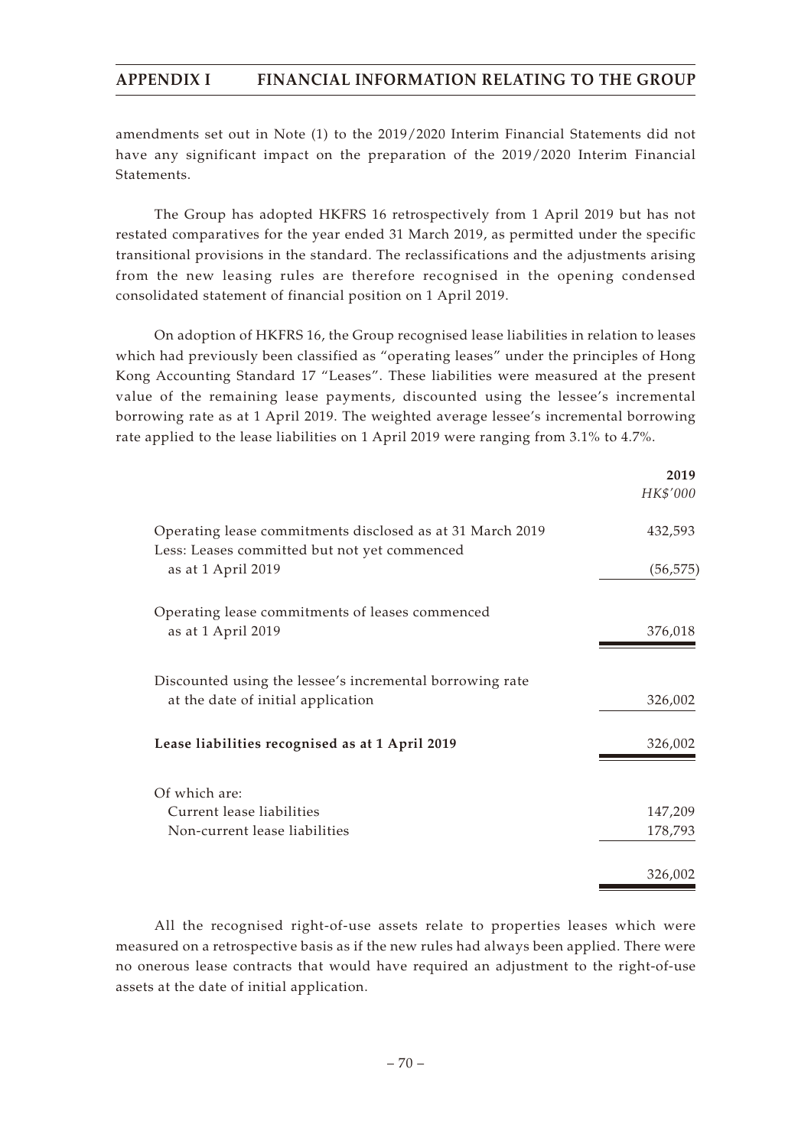amendments set out in Note (1) to the 2019/2020 Interim Financial Statements did not have any significant impact on the preparation of the 2019/2020 Interim Financial Statements.

The Group has adopted HKFRS 16 retrospectively from 1 April 2019 but has not restated comparatives for the year ended 31 March 2019, as permitted under the specific transitional provisions in the standard. The reclassifications and the adjustments arising from the new leasing rules are therefore recognised in the opening condensed consolidated statement of financial position on 1 April 2019.

On adoption of HKFRS 16, the Group recognised lease liabilities in relation to leases which had previously been classified as "operating leases" under the principles of Hong Kong Accounting Standard 17 "Leases". These liabilities were measured at the present value of the remaining lease payments, discounted using the lessee's incremental borrowing rate as at 1 April 2019. The weighted average lessee's incremental borrowing rate applied to the lease liabilities on 1 April 2019 were ranging from 3.1% to 4.7%.

|                                                                                                           | 2019      |
|-----------------------------------------------------------------------------------------------------------|-----------|
|                                                                                                           | HK\$'000  |
| Operating lease commitments disclosed as at 31 March 2019<br>Less: Leases committed but not yet commenced | 432,593   |
| as at 1 April 2019                                                                                        | (56, 575) |
| Operating lease commitments of leases commenced                                                           |           |
| as at 1 April 2019                                                                                        | 376,018   |
| Discounted using the lessee's incremental borrowing rate                                                  |           |
| at the date of initial application                                                                        | 326,002   |
| Lease liabilities recognised as at 1 April 2019                                                           | 326,002   |
| Of which are:                                                                                             |           |
| Current lease liabilities                                                                                 | 147,209   |
| Non-current lease liabilities                                                                             | 178,793   |
|                                                                                                           | 326,002   |

All the recognised right-of-use assets relate to properties leases which were measured on a retrospective basis as if the new rules had always been applied. There were no onerous lease contracts that would have required an adjustment to the right-of-use assets at the date of initial application.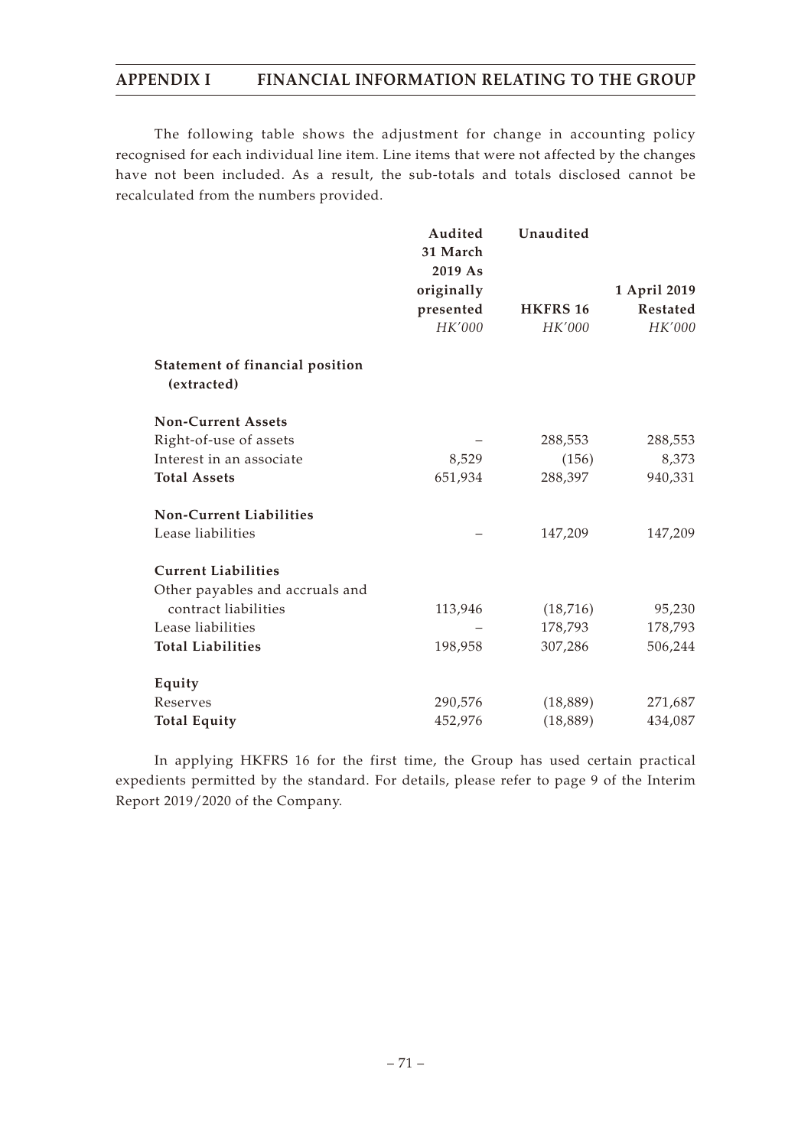The following table shows the adjustment for change in accounting policy recognised for each individual line item. Line items that were not affected by the changes have not been included. As a result, the sub-totals and totals disclosed cannot be recalculated from the numbers provided.

|                                                | Audited<br>31 March<br>2019 As<br>originally | Unaudited       | 1 April 2019    |
|------------------------------------------------|----------------------------------------------|-----------------|-----------------|
|                                                | presented                                    | <b>HKFRS 16</b> | <b>Restated</b> |
|                                                | HK'000                                       | HK'000          | HK'000          |
| Statement of financial position<br>(extracted) |                                              |                 |                 |
| <b>Non-Current Assets</b>                      |                                              |                 |                 |
| Right-of-use of assets                         |                                              | 288,553         | 288,553         |
| Interest in an associate                       | 8,529                                        | (156)           | 8,373           |
| <b>Total Assets</b>                            | 651,934                                      | 288,397         | 940,331         |
| <b>Non-Current Liabilities</b>                 |                                              |                 |                 |
| Lease liabilities                              |                                              | 147,209         | 147,209         |
| <b>Current Liabilities</b>                     |                                              |                 |                 |
| Other payables and accruals and                |                                              |                 |                 |
| contract liabilities                           | 113,946                                      | (18, 716)       | 95,230          |
| Lease liabilities                              |                                              | 178,793         | 178,793         |
| <b>Total Liabilities</b>                       | 198,958                                      | 307,286         | 506,244         |
| Equity                                         |                                              |                 |                 |
| Reserves                                       | 290,576                                      | (18, 889)       | 271,687         |
| <b>Total Equity</b>                            | 452,976                                      | (18, 889)       | 434,087         |

In applying HKFRS 16 for the first time, the Group has used certain practical expedients permitted by the standard. For details, please refer to page 9 of the Interim Report 2019/2020 of the Company.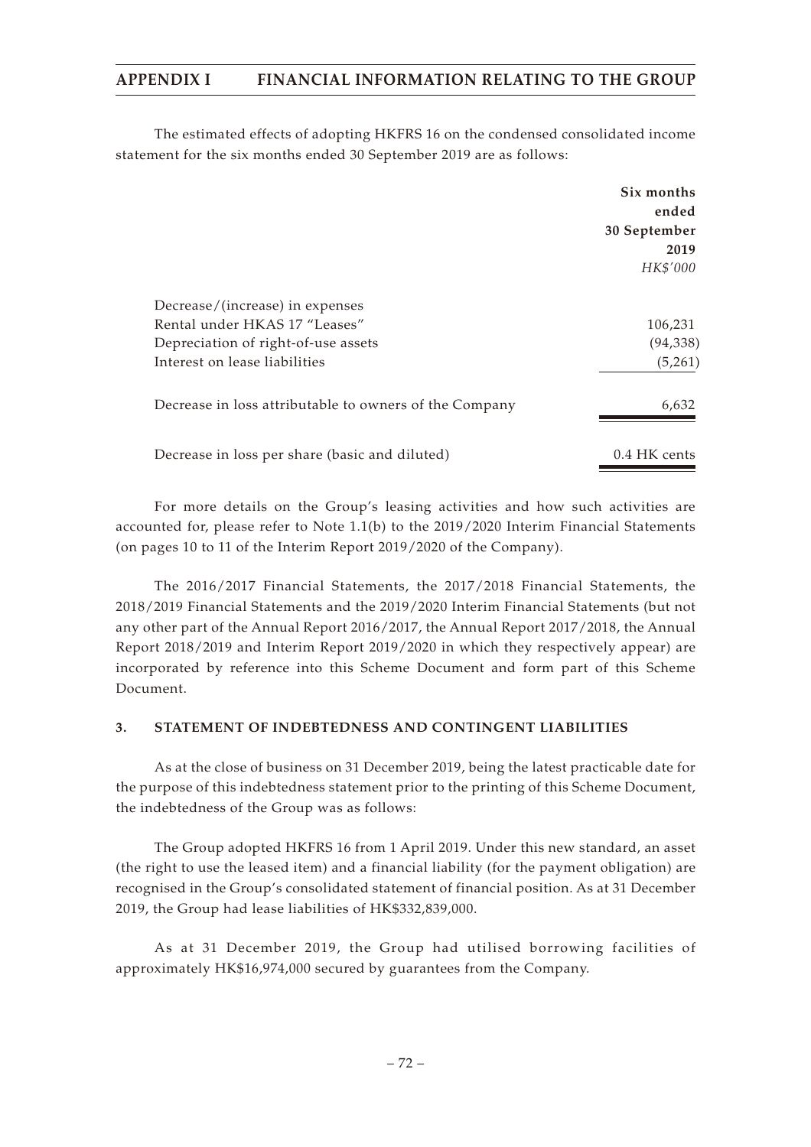The estimated effects of adopting HKFRS 16 on the condensed consolidated income statement for the six months ended 30 September 2019 are as follows:

|                                                        | Six months   |
|--------------------------------------------------------|--------------|
|                                                        | ended        |
|                                                        | 30 September |
|                                                        | 2019         |
|                                                        | HK\$'000     |
| Decrease/(increase) in expenses                        |              |
| Rental under HKAS 17 "Leases"                          | 106,231      |
| Depreciation of right-of-use assets                    | (94, 338)    |
| Interest on lease liabilities                          | (5,261)      |
| Decrease in loss attributable to owners of the Company | 6,632        |
| Decrease in loss per share (basic and diluted)         | 0.4 HK cents |

For more details on the Group's leasing activities and how such activities are accounted for, please refer to Note 1.1(b) to the 2019/2020 Interim Financial Statements (on pages 10 to 11 of the Interim Report 2019/2020 of the Company).

The 2016/2017 Financial Statements, the 2017/2018 Financial Statements, the 2018/2019 Financial Statements and the 2019/2020 Interim Financial Statements (but not any other part of the Annual Report 2016/2017, the Annual Report 2017/2018, the Annual Report 2018/2019 and Interim Report 2019/2020 in which they respectively appear) are incorporated by reference into this Scheme Document and form part of this Scheme Document.

### **3. STATEMENT OF INDEBTEDNESS AND CONTINGENT LIABILITIES**

As at the close of business on 31 December 2019, being the latest practicable date for the purpose of this indebtedness statement prior to the printing of this Scheme Document, the indebtedness of the Group was as follows:

The Group adopted HKFRS 16 from 1 April 2019. Under this new standard, an asset (the right to use the leased item) and a financial liability (for the payment obligation) are recognised in the Group's consolidated statement of financial position. As at 31 December 2019, the Group had lease liabilities of HK\$332,839,000.

As at 31 December 2019, the Group had utilised borrowing facilities of approximately HK\$16,974,000 secured by guarantees from the Company.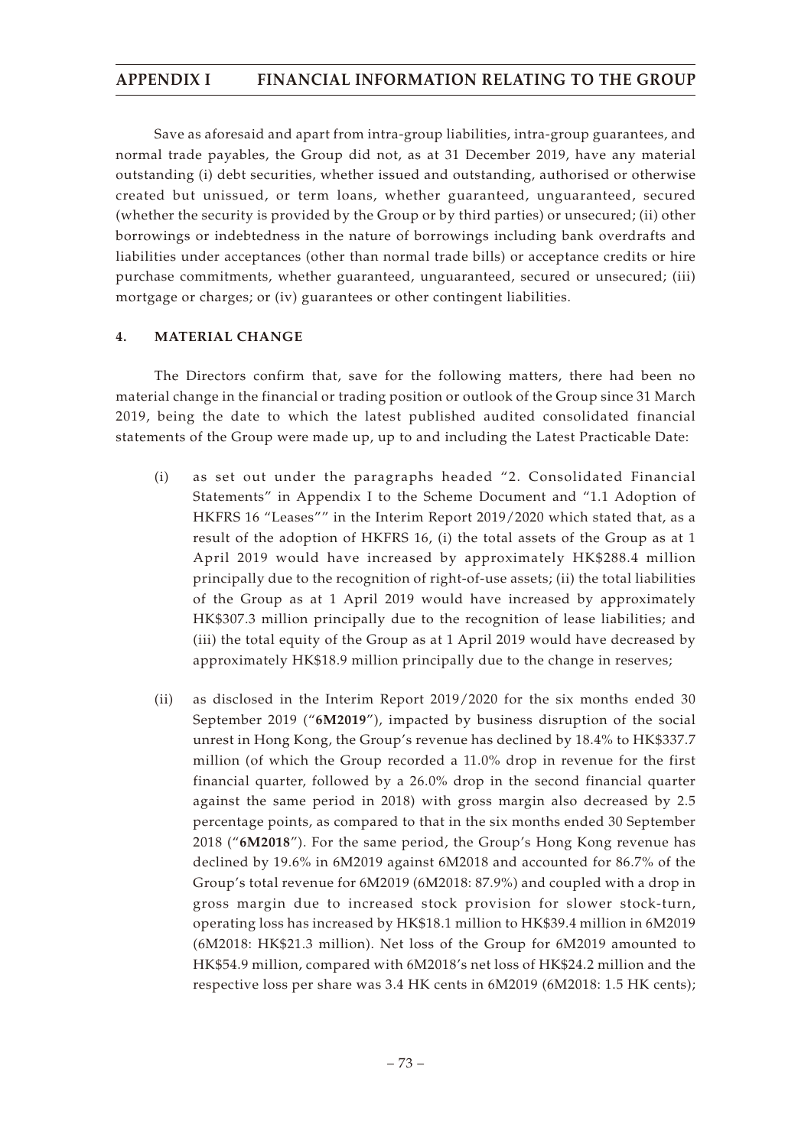Save as aforesaid and apart from intra-group liabilities, intra-group guarantees, and normal trade payables, the Group did not, as at 31 December 2019, have any material outstanding (i) debt securities, whether issued and outstanding, authorised or otherwise created but unissued, or term loans, whether guaranteed, unguaranteed, secured (whether the security is provided by the Group or by third parties) or unsecured; (ii) other borrowings or indebtedness in the nature of borrowings including bank overdrafts and liabilities under acceptances (other than normal trade bills) or acceptance credits or hire purchase commitments, whether guaranteed, unguaranteed, secured or unsecured; (iii) mortgage or charges; or (iv) guarantees or other contingent liabilities.

### **4. MATERIAL CHANGE**

The Directors confirm that, save for the following matters, there had been no material change in the financial or trading position or outlook of the Group since 31 March 2019, being the date to which the latest published audited consolidated financial statements of the Group were made up, up to and including the Latest Practicable Date:

- (i) as set out under the paragraphs headed "2. Consolidated Financial Statements" in Appendix I to the Scheme Document and "1.1 Adoption of HKFRS 16 "Leases"" in the Interim Report 2019/2020 which stated that, as a result of the adoption of HKFRS 16, (i) the total assets of the Group as at 1 April 2019 would have increased by approximately HK\$288.4 million principally due to the recognition of right-of-use assets; (ii) the total liabilities of the Group as at 1 April 2019 would have increased by approximately HK\$307.3 million principally due to the recognition of lease liabilities; and (iii) the total equity of the Group as at 1 April 2019 would have decreased by approximately HK\$18.9 million principally due to the change in reserves;
- (ii) as disclosed in the Interim Report 2019/2020 for the six months ended 30 September 2019 ("**6M2019**"), impacted by business disruption of the social unrest in Hong Kong, the Group's revenue has declined by 18.4% to HK\$337.7 million (of which the Group recorded a 11.0% drop in revenue for the first financial quarter, followed by a 26.0% drop in the second financial quarter against the same period in 2018) with gross margin also decreased by 2.5 percentage points, as compared to that in the six months ended 30 September 2018 ("**6M2018**"). For the same period, the Group's Hong Kong revenue has declined by 19.6% in 6M2019 against 6M2018 and accounted for 86.7% of the Group's total revenue for 6M2019 (6M2018: 87.9%) and coupled with a drop in gross margin due to increased stock provision for slower stock-turn, operating loss has increased by HK\$18.1 million to HK\$39.4 million in 6M2019 (6M2018: HK\$21.3 million). Net loss of the Group for 6M2019 amounted to HK\$54.9 million, compared with 6M2018's net loss of HK\$24.2 million and the respective loss per share was 3.4 HK cents in 6M2019 (6M2018: 1.5 HK cents);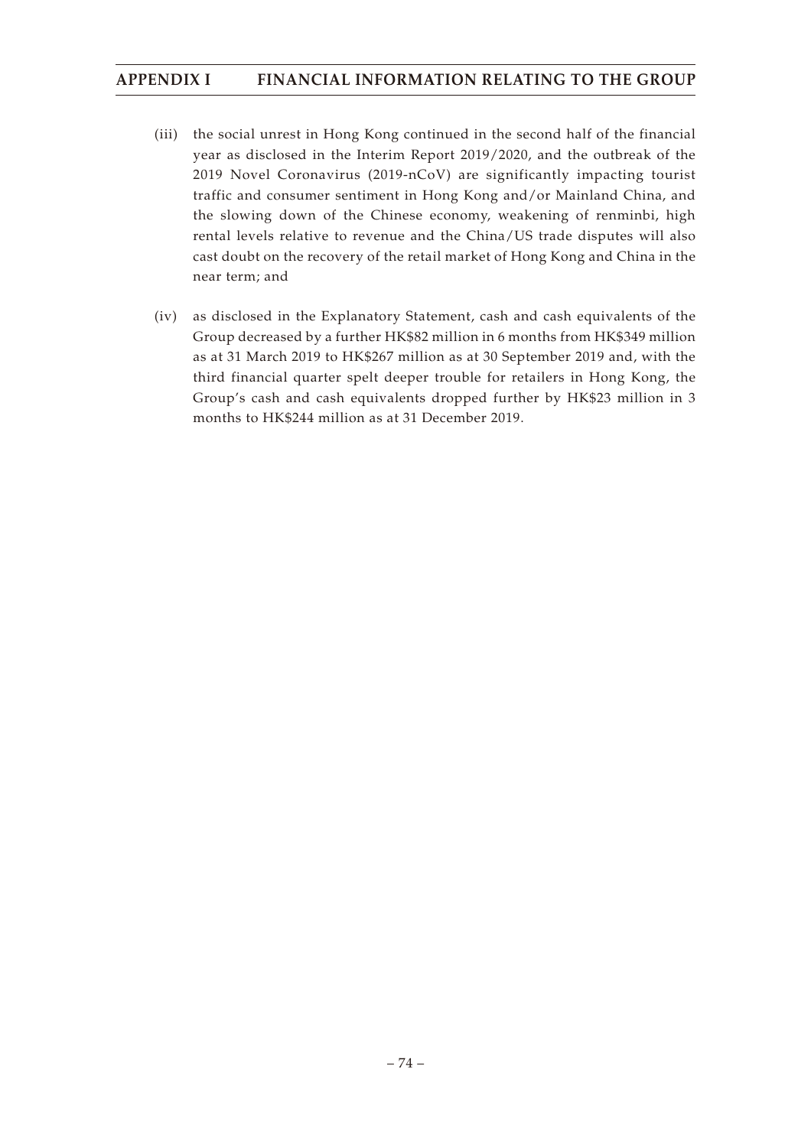- (iii) the social unrest in Hong Kong continued in the second half of the financial year as disclosed in the Interim Report 2019/2020, and the outbreak of the 2019 Novel Coronavirus (2019-nCoV) are significantly impacting tourist traffic and consumer sentiment in Hong Kong and/or Mainland China, and the slowing down of the Chinese economy, weakening of renminbi, high rental levels relative to revenue and the China/US trade disputes will also cast doubt on the recovery of the retail market of Hong Kong and China in the near term; and
- (iv) as disclosed in the Explanatory Statement, cash and cash equivalents of the Group decreased by a further HK\$82 million in 6 months from HK\$349 million as at 31 March 2019 to HK\$267 million as at 30 September 2019 and, with the third financial quarter spelt deeper trouble for retailers in Hong Kong, the Group's cash and cash equivalents dropped further by HK\$23 million in 3 months to HK\$244 million as at 31 December 2019.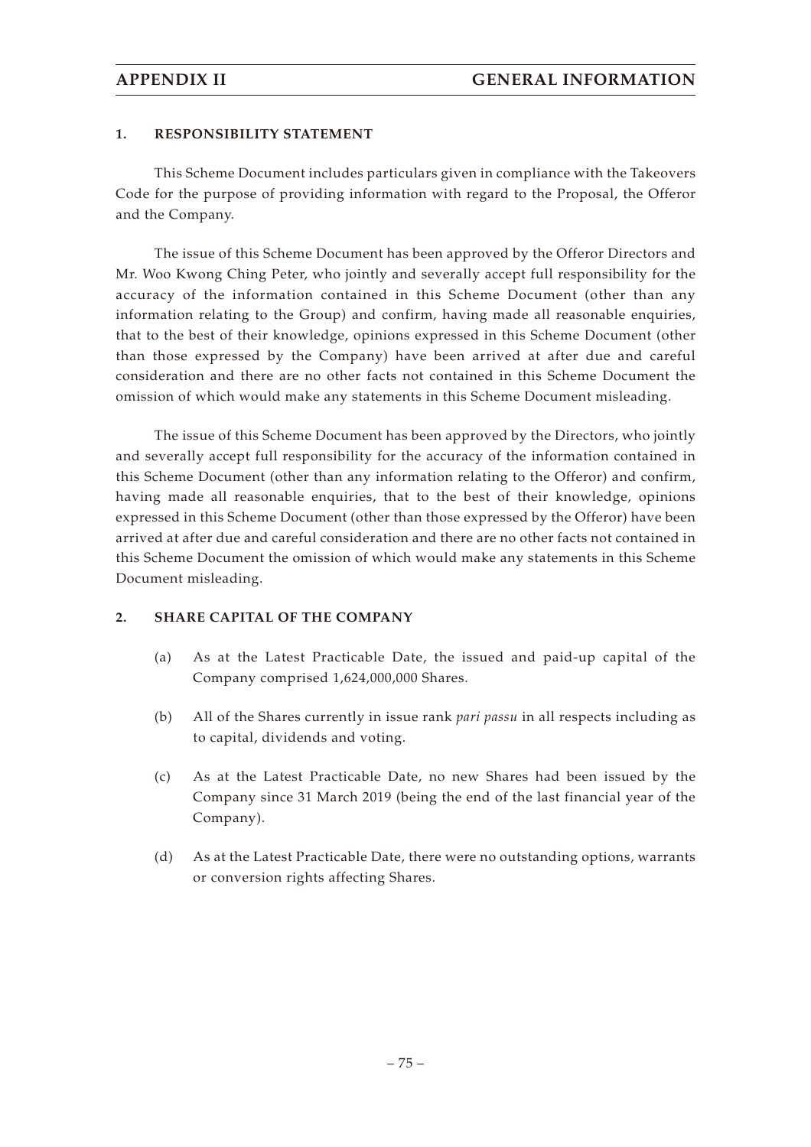#### **1. RESPONSIBILITY STATEMENT**

This Scheme Document includes particulars given in compliance with the Takeovers Code for the purpose of providing information with regard to the Proposal, the Offeror and the Company.

The issue of this Scheme Document has been approved by the Offeror Directors and Mr. Woo Kwong Ching Peter, who jointly and severally accept full responsibility for the accuracy of the information contained in this Scheme Document (other than any information relating to the Group) and confirm, having made all reasonable enquiries, that to the best of their knowledge, opinions expressed in this Scheme Document (other than those expressed by the Company) have been arrived at after due and careful consideration and there are no other facts not contained in this Scheme Document the omission of which would make any statements in this Scheme Document misleading.

The issue of this Scheme Document has been approved by the Directors, who jointly and severally accept full responsibility for the accuracy of the information contained in this Scheme Document (other than any information relating to the Offeror) and confirm, having made all reasonable enquiries, that to the best of their knowledge, opinions expressed in this Scheme Document (other than those expressed by the Offeror) have been arrived at after due and careful consideration and there are no other facts not contained in this Scheme Document the omission of which would make any statements in this Scheme Document misleading.

#### **2. SHARE CAPITAL OF THE COMPANY**

- (a) As at the Latest Practicable Date, the issued and paid-up capital of the Company comprised 1,624,000,000 Shares.
- (b) All of the Shares currently in issue rank *pari passu* in all respects including as to capital, dividends and voting.
- (c) As at the Latest Practicable Date, no new Shares had been issued by the Company since 31 March 2019 (being the end of the last financial year of the Company).
- (d) As at the Latest Practicable Date, there were no outstanding options, warrants or conversion rights affecting Shares.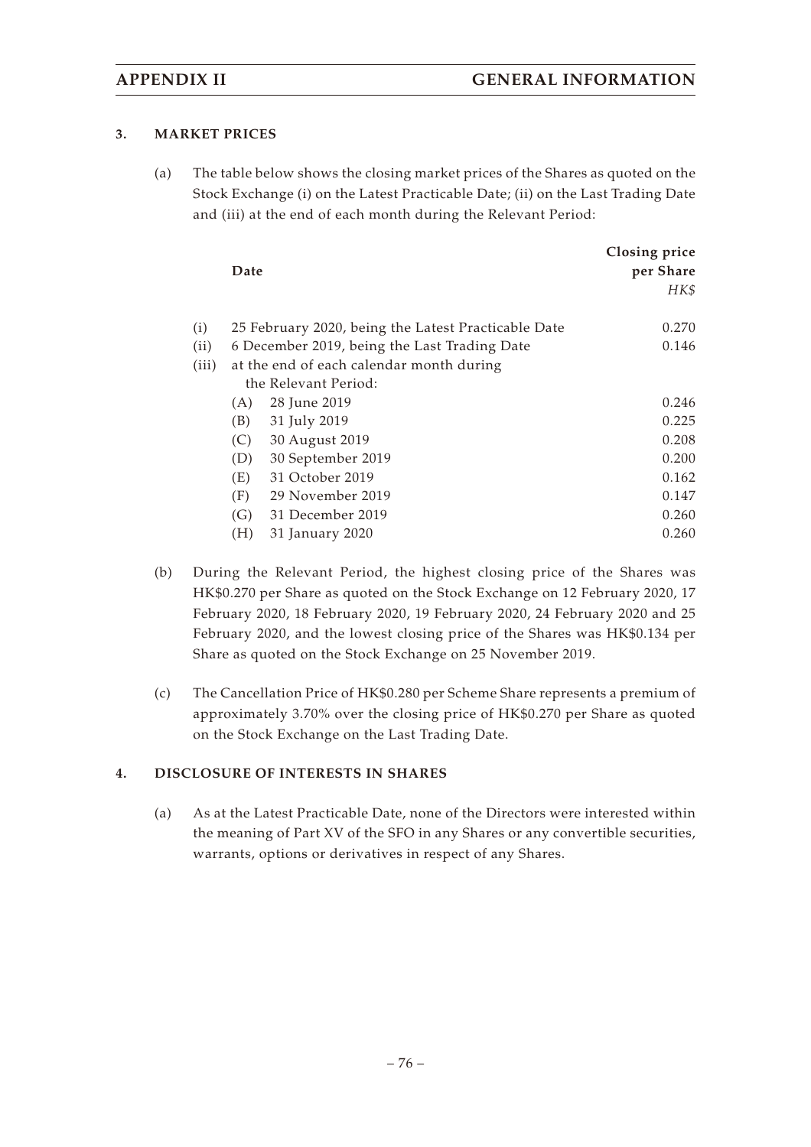### **3. MARKET PRICES**

(a) The table below shows the closing market prices of the Shares as quoted on the Stock Exchange (i) on the Latest Practicable Date; (ii) on the Last Trading Date and (iii) at the end of each month during the Relevant Period:

|       | Date |                                                     | Closing price<br>per Share |
|-------|------|-----------------------------------------------------|----------------------------|
|       |      |                                                     | HK\$                       |
| (i)   |      | 25 February 2020, being the Latest Practicable Date | 0.270                      |
| (ii)  |      | 6 December 2019, being the Last Trading Date        | 0.146                      |
| (iii) |      | at the end of each calendar month during            |                            |
|       |      | the Relevant Period:                                |                            |
|       | (A)  | 28 June 2019                                        | 0.246                      |
|       | (B)  | 31 July 2019                                        | 0.225                      |
|       | (C)  | 30 August 2019                                      | 0.208                      |
|       | (D)  | 30 September 2019                                   | 0.200                      |
|       | (E)  | 31 October 2019                                     | 0.162                      |
|       | (F)  | 29 November 2019                                    | 0.147                      |
|       | (G)  | 31 December 2019                                    | 0.260                      |
|       | (H)  | 31 January 2020                                     | 0.260                      |

- (b) During the Relevant Period, the highest closing price of the Shares was HK\$0.270 per Share as quoted on the Stock Exchange on 12 February 2020, 17 February 2020, 18 February 2020, 19 February 2020, 24 February 2020 and 25 February 2020, and the lowest closing price of the Shares was HK\$0.134 per Share as quoted on the Stock Exchange on 25 November 2019.
- (c) The Cancellation Price of HK\$0.280 per Scheme Share represents a premium of approximately 3.70% over the closing price of HK\$0.270 per Share as quoted on the Stock Exchange on the Last Trading Date.

### **4. DISCLOSURE OF INTERESTS IN SHARES**

(a) As at the Latest Practicable Date, none of the Directors were interested within the meaning of Part XV of the SFO in any Shares or any convertible securities, warrants, options or derivatives in respect of any Shares.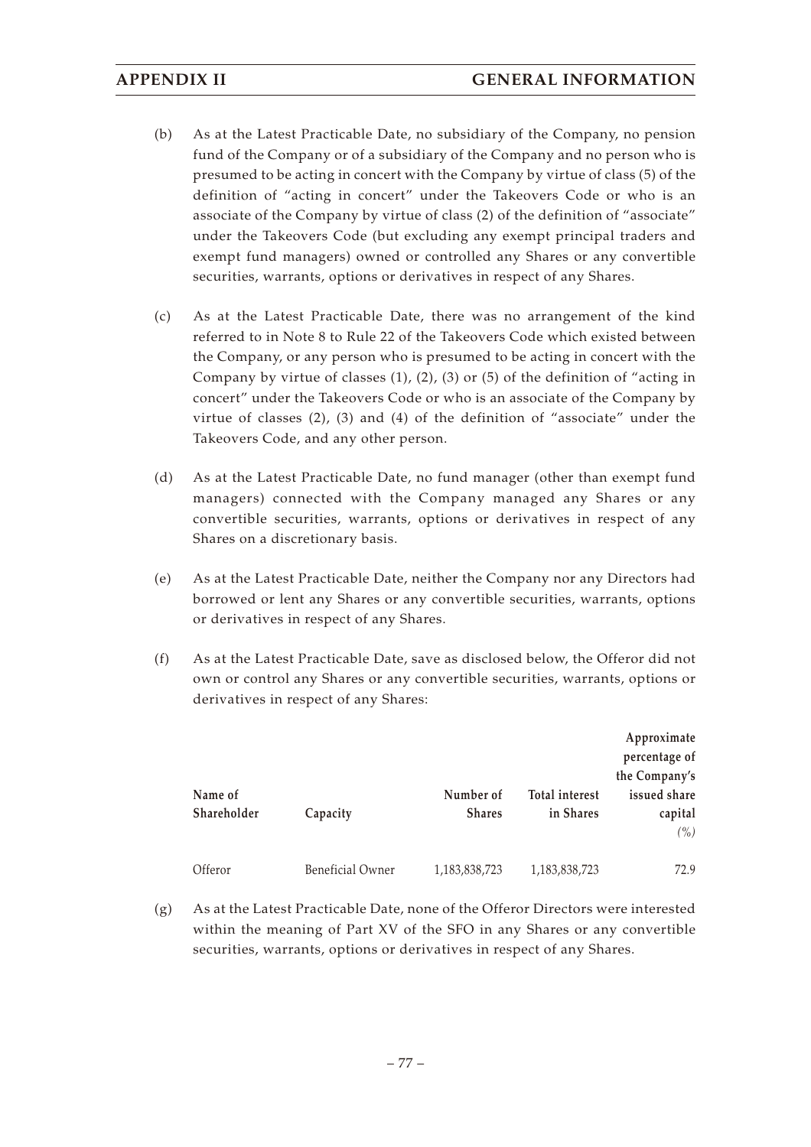- (b) As at the Latest Practicable Date, no subsidiary of the Company, no pension fund of the Company or of a subsidiary of the Company and no person who is presumed to be acting in concert with the Company by virtue of class (5) of the definition of "acting in concert" under the Takeovers Code or who is an associate of the Company by virtue of class (2) of the definition of "associate" under the Takeovers Code (but excluding any exempt principal traders and exempt fund managers) owned or controlled any Shares or any convertible securities, warrants, options or derivatives in respect of any Shares.
- (c) As at the Latest Practicable Date, there was no arrangement of the kind referred to in Note 8 to Rule 22 of the Takeovers Code which existed between the Company, or any person who is presumed to be acting in concert with the Company by virtue of classes (1), (2), (3) or (5) of the definition of "acting in concert" under the Takeovers Code or who is an associate of the Company by virtue of classes (2), (3) and (4) of the definition of "associate" under the Takeovers Code, and any other person.
- (d) As at the Latest Practicable Date, no fund manager (other than exempt fund managers) connected with the Company managed any Shares or any convertible securities, warrants, options or derivatives in respect of any Shares on a discretionary basis.
- (e) As at the Latest Practicable Date, neither the Company nor any Directors had borrowed or lent any Shares or any convertible securities, warrants, options or derivatives in respect of any Shares.
- (f) As at the Latest Practicable Date, save as disclosed below, the Offeror did not own or control any Shares or any convertible securities, warrants, options or derivatives in respect of any Shares:

|                        |                  |                            |                                    | Approximate<br>percentage of<br>the Company's |
|------------------------|------------------|----------------------------|------------------------------------|-----------------------------------------------|
| Name of<br>Shareholder | Capacity         | Number of<br><b>Shares</b> | <b>Total interest</b><br>in Shares | issued share<br>capital<br>$($ %)             |
| Offeror                | Beneficial Owner | 1,183,838,723              | 1,183,838,723                      | 72.9                                          |

(g) As at the Latest Practicable Date, none of the Offeror Directors were interested within the meaning of Part XV of the SFO in any Shares or any convertible securities, warrants, options or derivatives in respect of any Shares.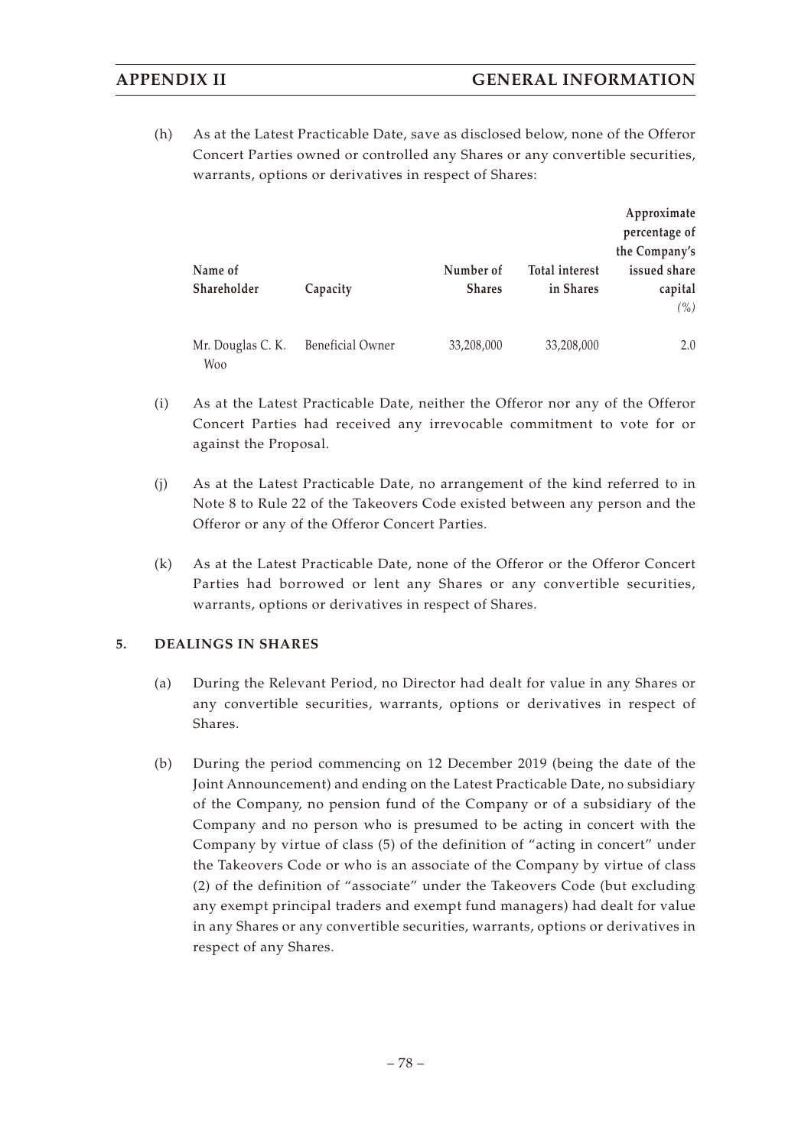(h) As at the Latest Practicable Date, save as disclosed below, none of the Offeror Concert Parties owned or controlled any Shares or any convertible securities, warrants, options or derivatives in respect of Shares:

|                          |                         |               |                       | Approximate   |
|--------------------------|-------------------------|---------------|-----------------------|---------------|
|                          |                         |               |                       | percentage of |
|                          |                         |               |                       | the Company's |
| Name of                  |                         | Number of     | <b>Total interest</b> | issued share  |
| Shareholder              | Capacity                | <b>Shares</b> | in Shares             | capital       |
|                          |                         |               |                       | $($ %)        |
| Mr. Douglas C. K.<br>Woo | <b>Beneficial Owner</b> | 33,208,000    | 33,208,000            | 2.0           |

- (i) As at the Latest Practicable Date, neither the Offeror nor any of the Offeror Concert Parties had received any irrevocable commitment to vote for or against the Proposal.
- (j) As at the Latest Practicable Date, no arrangement of the kind referred to in Note 8 to Rule 22 of the Takeovers Code existed between any person and the Offeror or any of the Offeror Concert Parties.
- (k) As at the Latest Practicable Date, none of the Offeror or the Offeror Concert Parties had borrowed or lent any Shares or any convertible securities, warrants, options or derivatives in respect of Shares.

#### **5. DEALINGS IN SHARES**

- (a) During the Relevant Period, no Director had dealt for value in any Shares or any convertible securities, warrants, options or derivatives in respect of Shares.
- (b) During the period commencing on 12 December 2019 (being the date of the Joint Announcement) and ending on the Latest Practicable Date, no subsidiary of the Company, no pension fund of the Company or of a subsidiary of the Company and no person who is presumed to be acting in concert with the Company by virtue of class (5) of the definition of "acting in concert" under the Takeovers Code or who is an associate of the Company by virtue of class (2) of the definition of "associate" under the Takeovers Code (but excluding any exempt principal traders and exempt fund managers) had dealt for value in any Shares or any convertible securities, warrants, options or derivatives in respect of any Shares.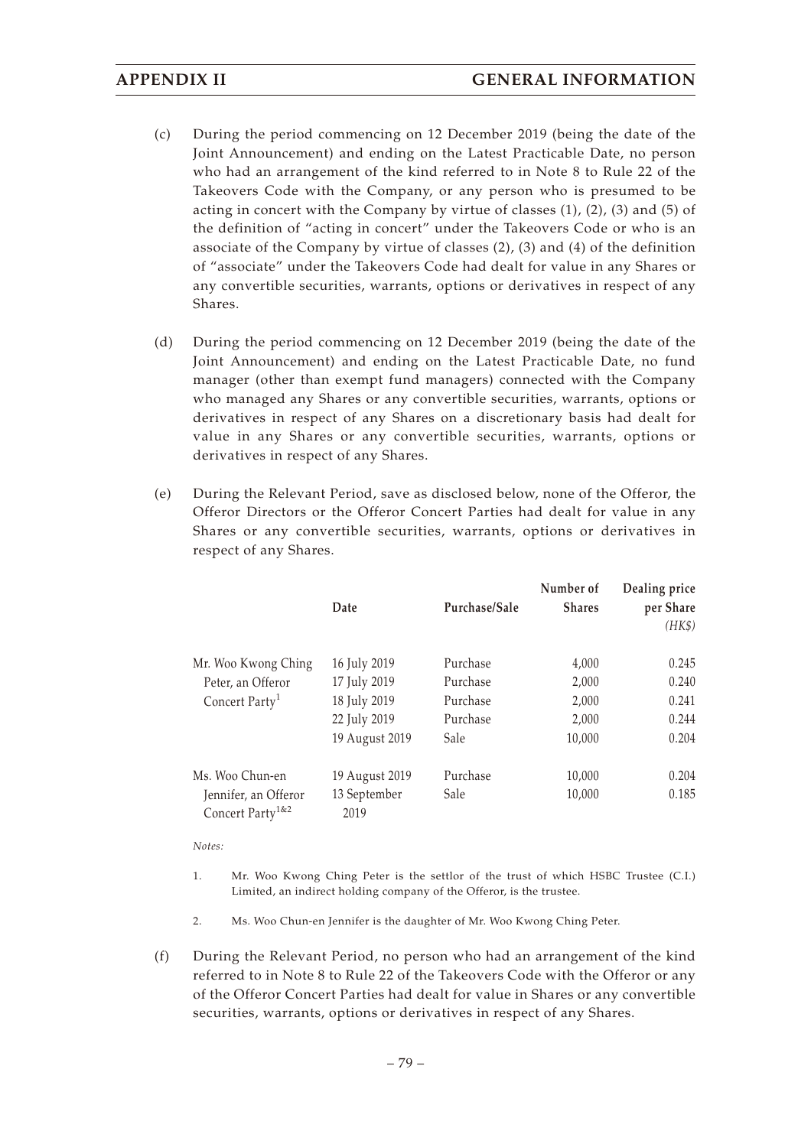- (c) During the period commencing on 12 December 2019 (being the date of the Joint Announcement) and ending on the Latest Practicable Date, no person who had an arrangement of the kind referred to in Note 8 to Rule 22 of the Takeovers Code with the Company, or any person who is presumed to be acting in concert with the Company by virtue of classes  $(1)$ ,  $(2)$ ,  $(3)$  and  $(5)$  of the definition of "acting in concert" under the Takeovers Code or who is an associate of the Company by virtue of classes (2), (3) and (4) of the definition of "associate" under the Takeovers Code had dealt for value in any Shares or any convertible securities, warrants, options or derivatives in respect of any Shares.
- (d) During the period commencing on 12 December 2019 (being the date of the Joint Announcement) and ending on the Latest Practicable Date, no fund manager (other than exempt fund managers) connected with the Company who managed any Shares or any convertible securities, warrants, options or derivatives in respect of any Shares on a discretionary basis had dealt for value in any Shares or any convertible securities, warrants, options or derivatives in respect of any Shares.
- (e) During the Relevant Period, save as disclosed below, none of the Offeror, the Offeror Directors or the Offeror Concert Parties had dealt for value in any Shares or any convertible securities, warrants, options or derivatives in respect of any Shares.

|                                                          | Date                 | Purchase/Sale | Number of<br><b>Shares</b> | Dealing price<br>per Share<br>(HK\$) |
|----------------------------------------------------------|----------------------|---------------|----------------------------|--------------------------------------|
| Mr. Woo Kwong Ching                                      | 16 July 2019         | Purchase      | 4,000                      | 0.245                                |
| Peter, an Offeror                                        | 17 July 2019         | Purchase      | 2,000                      | 0.240                                |
| Concert Party <sup>1</sup>                               | 18 July 2019         | Purchase      | 2,000                      | 0.241                                |
|                                                          | 22 July 2019         | Purchase      | 2,000                      | 0.244                                |
|                                                          | 19 August 2019       | Sale          | 10,000                     | 0.204                                |
| Ms. Woo Chun-en                                          | 19 August 2019       | Purchase      | 10,000                     | 0.204                                |
| Jennifer, an Offeror<br>Concert Party <sup>1&amp;2</sup> | 13 September<br>2019 | Sale          | 10,000                     | 0.185                                |

*Notes:*

- 1. Mr. Woo Kwong Ching Peter is the settlor of the trust of which HSBC Trustee (C.I.) Limited, an indirect holding company of the Offeror, is the trustee.
- 2. Ms. Woo Chun-en Jennifer is the daughter of Mr. Woo Kwong Ching Peter.
- (f) During the Relevant Period, no person who had an arrangement of the kind referred to in Note 8 to Rule 22 of the Takeovers Code with the Offeror or any of the Offeror Concert Parties had dealt for value in Shares or any convertible securities, warrants, options or derivatives in respect of any Shares.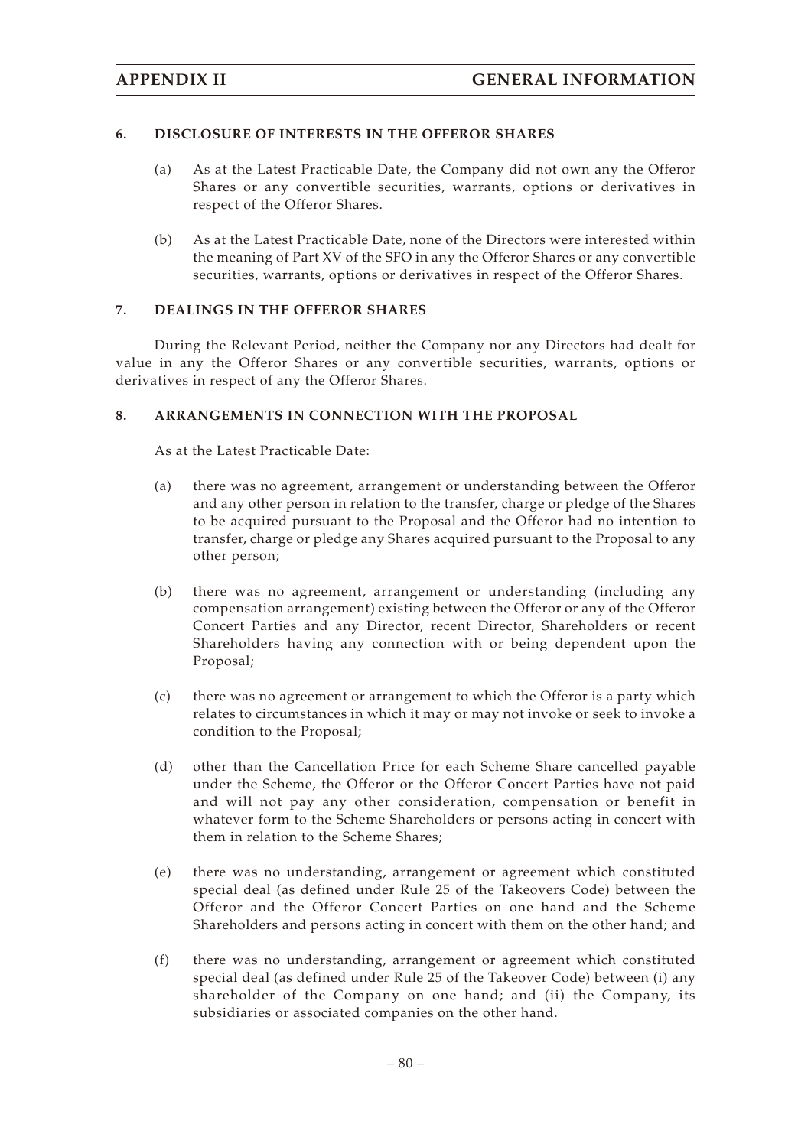### **6. DISCLOSURE OF INTERESTS IN THE OFFEROR SHARES**

- (a) As at the Latest Practicable Date, the Company did not own any the Offeror Shares or any convertible securities, warrants, options or derivatives in respect of the Offeror Shares.
- (b) As at the Latest Practicable Date, none of the Directors were interested within the meaning of Part XV of the SFO in any the Offeror Shares or any convertible securities, warrants, options or derivatives in respect of the Offeror Shares.

### **7. DEALINGS IN THE OFFEROR SHARES**

During the Relevant Period, neither the Company nor any Directors had dealt for value in any the Offeror Shares or any convertible securities, warrants, options or derivatives in respect of any the Offeror Shares.

#### **8. ARRANGEMENTS IN CONNECTION WITH THE PROPOSAL**

As at the Latest Practicable Date:

- (a) there was no agreement, arrangement or understanding between the Offeror and any other person in relation to the transfer, charge or pledge of the Shares to be acquired pursuant to the Proposal and the Offeror had no intention to transfer, charge or pledge any Shares acquired pursuant to the Proposal to any other person;
- (b) there was no agreement, arrangement or understanding (including any compensation arrangement) existing between the Offeror or any of the Offeror Concert Parties and any Director, recent Director, Shareholders or recent Shareholders having any connection with or being dependent upon the Proposal;
- (c) there was no agreement or arrangement to which the Offeror is a party which relates to circumstances in which it may or may not invoke or seek to invoke a condition to the Proposal;
- (d) other than the Cancellation Price for each Scheme Share cancelled payable under the Scheme, the Offeror or the Offeror Concert Parties have not paid and will not pay any other consideration, compensation or benefit in whatever form to the Scheme Shareholders or persons acting in concert with them in relation to the Scheme Shares;
- (e) there was no understanding, arrangement or agreement which constituted special deal (as defined under Rule 25 of the Takeovers Code) between the Offeror and the Offeror Concert Parties on one hand and the Scheme Shareholders and persons acting in concert with them on the other hand; and
- (f) there was no understanding, arrangement or agreement which constituted special deal (as defined under Rule 25 of the Takeover Code) between (i) any shareholder of the Company on one hand; and (ii) the Company, its subsidiaries or associated companies on the other hand.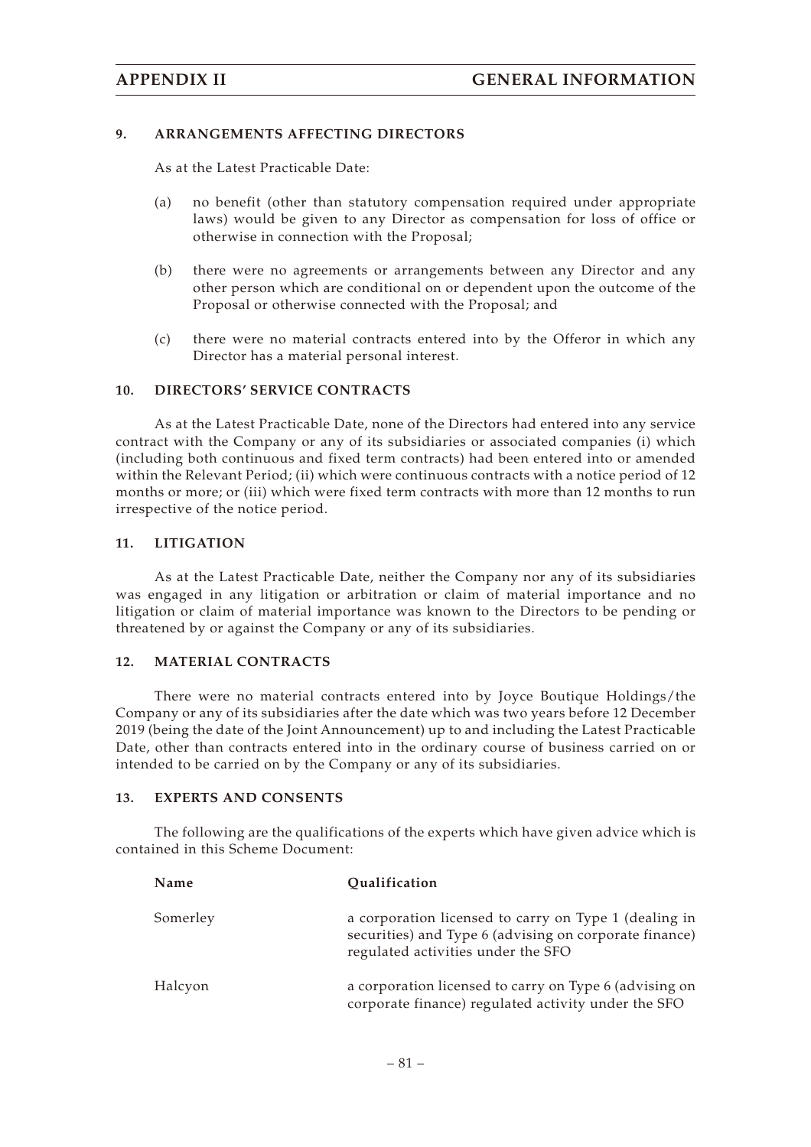#### **9. ARRANGEMENTS AFFECTING DIRECTORS**

As at the Latest Practicable Date:

- (a) no benefit (other than statutory compensation required under appropriate laws) would be given to any Director as compensation for loss of office or otherwise in connection with the Proposal;
- (b) there were no agreements or arrangements between any Director and any other person which are conditional on or dependent upon the outcome of the Proposal or otherwise connected with the Proposal; and
- (c) there were no material contracts entered into by the Offeror in which any Director has a material personal interest.

#### **10. DIRECTORS' SERVICE CONTRACTS**

As at the Latest Practicable Date, none of the Directors had entered into any service contract with the Company or any of its subsidiaries or associated companies (i) which (including both continuous and fixed term contracts) had been entered into or amended within the Relevant Period; (ii) which were continuous contracts with a notice period of 12 months or more; or (iii) which were fixed term contracts with more than 12 months to run irrespective of the notice period.

#### **11. LITIGATION**

As at the Latest Practicable Date, neither the Company nor any of its subsidiaries was engaged in any litigation or arbitration or claim of material importance and no litigation or claim of material importance was known to the Directors to be pending or threatened by or against the Company or any of its subsidiaries.

#### **12. MATERIAL CONTRACTS**

There were no material contracts entered into by Joyce Boutique Holdings/the Company or any of its subsidiaries after the date which was two years before 12 December 2019 (being the date of the Joint Announcement) up to and including the Latest Practicable Date, other than contracts entered into in the ordinary course of business carried on or intended to be carried on by the Company or any of its subsidiaries.

#### **13. EXPERTS AND CONSENTS**

The following are the qualifications of the experts which have given advice which is contained in this Scheme Document:

| Name     | Qualification                                                                                                                                         |
|----------|-------------------------------------------------------------------------------------------------------------------------------------------------------|
| Somerley | a corporation licensed to carry on Type 1 (dealing in<br>securities) and Type 6 (advising on corporate finance)<br>regulated activities under the SFO |
| Halcyon  | a corporation licensed to carry on Type 6 (advising on<br>corporate finance) regulated activity under the SFO                                         |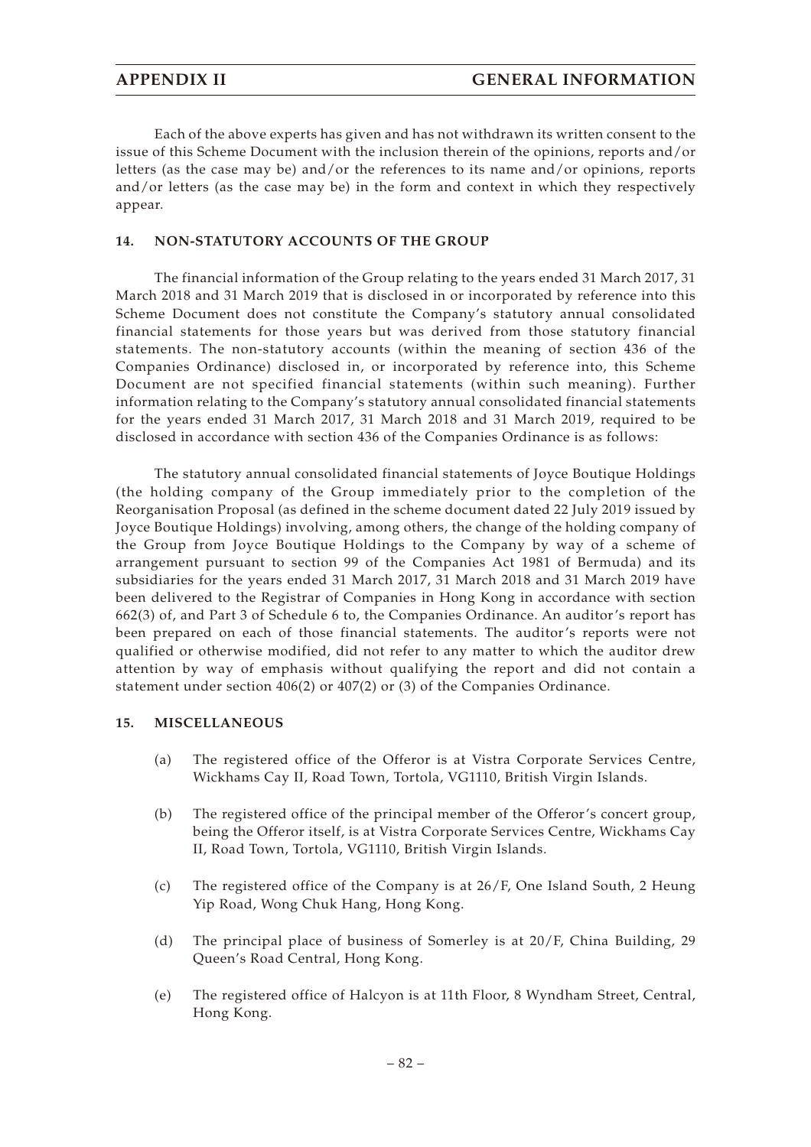Each of the above experts has given and has not withdrawn its written consent to the issue of this Scheme Document with the inclusion therein of the opinions, reports and/or letters (as the case may be) and/or the references to its name and/or opinions, reports and/or letters (as the case may be) in the form and context in which they respectively appear.

#### **14. NON-STATUTORY ACCOUNTS OF THE GROUP**

The financial information of the Group relating to the years ended 31 March 2017, 31 March 2018 and 31 March 2019 that is disclosed in or incorporated by reference into this Scheme Document does not constitute the Company's statutory annual consolidated financial statements for those years but was derived from those statutory financial statements. The non-statutory accounts (within the meaning of section 436 of the Companies Ordinance) disclosed in, or incorporated by reference into, this Scheme Document are not specified financial statements (within such meaning). Further information relating to the Company's statutory annual consolidated financial statements for the years ended 31 March 2017, 31 March 2018 and 31 March 2019, required to be disclosed in accordance with section 436 of the Companies Ordinance is as follows:

The statutory annual consolidated financial statements of Joyce Boutique Holdings (the holding company of the Group immediately prior to the completion of the Reorganisation Proposal (as defined in the scheme document dated 22 July 2019 issued by Joyce Boutique Holdings) involving, among others, the change of the holding company of the Group from Joyce Boutique Holdings to the Company by way of a scheme of arrangement pursuant to section 99 of the Companies Act 1981 of Bermuda) and its subsidiaries for the years ended 31 March 2017, 31 March 2018 and 31 March 2019 have been delivered to the Registrar of Companies in Hong Kong in accordance with section 662(3) of, and Part 3 of Schedule 6 to, the Companies Ordinance. An auditor's report has been prepared on each of those financial statements. The auditor's reports were not qualified or otherwise modified, did not refer to any matter to which the auditor drew attention by way of emphasis without qualifying the report and did not contain a statement under section 406(2) or 407(2) or (3) of the Companies Ordinance.

#### **15. MISCELLANEOUS**

- (a) The registered office of the Offeror is at Vistra Corporate Services Centre, Wickhams Cay II, Road Town, Tortola, VG1110, British Virgin Islands.
- (b) The registered office of the principal member of the Offeror's concert group, being the Offeror itself, is at Vistra Corporate Services Centre, Wickhams Cay II, Road Town, Tortola, VG1110, British Virgin Islands.
- (c) The registered office of the Company is at 26/F, One Island South, 2 Heung Yip Road, Wong Chuk Hang, Hong Kong.
- (d) The principal place of business of Somerley is at 20/F, China Building, 29 Queen's Road Central, Hong Kong.
- (e) The registered office of Halcyon is at 11th Floor, 8 Wyndham Street, Central, Hong Kong.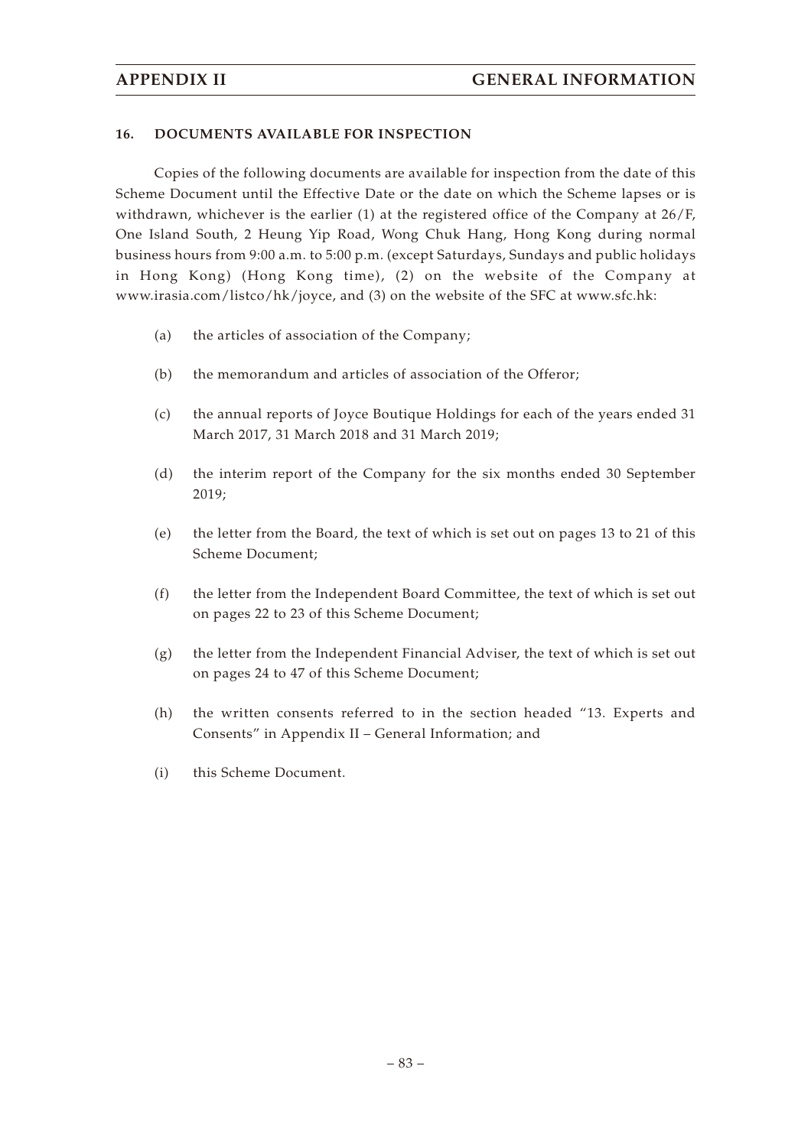#### **16. DOCUMENTS AVAILABLE FOR INSPECTION**

Copies of the following documents are available for inspection from the date of this Scheme Document until the Effective Date or the date on which the Scheme lapses or is withdrawn, whichever is the earlier (1) at the registered office of the Company at 26/F, One Island South, 2 Heung Yip Road, Wong Chuk Hang, Hong Kong during normal business hours from 9:00 a.m. to 5:00 p.m. (except Saturdays, Sundays and public holidays in Hong Kong) (Hong Kong time), (2) on the website of the Company at www.irasia.com/listco/hk/joyce, and (3) on the website of the SFC at www.sfc.hk:

- (a) the articles of association of the Company;
- (b) the memorandum and articles of association of the Offeror;
- (c) the annual reports of Joyce Boutique Holdings for each of the years ended 31 March 2017, 31 March 2018 and 31 March 2019;
- (d) the interim report of the Company for the six months ended 30 September 2019;
- (e) the letter from the Board, the text of which is set out on pages 13 to 21 of this Scheme Document;
- (f) the letter from the Independent Board Committee, the text of which is set out on pages 22 to 23 of this Scheme Document;
- (g) the letter from the Independent Financial Adviser, the text of which is set out on pages 24 to 47 of this Scheme Document;
- (h) the written consents referred to in the section headed "13. Experts and Consents" in Appendix II – General Information; and
- (i) this Scheme Document.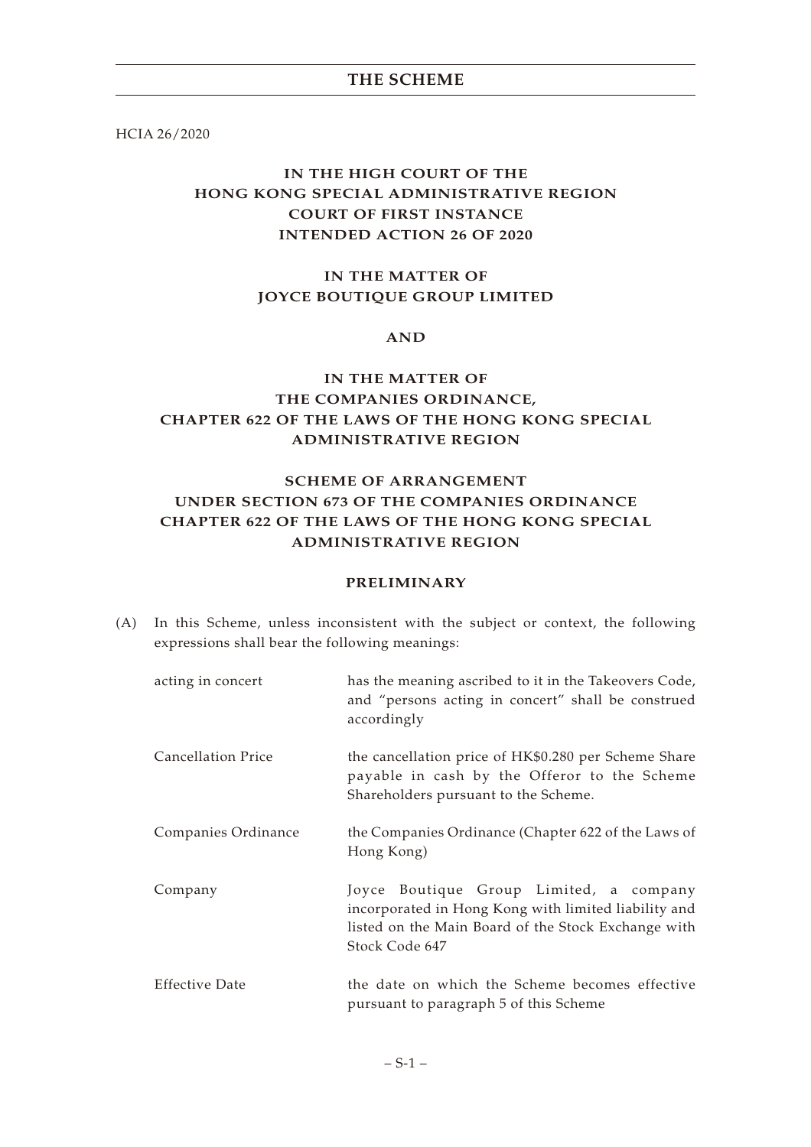HCIA 26/2020

# **IN THE HIGH COURT OF THE HONG KONG SPECIAL ADMINISTRATIVE REGION COURT OF FIRST INSTANCE INTENDED ACTION 26 OF 2020**

# **IN THE MATTER OF JOYCE BOUTIQUE GROUP LIMITED**

#### **AND**

# **IN THE MATTER OF THE COMPANIES ORDINANCE, CHAPTER 622 OF THE LAWS OF THE HONG KONG SPECIAL ADMINISTRATIVE REGION**

# **SCHEME OF ARRANGEMENT UNDER SECTION 673 OF THE COMPANIES ORDINANCE CHAPTER 622 OF THE LAWS OF THE HONG KONG SPECIAL ADMINISTRATIVE REGION**

#### **PRELIMINARY**

(A) In this Scheme, unless inconsistent with the subject or context, the following expressions shall bear the following meanings:

| acting in concert     | has the meaning ascribed to it in the Takeovers Code,<br>and "persons acting in concert" shall be construed<br>accordingly                                               |
|-----------------------|--------------------------------------------------------------------------------------------------------------------------------------------------------------------------|
| Cancellation Price    | the cancellation price of HK\$0.280 per Scheme Share<br>payable in cash by the Offeror to the Scheme<br>Shareholders pursuant to the Scheme.                             |
| Companies Ordinance   | the Companies Ordinance (Chapter 622 of the Laws of<br>Hong Kong)                                                                                                        |
| Company               | Joyce Boutique Group Limited, a company<br>incorporated in Hong Kong with limited liability and<br>listed on the Main Board of the Stock Exchange with<br>Stock Code 647 |
| <b>Effective Date</b> | the date on which the Scheme becomes effective<br>pursuant to paragraph 5 of this Scheme                                                                                 |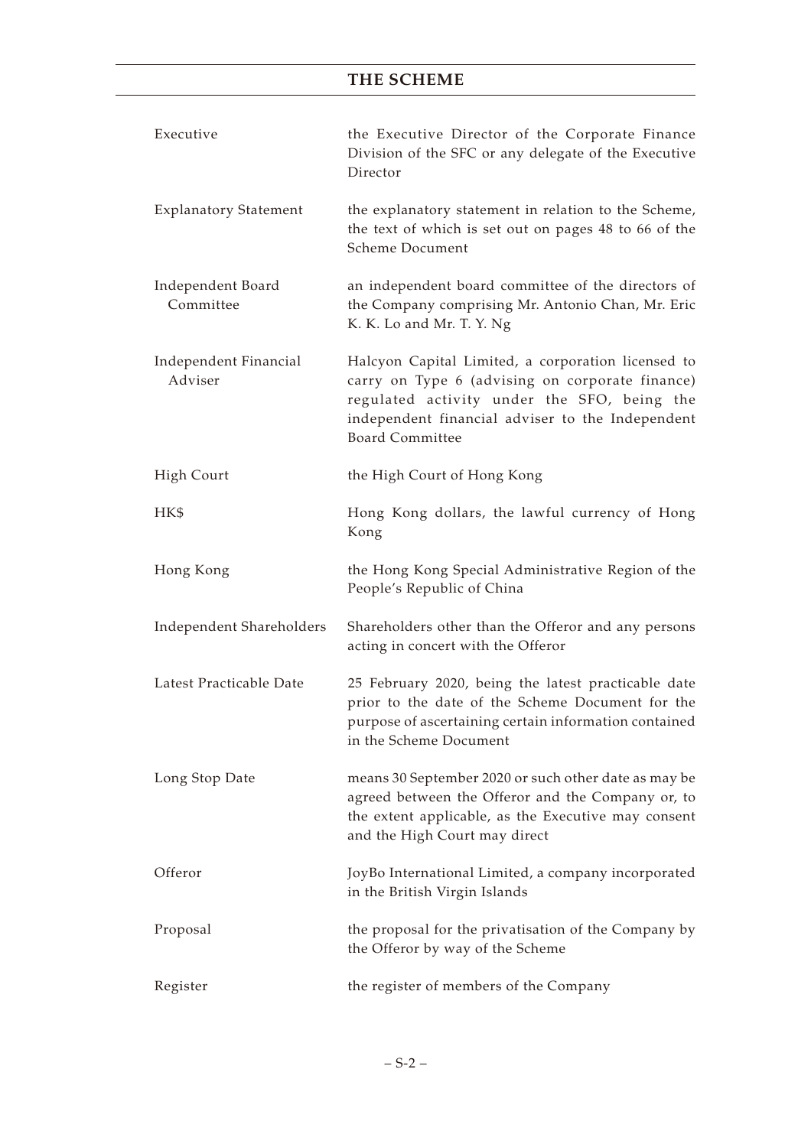| Executive                        | the Executive Director of the Corporate Finance<br>Division of the SFC or any delegate of the Executive<br>Director                                                                                                                |
|----------------------------------|------------------------------------------------------------------------------------------------------------------------------------------------------------------------------------------------------------------------------------|
| <b>Explanatory Statement</b>     | the explanatory statement in relation to the Scheme,<br>the text of which is set out on pages 48 to 66 of the<br>Scheme Document                                                                                                   |
| Independent Board<br>Committee   | an independent board committee of the directors of<br>the Company comprising Mr. Antonio Chan, Mr. Eric<br>K. K. Lo and Mr. T. Y. Ng                                                                                               |
| Independent Financial<br>Adviser | Halcyon Capital Limited, a corporation licensed to<br>carry on Type 6 (advising on corporate finance)<br>regulated activity under the SFO, being the<br>independent financial adviser to the Independent<br><b>Board Committee</b> |
| High Court                       | the High Court of Hong Kong                                                                                                                                                                                                        |
| HK\$                             | Hong Kong dollars, the lawful currency of Hong<br>Kong                                                                                                                                                                             |
| Hong Kong                        | the Hong Kong Special Administrative Region of the<br>People's Republic of China                                                                                                                                                   |
| Independent Shareholders         | Shareholders other than the Offeror and any persons<br>acting in concert with the Offeror                                                                                                                                          |
| Latest Practicable Date          | 25 February 2020, being the latest practicable date<br>prior to the date of the Scheme Document for the<br>purpose of ascertaining certain information contained<br>in the Scheme Document                                         |
| Long Stop Date                   | means 30 September 2020 or such other date as may be<br>agreed between the Offeror and the Company or, to<br>the extent applicable, as the Executive may consent<br>and the High Court may direct                                  |
| Offeror                          | JoyBo International Limited, a company incorporated<br>in the British Virgin Islands                                                                                                                                               |
| Proposal                         | the proposal for the privatisation of the Company by<br>the Offeror by way of the Scheme                                                                                                                                           |
| Register                         | the register of members of the Company                                                                                                                                                                                             |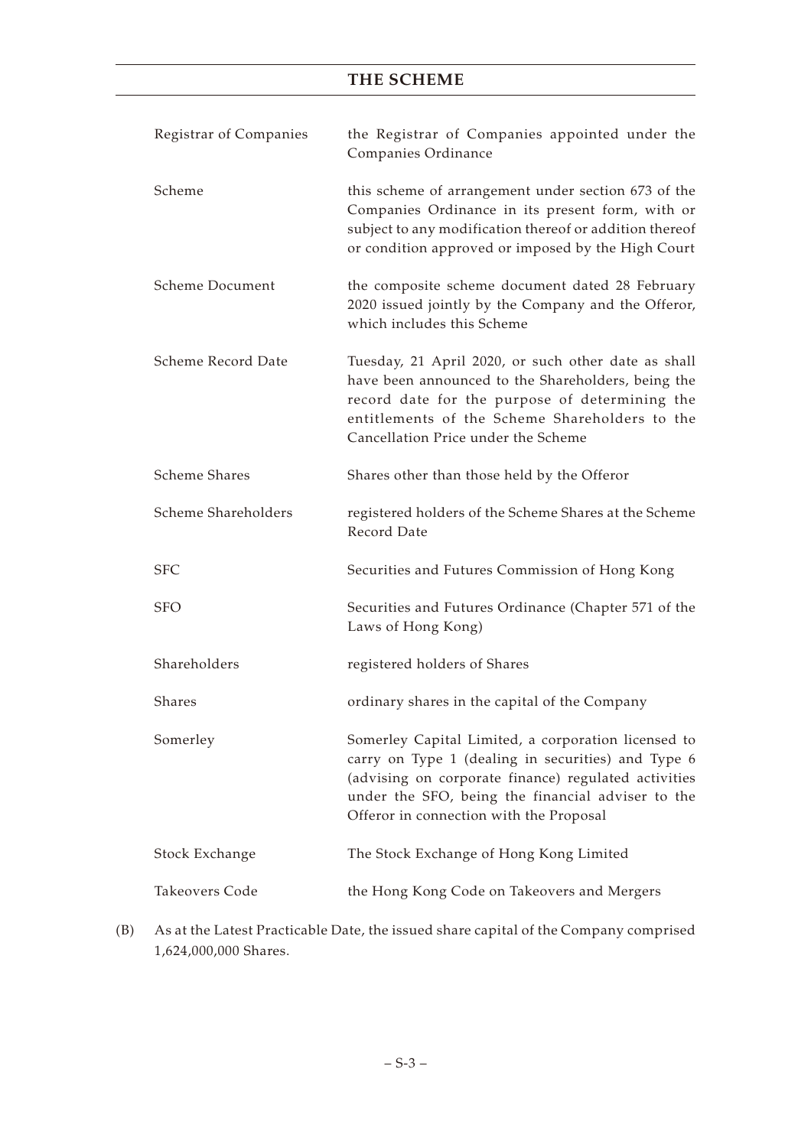| this scheme of arrangement under section 673 of the<br>Companies Ordinance in its present form, with or<br>subject to any modification thereof or addition thereof<br>or condition approved or imposed by the High Court<br>the composite scheme document dated 28 February<br>2020 issued jointly by the Company and the Offeror,<br>which includes this Scheme |
|------------------------------------------------------------------------------------------------------------------------------------------------------------------------------------------------------------------------------------------------------------------------------------------------------------------------------------------------------------------|
|                                                                                                                                                                                                                                                                                                                                                                  |
|                                                                                                                                                                                                                                                                                                                                                                  |
| Tuesday, 21 April 2020, or such other date as shall<br>have been announced to the Shareholders, being the<br>record date for the purpose of determining the<br>entitlements of the Scheme Shareholders to the<br>Cancellation Price under the Scheme                                                                                                             |
| Shares other than those held by the Offeror                                                                                                                                                                                                                                                                                                                      |
| registered holders of the Scheme Shares at the Scheme                                                                                                                                                                                                                                                                                                            |
| Securities and Futures Commission of Hong Kong                                                                                                                                                                                                                                                                                                                   |
| Securities and Futures Ordinance (Chapter 571 of the                                                                                                                                                                                                                                                                                                             |
| registered holders of Shares                                                                                                                                                                                                                                                                                                                                     |
| ordinary shares in the capital of the Company                                                                                                                                                                                                                                                                                                                    |
| Somerley Capital Limited, a corporation licensed to<br>carry on Type 1 (dealing in securities) and Type 6<br>(advising on corporate finance) regulated activities<br>under the SFO, being the financial adviser to the<br>Offeror in connection with the Proposal                                                                                                |
| The Stock Exchange of Hong Kong Limited                                                                                                                                                                                                                                                                                                                          |
| the Hong Kong Code on Takeovers and Mergers                                                                                                                                                                                                                                                                                                                      |
|                                                                                                                                                                                                                                                                                                                                                                  |

(B) As at the Latest Practicable Date, the issued share capital of the Company comprised 1,624,000,000 Shares.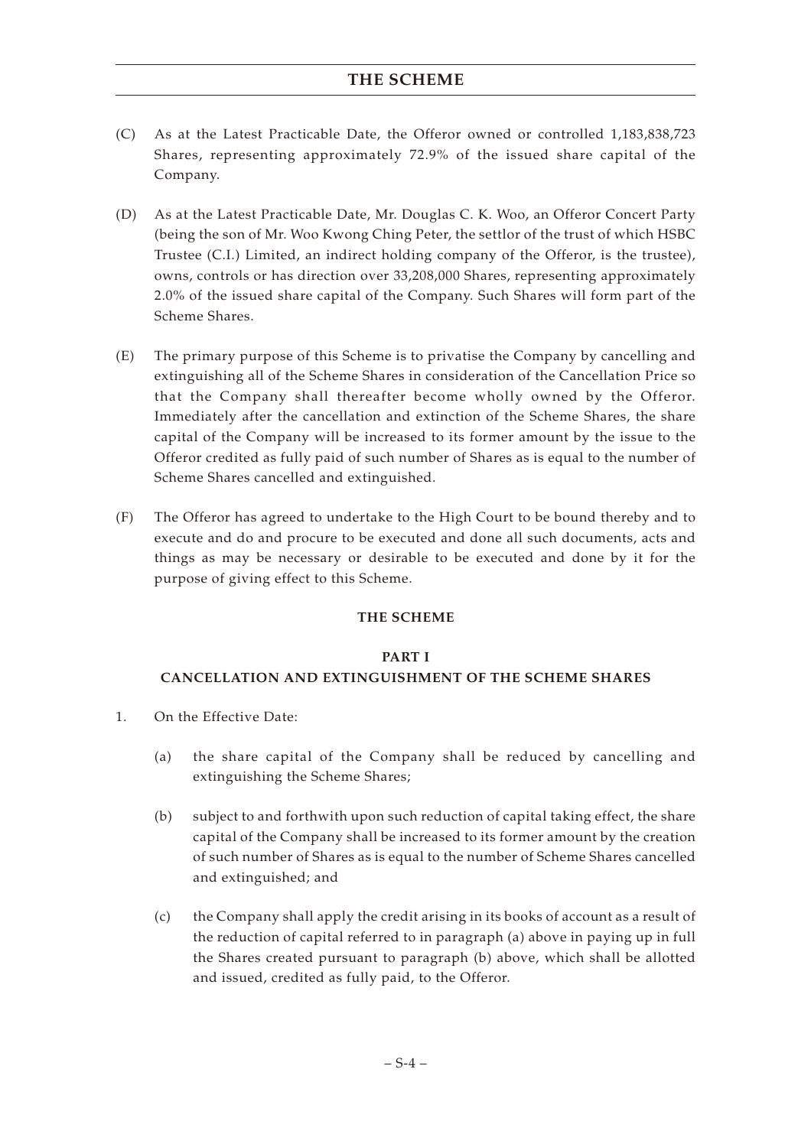- (C) As at the Latest Practicable Date, the Offeror owned or controlled 1,183,838,723 Shares, representing approximately 72.9% of the issued share capital of the Company.
- (D) As at the Latest Practicable Date, Mr. Douglas C. K. Woo, an Offeror Concert Party (being the son of Mr. Woo Kwong Ching Peter, the settlor of the trust of which HSBC Trustee (C.I.) Limited, an indirect holding company of the Offeror, is the trustee), owns, controls or has direction over 33,208,000 Shares, representing approximately 2.0% of the issued share capital of the Company. Such Shares will form part of the Scheme Shares.
- (E) The primary purpose of this Scheme is to privatise the Company by cancelling and extinguishing all of the Scheme Shares in consideration of the Cancellation Price so that the Company shall thereafter become wholly owned by the Offeror. Immediately after the cancellation and extinction of the Scheme Shares, the share capital of the Company will be increased to its former amount by the issue to the Offeror credited as fully paid of such number of Shares as is equal to the number of Scheme Shares cancelled and extinguished.
- (F) The Offeror has agreed to undertake to the High Court to be bound thereby and to execute and do and procure to be executed and done all such documents, acts and things as may be necessary or desirable to be executed and done by it for the purpose of giving effect to this Scheme.

### **THE SCHEME**

### **PART I**

# **CANCELLATION AND EXTINGUISHMENT OF THE SCHEME SHARES**

- 1. On the Effective Date:
	- (a) the share capital of the Company shall be reduced by cancelling and extinguishing the Scheme Shares;
	- (b) subject to and forthwith upon such reduction of capital taking effect, the share capital of the Company shall be increased to its former amount by the creation of such number of Shares as is equal to the number of Scheme Shares cancelled and extinguished; and
	- (c) the Company shall apply the credit arising in its books of account as a result of the reduction of capital referred to in paragraph (a) above in paying up in full the Shares created pursuant to paragraph (b) above, which shall be allotted and issued, credited as fully paid, to the Offeror.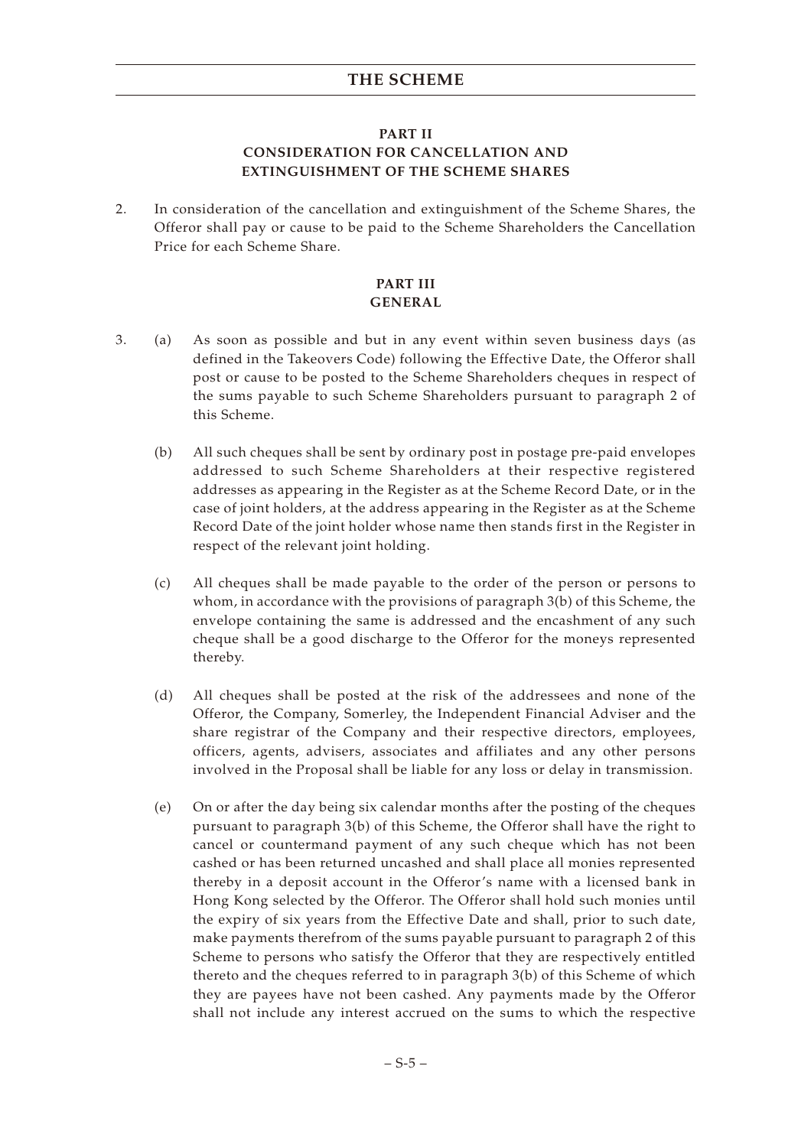### **PART II CONSIDERATION FOR CANCELLATION AND EXTINGUISHMENT OF THE SCHEME SHARES**

2. In consideration of the cancellation and extinguishment of the Scheme Shares, the Offeror shall pay or cause to be paid to the Scheme Shareholders the Cancellation Price for each Scheme Share.

## **PART III GENERAL**

- 3. (a) As soon as possible and but in any event within seven business days (as defined in the Takeovers Code) following the Effective Date, the Offeror shall post or cause to be posted to the Scheme Shareholders cheques in respect of the sums payable to such Scheme Shareholders pursuant to paragraph 2 of this Scheme.
	- (b) All such cheques shall be sent by ordinary post in postage pre-paid envelopes addressed to such Scheme Shareholders at their respective registered addresses as appearing in the Register as at the Scheme Record Date, or in the case of joint holders, at the address appearing in the Register as at the Scheme Record Date of the joint holder whose name then stands first in the Register in respect of the relevant joint holding.
	- (c) All cheques shall be made payable to the order of the person or persons to whom, in accordance with the provisions of paragraph 3(b) of this Scheme, the envelope containing the same is addressed and the encashment of any such cheque shall be a good discharge to the Offeror for the moneys represented thereby.
	- (d) All cheques shall be posted at the risk of the addressees and none of the Offeror, the Company, Somerley, the Independent Financial Adviser and the share registrar of the Company and their respective directors, employees, officers, agents, advisers, associates and affiliates and any other persons involved in the Proposal shall be liable for any loss or delay in transmission.
	- (e) On or after the day being six calendar months after the posting of the cheques pursuant to paragraph 3(b) of this Scheme, the Offeror shall have the right to cancel or countermand payment of any such cheque which has not been cashed or has been returned uncashed and shall place all monies represented thereby in a deposit account in the Offeror's name with a licensed bank in Hong Kong selected by the Offeror. The Offeror shall hold such monies until the expiry of six years from the Effective Date and shall, prior to such date, make payments therefrom of the sums payable pursuant to paragraph 2 of this Scheme to persons who satisfy the Offeror that they are respectively entitled thereto and the cheques referred to in paragraph 3(b) of this Scheme of which they are payees have not been cashed. Any payments made by the Offeror shall not include any interest accrued on the sums to which the respective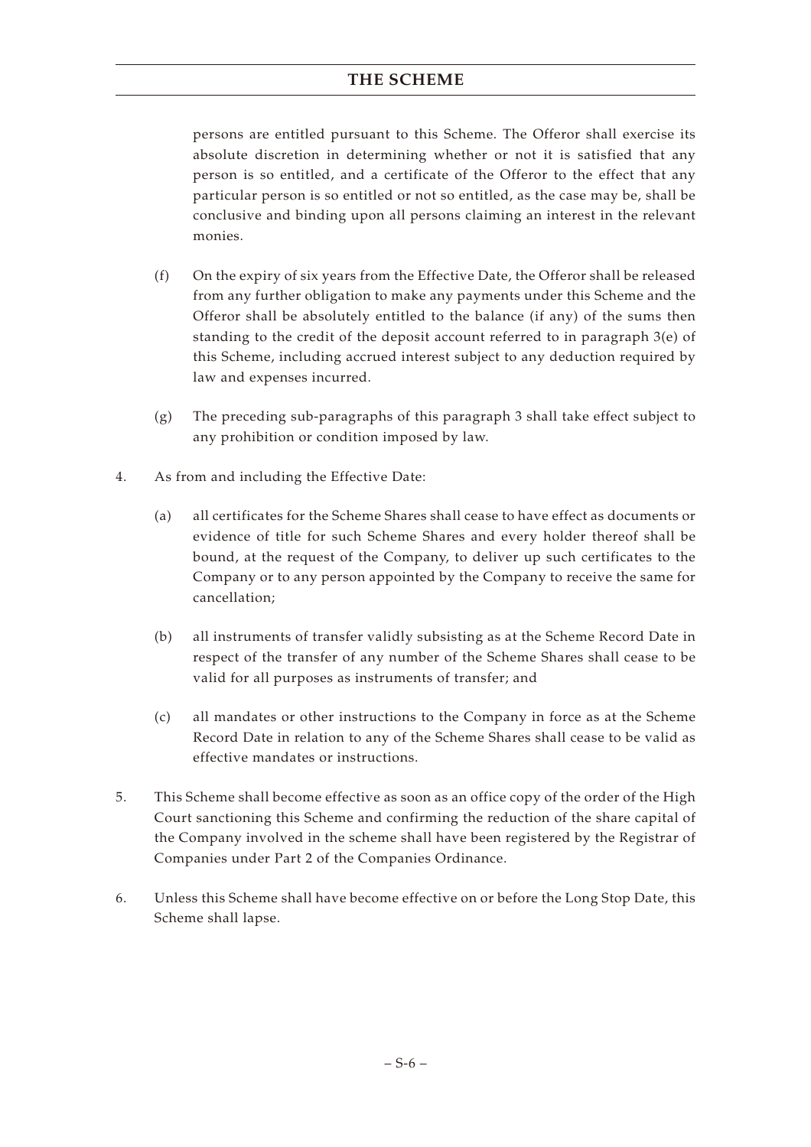persons are entitled pursuant to this Scheme. The Offeror shall exercise its absolute discretion in determining whether or not it is satisfied that any person is so entitled, and a certificate of the Offeror to the effect that any particular person is so entitled or not so entitled, as the case may be, shall be conclusive and binding upon all persons claiming an interest in the relevant monies.

- (f) On the expiry of six years from the Effective Date, the Offeror shall be released from any further obligation to make any payments under this Scheme and the Offeror shall be absolutely entitled to the balance (if any) of the sums then standing to the credit of the deposit account referred to in paragraph 3(e) of this Scheme, including accrued interest subject to any deduction required by law and expenses incurred.
- (g) The preceding sub-paragraphs of this paragraph 3 shall take effect subject to any prohibition or condition imposed by law.
- 4. As from and including the Effective Date:
	- (a) all certificates for the Scheme Shares shall cease to have effect as documents or evidence of title for such Scheme Shares and every holder thereof shall be bound, at the request of the Company, to deliver up such certificates to the Company or to any person appointed by the Company to receive the same for cancellation;
	- (b) all instruments of transfer validly subsisting as at the Scheme Record Date in respect of the transfer of any number of the Scheme Shares shall cease to be valid for all purposes as instruments of transfer; and
	- (c) all mandates or other instructions to the Company in force as at the Scheme Record Date in relation to any of the Scheme Shares shall cease to be valid as effective mandates or instructions.
- 5. This Scheme shall become effective as soon as an office copy of the order of the High Court sanctioning this Scheme and confirming the reduction of the share capital of the Company involved in the scheme shall have been registered by the Registrar of Companies under Part 2 of the Companies Ordinance.
- 6. Unless this Scheme shall have become effective on or before the Long Stop Date, this Scheme shall lapse.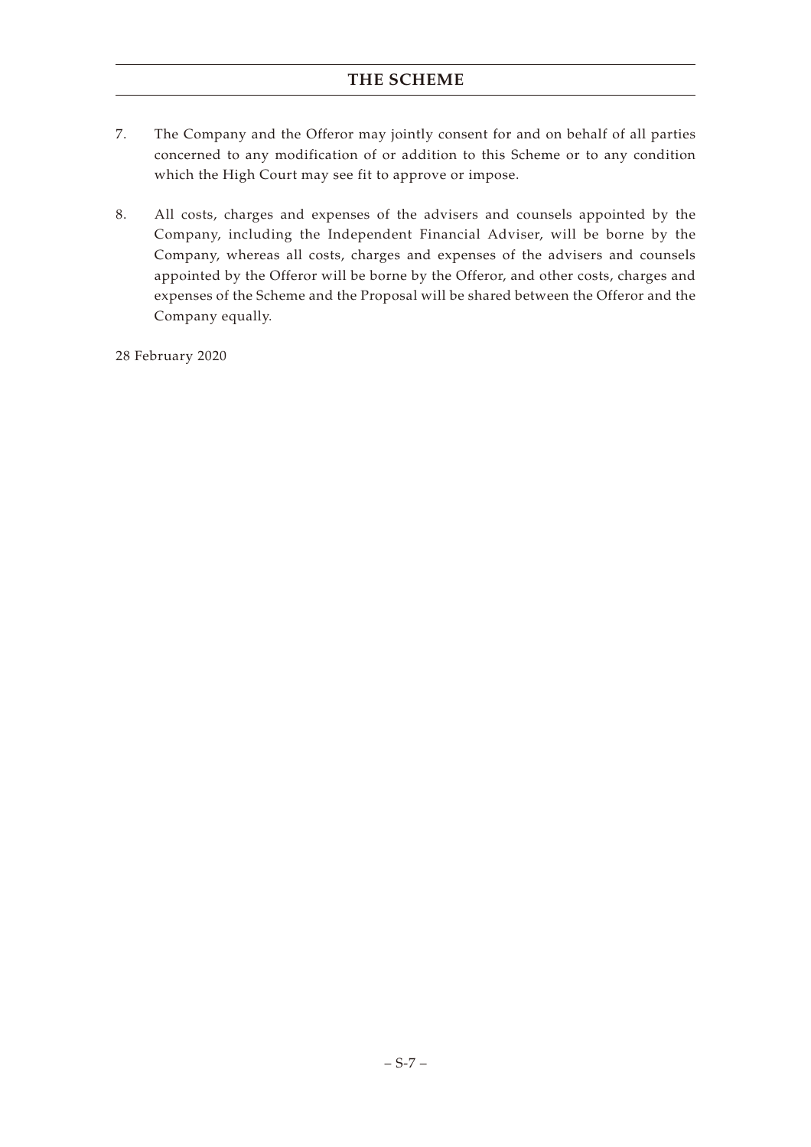- 7. The Company and the Offeror may jointly consent for and on behalf of all parties concerned to any modification of or addition to this Scheme or to any condition which the High Court may see fit to approve or impose.
- 8. All costs, charges and expenses of the advisers and counsels appointed by the Company, including the Independent Financial Adviser, will be borne by the Company, whereas all costs, charges and expenses of the advisers and counsels appointed by the Offeror will be borne by the Offeror, and other costs, charges and expenses of the Scheme and the Proposal will be shared between the Offeror and the Company equally.

28 February 2020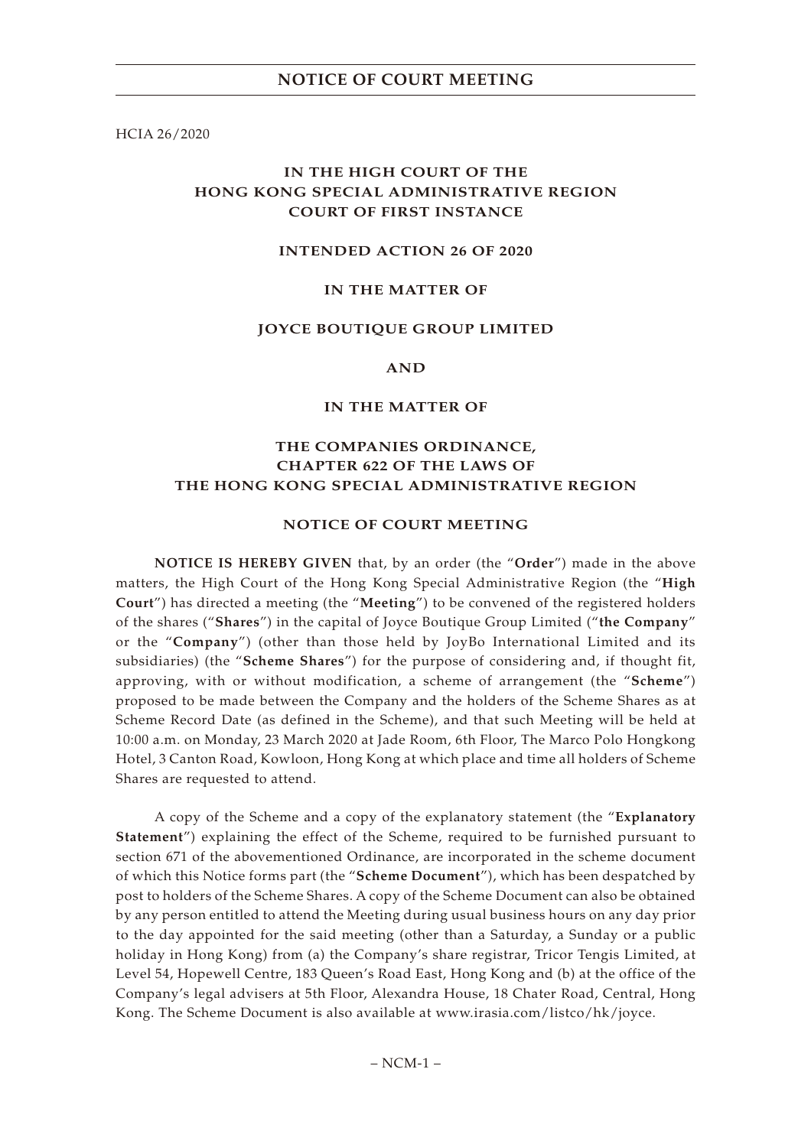HCIA 26/2020

# **IN THE HIGH COURT OF THE HONG KONG SPECIAL ADMINISTRATIVE REGION COURT OF FIRST INSTANCE**

#### **INTENDED ACTION 26 OF 2020**

### **IN THE MATTER OF**

#### **JOYCE BOUTIQUE GROUP LIMITED**

**AND**

#### **IN THE MATTER OF**

# **THE COMPANIES ORDINANCE, CHAPTER 622 OF THE LAWS OF THE HONG KONG SPECIAL ADMINISTRATIVE REGION**

#### **NOTICE OF COURT MEETING**

**NOTICE IS HEREBY GIVEN** that, by an order (the "**Order**") made in the above matters, the High Court of the Hong Kong Special Administrative Region (the "**High Court**") has directed a meeting (the "**Meeting**") to be convened of the registered holders of the shares ("**Shares**") in the capital of Joyce Boutique Group Limited ("**the Company**" or the "**Company**") (other than those held by JoyBo International Limited and its subsidiaries) (the "**Scheme Shares**") for the purpose of considering and, if thought fit, approving, with or without modification, a scheme of arrangement (the "**Scheme**") proposed to be made between the Company and the holders of the Scheme Shares as at Scheme Record Date (as defined in the Scheme), and that such Meeting will be held at 10:00 a.m. on Monday, 23 March 2020 at Jade Room, 6th Floor, The Marco Polo Hongkong Hotel, 3 Canton Road, Kowloon, Hong Kong at which place and time all holders of Scheme Shares are requested to attend.

A copy of the Scheme and a copy of the explanatory statement (the "**Explanatory Statement**") explaining the effect of the Scheme, required to be furnished pursuant to section 671 of the abovementioned Ordinance, are incorporated in the scheme document of which this Notice forms part (the "**Scheme Document**"), which has been despatched by post to holders of the Scheme Shares. A copy of the Scheme Document can also be obtained by any person entitled to attend the Meeting during usual business hours on any day prior to the day appointed for the said meeting (other than a Saturday, a Sunday or a public holiday in Hong Kong) from (a) the Company's share registrar, Tricor Tengis Limited, at Level 54, Hopewell Centre, 183 Queen's Road East, Hong Kong and (b) at the office of the Company's legal advisers at 5th Floor, Alexandra House, 18 Chater Road, Central, Hong Kong. The Scheme Document is also available at www.irasia.com/listco/hk/joyce.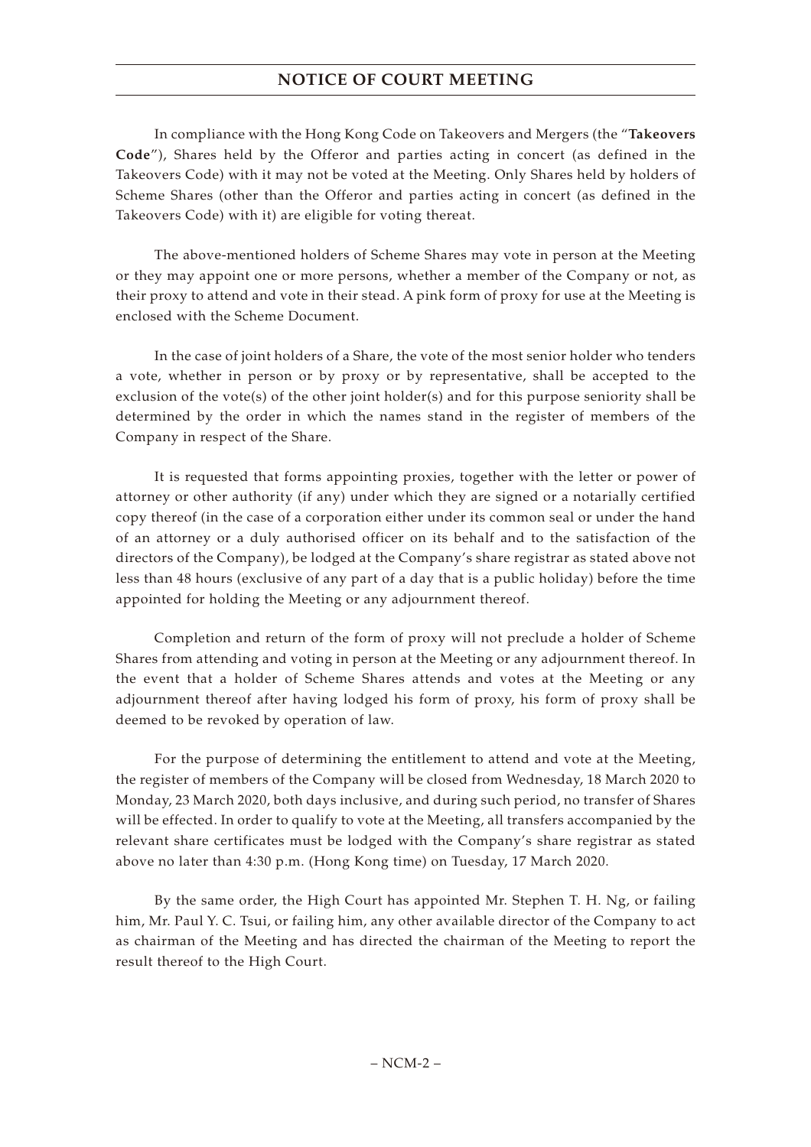# **NOTICE OF COURT MEETING**

In compliance with the Hong Kong Code on Takeovers and Mergers (the "**Takeovers Code**"), Shares held by the Offeror and parties acting in concert (as defined in the Takeovers Code) with it may not be voted at the Meeting. Only Shares held by holders of Scheme Shares (other than the Offeror and parties acting in concert (as defined in the Takeovers Code) with it) are eligible for voting thereat.

The above-mentioned holders of Scheme Shares may vote in person at the Meeting or they may appoint one or more persons, whether a member of the Company or not, as their proxy to attend and vote in their stead. A pink form of proxy for use at the Meeting is enclosed with the Scheme Document.

In the case of joint holders of a Share, the vote of the most senior holder who tenders a vote, whether in person or by proxy or by representative, shall be accepted to the exclusion of the vote(s) of the other joint holder(s) and for this purpose seniority shall be determined by the order in which the names stand in the register of members of the Company in respect of the Share.

It is requested that forms appointing proxies, together with the letter or power of attorney or other authority (if any) under which they are signed or a notarially certified copy thereof (in the case of a corporation either under its common seal or under the hand of an attorney or a duly authorised officer on its behalf and to the satisfaction of the directors of the Company), be lodged at the Company's share registrar as stated above not less than 48 hours (exclusive of any part of a day that is a public holiday) before the time appointed for holding the Meeting or any adjournment thereof.

Completion and return of the form of proxy will not preclude a holder of Scheme Shares from attending and voting in person at the Meeting or any adjournment thereof. In the event that a holder of Scheme Shares attends and votes at the Meeting or any adjournment thereof after having lodged his form of proxy, his form of proxy shall be deemed to be revoked by operation of law.

For the purpose of determining the entitlement to attend and vote at the Meeting, the register of members of the Company will be closed from Wednesday, 18 March 2020 to Monday, 23 March 2020, both days inclusive, and during such period, no transfer of Shares will be effected. In order to qualify to vote at the Meeting, all transfers accompanied by the relevant share certificates must be lodged with the Company's share registrar as stated above no later than 4:30 p.m. (Hong Kong time) on Tuesday, 17 March 2020.

By the same order, the High Court has appointed Mr. Stephen T. H. Ng, or failing him, Mr. Paul Y. C. Tsui, or failing him, any other available director of the Company to act as chairman of the Meeting and has directed the chairman of the Meeting to report the result thereof to the High Court.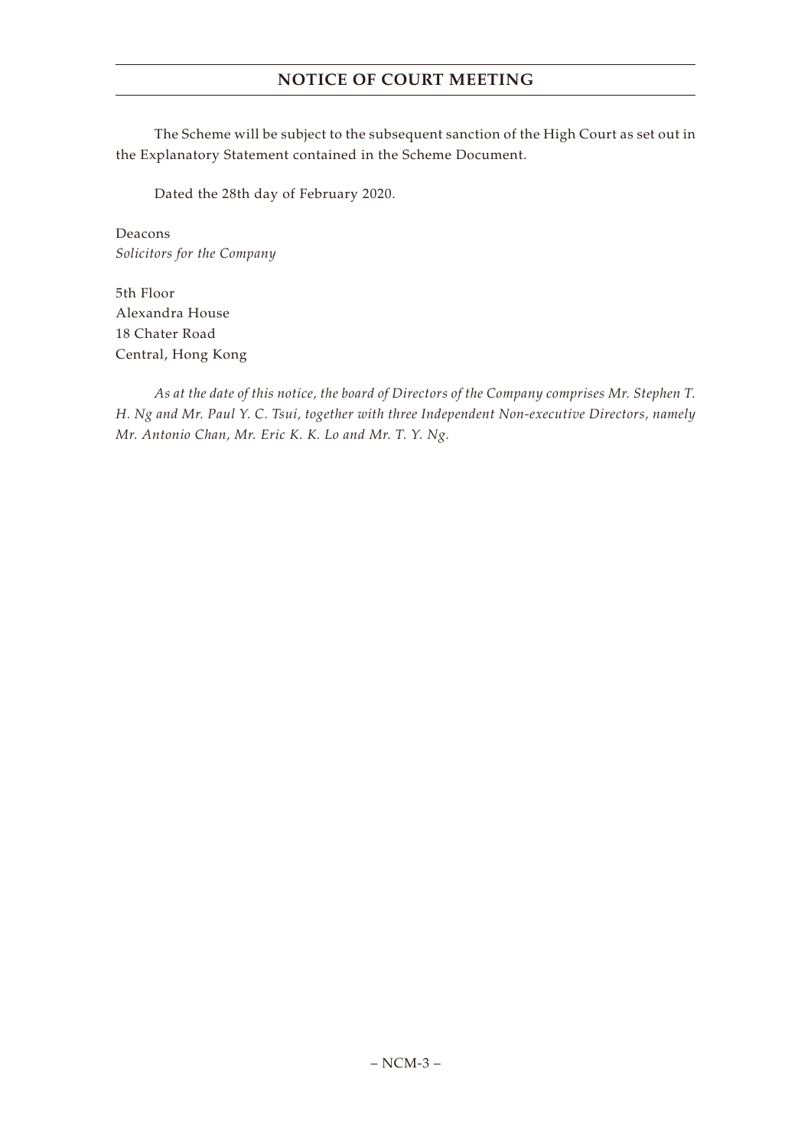# **NOTICE OF COURT MEETING**

The Scheme will be subject to the subsequent sanction of the High Court as set out in the Explanatory Statement contained in the Scheme Document.

Dated the 28th day of February 2020.

Deacons *Solicitors for the Company*

5th Floor Alexandra House 18 Chater Road Central, Hong Kong

*As at the date of this notice, the board of Directors of the Company comprises Mr. Stephen T. H. Ng and Mr. Paul Y. C. Tsui, together with three Independent Non-executive Directors, namely Mr. Antonio Chan, Mr. Eric K. K. Lo and Mr. T. Y. Ng.*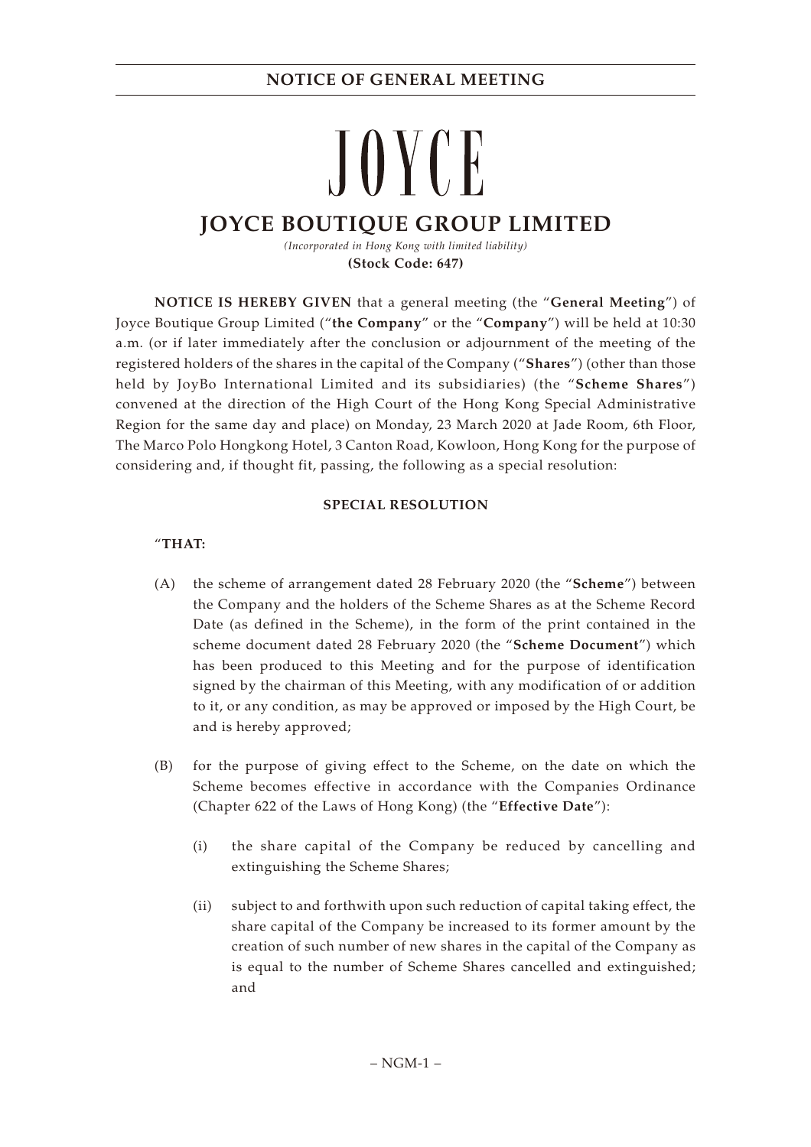# JOYCE **JOYCE BOUTIQUE GROUP LIMITED**

*(Incorporated in Hong Kong with limited liability)* **(Stock Code: 647)**

**NOTICE IS HEREBY GIVEN** that a general meeting (the "**General Meeting**") of Joyce Boutique Group Limited ("**the Company**" or the "**Company**") will be held at 10:30 a.m. (or if later immediately after the conclusion or adjournment of the meeting of the registered holders of the shares in the capital of the Company ("**Shares**") (other than those held by JoyBo International Limited and its subsidiaries) (the "**Scheme Shares**") convened at the direction of the High Court of the Hong Kong Special Administrative Region for the same day and place) on Monday, 23 March 2020 at Jade Room, 6th Floor, The Marco Polo Hongkong Hotel, 3 Canton Road, Kowloon, Hong Kong for the purpose of considering and, if thought fit, passing, the following as a special resolution:

#### **SPECIAL RESOLUTION**

### "**THAT:**

- (A) the scheme of arrangement dated 28 February 2020 (the "**Scheme**") between the Company and the holders of the Scheme Shares as at the Scheme Record Date (as defined in the Scheme), in the form of the print contained in the scheme document dated 28 February 2020 (the "**Scheme Document**") which has been produced to this Meeting and for the purpose of identification signed by the chairman of this Meeting, with any modification of or addition to it, or any condition, as may be approved or imposed by the High Court, be and is hereby approved;
- (B) for the purpose of giving effect to the Scheme, on the date on which the Scheme becomes effective in accordance with the Companies Ordinance (Chapter 622 of the Laws of Hong Kong) (the "**Effective Date**"):
	- (i) the share capital of the Company be reduced by cancelling and extinguishing the Scheme Shares;
	- (ii) subject to and forthwith upon such reduction of capital taking effect, the share capital of the Company be increased to its former amount by the creation of such number of new shares in the capital of the Company as is equal to the number of Scheme Shares cancelled and extinguished; and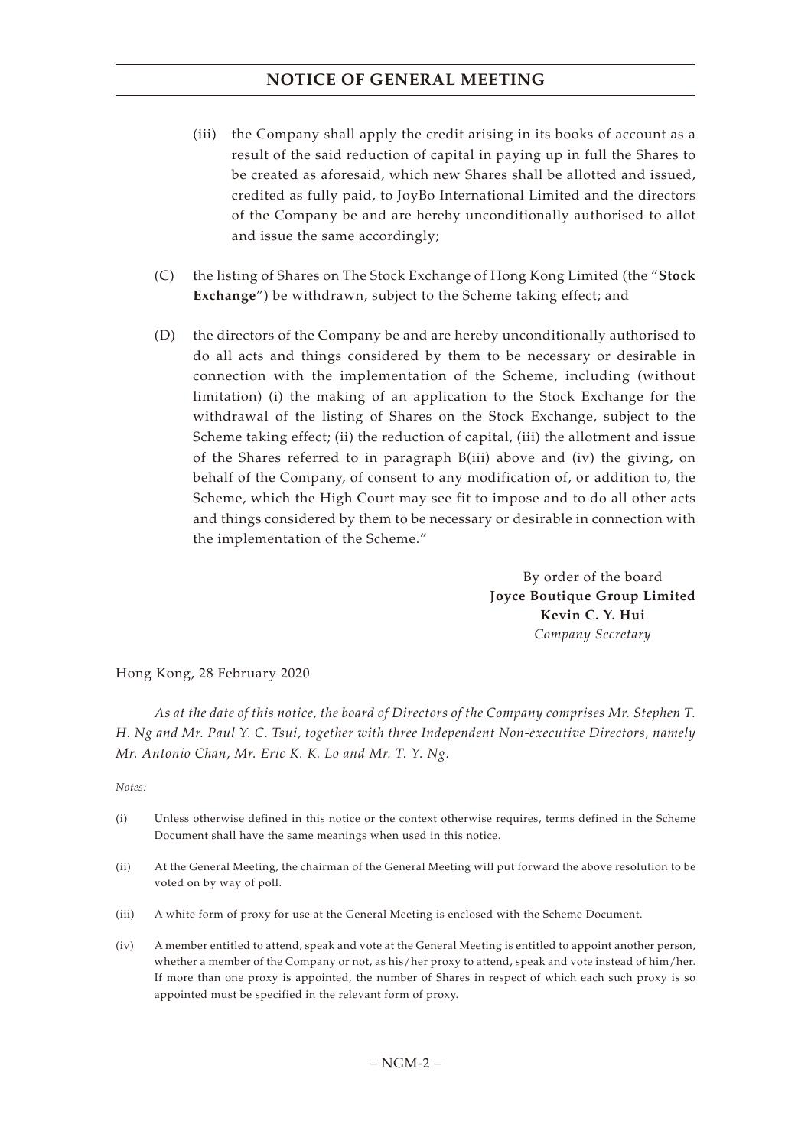# **NOTICE OF GENERAL MEETING**

- (iii) the Company shall apply the credit arising in its books of account as a result of the said reduction of capital in paying up in full the Shares to be created as aforesaid, which new Shares shall be allotted and issued, credited as fully paid, to JoyBo International Limited and the directors of the Company be and are hereby unconditionally authorised to allot and issue the same accordingly;
- (C) the listing of Shares on The Stock Exchange of Hong Kong Limited (the "**Stock Exchange**") be withdrawn, subject to the Scheme taking effect; and
- (D) the directors of the Company be and are hereby unconditionally authorised to do all acts and things considered by them to be necessary or desirable in connection with the implementation of the Scheme, including (without limitation) (i) the making of an application to the Stock Exchange for the withdrawal of the listing of Shares on the Stock Exchange, subject to the Scheme taking effect; (ii) the reduction of capital, (iii) the allotment and issue of the Shares referred to in paragraph B(iii) above and (iv) the giving, on behalf of the Company, of consent to any modification of, or addition to, the Scheme, which the High Court may see fit to impose and to do all other acts and things considered by them to be necessary or desirable in connection with the implementation of the Scheme."

By order of the board **Joyce Boutique Group Limited Kevin C. Y. Hui** *Company Secretary*

Hong Kong, 28 February 2020

*As at the date of this notice, the board of Directors of the Company comprises Mr. Stephen T. H. Ng and Mr. Paul Y. C. Tsui, together with three Independent Non-executive Directors, namely Mr. Antonio Chan, Mr. Eric K. K. Lo and Mr. T. Y. Ng.*

*Notes:*

- (i) Unless otherwise defined in this notice or the context otherwise requires, terms defined in the Scheme Document shall have the same meanings when used in this notice.
- (ii) At the General Meeting, the chairman of the General Meeting will put forward the above resolution to be voted on by way of poll.
- (iii) A white form of proxy for use at the General Meeting is enclosed with the Scheme Document.
- (iv) A member entitled to attend, speak and vote at the General Meeting is entitled to appoint another person, whether a member of the Company or not, as his/her proxy to attend, speak and vote instead of him/her. If more than one proxy is appointed, the number of Shares in respect of which each such proxy is so appointed must be specified in the relevant form of proxy.